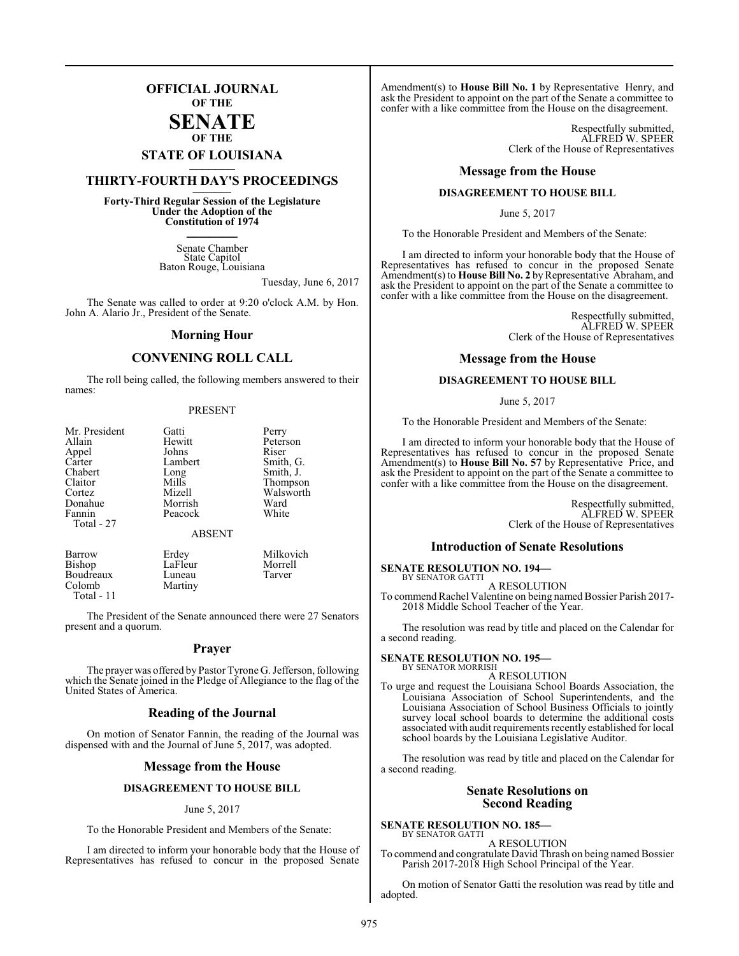## **OFFICIAL JOURNAL OF THE**

#### **SENATE OF THE**

# **STATE OF LOUISIANA \_\_\_\_\_\_\_**

# **THIRTY-FOURTH DAY'S PROCEEDINGS \_\_\_\_\_\_\_**

**Forty-Third Regular Session of the Legislature Under the Adoption of the Constitution of 1974 \_\_\_\_\_\_\_**

> Senate Chamber State Capitol Baton Rouge, Louisiana

> > Tuesday, June 6, 2017

The Senate was called to order at 9:20 o'clock A.M. by Hon. John A. Alario Jr., President of the Senate.

#### **Morning Hour**

### **CONVENING ROLL CALL**

The roll being called, the following members answered to their names:

#### PRESENT

| Mr. President    | Gatti         | Perry     |
|------------------|---------------|-----------|
| Allain           | Hewitt        | Peterson  |
| Appel            | Johns         | Riser     |
| Carter           | Lambert       | Smith, G. |
| Chabert          | Long          | Smith, J. |
| Claitor          | Mills         | Thompson  |
| Cortez           | Mizell        | Walsworth |
| Donahue          | Morrish       | Ward      |
| Fannin           | Peacock       | White     |
| Total - 27       |               |           |
|                  | <b>ABSENT</b> |           |
| Barrow           | Erdey         | Milkovich |
| <b>Bishop</b>    | LaFleur       | Morrell   |
| <b>Boudreaux</b> | Luneau        | Tarver    |

Martiny

Boudreaux<br>Colomb

 Total - 11 The President of the Senate announced there were 27 Senators present and a quorum.

#### **Prayer**

The prayer was offered by Pastor Tyrone G. Jefferson, following which the Senate joined in the Pledge of Allegiance to the flag of the United States of America.

### **Reading of the Journal**

On motion of Senator Fannin, the reading of the Journal was dispensed with and the Journal of June 5, 2017, was adopted.

#### **Message from the House**

#### **DISAGREEMENT TO HOUSE BILL**

#### June 5, 2017

To the Honorable President and Members of the Senate:

I am directed to inform your honorable body that the House of Representatives has refused to concur in the proposed Senate

Amendment(s) to **House Bill No. 1** by Representative Henry, and ask the President to appoint on the part of the Senate a committee to confer with a like committee from the House on the disagreement.

> Respectfully submitted, ALFRED W. SPEER Clerk of the House of Representatives

#### **Message from the House**

#### **DISAGREEMENT TO HOUSE BILL**

June 5, 2017

To the Honorable President and Members of the Senate:

I am directed to inform your honorable body that the House of Representatives has refused to concur in the proposed Senate Amendment(s) to **House Bill No. 2** by Representative Abraham, and ask the President to appoint on the part of the Senate a committee to confer with a like committee from the House on the disagreement.

> Respectfully submitted, ALFRED W. SPEER Clerk of the House of Representatives

#### **Message from the House**

#### **DISAGREEMENT TO HOUSE BILL**

June 5, 2017

To the Honorable President and Members of the Senate:

I am directed to inform your honorable body that the House of Representatives has refused to concur in the proposed Senate Amendment(s) to **House Bill No. 57** by Representative Price, and ask the President to appoint on the part of the Senate a committee to confer with a like committee from the House on the disagreement.

> Respectfully submitted, ALFRED W. SPEER Clerk of the House of Representatives

#### **Introduction of Senate Resolutions**

#### **SENATE RESOLUTION NO. 194—**

BY SENATOR GATTI A RESOLUTION

To commend Rachel Valentine on being named Bossier Parish 2017- 2018 Middle School Teacher of the Year.

The resolution was read by title and placed on the Calendar for a second reading.

# **SENATE RESOLUTION NO. 195—** BY SENATOR MORRISH

A RESOLUTION

To urge and request the Louisiana School Boards Association, the Louisiana Association of School Superintendents, and the Louisiana Association of School Business Officials to jointly survey local school boards to determine the additional costs associated with audit requirements recently established for local school boards by the Louisiana Legislative Auditor.

The resolution was read by title and placed on the Calendar for a second reading.

#### **Senate Resolutions on Second Reading**

**SENATE RESOLUTION NO. 185—** BY SENATOR GATTI

A RESOLUTION To commend and congratulate David Thrash on being named Bossier Parish 2017-2018 High School Principal of the Year.

On motion of Senator Gatti the resolution was read by title and adopted.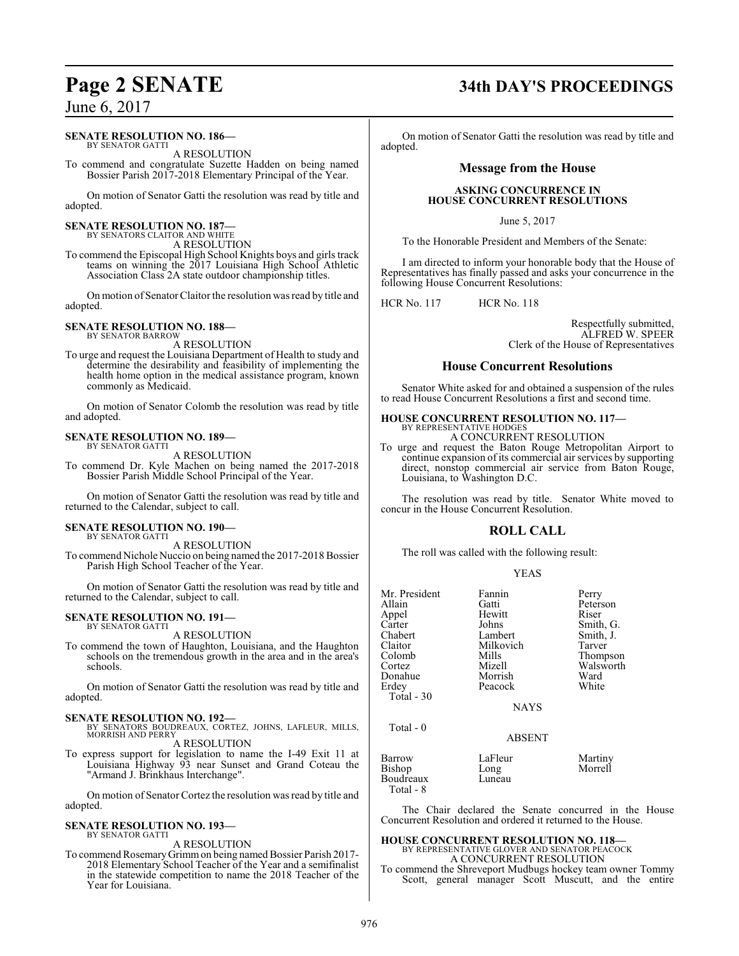#### **SENATE RESOLUTION NO. 186—**

BY SENATOR GATTI A RESOLUTION

To commend and congratulate Suzette Hadden on being named Bossier Parish 2017-2018 Elementary Principal of the Year.

On motion of Senator Gatti the resolution was read by title and adopted.

#### **SENATE RESOLUTION NO. 187—** BY SENATORS CLAITOR AND WHITE

A RESOLUTION

To commend the Episcopal High School Knights boys and girls track teams on winning the 2017 Louisiana High School Athletic Association Class 2A state outdoor championship titles.

On motion of SenatorClaitor the resolution was read by title and adopted.

#### **SENATE RESOLUTION NO. 188—** BY SENATOR BARROW

A RESOLUTION

To urge and request the Louisiana Department of Health to study and determine the desirability and feasibility of implementing the health home option in the medical assistance program, known commonly as Medicaid.

On motion of Senator Colomb the resolution was read by title and adopted.

#### **SENATE RESOLUTION NO. 189—** BY SENATOR GATTI

A RESOLUTION

To commend Dr. Kyle Machen on being named the 2017-2018 Bossier Parish Middle School Principal of the Year.

On motion of Senator Gatti the resolution was read by title and returned to the Calendar, subject to call.

#### **SENATE RESOLUTION NO. 190—** BY SENATOR GATTI

A RESOLUTION

To commend Nichole Nuccio on being named the 2017-2018 Bossier Parish High School Teacher of the Year.

On motion of Senator Gatti the resolution was read by title and returned to the Calendar, subject to call.

#### **SENATE RESOLUTION NO. 191—** BY SENATOR GATTI

A RESOLUTION

To commend the town of Haughton, Louisiana, and the Haughton schools on the tremendous growth in the area and in the area's schools.

On motion of Senator Gatti the resolution was read by title and adopted.

- **SENATE RESOLUTION NO. 192—** BY SENATORS BOUDREAUX, CORTEZ, JOHNS, LAFLEUR, MILLS, MORRISH AND PERRY A RESOLUTION
- To express support for legislation to name the I-49 Exit 11 at Louisiana Highway 93 near Sunset and Grand Coteau the "Armand J. Brinkhaus Interchange".

On motion of Senator Cortez the resolution was read by title and adopted.

#### **SENATE RESOLUTION NO. 193—** BY SENATOR GATTI

A RESOLUTION

To commend Rosemary Grimm on being named Bossier Parish 2017-2018 Elementary School Teacher of the Year and a semifinalist in the statewide competition to name the 2018 Teacher of the Year for Louisiana.

# **Page 2 SENATE 34th DAY'S PROCEEDINGS**

On motion of Senator Gatti the resolution was read by title and adopted.

### **Message from the House**

#### **ASKING CONCURRENCE IN HOUSE CONCURRENT RESOLUTIONS**

June 5, 2017

To the Honorable President and Members of the Senate:

I am directed to inform your honorable body that the House of Representatives has finally passed and asks your concurrence in the following House Concurrent Resolutions:

HCR No. 117 HCR No. 118

Respectfully submitted, ALFRED W. SPEER Clerk of the House of Representatives

#### **House Concurrent Resolutions**

Senator White asked for and obtained a suspension of the rules to read House Concurrent Resolutions a first and second time.

#### **HOUSE CONCURRENT RESOLUTION NO. 117—** BY REPRESENTATIVE HODGES

A CONCURRENT RESOLUTION

To urge and request the Baton Rouge Metropolitan Airport to continue expansion of its commercial air services by supporting direct, nonstop commercial air service from Baton Rouge, Louisiana, to Washington D.C.

The resolution was read by title. Senator White moved to concur in the House Concurrent Resolution.

## **ROLL CALL**

The roll was called with the following result:

#### YEAS

| Mr. President<br>Allain<br>Appel                 | Fannin<br>Gatti<br>Hewitt                        | Perry<br>Peterson<br>Riser                                |
|--------------------------------------------------|--------------------------------------------------|-----------------------------------------------------------|
| Carter<br>Chabert<br>Claitor<br>Colomb<br>Cortez | Johns<br>Lambert<br>Milkovich<br>Mills<br>Mizell | Smith, G.<br>Smith, J.<br>Tarver<br>Thompson<br>Walsworth |
| Donahue<br>Erdey<br>Total $-30$                  | Morrish<br>Peacock                               | Ward<br>White                                             |
| Total $-0$                                       | <b>NAYS</b>                                      |                                                           |
|                                                  | ABSENT                                           |                                                           |
| Barrow<br>Bishop<br>Boudreaux<br>Total - 8       | LaFleur<br>Long<br>Luneau                        | Martiny<br>Morrell                                        |

The Chair declared the Senate concurred in the House Concurrent Resolution and ordered it returned to the House.

#### **HOUSE CONCURRENT RESOLUTION NO. 118—** BY REPRESENTATIVE GLOVER AND SENATOR PEACOCK

A CONCURRENT RESOLUTION To commend the Shreveport Mudbugs hockey team owner Tommy Scott, general manager Scott Muscutt, and the entire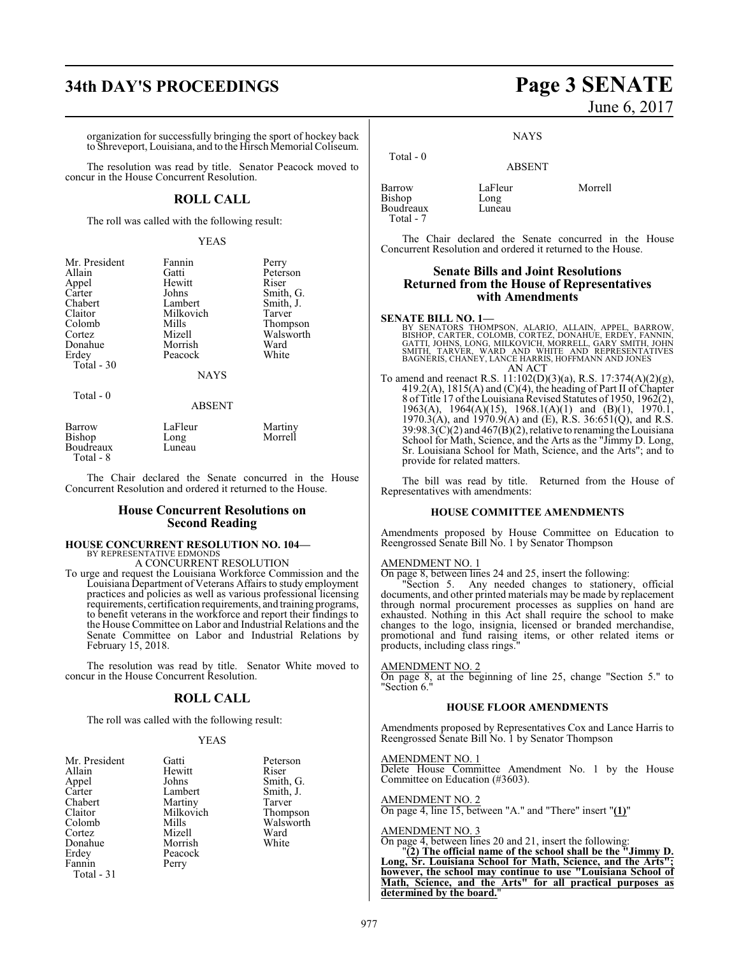# **34th DAY'S PROCEEDINGS Page 3 SENATE**

organization for successfully bringing the sport of hockey back to Shreveport, Louisiana, and to the Hirsch Memorial Coliseum.

The resolution was read by title. Senator Peacock moved to concur in the House Concurrent Resolution.

### **ROLL CALL**

The roll was called with the following result:

#### YEAS

| Mr. President | Fannin      | Perry     |
|---------------|-------------|-----------|
| Allain        | Gatti       | Peterson  |
| Appel         | Hewitt      | Riser     |
| Carter        | Johns       | Smith, G. |
| Chabert       | Lambert     | Smith, J. |
| Claitor       | Milkovich   | Tarver    |
| Colomb        | Mills       | Thompson  |
| Cortez        | Mizell      | Walsworth |
| Donahue       | Morrish     | Ward      |
| Erdey         | Peacock     | White     |
| Total - 30    |             |           |
|               | <b>NAYS</b> |           |
| Total - 0     |             |           |
|               | ABSENT      |           |

| Barrow                 | LaFleur | Martiny |
|------------------------|---------|---------|
| Bishop                 | Long    | Morrell |
| Boudreaux<br>Total - 8 | Luneau  |         |

The Chair declared the Senate concurred in the House Concurrent Resolution and ordered it returned to the House.

#### **House Concurrent Resolutions on Second Reading**

#### **HOUSE CONCURRENT RESOLUTION NO. 104—** BY REPRESENTATIVE EDMONDS

A CONCURRENT RESOLUTION

To urge and request the Louisiana Workforce Commission and the Louisiana Department of Veterans Affairs to study employment practices and policies as well as various professional licensing requirements, certification requirements, and training programs, to benefit veterans in the workforce and report their findings to the House Committee on Labor and Industrial Relations and the Senate Committee on Labor and Industrial Relations by February 15, 2018.

The resolution was read by title. Senator White moved to concur in the House Concurrent Resolution.

### **ROLL CALL**

The roll was called with the following result:

#### YEAS

| Gatti   | Peterson                     |
|---------|------------------------------|
| Hewitt  | Riser                        |
| Johns   | Smith, G.                    |
| Lambert | Smith, J.                    |
| Martiny | Tarver                       |
|         | Thompson                     |
|         | Walsworth                    |
|         | Ward                         |
| Morrish | White                        |
| Peacock |                              |
| Perry   |                              |
|         |                              |
|         | Milkovich<br>Mills<br>Mizell |

# June 6, 2017

NAYS

#### ABSENT

Barrow LaFleur Morrell<br>Bishop Long Bishop Boudreaux Luneau Total - 7

Total - 0

The Chair declared the Senate concurred in the House Concurrent Resolution and ordered it returned to the House.

#### **Senate Bills and Joint Resolutions Returned from the House of Representatives with Amendments**

#### **SENATE BILL NO. 1—**

BY SENATORS THOMPSON, ALARIO, ALLAIN, APPEL, BARROW,<br>BISHOP, CARTER, COLOMB, CORTEZ, DONAHUE, ERDEY, FANNIN,<br>GATTI, JOHNS, LÓNG, MILKOVICH, MORRELL, GARY SMITH, JOHN<br>SMITH, TARVER, WARD AND WHITE AND REPRESENTATIVES<br>BAGNER AN ACT

To amend and reenact R.S. 11:102(D)(3)(a), R.S. 17:374(A)(2)(g), 419.2(A), 1815(A) and (C)(4), the heading of Part II of Chapter 8 of Title 17 ofthe Louisiana Revised Statutes of 1950, 1962(2), 1963(A), 1964(A)(15), 1968.1(A)(1) and (B)(1), 1970.1, 1970.3(A), and  $1970.9(A)$  and (E), R.S. 36:651(Q), and R.S.  $39:98.3(\text{C})(2)$  and  $467(\text{B})(2)$ , relative to renaming the Louisiana School for Math, Science, and the Arts as the "Jimmy D. Long, Sr. Louisiana School for Math, Science, and the Arts"; and to provide for related matters.

The bill was read by title. Returned from the House of Representatives with amendments:

#### **HOUSE COMMITTEE AMENDMENTS**

Amendments proposed by House Committee on Education to Reengrossed Senate Bill No. 1 by Senator Thompson

#### AMENDMENT NO. 1

On page 8, between lines 24 and 25, insert the following:

"Section 5. Any needed changes to stationery, official documents, and other printed materials may be made by replacement through normal procurement processes as supplies on hand are exhausted. Nothing in this Act shall require the school to make changes to the logo, insignia, licensed or branded merchandise, promotional and fund raising items, or other related items or products, including class rings."

#### AMENDMENT NO. 2

On page 8, at the beginning of line 25, change "Section 5." to "Section 6."

#### **HOUSE FLOOR AMENDMENTS**

Amendments proposed by Representatives Cox and Lance Harris to Reengrossed Senate Bill No. 1 by Senator Thompson

AMENDMENT NO. 1

Delete House Committee Amendment No. 1 by the House Committee on Education (#3603).

## AMENDMENT NO. 2

On page 4, line 15, between "A." and "There" insert "**(1)**"

#### AMENDMENT NO. 3

On page 4, between lines 20 and 21, insert the following: "**(2) The official name of the school shall be the "Jimmy D. Long, Sr. Louisiana School for Math, Science, and the Arts"; however, the school may continue to use "Louisiana School of Math, Science, and the Arts" for all practical purposes as determined by the board.**"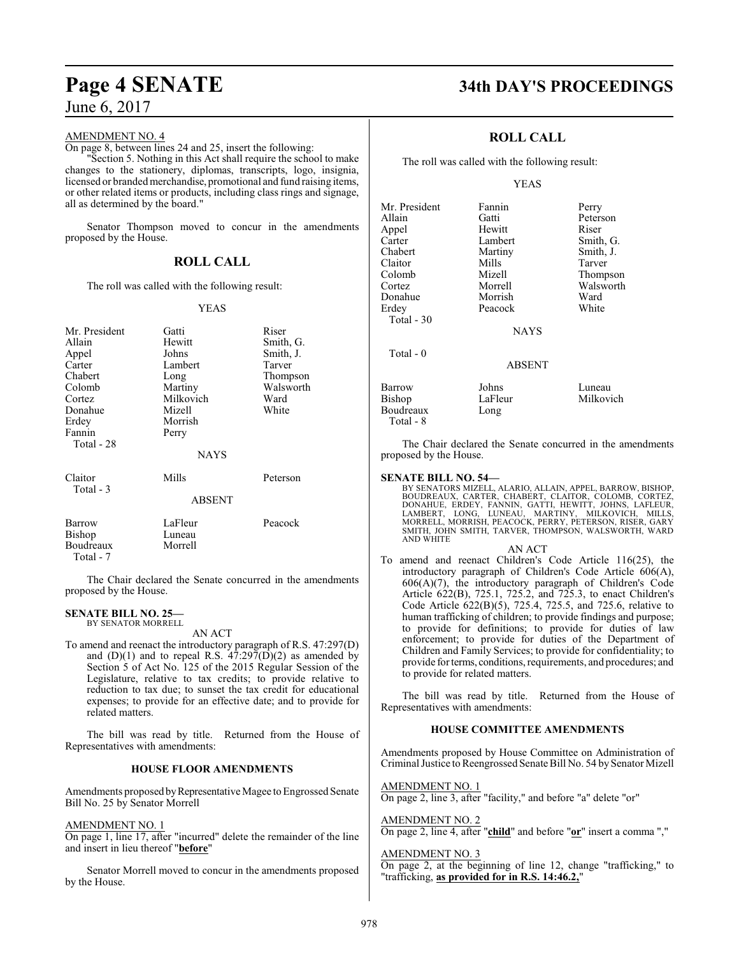#### AMENDMENT NO. 4

On page 8, between lines 24 and 25, insert the following:

"Section 5. Nothing in this Act shall require the school to make changes to the stationery, diplomas, transcripts, logo, insignia, licensed or branded merchandise, promotional and fund raising items, or other related items or products, including class rings and signage, all as determined by the board."

Senator Thompson moved to concur in the amendments proposed by the House.

## **ROLL CALL**

The roll was called with the following result:

#### YEAS

| Mr. President<br>Allain<br>Appel<br>Carter<br>Chabert<br>Colomb<br>Cortez<br>Donahue<br>Erdey<br>Fannin<br>Total - 28 | Gatti<br>Hewitt<br>Johns<br>Lambert<br>Long<br>Martiny<br>Milkovich<br>Mizell<br>Morrish<br>Perry<br><b>NAYS</b> | Riser<br>Smith, G.<br>Smith, J.<br>Tarver<br>Thompson<br>Walsworth<br>Ward<br>White |
|-----------------------------------------------------------------------------------------------------------------------|------------------------------------------------------------------------------------------------------------------|-------------------------------------------------------------------------------------|
| Claitor<br>Total - 3                                                                                                  | Mills<br><b>ABSENT</b>                                                                                           | Peterson                                                                            |
| Barrow<br>Bishop<br>Boudreaux                                                                                         | LaFleur<br>Luneau<br>Morrell                                                                                     | Peacock                                                                             |

Total - 7

The Chair declared the Senate concurred in the amendments proposed by the House.

#### **SENATE BILL NO. 25—**

BY SENATOR MORRELL

AN ACT To amend and reenact the introductory paragraph of R.S. 47:297(D) and  $(D)(1)$  and to repeal R.S.  $47:297(D)(2)$  as amended by Section 5 of Act No. 125 of the 2015 Regular Session of the Legislature, relative to tax credits; to provide relative to reduction to tax due; to sunset the tax credit for educational expenses; to provide for an effective date; and to provide for related matters.

The bill was read by title. Returned from the House of Representatives with amendments:

#### **HOUSE FLOOR AMENDMENTS**

Amendments proposed by Representative Magee to Engrossed Senate Bill No. 25 by Senator Morrell

#### AMENDMENT NO. 1

On page 1, line 17, after "incurred" delete the remainder of the line and insert in lieu thereof "**before**"

Senator Morrell moved to concur in the amendments proposed by the House.

# **Page 4 SENATE 34th DAY'S PROCEEDINGS**

### **ROLL CALL**

The roll was called with the following result:

#### YEAS

| Mr. President | Fannin        | Perry     |
|---------------|---------------|-----------|
| Allain        | Gatti         | Peterson  |
| Appel         | Hewitt        | Riser     |
| Carter        | Lambert       | Smith, G. |
| Chabert       | Martiny       | Smith, J. |
| Claitor       | Mills         | Tarver    |
| Colomb        | Mizell        | Thompson  |
| Cortez        | Morrell       | Walsworth |
| Donahue       | Morrish       | Ward      |
| Erdev         | Peacock       | White     |
| Total $-30$   |               |           |
|               | <b>NAYS</b>   |           |
| Total $-0$    |               |           |
|               | <b>ABSENT</b> |           |
| Barrow        | Johns         | Luneau    |
| Bishop        | LaFleur       | Milkovich |
| Boudreaux     | Long          |           |
| Total - 8     |               |           |

The Chair declared the Senate concurred in the amendments proposed by the House.

#### **SENATE BILL NO. 54—**

BY SENATORS MIZELL, ALARIO, ALLAIN, APPEL, BARROW, BISHOP, BOUDREAUX, CARTER, CHABERT, CLAITOR, COLOMB, CORTEZ,<br>DONAHUE, ERDEY, FANNIN, GATTI, HEWITT, JOHNS, LAFLEUR,<br>LAMBERT, LONG, LUNEAU, MARTINY, MILKOVICH, MILLS,<br>MORRELL, MORRISH, PEACOCK, PERRY, PETERSON, RISER, GARY<br>SMITH, J AND WHITE

#### AN ACT

To amend and reenact Children's Code Article 116(25), the introductory paragraph of Children's Code Article 606(A), 606(A)(7), the introductory paragraph of Children's Code Article 622(B), 725.1, 725.2, and 725.3, to enact Children's Code Article 622(B)(5), 725.4, 725.5, and 725.6, relative to human trafficking of children; to provide findings and purpose; to provide for definitions; to provide for duties of law enforcement; to provide for duties of the Department of Children and Family Services; to provide for confidentiality; to provide for terms, conditions, requirements, and procedures; and to provide for related matters.

The bill was read by title. Returned from the House of Representatives with amendments:

#### **HOUSE COMMITTEE AMENDMENTS**

Amendments proposed by House Committee on Administration of Criminal Justice to Reengrossed Senate Bill No. 54 by Senator Mizell

AMENDMENT NO. 1 On page 2, line 3, after "facility," and before "a" delete "or"

AMENDMENT NO. 2

On page 2, line 4, after "**child**" and before "**or**" insert a comma ","

AMENDMENT NO. 3 On page 2, at the beginning of line 12, change "trafficking," to "trafficking, **as provided for in R.S. 14:46.2,**"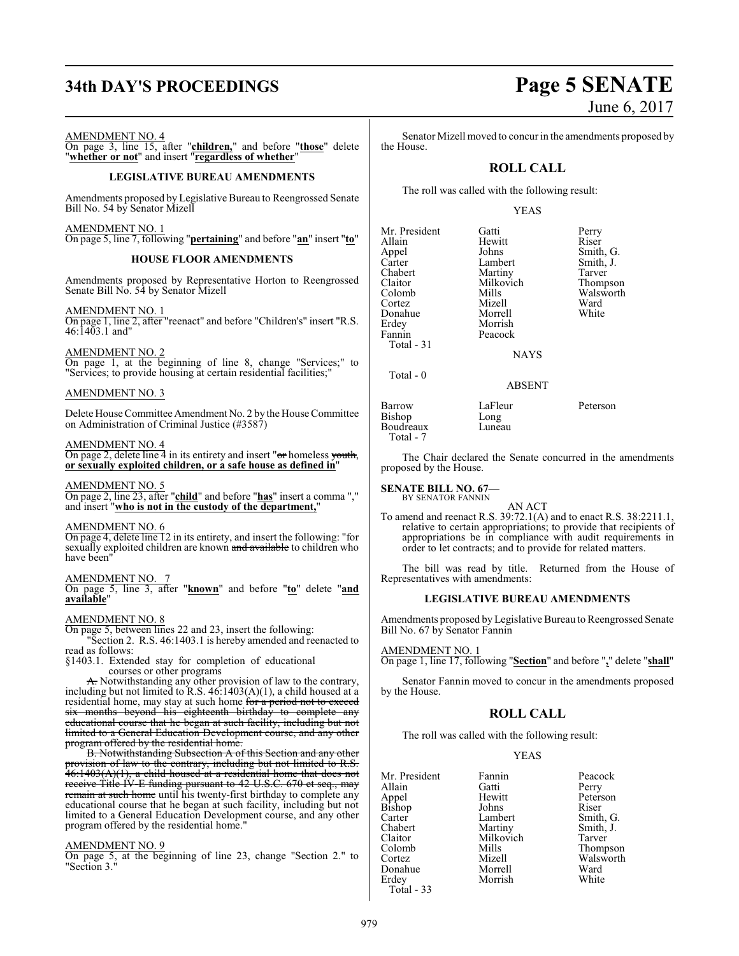# **34th DAY'S PROCEEDINGS Page 5 SENATE**

#### AMENDMENT NO. 4

On page 3, line 15, after "**children,**" and before "**those**" delete "**whether or not**" and insert "**regardless of whether**"

#### **LEGISLATIVE BUREAU AMENDMENTS**

Amendments proposed by Legislative Bureau to Reengrossed Senate Bill No. 54 by Senator Mizell

AMENDMENT NO. 1 On page 5, line 7, following "**pertaining**" and before "**an**" insert "**to**"

#### **HOUSE FLOOR AMENDMENTS**

Amendments proposed by Representative Horton to Reengrossed Senate Bill No. 54 by Senator Mizell

#### AMENDMENT NO. 1

On page 1, line 2, after "reenact" and before "Children's" insert "R.S. 46:1403.1 and"

#### AMENDMENT NO. 2

On page 1, at the beginning of line 8, change "Services;" to "Services; to provide housing at certain residential facilities;"

#### AMENDMENT NO. 3

Delete House Committee Amendment No. 2 by the House Committee on Administration of Criminal Justice (#3587)

#### AMENDMENT NO. 4

On page 2, delete line 4 in its entirety and insert "or homeless youth, **or sexually exploited children, or a safe house as defined in**"

#### AMENDMENT NO. 5

On page 2, line 23, after "**child**" and before "**has**" insert a comma "," and insert "**who is not in the custody of the department,**"

#### AMENDMENT NO. 6

On page 4, delete line 12 in its entirety, and insert the following: "for sexually exploited children are known and available to children who have been

#### AMENDMENT NO. 7

On page 5, line 3, after "**known**" and before "**to**" delete "**and available**"

### AMENDMENT NO. 8

On page 5, between lines 22 and 23, insert the following:

"Section 2. R.S. 46:1403.1 is hereby amended and reenacted to read as follows:

§1403.1. Extended stay for completion of educational courses or other programs

A. Notwithstanding any other provision of law to the contrary, including but not limited to R.S.  $46:1403(A)(1)$ , a child housed at a residential home, may stay at such home for a period not to exceed six months beyond his eighteenth birthday to complete any educational course that he began at such facility, including but not limited to a General Education Development course, and any other program offered by the residential home

B. Notwithstanding Subsection A of this Section and any other provision of law to the contrary, including but not limited to R.S. 46:1403(A)(1), a child housed at a residential home that does not receive Title IV-E funding pursuant to 42 U.S.C. 670 et seq., may remain at such home until his twenty-first birthday to complete any educational course that he began at such facility, including but not limited to a General Education Development course, and any other program offered by the residential home."

#### AMENDMENT NO. 9

On page 5, at the beginning of line 23, change "Section 2." to "Section 3."

Senator Mizell moved to concur in the amendments proposed by the House.

#### **ROLL CALL**

The roll was called with the following result:

#### YEAS

| Mr. President | Gatti       | Perry     |
|---------------|-------------|-----------|
| Allain        | Hewitt      | Riser     |
| Appel         | Johns       | Smith, G. |
| Carter        | Lambert     | Smith, J. |
| Chabert       | Martiny     | Tarver    |
| Claitor       | Milkovich   | Thompson  |
| Colomb        | Mills       | Walsworth |
| Cortez        | Mizell      | Ward      |
| Donahue       | Morrell     | White     |
| Erdey         | Morrish     |           |
| Fannin        | Peacock     |           |
| Total - 31    |             |           |
|               | <b>NAYS</b> |           |
| Total - 0     |             |           |

#### ABSENT

Bishop Long<br>Boudreaux Luneau **Boudreaux** 

Barrow LaFleur Peterson<br>Bishop Long

Total - 7

The Chair declared the Senate concurred in the amendments proposed by the House.

#### **SENATE BILL NO. 67—** BY SENATOR FANNIN

AN ACT To amend and reenact R.S. 39:72.1(A) and to enact R.S. 38:2211.1, relative to certain appropriations; to provide that recipients of appropriations be in compliance with audit requirements in order to let contracts; and to provide for related matters.

The bill was read by title. Returned from the House of Representatives with amendments:

#### **LEGISLATIVE BUREAU AMENDMENTS**

Amendments proposed byLegislative Bureau to Reengrossed Senate Bill No. 67 by Senator Fannin

#### AMENDMENT NO. 1

On page 1, line 17, following "**Section**" and before "**,**" delete "**shall**"

Senator Fannin moved to concur in the amendments proposed by the House.

#### **ROLL CALL**

The roll was called with the following result:

Morrish

#### YEAS

Mr. President Fannin Peacock<br>Allain Gatti Perry Allain Gatti Perry Appel Hewitt Peterson Bishop Johns<br>Carter Lambert Carter Lambert Smith, G. Chabert Martiny Smith, J.<br>Claitor Milkovich Tarver Claitor Milkovich<br>Colomb Mills Cortez Mizell Walsworth Donahue Morrell Ward<br>
Erdey Morrish White Total - 33

Mills Thompson<br>
Mizell Walsworth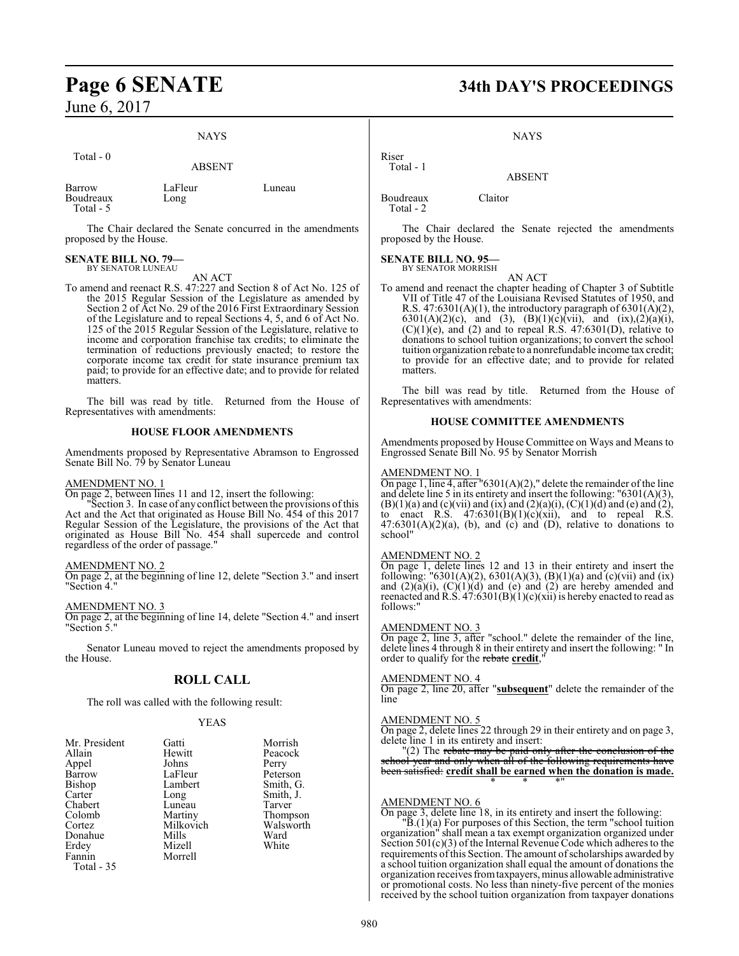$Total = 0$ 

## NAYS

| 1 vuu - v                         | <b>ABSENT</b>   |        |
|-----------------------------------|-----------------|--------|
| Barrow<br>Boudreaux<br>Total $-5$ | LaFleur<br>Long | Luneau |

The Chair declared the Senate concurred in the amendments proposed by the House.

#### **SENATE BILL NO. 79—** BY SENATOR LUNEAU

#### AN ACT

To amend and reenact R.S. 47:227 and Section 8 of Act No. 125 of the 2015 Regular Session of the Legislature as amended by Section 2 of Act No. 29 of the 2016 First Extraordinary Session of the Legislature and to repeal Sections 4, 5, and 6 of Act No. 125 of the 2015 Regular Session of the Legislature, relative to income and corporation franchise tax credits; to eliminate the termination of reductions previously enacted; to restore the corporate income tax credit for state insurance premium tax paid; to provide for an effective date; and to provide for related matters.

The bill was read by title. Returned from the House of Representatives with amendments:

#### **HOUSE FLOOR AMENDMENTS**

Amendments proposed by Representative Abramson to Engrossed Senate Bill No. 79 by Senator Luneau

#### AMENDMENT NO. 1

On page 2, between lines 11 and 12, insert the following:

Section 3. In case of any conflict between the provisions of this Act and the Act that originated as House Bill No. 454 of this 2017 Regular Session of the Legislature, the provisions of the Act that originated as House Bill No. 454 shall supercede and control regardless of the order of passage."

#### AMENDMENT NO. 2

On page 2, at the beginning of line 12, delete "Section 3." and insert "Section 4."

AMENDMENT NO. 3

On page 2, at the beginning of line 14, delete "Section 4." and insert "Section 5."

Senator Luneau moved to reject the amendments proposed by the House.

#### **ROLL CALL**

The roll was called with the following result:

#### YEAS

| Mr. President | Gatti     | Morrish   |
|---------------|-----------|-----------|
| Allain        | Hewitt    | Peacock   |
| Appel         | Johns     | Perry     |
| Barrow        | LaFleur   | Peterson  |
| <b>Bishop</b> | Lambert   | Smith, G. |
| Carter        | Long      | Smith, J. |
| Chabert       | Luneau    | Tarver    |
| Colomb        | Martiny   | Thompson  |
| Cortez        | Milkovich | Walsworth |
| Donahue       | Mills     | Ward      |
| Erdey         | Mizell    | White     |
| Fannin        | Morrell   |           |
| Total - 35    |           |           |

# **Page 6 SENATE 34th DAY'S PROCEEDINGS**

**NAYS** 

ABSENT

Boudreaux Claitor Total - 2

Riser Total - 1

The Chair declared the Senate rejected the amendments proposed by the House.

#### **SENATE BILL NO. 95—** BY SENATOR MORRISH

AN ACT

To amend and reenact the chapter heading of Chapter 3 of Subtitle VII of Title 47 of the Louisiana Revised Statutes of 1950, and R.S.  $47:6301(A)(1)$ , the introductory paragraph of  $6301(A)(2)$ , 6301(A)(2)(c), and (3), (B)(1)(c)(vii), and (ix),(2)(a)(i),  $(C)(1)(e)$ , and  $(2)$  and to repeal R.S. 47:6301(D), relative to donations to school tuition organizations; to convert the school tuition organization rebate to a nonrefundable income tax credit; to provide for an effective date; and to provide for related matters.

The bill was read by title. Returned from the House of Representatives with amendments:

#### **HOUSE COMMITTEE AMENDMENTS**

Amendments proposed by House Committee on Ways and Means to Engrossed Senate Bill No. 95 by Senator Morrish

#### AMENDMENT NO. 1

On page 1, line 4, after "6301(A)(2)," delete the remainder of the line and delete line 5 in its entirety and insert the following: "6301(A)(3),  $(B)(1)(a)$  and  $(c)(vii)$  and  $(ix)$  and  $(2)(a)(i)$ ,  $(C)(1)(d)$  and  $(e)$  and  $(2)$ , to enact R.S.  $47:6301(B)(1)(c)(xii)$ , and to repeal R.S.  $47:6301(A)(2)(a)$ , (b), and (c) and (D), relative to donations to school"

#### AMENDMENT NO. 2

On page 1, delete lines 12 and 13 in their entirety and insert the following: "6301(A)(2), 6301(A)(3), (B)(1)(a) and (c)(vii) and (ix) and  $(2)(a)(i)$ ,  $(C)(1)(d)$  and  $(e)$  and  $(2)$  are hereby amended and reenacted and R.S.  $47:6301(B)(1)(c)(xii)$  is hereby enacted to read as follows:"

#### AMENDMENT NO. 3

On page 2, line 3, after "school." delete the remainder of the line, delete lines 4 through 8 in their entirety and insert the following: " In order to qualify for the rebate credit,

#### AMENDMENT NO. 4

On page 2, line 20, after "**subsequent**" delete the remainder of the line

#### AMENDMENT NO. 5

On page 2, delete lines 22 through 29 in their entirety and on page 3, delete line 1 in its entirety and insert:

"(2) The rebate may be paid only after the conclusion of the school year and only when all of the following requirements have been satisfied: **credit shall be earned when the donation is made.** \* \* \*"

#### AMENDMENT NO. 6

On page 3, delete line 18, in its entirety and insert the following:

"B.(1)(a) For purposes of this Section, the term "school tuition organization" shall mean a tax exempt organization organized under Section 501(c)(3) of the Internal Revenue Code which adheres to the requirements of this Section. The amount of scholarships awarded by a school tuition organization shall equal the amount of donations the organization receives fromtaxpayers, minus allowable administrative or promotional costs. No less than ninety-five percent of the monies received by the school tuition organization from taxpayer donations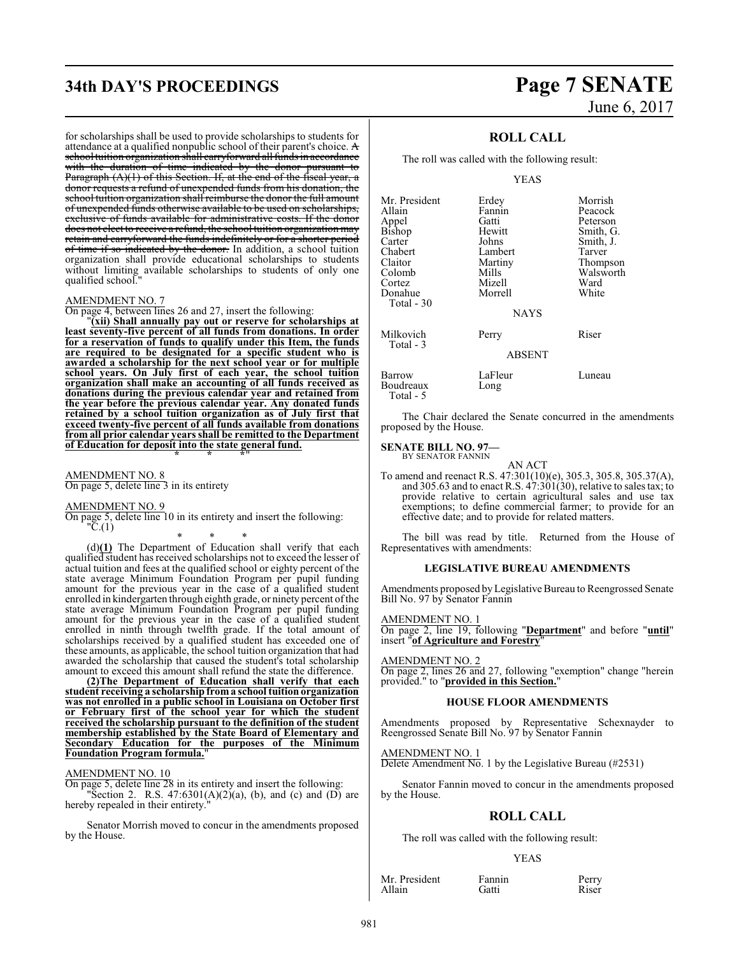# **34th DAY'S PROCEEDINGS Page 7 SENATE**

for scholarships shall be used to provide scholarships to students for attendance at a qualified nonpublic school of their parent's choice.  $\bf{A}$ school tuition organization shall carryforward all funds in accordance with the duration of time indicated by the donor pursuant to Paragraph (A)(1) of this Section. If, at the end of the fiscal year, a donor requests a refund of unexpended funds from his donation, the school tuition organization shall reimburse the donor the full amount of unexpended funds otherwise available to be used on scholarships, exclusive of funds available for administrative costs. If the donor does not elect to receive a refund, the school tuition organization may retain and carryforward the funds indefinitely or for a shorter period of time if so indicated by the donor. In addition, a school tuition organization shall provide educational scholarships to students without limiting available scholarships to students of only one qualified school.

#### AMENDMENT NO. 7

On page 4, between lines 26 and 27, insert the following:

"**(xii) Shall annually pay out or reserve for scholarships at least seventy-five percent of all funds from donations. In order for a reservation of funds to qualify under this Item, the funds are required to be designated for a specific student who is awarded a scholarship for the next school year or for multiple school years. On July first of each year, the school tuition organization shall make an accounting of all funds received as donations during the previous calendar year and retained from the year before the previous calendar year. Any donated funds retained by a school tuition organization as of July first that exceed twenty-five percent of all funds available from donations from all prior calendar years shall be remitted to the Department of Education for deposit into the state general fund. \* \* \***"

AMENDMENT NO. 8

On page 5, delete line 3 in its entirety

AMENDMENT NO. 9

On page 5, delete line 10 in its entirety and insert the following:  $"C(1)$ 

\* \* \*

(d)**(1)** The Department of Education shall verify that each qualified student has received scholarships not to exceed the lesser of actual tuition and fees at the qualified school or eighty percent of the state average Minimum Foundation Program per pupil funding amount for the previous year in the case of a qualified student enrolled in kindergarten through eighth grade, or ninety percent of the state average Minimum Foundation Program per pupil funding amount for the previous year in the case of a qualified student enrolled in ninth through twelfth grade. If the total amount of scholarships received by a qualified student has exceeded one of these amounts, as applicable, the school tuition organization that had awarded the scholarship that caused the student's total scholarship amount to exceed this amount shall refund the state the difference.

**(2)The Department of Education shall verify that each student receiving a scholarship from a school tuition organization was not enrolled in a public school in Louisiana on October first or February first of the school year for which the student received the scholarship pursuant to the definition of the student membership established by the State Board of Elementary and Secondary Education for the purposes of the Minimum Foundation Program formula.**"

#### AMENDMENT NO. 10

On page 5, delete line 28 in its entirety and insert the following: "Section 2. R.S.  $47:6301(A)(2)(a)$ , (b), and (c) and (D) are hereby repealed in their entirety."

Senator Morrish moved to concur in the amendments proposed by the House.

# June 6, 2017

#### **ROLL CALL**

The roll was called with the following result:

#### YEAS

| Mr. President         | Erdey           | Morrish   |
|-----------------------|-----------------|-----------|
| Allain                | Fannin          | Peacock   |
| Appel                 | Gatti           | Peterson  |
| Bishop                | Hewitt          | Smith, G. |
| Carter                | Johns           | Smith, J. |
| Chabert               | Lambert         | Tarver    |
| Claitor               | Martiny         | Thompson  |
| Colomb                | Mills           | Walsworth |
| Cortez                | Mizell          | Ward      |
| Donahue<br>Total - 30 | Morrell         | White     |
|                       | <b>NAYS</b>     |           |
| Milkovich             | Perry           | Riser     |
| Total - 3             | <b>ABSENT</b>   |           |
| Barrow<br>Boudreaux   | LaFleur<br>Long | Luneau    |
|                       |                 |           |

Total - 5

The Chair declared the Senate concurred in the amendments proposed by the House.

**SENATE BILL NO. 97—** BY SENATOR FANNIN

AN ACT

To amend and reenact R.S. 47:301(10)(e), 305.3, 305.8, 305.37(A), and 305.63 and to enact R.S.  $47:301(30)$ , relative to sales tax; to provide relative to certain agricultural sales and use tax exemptions; to define commercial farmer; to provide for an effective date; and to provide for related matters.

The bill was read by title. Returned from the House of Representatives with amendments:

#### **LEGISLATIVE BUREAU AMENDMENTS**

Amendments proposed by Legislative Bureau to Reengrossed Senate Bill No. 97 by Senator Fannin

#### AMENDMENT NO. 1

On page 2, line 19, following "**Department**" and before "**until**" insert "**of Agriculture and Forestry**"

#### AMENDMENT NO. 2

On page 2, lines 26 and 27, following "exemption" change "herein provided." to "**provided in this Section.**"

#### **HOUSE FLOOR AMENDMENTS**

Amendments proposed by Representative Schexnayder to Reengrossed Senate Bill No. 97 by Senator Fannin

#### AMENDMENT NO. 1

Delete Amendment No. 1 by the Legislative Bureau (#2531)

Senator Fannin moved to concur in the amendments proposed by the House.

### **ROLL CALL**

The roll was called with the following result:

#### YEAS

Mr. President Fannin Perry<br>Allain Catti Riser Allain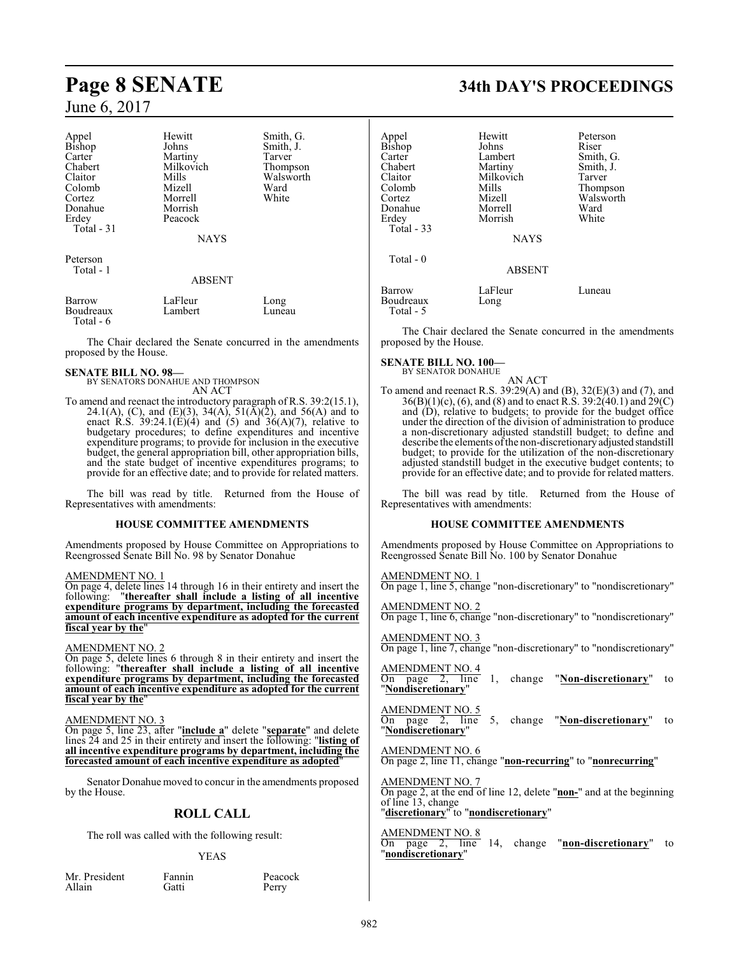| Appel      | Hewitt        | Smith, G. |
|------------|---------------|-----------|
| Bishop     | Johns         | Smith, J. |
| Carter     | Martiny       | Tarver    |
| Chabert    | Milkovich     | Thompson  |
| Claitor    | Mills         | Walsworth |
| Colomb     | Mizell        | Ward      |
| Cortez     | Morrell       | White     |
| Donahue    | Morrish       |           |
| Erdey      | Peacock       |           |
| Total - 31 |               |           |
|            | <b>NAYS</b>   |           |
| Peterson   |               |           |
| Total - 1  |               |           |
|            | <b>ABSENT</b> |           |
| Barrow     | LaFleur       | Long      |

Boudreaux Lambert Luneau Total - 6

The Chair declared the Senate concurred in the amendments proposed by the House.

#### **SENATE BILL NO. 98—**

BY SENATORS DONAHUE AND THOMPSON AN ACT

To amend and reenact the introductory paragraph of R.S. 39:2(15.1), 24.1(A), (C), and (E)(3), 34(A), 51( $\bar{A}$ )(2), and 56(A) and to enact R.S.  $39:24.1(E)(4)$  and  $(5)$  and  $36(A)(7)$ , relative to budgetary procedures; to define expenditures and incentive expenditure programs; to provide for inclusion in the executive budget, the general appropriation bill, other appropriation bills, and the state budget of incentive expenditures programs; to provide for an effective date; and to provide for related matters.

The bill was read by title. Returned from the House of Representatives with amendments:

#### **HOUSE COMMITTEE AMENDMENTS**

Amendments proposed by House Committee on Appropriations to Reengrossed Senate Bill No. 98 by Senator Donahue

#### AMENDMENT NO. 1

On page 4, delete lines 14 through 16 in their entirety and insert the following: "thereafter shall include a listing of all incentive following: "**thereafter shall include a listing of all incentive expenditure programs by department, including the forecasted amount of each incentive expenditure as adopted for the current fiscal year by the**"

#### AMENDMENT NO. 2

On page 5, delete lines 6 through 8 in their entirety and insert the following: "**thereafter shall include a listing of all incentive expenditure programs by department, including the forecasted amount of each incentive expenditure as adopted for the current fiscal year by the**"

#### AMENDMENT NO. 3

On page 5, line 23, after "**include a**" delete "**separate**" and delete lines 24 and 25 in their entirety and insert the following: "**listing of all incentive expenditure programs by department, including the forecasted amount of each incentive expenditure as adopted**"

Senator Donahue moved to concur in the amendments proposed by the House.

## **ROLL CALL**

The roll was called with the following result:

#### YEAS

Mr. President Fannin Peacock<br>Allain Gatti Perry Allain Gatti Perry

**Page 8 SENATE 34th DAY'S PROCEEDINGS**

| Appel<br>Bishop<br>Carter<br>Chabert<br>Claitor<br>Colomb<br>Cortez<br>Donahue<br>Erdey<br>Total $-33$ | Hewitt<br>Johns<br>Lambert<br>Martiny<br>Milkovich<br>Mills<br>Mizell<br>Morrell<br>Morrish<br><b>NAYS</b> | Peterson<br>Riser<br>Smith, G.<br>Smith, J.<br>Tarver<br>Thompson<br>Walsworth<br>Ward<br>White |
|--------------------------------------------------------------------------------------------------------|------------------------------------------------------------------------------------------------------------|-------------------------------------------------------------------------------------------------|
| Total - 0                                                                                              | <b>ABSENT</b>                                                                                              |                                                                                                 |
| Barrow<br>Boudreaux<br>Total - 5                                                                       | LaFleur<br>Long                                                                                            | Luneau                                                                                          |

The Chair declared the Senate concurred in the amendments proposed by the House.

**SENATE BILL NO. 100—** BY SENATOR DONAHUE

AN ACT

To amend and reenact R.S. 39:29(A) and (B), 32(E)(3) and (7), and 36(B)(1)(c), (6), and (8) and to enact R.S. 39:2(40.1) and 29(C) and (D), relative to budgets; to provide for the budget office under the direction of the division of administration to produce a non-discretionary adjusted standstill budget; to define and describe the elements of the non-discretionary adjusted standstill budget; to provide for the utilization of the non-discretionary adjusted standstill budget in the executive budget contents; to provide for an effective date; and to provide for related matters.

The bill was read by title. Returned from the House of Representatives with amendments:

#### **HOUSE COMMITTEE AMENDMENTS**

Amendments proposed by House Committee on Appropriations to Reengrossed Senate Bill No. 100 by Senator Donahue

AMENDMENT NO. 1 On page 1, line 5, change "non-discretionary" to "nondiscretionary"

AMENDMENT NO. 2 On page 1, line 6, change "non-discretionary" to "nondiscretionary"

AMENDMENT NO. 3 On page 1, line 7, change "non-discretionary" to "nondiscretionary"

AMENDMENT NO. 4 On page 2, line 1, change "**Non-discretionary**" to "**Nondiscretionary**"

#### AMENDMENT NO. 5

On page 2, line 5, change "**Non-discretionary**" to "**Nondiscretionary**"

#### AMENDMENT NO. 6

On page 2, line 11, change "**non-recurring**" to "**nonrecurring**"

#### AMENDMENT NO. 7

On page 2, at the end of line 12, delete "**non-**" and at the beginning of line 13, change

## "**discretionary**" to "**nondiscretionary**"

### AMENDMENT NO. 8

On page 2, line 14, change "**non-discretionary**" to "**nondiscretionary**"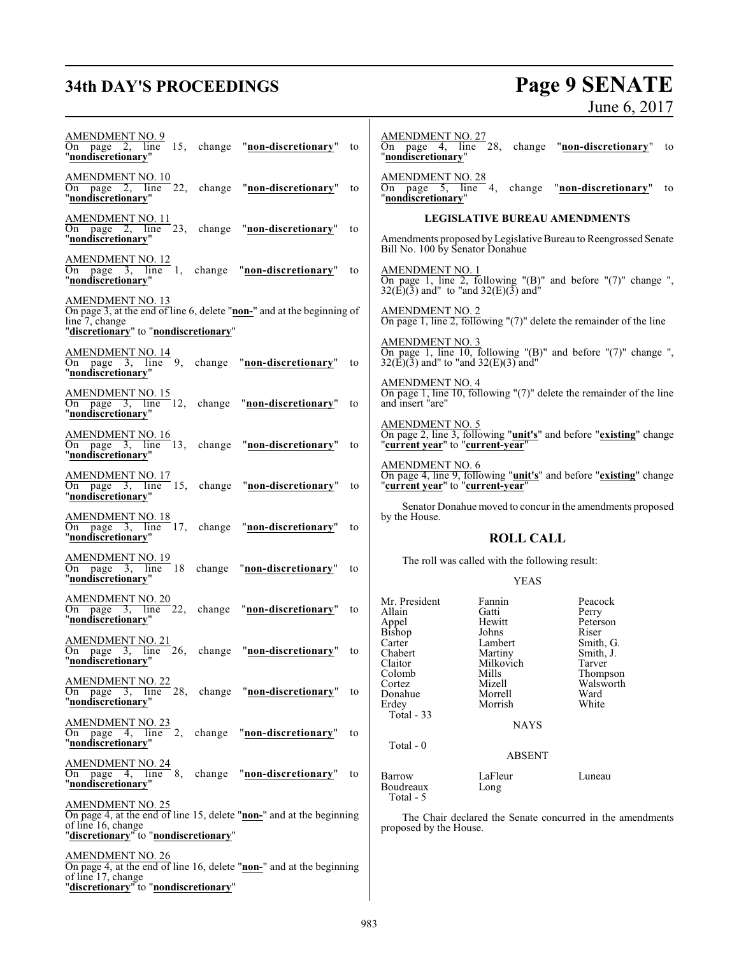# **34th DAY'S PROCEEDINGS**

# Page 9 SENATE<br>June 6, 2017

| <b>AMENDMENT NO. 9</b><br>page 2, line 15, change "non-discretionary"<br>On<br>to<br>"nondiscretionarv"                                                        | <b>AMENDMENT NO. 27</b><br>4, line 28, change "non-discretionary" to<br>page<br>On<br>"nondiscretionary"                                             |
|----------------------------------------------------------------------------------------------------------------------------------------------------------------|------------------------------------------------------------------------------------------------------------------------------------------------------|
| $\frac{\text{AMENDMENT NO. 10}}{\text{On page 2, line}}$ 22,<br>change "non-discretionary"<br>to<br>"nondiscretionarv"                                         | AMENDMENT NO. 28<br>On page 5, line<br>change "non-discretionary" to<br>4.<br>"nondiscretionary"                                                     |
| AMENDMENT NO. 11<br>On page 2, line 23, change "non-discretionary"<br>to<br>"nondiscretionary"                                                                 | <b>LEGISLATIVE BUREAU AMENDMENTS</b><br>Amendments proposed by Legislative Bureau to Reengrossed Senate<br>Bill No. 100 by Senator Donahue           |
| <b>AMENDMENT NO. 12</b><br>On page $3$ , line 1,<br>change "non-discretionary"<br>to<br>"nondiscretionary"                                                     | <u>AMENDMENT NO. 1</u><br>On page 1, line 2, following "(B)" and before "(7)" change ",<br>$32(\vec{E})(\bar{3})$ and" to "and $32(E)(\bar{3})$ and" |
| <b>AMENDMENT NO. 13</b><br>On page 3, at the end of line 6, delete "non-" and at the beginning of<br>line 7, change<br>"discretionary" to "nondiscretionary"   | <b>AMENDMENT NO. 2</b><br>On page 1, line 2, following " $(7)$ " delete the remainder of the line                                                    |
| <u>AMENDMENT NO. 14</u><br>On page $3$ , line $9$ ,<br>change "non-discretionary"<br>to<br>"nondiscretionary"                                                  | <b>AMENDMENT NO. 3</b><br>On page 1, line 10, following "(B)" and before " $(7)$ " change ",<br>$32(\vec{E})(\bar{3})$ and" to "and $32(E)(3)$ and"  |
| <u>AMENDMENT NO. 15</u><br>On page $3$ , line 12,<br>change "non-discretionary"<br>to<br>"nondiscretionary"                                                    | <b>AMENDMENT NO. 4</b><br>On page 1, line 10, following $'(7)$ " delete the remainder of the line<br>and insert "are"                                |
| <b>AMENDMENT NO. 16</b><br>On page $3$ , line 13,<br>change "non-discretionary"<br>to<br>"nondiscretionary"                                                    | <b>AMENDMENT NO. 5</b><br>On page 2, line 3, following " <b>unit's</b> " and before " <b>existing</b> " change "current year" to "current-year"      |
| <b>AMENDMENT NO. 17</b><br>On page 3, line 15, change "non-discretionary"<br>to<br>"nondiscretionary"                                                          | AMENDMENT NO. 6<br>On page 4, line 9, following " <b>unit's</b> " and before " <b>existing</b> " change "current year" to "current-year"             |
| $\frac{\text{AMENDMENT NO. 18}}{\text{On page 3}}$ , line 17, change "non-discretionary"<br>to                                                                 | Senator Donahue moved to concur in the amendments proposed<br>by the House.                                                                          |
|                                                                                                                                                                |                                                                                                                                                      |
| "nondiscretionary"<br><u>AMENDMENT NO. 19</u><br>On page 3, line 18 change "non-discretionary"<br>to<br>"nondiscretionary"                                     | <b>ROLL CALL</b><br>The roll was called with the following result:<br><b>YEAS</b>                                                                    |
| <b>AMENDMENT NO. 20</b><br>On page 3, line 22, change "non-discretionary"<br>to<br>"nondiscretionary"                                                          | Mr. President<br>Fannin<br>Peacock<br>Allain<br>Gatti<br>Perry<br>Hewitt<br>Peterson<br>Appel                                                        |
| <u>AMENDMENT NO. 21</u><br>On page 3, line 26, change "non-discretionary"<br>to<br>"nondiscretionary"                                                          | Bishop<br>Riser<br>Johns<br>Carter<br>Lambert<br>Smith, G.<br>Chabert<br>Martiny<br>Smith, J.<br>Milkovich<br>Claitor<br>Tarver                      |
| <b>AMENDMENT NO. 22</b><br>On page 3, line 28, change "non-discretionary" to<br>"nondiscretionary"                                                             | Mills<br>Colomb<br>Thompson<br>Walsworth<br>Mizell<br>Cortez<br>Ward<br>Donahue<br>Morrell<br>Morrish<br>White<br>Erdey                              |
| <b>AMENDMENT NO. 23</b><br>change "non-discretionary"<br>On page $4$ , line $2$ ,<br>to<br>"nondiscretionary"                                                  | Total - 33<br><b>NAYS</b><br>Total - 0                                                                                                               |
| <u>AMENDMENT NO. 24</u><br>On page 4, line 8,<br>change "non-discretionary"<br>to<br>"nondiscretionary"                                                        | <b>ABSENT</b><br>LaFleur<br>Barrow<br>Luneau<br>Boudreaux<br>Long                                                                                    |
| <b>AMENDMENT NO. 25</b><br>On page 4, at the end of line 15, delete "non-" and at the beginning<br>of line 16, change<br>"discretionary" to "nondiscretionary" | Total - 5<br>The Chair declared the Senate concurred in the amendments<br>proposed by the House.                                                     |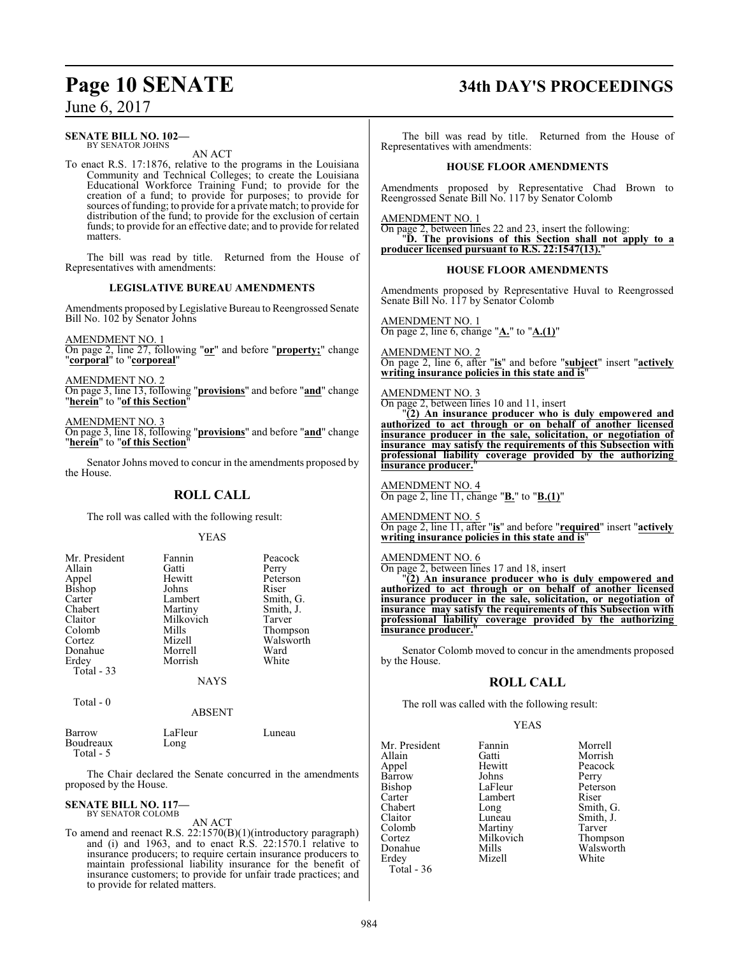#### **SENATE BILL NO. 102—** BY SENATOR JOHNS

AN ACT

To enact R.S. 17:1876, relative to the programs in the Louisiana Community and Technical Colleges; to create the Louisiana Educational Workforce Training Fund; to provide for the creation of a fund; to provide for purposes; to provide for sources of funding; to provide for a private match; to provide for distribution of the fund; to provide for the exclusion of certain funds; to provide for an effective date; and to provide for related matters.

The bill was read by title. Returned from the House of Representatives with amendments:

#### **LEGISLATIVE BUREAU AMENDMENTS**

Amendments proposed by Legislative Bureau to Reengrossed Senate Bill No. 102 by Senator Johns

AMENDMENT NO. 1

On page 2, line 27, following "**or**" and before "**property;**" change "**corporal**" to "**corporeal**"

AMENDMENT NO. 2

On page 3, line 13, following "**provisions**" and before "**and**" change "**herein**" to "**of this Section**"

#### AMENDMENT NO. 3

On page 3, line 18, following "**provisions**" and before "**and**" change "**herein**" to "**of this Section**"

Senator Johns moved to concur in the amendments proposed by the House.

#### **ROLL CALL**

The roll was called with the following result:

YEAS

| Mr. President | Fannin    | Peacock   |
|---------------|-----------|-----------|
| Allain        | Gatti     | Perry     |
| Appel         | Hewitt    | Peterson  |
| <b>Bishop</b> | Johns     | Riser     |
| Carter        | Lambert   | Smith, G. |
| Chabert       | Martiny   | Smith, J. |
| Claitor       | Milkovich | Tarver    |
| Colomb        | Mills     | Thompson  |
| Cortez        | Mizell    | Walsworth |
| Donahue       | Morrell   | Ward      |
| Erdey         | Morrish   | White     |
| Total - 33    |           |           |
|               | NAYS      |           |
| Total - 0     |           |           |

| Barrow    | LaFleur | Luneau |
|-----------|---------|--------|
| Boudreaux | Long    |        |

Total - 5

The Chair declared the Senate concurred in the amendments proposed by the House.

ABSENT

#### **SENATE BILL NO. 117—** BY SENATOR COLOMB

AN ACT

To amend and reenact R.S. 22:1570(B)(1)(introductory paragraph) and (i) and 1963, and to enact R.S. 22:1570.1 relative to insurance producers; to require certain insurance producers to maintain professional liability insurance for the benefit of insurance customers; to provide for unfair trade practices; and to provide for related matters.

# **Page 10 SENATE 34th DAY'S PROCEEDINGS**

The bill was read by title. Returned from the House of Representatives with amendments:

#### **HOUSE FLOOR AMENDMENTS**

Amendments proposed by Representative Chad Brown to Reengrossed Senate Bill No. 117 by Senator Colomb

AMENDMENT NO. 1

On page 2, between lines 22 and 23, insert the following: "**D. The provisions of this Section shall not apply to a producer licensed pursuant to R.S. 22:1547(13).**"

#### **HOUSE FLOOR AMENDMENTS**

Amendments proposed by Representative Huval to Reengrossed Senate Bill No. 117 by Senator Colomb

AMENDMENT NO. 1 On page 2, line 6, change "**A.**" to "**A.(1)**"

AMENDMENT NO. 2 On page 2, line 6, after "**is**" and before "**subject**" insert "**actively writing insurance policies in this state and is**"

## AMENDMENT NO. 3

On page 2, between lines 10 and 11, insert "**(2) An insurance producer who is duly empowered and authorized to act through or on behalf of another licensed insurance producer in the sale, solicitation, or negotiation of insurance may satisfy the requirements of this Subsection with professional liability coverage provided by the authorizing insurance producer.** 

AMENDMENT NO. 4 On page 2, line 11, change "**B.**" to "**B.(1)**"

AMENDMENT NO. 5 On page 2, line 11, after "**is**" and before "**required**" insert "**actively writing insurance policies in this state and is**"

#### AMENDMENT NO. 6

On page 2, between lines 17 and 18, insert

"**(2) An insurance producer who is duly empowered and authorized to act through or on behalf of another licensed insurance producer in the sale, solicitation, or negotiation of insurance may satisfy the requirements of this Subsection with professional liability coverage provided by the authorizing insurance producer.** 

Senator Colomb moved to concur in the amendments proposed by the House.

#### **ROLL CALL**

The roll was called with the following result:

#### YEAS

| Mr. President | Fannin    | Morre  |
|---------------|-----------|--------|
| Allain        | Gatti     | Morri  |
| Appel         | Hewitt    | Peaco  |
| Barrow        | Johns     | Perry  |
| <b>Bishop</b> | LaFleur   | Peters |
| Carter        | Lambert   | Riser  |
| Chabert       | Long      | Smith  |
| Claitor       | Luneau    | Smith  |
| Colomb        | Martiny   | Tarve  |
| Cortez        | Milkovich | Thom   |
| Donahue       | Mills     | Walsy  |
| Erdey         | Mizell    | White  |
| Total - 36    |           |        |

annin Morrell<br><sup>Fatti</sup> Morrish Morrish lewitt Peacock<br>
hewitt Perry ohns Perry<br>aFleur Peters Peterson<br>Riser ong Smith, G.<br>
uneau Smith, J. uneau Smith, J.<br>Iartiny Tarver Fartiny Tarver<br>Filkovich Thomp Solikovich Thompson<br>
Solitiks Walsworth Iills Walsworth<br>Iizell White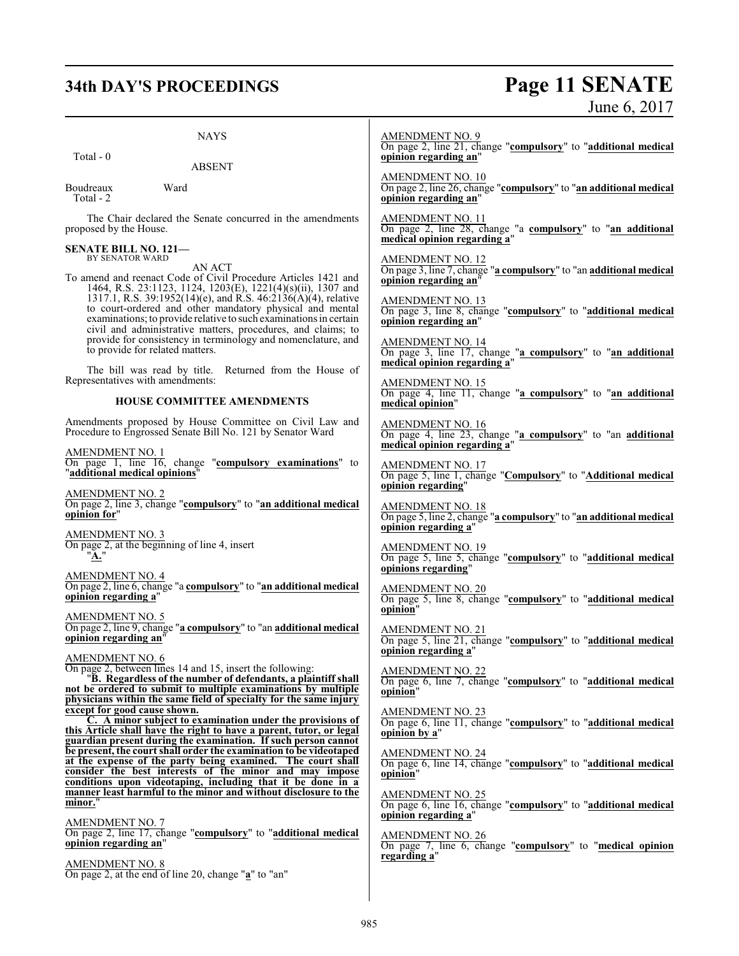# **34th DAY'S PROCEEDINGS Page 11 SENATE**

|                                                                                                                                                                                                                                                                                     | June 6, 2017                                                                                                                  |
|-------------------------------------------------------------------------------------------------------------------------------------------------------------------------------------------------------------------------------------------------------------------------------------|-------------------------------------------------------------------------------------------------------------------------------|
| <b>NAYS</b><br>Total - 0                                                                                                                                                                                                                                                            | <b>AMENDMENT NO. 9</b><br>On page 2, line 21, change "compulsory" to "additional medical<br>opinion regarding an"             |
| <b>ABSENT</b><br>Ward<br>Boudreaux<br>Total - 2                                                                                                                                                                                                                                     | <b>AMENDMENT NO. 10</b><br>On page 2, line 26, change "compulsory" to "an additional medical<br>opinion regarding an"         |
| The Chair declared the Senate concurred in the amendments<br>proposed by the House.                                                                                                                                                                                                 | AMENDMENT NO. 11<br>On page 2, line 28, change "a compulsory" to "an additional                                               |
| <b>SENATE BILL NO. 121-</b><br>BY SENATOR WARD<br>AN ACT                                                                                                                                                                                                                            | medical opinion regarding a"<br><b>AMENDMENT NO. 12</b><br>On page 3, line 7, change "a compulsory" to "an additional medical |
| To amend and reenact Code of Civil Procedure Articles 1421 and<br>1464, R.S. 23:1123, 1124, 1203(E), 1221(4)(s)(ii), 1307 and<br>1317.1, R.S. 39:1952(14)(e), and R.S. 46:2136(A)(4), relative<br>to court-ordered and other mandatory physical and mental                          | opinion regarding an"<br><b>AMENDMENT NO. 13</b><br>On page 3, line 8, change "compulsory" to "additional medical             |
| examinations; to provide relative to such examinations in certain<br>civil and administrative matters, procedures, and claims; to<br>provide for consistency in terminology and nomenclature, and                                                                                   | opinion regarding an"<br><b>AMENDMENT NO. 14</b>                                                                              |
| to provide for related matters.<br>The bill was read by title. Returned from the House of<br>Representatives with amendments:                                                                                                                                                       | On page 3, line 17, change "a compulsory" to "an additional<br>medical opinion regarding a"<br><b>AMENDMENT NO. 15</b>        |
| <b>HOUSE COMMITTEE AMENDMENTS</b>                                                                                                                                                                                                                                                   | On page 4, line 11, change "a compulsory" to "an additional<br>medical opinion"                                               |
| Amendments proposed by House Committee on Civil Law and<br>Procedure to Engrossed Senate Bill No. 121 by Senator Ward<br>AMENDMENT NO. 1                                                                                                                                            | <b>AMENDMENT NO. 16</b><br>On page 4, line 23, change "a compulsory" to "an additional<br>medical opinion regarding a"        |
| On page 1, line 16, change "compulsory examinations" to<br>"additional medical opinions"                                                                                                                                                                                            | AMENDMENT NO. 17<br>On page 5, line 1, change "Compulsory" to "Additional medical<br>opinion regarding"                       |
| AMENDMENT NO. 2<br>On page 2, line 3, change "compulsory" to "an additional medical<br>opinion for"                                                                                                                                                                                 | AMENDMENT NO. 18<br>On page 5, line 2, change "a compulsory" to "an additional medical<br>opinion regarding a"                |
| AMENDMENT NO. 3<br>On page 2, at the beginning of line 4, insert<br>" <b>A.</b> "                                                                                                                                                                                                   | $\frac{\text{AMENDMENT NO. 19}}{\text{On page 5, line 5, change}}$ "compulsory" to "additional medical<br>opinions regarding" |
| AMENDMENT NO. 4<br>On page 2, line 6, change "a compulsory" to "an additional medical<br>opinion regarding a"                                                                                                                                                                       | AMENDMENT NO. 20<br>On page 5, line 8, change "compulsory" to "additional medical<br>opinion"                                 |
| AMENDMENT NO. 5<br>On page 2, line 9, change "a compulsory" to "an additional medical<br>opinion regarding an"                                                                                                                                                                      | <b>AMENDMENT NO. 21</b><br>On page 5, line 21, change "compulsory" to "additional medical<br>opinion regarding a"             |
| AMENDMENT NO. 6<br>On page 2, between lines 14 and 15, insert the following:<br>"B. Regardless of the number of defendants, a plaintiff shall<br>not be ordered to submit to multiple examinations by multiple<br>physicians within the same field of specialty for the same injury | $\frac{\text{AMENDMENT NO. 22}}{\text{On page 6, line 7, change "compulsory" to "additional medical" }$<br>opinion"           |
| except for good cause shown.<br>C. A minor subject to examination under the provisions of<br>this Article shall have the right to have a parent, tutor, or legal<br>guardian present during the examination. If such person cannot                                                  | <b>AMENDMENT NO. 23</b><br>On page 6, line 11, change "compulsory" to "additional medical<br>opinion by a"                    |
| be present, the court shall order the examination to be videotaped<br>at the expense of the party being examined. The court shall<br>consider the best interests of the minor and may impose<br>conditions upon videotaping, including that it be done in a                         | AMENDMENT NO. 24<br>On page 6, line 14, change "compulsory" to "additional medical<br>opinion"                                |
| manner least harmful to the minor and without disclosure to the<br>minor."                                                                                                                                                                                                          | <b>AMENDMENT NO. 25</b><br>On page 6, line 16, change "compulsory" to "additional medical<br>opinion regarding a"             |
| <u>AMENDMENT NO. 7</u><br>On page 2, line 17, change "compulsory" to "additional medical<br>opinion regarding an"                                                                                                                                                                   | <u>AMENDMENT NO. 26</u><br>On page 7, line 6, change "compulsory" to "medical opinion<br>regarding a"                         |
| AMENDMENT NO. 8<br>On page 2, at the end of line 20, change "a" to "an"                                                                                                                                                                                                             |                                                                                                                               |
|                                                                                                                                                                                                                                                                                     |                                                                                                                               |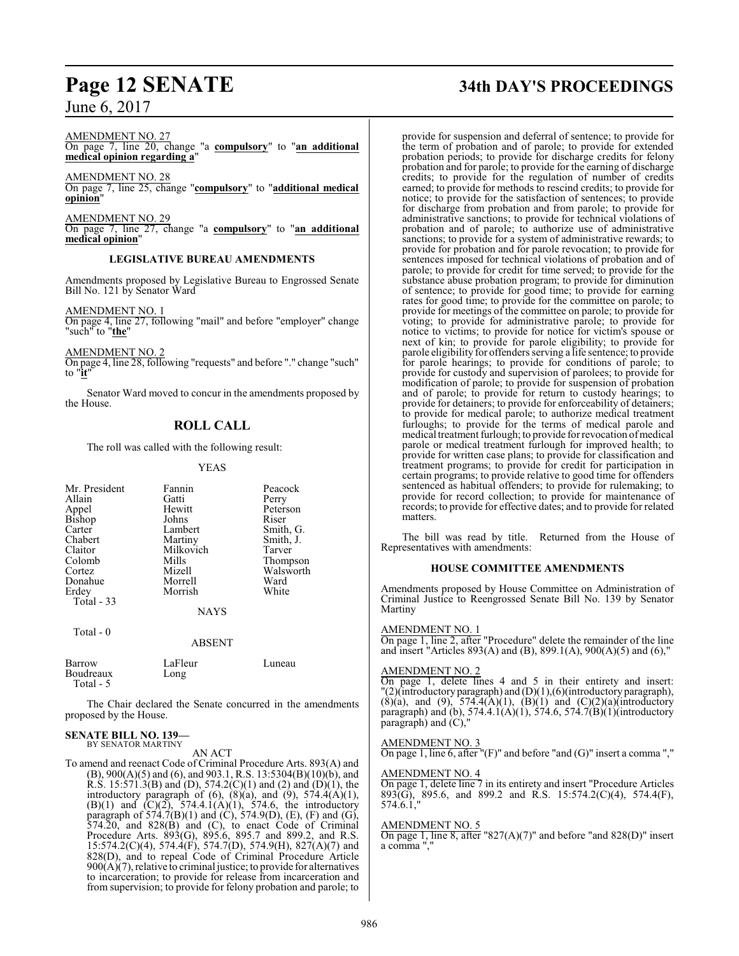AMENDMENT NO. 27

On page 7, line 20, change "a **compulsory**" to "**an additional medical opinion regarding a**"

AMENDMENT NO. 28 On page 7, line 25, change "**compulsory**" to "**additional medical opinion**"

AMENDMENT NO. 29 On page 7, line 27, change "a **compulsory**" to "**an additional medical opinion**"

#### **LEGISLATIVE BUREAU AMENDMENTS**

Amendments proposed by Legislative Bureau to Engrossed Senate Bill No. 121 by Senator Ward

AMENDMENT NO. 1

On page 4, line 27, following "mail" and before "employer" change "such" to "**the**"

AMENDMENT NO. 2

On page 4, line 28, following "requests" and before "." change "such" to "**it**"

Senator Ward moved to concur in the amendments proposed by the House.

## **ROLL CALL**

The roll was called with the following result:

#### YEAS

| Mr. President<br>Allain<br>Appel<br>Bishop<br>Carter<br>Chabert<br>Claitor<br>Colomb<br>Cortez<br>Donahue<br>Erdey | Fannin<br>Gatti<br>Hewitt<br>Johns<br>Lambert<br>Martiny<br>Milkovich<br>Mills<br>Mizell<br>Morrell<br>Morrish | Peacock<br>Perry<br>Peterson<br>Riser<br>Smith, G.<br>Smith, J.<br>Tarver<br>Thompson<br>Walsworth<br>Ward<br>White |
|--------------------------------------------------------------------------------------------------------------------|----------------------------------------------------------------------------------------------------------------|---------------------------------------------------------------------------------------------------------------------|
| Total $-33$                                                                                                        | <b>NAYS</b>                                                                                                    |                                                                                                                     |
| Total $-0$                                                                                                         | <b>ABSENT</b>                                                                                                  |                                                                                                                     |
| Barrow<br>Boudreaux                                                                                                | LaFleur<br>Long                                                                                                | Luneau                                                                                                              |

 Total - 5 The Chair declared the Senate concurred in the amendments

proposed by the House.

#### **SENATE BILL NO. 139—** BY SENATOR MARTINY

AN ACT

To amend and reenact Code of Criminal Procedure Arts. 893(A) and (B), 900(A)(5) and (6), and 903.1, R.S. 13:5304(B)(10)(b), and R.S. 15:571.3(B) and (D), 574.2(C)(1) and (2) and (D)(1), the introductory paragraph of  $(6)$ ,  $(8)(a)$ , and  $(9)$ ,  $574.4(A)(1)$ , (B)(1) and  $(C)(2)$ , 574.4.1 $(A)(1)$ , 574.6, the introductory paragraph of  $574.7(B)(1)$  and  $(C)$ ,  $574.9(D)$ ,  $(E)$ ,  $(F)$  and  $(G)$ , 574.20, and 828(B) and (C), to enact Code of Criminal Procedure Arts. 893(G), 895.6, 895.7 and 899.2, and R.S. 15:574.2(C)(4), 574.4(F), 574.7(D), 574.9(H), 827(A)(7) and 828(D), and to repeal Code of Criminal Procedure Article  $900(A)(7)$ , relative to criminal justice; to provide for alternatives to incarceration; to provide for release from incarceration and from supervision; to provide for felony probation and parole; to

# **Page 12 SENATE 34th DAY'S PROCEEDINGS**

provide for suspension and deferral of sentence; to provide for the term of probation and of parole; to provide for extended probation periods; to provide for discharge credits for felony probation and for parole; to provide for the earning of discharge credits; to provide for the regulation of number of credits earned; to provide for methods to rescind credits; to provide for notice; to provide for the satisfaction of sentences; to provide for discharge from probation and from parole; to provide for administrative sanctions; to provide for technical violations of probation and of parole; to authorize use of administrative sanctions; to provide for a system of administrative rewards; to provide for probation and for parole revocation; to provide for sentences imposed for technical violations of probation and of parole; to provide for credit for time served; to provide for the substance abuse probation program; to provide for diminution of sentence; to provide for good time; to provide for earning rates for good time; to provide for the committee on parole; to provide for meetings of the committee on parole; to provide for voting; to provide for administrative parole; to provide for notice to victims; to provide for notice for victim's spouse or next of kin; to provide for parole eligibility; to provide for parole eligibility for offenders serving a life sentence; to provide for parole hearings; to provide for conditions of parole; to provide for custody and supervision of parolees; to provide for modification of parole; to provide for suspension of probation and of parole; to provide for return to custody hearings; to provide for detainers; to provide for enforceability of detainers; to provide for medical parole; to authorize medical treatment furloughs; to provide for the terms of medical parole and medical treatment furlough; to provide for revocation ofmedical parole or medical treatment furlough for improved health; to provide for written case plans; to provide for classification and treatment programs; to provide for credit for participation in certain programs; to provide relative to good time for offenders sentenced as habitual offenders; to provide for rulemaking; to provide for record collection; to provide for maintenance of records; to provide for effective dates; and to provide for related matters.

The bill was read by title. Returned from the House of Representatives with amendments:

#### **HOUSE COMMITTEE AMENDMENTS**

Amendments proposed by House Committee on Administration of Criminal Justice to Reengrossed Senate Bill No. 139 by Senator Martiny

#### AMENDMENT NO. 1

On page 1, line 2, after "Procedure" delete the remainder of the line and insert "Articles 893(A) and (B), 899.1(A), 900(A)(5) and (6),"

#### AMENDMENT NO. 2

On page 1, delete lines 4 and 5 in their entirety and insert: "(2)(introductory paragraph) and (D)(1),(6)(introductory paragraph), (8)(a), and (9), 574.4(A)(1), (B)(1) and (C)(2)(a)(introductory paragraph) and (b), 574.4.1(A)(1), 574.6, 574.7(B)(1)(introductory paragraph) and  $(C)$ ,

#### AMENDMENT NO. 3

On page 1, line  $6$ , after "(F)" and before "and (G)" insert a comma ","

#### AMENDMENT NO. 4

On page 1, delete line 7 in its entirety and insert "Procedure Articles 893(G), 895.6, and 899.2 and R.S. 15:574.2(C)(4), 574.4(F), 574.6.1,"

#### AMENDMENT NO. 5

On page 1, line 8, after "827(A)(7)" and before "and 828(D)" insert a comma ","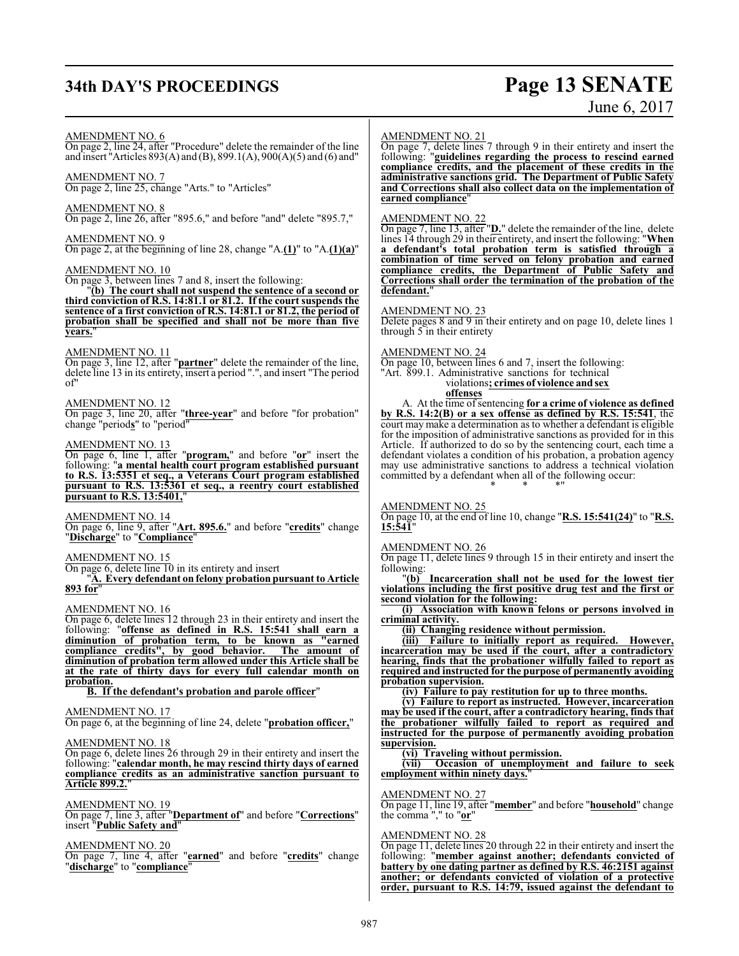# **34th DAY'S PROCEEDINGS Page 13 SENATE**

# June 6, 2017

#### AMENDMENT NO. 6

On page 2, line 24, after "Procedure" delete the remainder of the line and insert "Articles 893(A) and (B), 899.1(A), 900(A)(5) and (6) and"

AMENDMENT NO. 7 On page 2, line 25, change "Arts." to "Articles"

AMENDMENT NO. 8

On page 2, line 26, after "895.6," and before "and" delete "895.7,"

#### AMENDMENT NO. 9

On page 2, at the beginning of line 28, change "A.**(1)**" to "A.**(1)(a)**"

#### AMENDMENT NO. 10

On page 3, between lines 7 and 8, insert the following:

"**(b) The court shall not suspend the sentence of a second or third conviction of R.S. 14:81.1 or 81.2. If the court suspends the sentence of a first conviction of R.S. 14:81.1 or 81.2, the period of probation shall be specified and shall not be more than five years.**"

#### AMENDMENT NO. 11

On page 3, line 12, after "**partner**" delete the remainder of the line, delete line 13 in its entirety, insert a period ".", and insert "The period  $\alpha$ f"

#### AMENDMENT NO. 12

On page 3, line 20, after "**three-year**" and before "for probation" change "period**s**" to "period"

#### AMENDMENT NO. 13

On page 6, line 1, after "**program,**" and before "**or**" insert the following: "**a mental health court program established pursuant to R.S. 13:5351 et seq., a Veterans Court program established pursuant to R.S. 13:5361 et seq., a reentry court established pursuant to R.S. 13:5401,**"

AMENDMENT NO. 14

On page 6, line 9, after "**Art. 895.6.**" and before "**credits**" change "**Discharge**" to "**Compliance**"

#### AMENDMENT NO. 15

On page 6, delete line 10 in its entirety and insert

"**A. Every defendant on felony probation pursuant to Article 893 for**"

#### AMENDMENT NO. 16

On page 6, delete lines 12 through 23 in their entirety and insert the following: "**offense as defined in R.S. 15:541 shall earn a diminution of probation term, to be known as "earned compliance credits", by good behavior. The amount of diminution of probation term allowed under this Article shall be at the rate of thirty days for every full calendar month on probation.**

#### **B. If the defendant's probation and parole officer**"

#### AMENDMENT NO. 17

On page 6, at the beginning of line 24, delete "**probation officer,**"

#### AMENDMENT NO. 18

On page 6, delete lines 26 through 29 in their entirety and insert the following: "**calendar month, he may rescind thirty days of earned compliance credits as an administrative sanction pursuant to Article 899.2.**"

#### AMENDMENT NO. 19

On page 7, line 3, after "**Department of**" and before "**Corrections**" insert "**Public Safety and**"

#### AMENDMENT NO. 20

On page 7, line 4, after "**earned**" and before "**credits**" change "**discharge**" to "**compliance**"

#### AMENDMENT NO. 21

On page 7, delete lines 7 through 9 in their entirety and insert the following: "**guidelines regarding the process to rescind earned compliance credits, and the placement of these credits in the administrative sanctions grid. The Department of Public Safety and Corrections shall also collect data on the implementation of earned compliance**"

#### AMENDMENT NO. 22

On page 7, line 13, after "**D.**" delete the remainder of the line, delete lines 14 through 29 in their entirety, and insert the following: "**When a defendant's total probation term is satisfied through a combination of time served on felony probation and earned compliance credits, the Department of Public Safety and Corrections shall order the termination of the probation of the defendant.**"

#### AMENDMENT NO. 23

Delete pages 8 and 9 in their entirety and on page 10, delete lines 1 through  $5$  in their entirety

#### AMENDMENT NO. 24

On page 10, between lines 6 and 7, insert the following: "Art. 899.1. Administrative sanctions for technical violations**; crimes of violence and sex offenses**

A. At the time ofsentencing **for a crime of violence as defined by R.S. 14:2(B) or a sex offense as defined by R.S. 15:541**, the court may make a determination as to whether a defendant is eligible for the imposition of administrative sanctions as provided for in this Article. If authorized to do so by the sentencing court, each time a defendant violates a condition of his probation, a probation agency may use administrative sanctions to address a technical violation committed by a defendant when all of the following occur: \* \* \*"

#### AMENDMENT NO. 25

On page 10, at the end of line 10, change "**R.S. 15:541(24)**" to "**R.S. 15:541**"

#### AMENDMENT NO. 26

On page 11, delete lines 9 through 15 in their entirety and insert the following:

"**(b) Incarceration shall not be used for the lowest tier violations including the first positive drug test and the first or second violation for the following:**

**(i) Association with known felons or persons involved in criminal activity.**

**(ii) Changing residence without permission.**

**(iii) Failure to initially report as required. However, incarceration may be used if the court, after a contradictory hearing, finds that the probationer wilfully failed to report as required and instructed for the purpose of permanently avoiding probation supervision.**

**(iv) Failure to pay restitution for up to three months.**

**(v) Failure to report as instructed. However, incarceration may be used if the court, after a contradictory hearing, finds that the probationer wilfully failed to report as required and instructed for the purpose of permanently avoiding probation supervision.**

#### **(vi) Traveling without permission.**

**(vii) Occasion of unemployment and failure to seek employment within ninety days.**"

#### AMENDMENT NO. 27

On page 11, line 19, after "**member**" and before "**household**" change the comma "," to "**or**"

#### AMENDMENT NO. 28

On page 11, delete lines 20 through 22 in their entirety and insert the following: "**member against another; defendants convicted of battery by one dating partner as defined by R.S. 46:2151 against another; or defendants convicted of violation of a protective order, pursuant to R.S. 14:79, issued against the defendant to**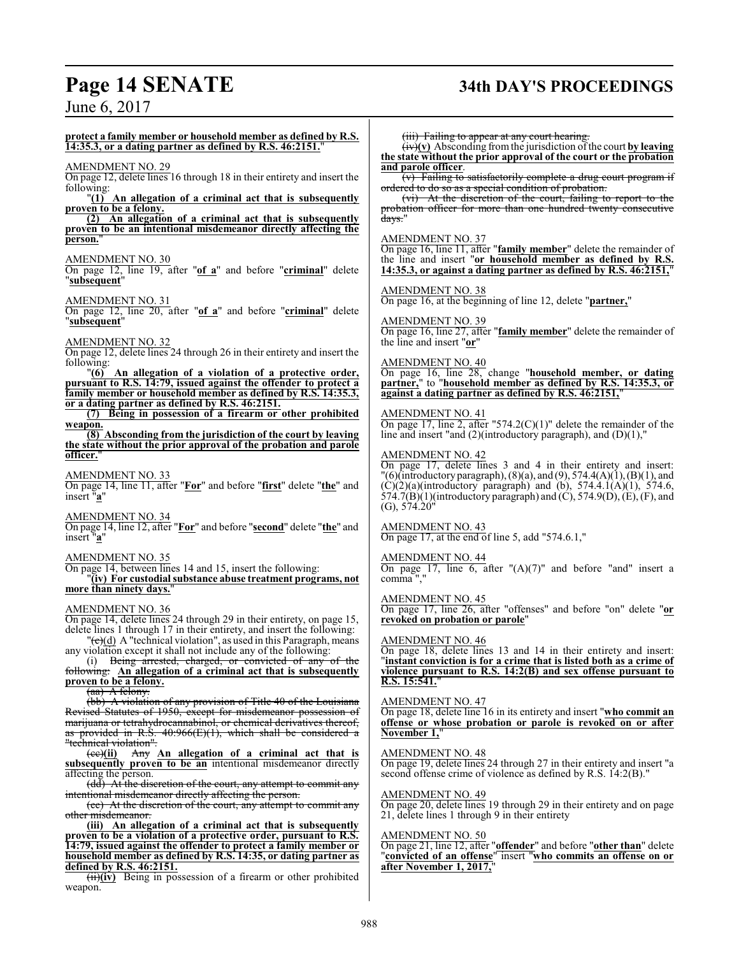# **Page 14 SENATE 34th DAY'S PROCEEDINGS**

## June 6, 2017

**protect a family member or household member as defined by R.S. 14:35.3, or a dating partner as defined by R.S. 46:2151.**"

#### AMENDMENT NO. 29

On page 12, delete lines 16 through 18 in their entirety and insert the following:

"**(1) An allegation of a criminal act that is subsequently proven to be a felony.**

**(2) An allegation of a criminal act that is subsequently proven to be an intentional misdemeanor directly affecting the person.**"

#### AMENDMENT NO. 30

On page 12, line 19, after "**of a**" and before "**criminal**" delete "**subsequent**"

AMENDMENT NO. 31

On page 12, line 20, after "**of a**" and before "**criminal**" delete "**subsequent**"

#### AMENDMENT NO. 32

On page 12, delete lines 24 through 26 in their entirety and insert the following:

"**(6) An allegation of a violation of a protective order, pursuant to R.S. 14:79, issued against the offender to protect a family member or household member as defined by R.S. 14:35.3, or a dating partner as defined by R.S. 46:2151.**

**(7) Being in possession of a firearm or other prohibited weapon.**

**(8) Absconding from the jurisdiction of the court by leaving the state without the prior approval of the probation and parole officer.**"

AMENDMENT NO. 33

On page 14, line 11, after "**For**" and before "**first**" delete "**the**" and insert "**a**"

AMENDMENT NO. 34

On page 14, line 12, after "**For**" and before "**second**" delete "**the**" and insert "**a**"

#### AMENDMENT NO. 35

On page 14, between lines 14 and 15, insert the following:

"**(iv) For custodial substance abuse treatment programs, not** more than ninety days.

#### AMENDMENT NO. 36

On page 14, delete lines 24 through 29 in their entirety, on page 15, delete lines 1 through 17 in their entirety, and insert the following:  $\left(\frac{1}{c}(d)\right)$  A "technical violation", as used in this Paragraph, means

any violation except it shall not include any of the following:

(i) Being arrested, charged, or convicted of any following: **An allegation of a criminal act that is subsequently proven to be a felony.**

(aa) A felony.

(bb) A violation of any provision of Title 40 of the Louisiana Revised Statutes of 1950, except for misdemeanor possession of marijuana or tetrahydrocannabinol, or chemical derivatives thereof, as provided in R.S.  $40:966(E)(1)$ , which shall be considered a "technical violation".

(cc)**(ii)** Any **An allegation of a criminal act that is subsequently proven to be an** intentional misdemeanor directly affecting the person.

(dd) At the discretion of the court, any attempt to commit any intentional misdemeanor directly affecting the person.

(ee) At the discretion of the court, any attempt to commit any other misdemeanor.

**(iii) An allegation of a criminal act that is subsequently proven to be a violation of a protective order, pursuant to R.S. 14:79, issued against the offender to protect a family member or household member as defined by R.S. 14:35, or dating partner as defined by R.S. 46:2151.**

(ii)**(iv)** Being in possession of a firearm or other prohibited weapon.

(iii) Failing to appear at any court hearing.

 $(\overrightarrow{iv})(v)$  Absconding from the jurisdiction of the court by leaving **the state without the prior approval of the court or the probation and parole officer**.

(v) Failing to satisfactorily complete a drug court program if ordered to do so as a special condition of probation.

(vi) At the discretion of the court, failing to report to the probation officer for more than one hundred twenty consecutive days."

#### AMENDMENT NO. 37

On page 16, line 11, after "**family member**" delete the remainder of the line and insert "**or household member as defined by R.S. 14:35.3, or against a dating partner as defined by R.S. 46:2151,**"

#### AMENDMENT NO. 38

On page 16, at the beginning of line 12, delete "**partner,**"

#### AMENDMENT NO. 39

On page 16, line 27, after "**family member**" delete the remainder of the line and insert "**or**"

#### AMENDMENT NO. 40

On page 16, line 28, change "**household member, or dating partner,**" to "**household member as defined by R.S. 14:35.3, or against a dating partner as defined by R.S. 46:2151,**"

#### AMENDMENT NO. 41

 $\overline{On}$  page 17, line 2, after "574.2(C)(1)" delete the remainder of the line and insert "and (2)(introductory paragraph), and (D)(1),"

#### AMENDMENT NO. 42

On page 17, delete lines 3 and 4 in their entirety and insert: "(6)(introductory paragraph),  $(8)(a)$ , and  $(9)$ , 574.4 $(A)(1)$ ,  $(B)(1)$ , and  $(C)(2)(a)$ (introductory paragraph) and (b), 574.4.1(A)(1), 574.6, 574.7(B)(1)(introductory paragraph) and  $(C)$ , 574.9(D),  $(E)$ ,  $(F)$ , and  $(G)$ , 574.20"

### AMENDMENT NO. 43

On page 17, at the end of line 5, add "574.6.1,"

#### AMENDMENT NO. 44

On page 17, line 6, after " $(A)(7)$ " and before "and" insert a comma

#### AMENDMENT NO. 45

On page 17, line 26, after "offenses" and before "on" delete "**or revoked on probation or parole**"

#### AMENDMENT NO. 46

On page 18, delete lines 13 and 14 in their entirety and insert: "**instant conviction is for a crime that is listed both as a crime of violence pursuant to R.S. 14:2(B) and sex offense pursuant to R.S. 15:541.**"

#### AMENDMENT NO. 47

On page 18, delete line 16 in its entirety and insert "**who commit an offense or whose probation or parole is revoked on or after November 1,**"

#### AMENDMENT NO. 48

On page 19, delete lines 24 through 27 in their entirety and insert "a second offense crime of violence as defined by R.S. 14:2(B)."

#### AMENDMENT NO. 49

On page 20, delete lines 19 through 29 in their entirety and on page 21, delete lines 1 through 9 in their entirety

#### AMENDMENT NO. 50

On page 21, line 12, after "**offender**" and before "**other than**" delete "**convicted of an offense**" insert "**who commits an offense on or after November 1, 2017,**"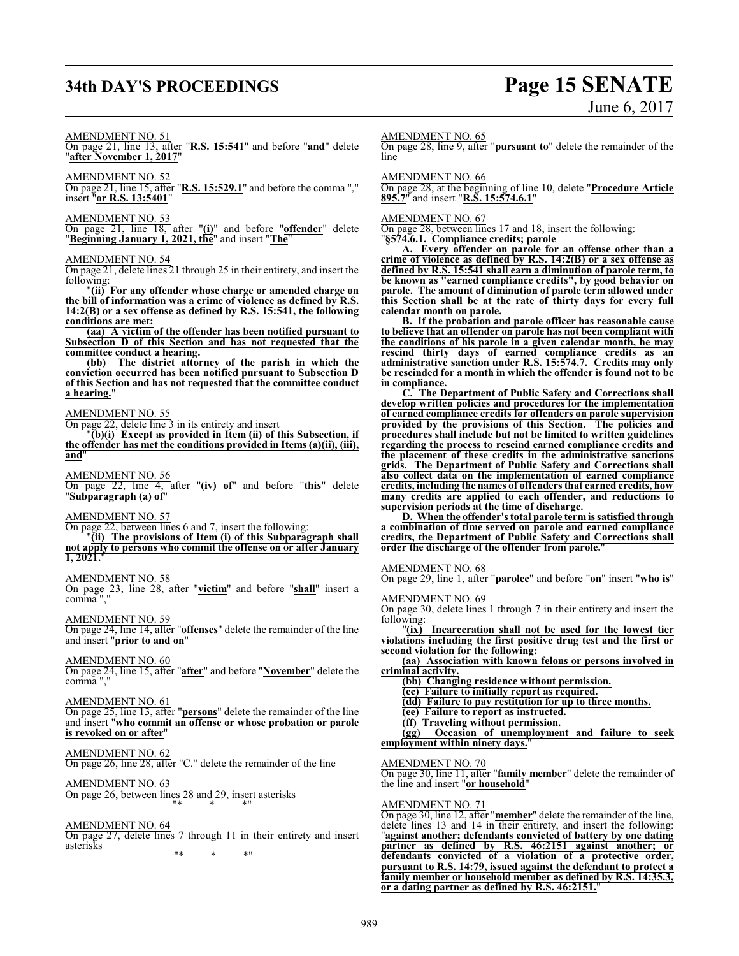# **34th DAY'S PROCEEDINGS Page 15 SENATE**

# June 6, 2017

#### AMENDMENT NO. 51

On page 21, line 13, after "**R.S. 15:541**" and before "**and**" delete "**after November 1, 2017**"

AMENDMENT NO. 52

On page 21, line 15, after "**R.S. 15:529.1**" and before the comma "," insert "**or R.S. 13:5401**"

#### AMENDMENT NO. 53

On page 21, line 18, after "**(i)**" and before "**offender**" delete "**Beginning January 1, 2021, the**" and insert "**The**"

#### AMENDMENT NO. 54

On page 21, delete lines 21 through 25 in their entirety, and insert the following:

"**(ii) For any offender whose charge or amended charge on the bill of information was a crime of violence as defined by R.S. 14:2(B) or a sex offense as defined by R.S. 15:541, the following conditions are met:**

**(aa) A victim of the offender has been notified pursuant to Subsection D of this Section and has not requested that the <u>committee conduct a hearing.</u>**<br>(bb) The district attor

**(bb) The district attorney of the parish in which the conviction occurred has been notified pursuant to Subsection D of this Section and has not requested that the committee conduct a hearing.**"

#### AMENDMENT NO. 55

On page 22, delete line 3 in its entirety and insert

"**(b)(i) Except as provided in Item (ii) of this Subsection, if the offender has met the conditions provided in Items (a)(ii), (iii), and**"

AMENDMENT NO. 56

On page 22, line 4, after "**(iv) of**" and before "**this**" delete "**Subparagraph (a) of**"

#### AMENDMENT NO. 57

On page 22, between lines 6 and 7, insert the following:

"**(ii) The provisions of Item (i) of this Subparagraph shall not apply to persons who commit the offense on or after January 1, 2021.**"

#### AMENDMENT NO. 58

On page 23, line 28, after "**victim**" and before "**shall**" insert a comma ","

AMENDMENT NO. 59

On page 24, line 14, after "**offenses**" delete the remainder of the line and insert "**prior to and on**"

#### AMENDMENT NO. 60

On page 24, line 15, after "**after**" and before "**November**" delete the comma ","

#### AMENDMENT NO. 61

On page 25, line 13, after "**persons**" delete the remainder of the line and insert "**who commit an offense or whose probation or parole is revoked on or after**"

### AMENDMENT NO. 62

On page 26, line 28, after "C." delete the remainder of the line

AMENDMENT NO. 63 On page 26, between lines 28 and 29, insert asterisks "\* \* \*"

#### AMENDMENT NO. 64

On page 27, delete lines 7 through 11 in their entirety and insert asterisks

"\* \* \*"

#### AMENDMENT NO. 65

On page 28, line 9, after "**pursuant to**" delete the remainder of the line

AMENDMENT NO. 66

On page 28, at the beginning of line 10, delete "**Procedure Article 895.7**" and insert "**R.S. 15:574.6.1**"

#### AMENDMENT NO. 67

On page 28, between lines 17 and 18, insert the following: "**§574.6.1. Compliance credits; parole**

**A. Every offender on parole for an offense other than a crime of violence as defined by R.S. 14:2(B) or a sex offense as defined by R.S. 15:541 shall earn a diminution of parole term, to be known as "earned compliance credits", by good behavior on parole. The amount of diminution of parole term allowed under this Section shall be at the rate of thirty days for every full calendar month on parole.**

**B. If the probation and parole officer has reasonable cause to believe that an offender on parole has not been compliant with the conditions of his parole in a given calendar month, he may rescind thirty days of earned compliance credits as an administrative sanction under R.S. 15:574.7. Credits may only be rescinded for a month in which the offender is found not to be in compliance.**

**C. The Department of Public Safety and Corrections shall develop written policies and procedures for the implementation of earned compliance credits for offenders on parole supervision provided by the provisions of this Section. The policies and procedures shall include but not be limited to written guidelines regarding the process to rescind earned compliance credits and the placement of these credits in the administrative sanctions grids. The Department of Public Safety and Corrections shall also collect data on the implementation of earned compliance credits, including the names of offenders that earned credits, how many credits are applied to each offender, and reductions to supervision periods at the time of discharge.**

**D. When the offender's total parole termis satisfied through a combination of time served on parole and earned compliance credits, the Department of Public Safety and Corrections shall order the discharge of the offender from parole.**"

#### AMENDMENT NO. 68

On page 29, line 1, after "**parolee**" and before "**on**" insert "**who is**"

AMENDMENT NO. 69

On page 30, delete lines 1 through 7 in their entirety and insert the following:

"**(ix) Incarceration shall not be used for the lowest tier violations including the first positive drug test and the first or second violation for the following:**

**(aa) Association with known felons or persons involved in criminal activity.**

**(bb) Changing residence without permission.**

- **(cc) Failure to initially report as required. (dd) Failure to pay restitution for up to three months.**
- **(ee) Failure to report as instructed.**
- **(ff) Traveling without permission.**

**(gg) Occasion of unemployment and failure to seek employment within ninety days.**"

#### AMENDMENT NO. 70

On page 30, line 11, after "**family member**" delete the remainder of the line and insert "**or household**"

#### AMENDMENT NO. 71

On page 30, line 12, after "**member**" delete the remainder of the line, delete lines 13 and 14 in their entirety, and insert the following: "**against another; defendants convicted of battery by one dating partner as defined by R.S. 46:2151 against another; or defendants convicted of a violation of a protective order, pursuant to R.S. 14:79, issued against the defendant to protect a family member or household member as defined by R.S. 14:35.3, or a dating partner as defined by R.S. 46:2151.**"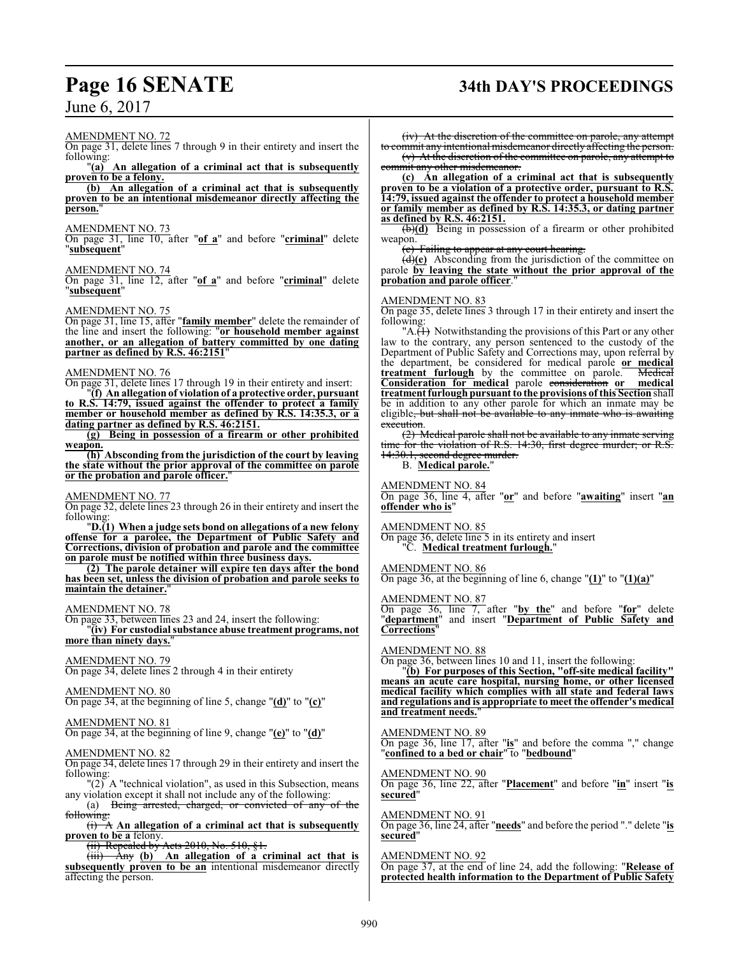#### AMENDMENT NO. 72

On page 31, delete lines 7 through 9 in their entirety and insert the following:

"**(a) An allegation of a criminal act that is subsequently proven to be a felony.**

**(b) An allegation of a criminal act that is subsequently proven to be an intentional misdemeanor directly affecting the** person.

#### AMENDMENT NO. 73

On page 31, line 10, after "**of a**" and before "**criminal**" delete "**subsequent**"

#### AMENDMENT NO. 74

On page 31, line 12, after "**of a**" and before "**criminal**" delete "**subsequent**"

#### AMENDMENT NO. 75

On page 31, line 15, after "**family member**" delete the remainder of the line and insert the following: "**or household member against another, or an allegation of battery committed by one dating partner as defined by R.S. 46:2151**"

#### AMENDMENT NO. 76

On page 31, delete lines 17 through 19 in their entirety and insert:

"**(f) An allegation of violation of a protective order, pursuant to R.S. 14:79, issued against the offender to protect a family member or household member as defined by R.S. 14:35.3, or a dating partner as defined by R.S. 46:2151.**

**(g) Being in possession of a firearm or other prohibited weapon.**

**(h) Absconding from the jurisdiction of the court by leaving the state without the prior approval of the committee on parole or the probation and parole officer.**"

AMENDMENT NO. 77

On page 32, delete lines 23 through 26 in their entirety and insert the following:

"**D.(1) When a judge sets bond on allegations of a new felony offense for a parolee, the Department of Public Safety and Corrections, division of probation and parole and the committee on parole must be notified within three business days.**

**(2) The parole detainer will expire ten days after the bond has been set, unless the division of probation and parole seeks to maintain the detainer.**"

#### AMENDMENT NO. 78

On page 33, between lines 23 and 24, insert the following: "**(iv) For custodial substance abuse treatment programs, not more than ninety days.**"

#### AMENDMENT NO. 79

On page 34, delete lines 2 through 4 in their entirety

#### AMENDMENT NO. 80

On page 34, at the beginning of line 5, change "**(d)**" to "**(c)**"

#### AMENDMENT NO. 81 On page 34, at the beginning of line 9, change "**(e)**" to "**(d)**"

## AMENDMENT NO. 82

On page 34, delete lines 17 through 29 in their entirety and insert the following:

 $\binom{1}{2}$  A "technical violation", as used in this Subsection, means any violation except it shall not include any of the following:

(a) Being arrested, charged, or convicted of any of the following:

(i) A **An allegation of a criminal act that is subsequently proven to be a** felony.<br>(ii) Repealed by

Acts 2010, No. 510, §1.

(iii) Any **(b) An allegation of a criminal act that is subsequently proven to be an** intentional misdemeanor directly affecting the person.

# **Page 16 SENATE 34th DAY'S PROCEEDINGS**

(iv) At the discretion of the committee on parole, any attempt

to commit any intentional misdemeanor directly affecting the person. (v) At the discretion of the committee on parole, any attempt to commit any other misdemeanor.

**(c) An allegation of a criminal act that is subsequently proven to be a violation of a protective order, pursuant to R.S. 14:79, issued against the offender to protect a household member or family member as defined by R.S. 14:35.3, or dating partner as defined by R.S. 46:2151.**

(b)**(d)** Being in possession of a firearm or other prohibited weapon.

(c) Failing to appear at any court hearing.

(d)**(e)** Absconding from the jurisdiction of the committee on parole **by leaving the state without the prior approval of the** probation and parole officer.

#### AMENDMENT NO. 83

On page 35, delete lines 3 through 17 in their entirety and insert the following:

" $A.\overline{H}$  Notwithstanding the provisions of this Part or any other law to the contrary, any person sentenced to the custody of the Department of Public Safety and Corrections may, upon referral by the department, be considered for medical parole **or medical treatment furlough** by the committee on parole. Medical **Consideration for medical** parole consideration **or medical treatment furlough pursuant to the provisions of this Section** shall be in addition to any other parole for which an inmate may be eligible, but shall not be available to any inmate who is awaiting execution.

(2) Medical parole shall not be available to any inmate serving time for the violation of R.S. 14:30, first degree murder; or R.S. 14:30.1, second degree murder.

#### B. **Medical parole.**"

#### AMENDMENT NO. 84

On page 36, line 4, after "**or**" and before "**awaiting**" insert "**an offender who is**"

#### AMENDMENT NO. 85

On page 36, delete line 5 in its entirety and insert "C. **Medical treatment furlough.**"

#### AMENDMENT NO. 86

On page 36, at the beginning of line 6, change "**(1)**" to "**(1)(a)**"

#### AMENDMENT NO. 87

On page 36, line 7, after "**by the**" and before "**for**" delete "**department**" and insert "**Department of Public Safety and Corrections**"

AMENDMENT NO. 88

On page 36, between lines 10 and 11, insert the following:

"**(b) For purposes of this Section, "off-site medical facility" means an acute care hospital, nursing home, or other licensed medical facility which complies with all state and federal laws and regulations and is appropriate to meet the offender's medical and treatment needs.**"

#### AMENDMENT NO. 89

On page 36, line 17, after "**is**" and before the comma "," change "**confined to a bed or chair**" to "**bedbound**"

AMENDMENT NO. 90 On page 36, line 22, after "**Placement**" and before "**in**" insert "**is secured**"

AMENDMENT NO. 91 On page 36, line 24, after "**needs**" and before the period "." delete "**is secured**"

AMENDMENT NO. 92 On page 37, at the end of line 24, add the following: "**Release of protected health information to the Department of Public Safety**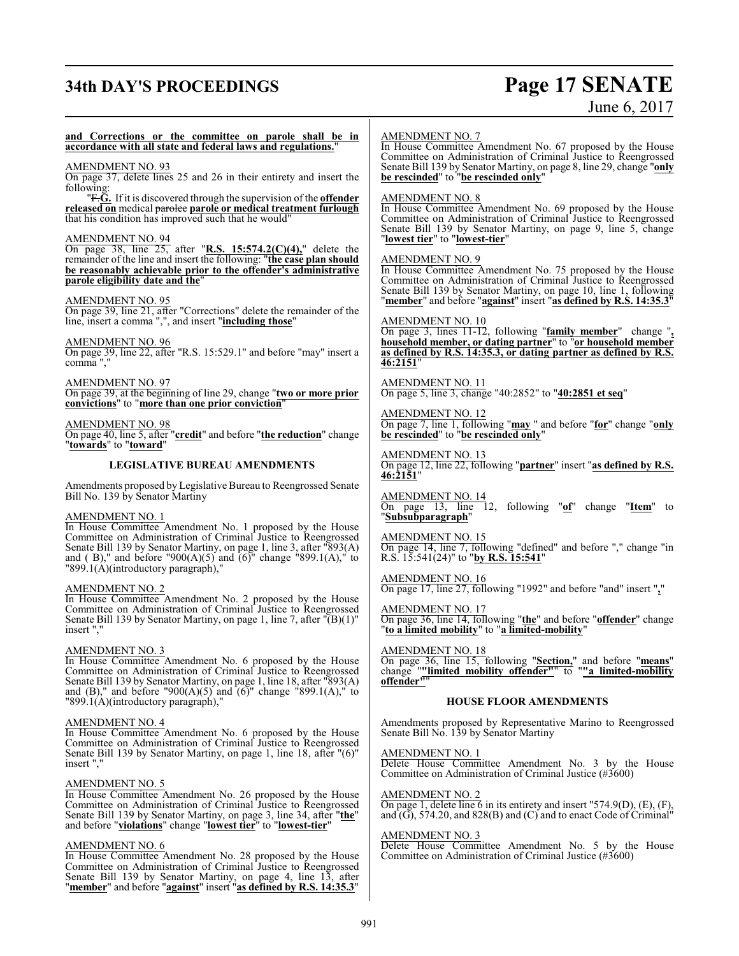# **34th DAY'S PROCEEDINGS Page 17 SENATE**

# June 6, 2017

#### **and Corrections or the committee on parole shall be in accordance with all state and federal laws and regulations.**"

#### AMENDMENT NO. 93

On page 37, delete lines 25 and 26 in their entirety and insert the following:

"F.**G.** If it is discovered through the supervision of the **offender released on** medical parolee **parole or medical treatment furlough** that his condition has improved such that he would"

#### AMENDMENT NO. 94

On page 38, line 25, after "**R.S. 15:574.2(C)(4),**" delete the remainder of the line and insert the following: "**the case plan should be reasonably achievable prior to the offender's administrative parole eligibility date and the**"

#### AMENDMENT NO. 95

On page 39, line 21, after "Corrections" delete the remainder of the line, insert a comma ",", and insert "**including those**"

AMENDMENT NO. 96

On page 39, line 22, after "R.S. 15:529.1" and before "may" insert a comma ","

AMENDMENT NO. 97 On page 39, at the beginning of line 29, change "**two or more prior convictions**" to "**more than one prior conviction**"

#### AMENDMENT NO. 98

On page 40, line 5, after "**credit**" and before "**the reduction**" change "**towards**" to "**toward**"

#### **LEGISLATIVE BUREAU AMENDMENTS**

Amendments proposed by Legislative Bureau to Reengrossed Senate Bill No. 139 by Senator Martiny

#### AMENDMENT NO. 1

In House Committee Amendment No. 1 proposed by the House Committee on Administration of Criminal Justice to Reengrossed Senate Bill 139 by Senator Martiny, on page 1, line 3, after "893(A) and ( B)," and before "900(A)(5) and  $(6)$ " change "899.1(A)," to "899.1(A)(introductory paragraph),"

#### AMENDMENT NO. 2

In House Committee Amendment No. 2 proposed by the House Committee on Administration of Criminal Justice to Reengrossed Senate Bill 139 by Senator Martiny, on page 1, line 7, after "(B)(1)" insert ","

#### AMENDMENT NO. 3

In House Committee Amendment No. 6 proposed by the House Committee on Administration of Criminal Justice to Reengrossed Senate Bill 139 by Senator Martiny, on page 1, line 18, after "893(A) and (B)," and before "900(A)(5) and  $(6)$ " change "899.1(A)," to "899.1(A)(introductory paragraph),'

#### AMENDMENT NO. 4

In House Committee Amendment No. 6 proposed by the House Committee on Administration of Criminal Justice to Reengrossed Senate Bill 139 by Senator Martiny, on page 1, line 18, after "(6)" insert ","

#### AMENDMENT NO. 5

In House Committee Amendment No. 26 proposed by the House Committee on Administration of Criminal Justice to Reengrossed Senate Bill 139 by Senator Martiny, on page 3, line 34, after "**the**" and before "**violations**" change "**lowest tier**" to "**lowest-tier**"

#### AMENDMENT NO. 6

In House Committee Amendment No. 28 proposed by the House Committee on Administration of Criminal Justice to Reengrossed Senate Bill 139 by Senator Martiny, on page 4, line 13, after "**member**" and before "**against**" insert "**as defined by R.S. 14:35.3**"

#### AMENDMENT NO. 7

In House Committee Amendment No. 67 proposed by the House Committee on Administration of Criminal Justice to Reengrossed Senate Bill 139 by Senator Martiny, on page 8, line 29, change "**only be rescinded**" to "**be rescinded only**"

#### AMENDMENT NO. 8

In House Committee Amendment No. 69 proposed by the House Committee on Administration of Criminal Justice to Reengrossed Senate Bill 139 by Senator Martiny, on page 9, line 5, change "**lowest tier**" to "**lowest-tier**"

#### AMENDMENT NO. 9

In House Committee Amendment No. 75 proposed by the House Committee on Administration of Criminal Justice to Reengrossed Senate Bill 139 by Senator Martiny, on page 10, line 1, following "**member**" and before "**against**" insert "**as defined by R.S. 14:35.3**"

#### AMENDMENT NO. 10

On page 3, lines 11-12, following "**family member**" change "**, household member, or dating partner**" to "**or household member as defined by R.S. 14:35.3, or dating partner as defined by R.S. 46:2151**"

AMENDMENT NO. 11 On page 5, line 3, change "40:2852" to "**40:2851 et seq**"

AMENDMENT NO. 12 On page 7, line 1, following "**may** " and before "**for**" change "**only be rescinded**" to "**be rescinded only**"

AMENDMENT NO. 13 On page 12, line 22, following "**partner**" insert "**as defined by R.S. 46:2151**"

AMENDMENT NO. 14 On page 13, line 12, following "**of**" change "**Item**" to "**Subsubparagraph**"

AMENDMENT NO. 15 On page 14, line 7, following "defined" and before "," change "in R.S. 15:541(24)" to "**by R.S. 15:541**"

AMENDMENT NO. 16 On page 17, line 27, following "1992" and before "and" insert "**,**"

AMENDMENT NO. 17 On page 36, line 14, following "**the**" and before "**offender**" change "**to a limited mobility**" to "**a limited-mobility**"

AMENDMENT NO. 18 On page 36, line 15, following "**Section,**" and before "**means**" change "**"limited mobility offender"**" to "**"a limited-mobility offender"**"

#### **HOUSE FLOOR AMENDMENTS**

Amendments proposed by Representative Marino to Reengrossed Senate Bill No. 139 by Senator Martiny

AMENDMENT NO. 1

Delete House Committee Amendment No. 3 by the House Committee on Administration of Criminal Justice (#3600)

AMENDMENT NO. 2

On page 1, delete line  $\overline{6}$  in its entirety and insert "574.9(D), (E), (F), and (G), 574.20, and 828(B) and (C) and to enact Code of Criminal"

#### AMENDMENT NO. 3

Delete House Committee Amendment No. 5 by the House Committee on Administration of Criminal Justice (#3600)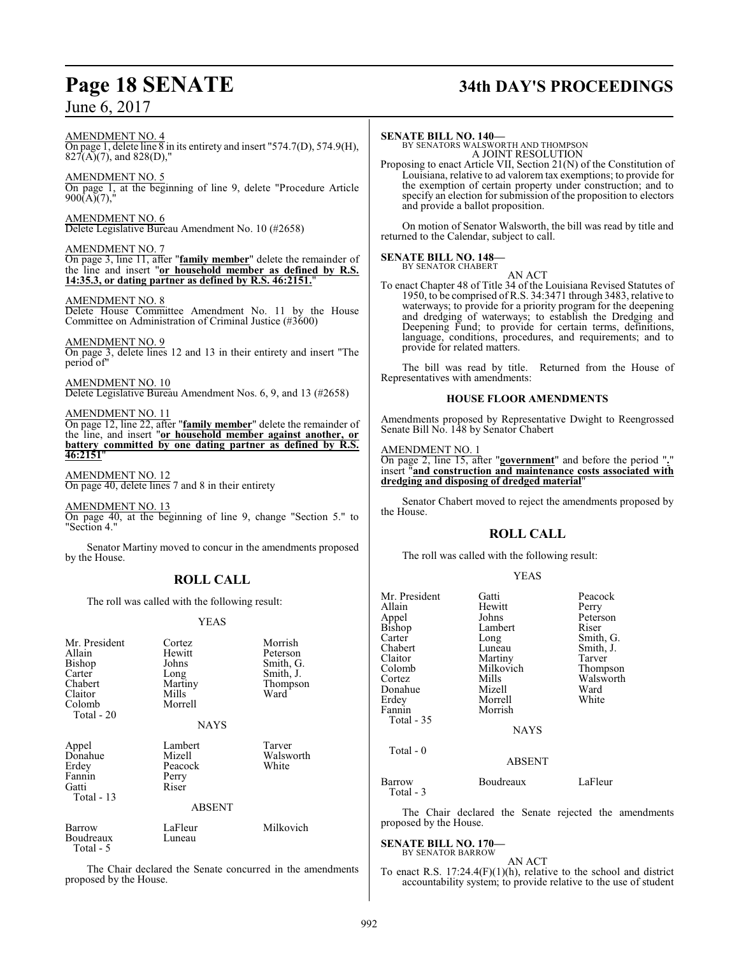# **Page 18 SENATE 34th DAY'S PROCEEDINGS**

AMENDMENT NO. 4

On page 1, delete line 8 in its entirety and insert "574.7(D), 574.9(H),  $827(A)(7)$ , and  $828(D)$ ,"

AMENDMENT NO. 5 On page 1, at the beginning of line 9, delete "Procedure Article  $900(A)(7)$ ,

AMENDMENT NO. 6 Delete Legislative Bureau Amendment No. 10 (#2658)

AMENDMENT NO. 7 On page 3, line 11, after "**family member**" delete the remainder of the line and insert "**or household member as defined by R.S. 14:35.3, or dating partner as defined by R.S. 46:2151.**"

#### AMENDMENT NO. 8

Delete House Committee Amendment No. 11 by the House Committee on Administration of Criminal Justice (#3600)

AMENDMENT NO. 9

On page 3, delete lines 12 and 13 in their entirety and insert "The period of"

AMENDMENT NO. 10 Delete Legislative Bureau Amendment Nos. 6, 9, and 13 (#2658)

AMENDMENT NO. 11

On page 12, line 22, after "**family member**" delete the remainder of the line, and insert "**or household member against another, or battery committed by one dating partner as defined by R.S. 46:2151**"

AMENDMENT NO. 12

On page 40, delete lines 7 and 8 in their entirety

AMENDMENT NO. 13

On page 40, at the beginning of line 9, change "Section 5." to "Section 4."

Senator Martiny moved to concur in the amendments proposed by the House.

## **ROLL CALL**

The roll was called with the following result:

#### YEAS

| Mr. President<br>Allain<br>Bishop<br>Carter<br>Chabert<br>Claitor<br>Colomb<br>Total - 20 | Cortez<br>Hewitt<br>Johns<br>Long<br>Martiny<br>Mills<br>Morrell<br><b>NAYS</b> | Morrish<br>Peterson<br>Smith, G.<br>Smith, J.<br>Thompson<br>Ward |
|-------------------------------------------------------------------------------------------|---------------------------------------------------------------------------------|-------------------------------------------------------------------|
| Appel<br>Donahue<br>Erdey<br>Fannin<br>Gatti<br>Total $-13$                               | Lambert<br>Mizell<br>Peacock<br>Perry<br>Riser<br><b>ABSENT</b>                 | Tarver<br>Walsworth<br>White                                      |
| Barrow<br>Boudreaux<br>Total - 5                                                          | LaFleur<br>Luneau                                                               | Milkovich                                                         |

The Chair declared the Senate concurred in the amendments proposed by the House.

#### **SENATE BILL NO. 140—**

BY SENATORS WALSWORTH AND THOMPSON A JOINT RESOLUTION

Proposing to enact Article VII, Section 21(N) of the Constitution of Louisiana, relative to ad valorem tax exemptions; to provide for the exemption of certain property under construction; and to specify an election for submission of the proposition to electors and provide a ballot proposition.

On motion of Senator Walsworth, the bill was read by title and returned to the Calendar, subject to call.

#### **SENATE BILL NO. 148—** BY SENATOR CHABERT

AN ACT

To enact Chapter 48 of Title 34 of the Louisiana Revised Statutes of 1950, to be comprised of R.S. 34:3471 through 3483, relative to waterways; to provide for a priority program for the deepening and dredging of waterways; to establish the Dredging and Deepening Fund; to provide for certain terms, definitions, language, conditions, procedures, and requirements; and to provide for related matters.

The bill was read by title. Returned from the House of Representatives with amendments:

#### **HOUSE FLOOR AMENDMENTS**

Amendments proposed by Representative Dwight to Reengrossed Senate Bill No. 148 by Senator Chabert

#### AMENDMENT NO. 1

On page 2, line 15, after "**government**" and before the period "**.**" insert "**and construction and maintenance costs associated with dredging and disposing of dredged material**"

Senator Chabert moved to reject the amendments proposed by the House.

#### **ROLL CALL**

The roll was called with the following result:

#### YEAS

| Mr. President | Gatti                      | Peacock   |
|---------------|----------------------------|-----------|
| Allain        | Hewitt                     | Perry     |
| Appel         | Johns                      | Peterson  |
| Bishop        | Lambert                    | Riser     |
| Carter        | Long                       | Smith, G. |
| Chabert       | Luneau                     | Smith, J. |
| Claitor       | Martiny                    | Tarver    |
| Colomb        | Milkovich                  | Thompson  |
| Cortez        | Mills                      | Walsworth |
| Donahue       | Mizell                     | Ward      |
| Erdey         | Morrell                    | White     |
| Fannin        | Morrish                    |           |
| Total - 35    |                            |           |
|               | <b>NAYS</b>                |           |
|               |                            |           |
| Total - 0     |                            |           |
|               | <b>ABSENT</b>              |           |
| Barrow        | Boudreaux                  | LaFleur   |
| Total - 3     |                            |           |
|               | THE CHILD 1 H COURT IN HIS |           |

The Chair declared the Senate rejected the amendments proposed by the House.

#### **SENATE BILL NO. 170—** BY SENATOR BARROW

AN ACT

To enact R.S. 17:24.4(F)(1)(h), relative to the school and district accountability system; to provide relative to the use of student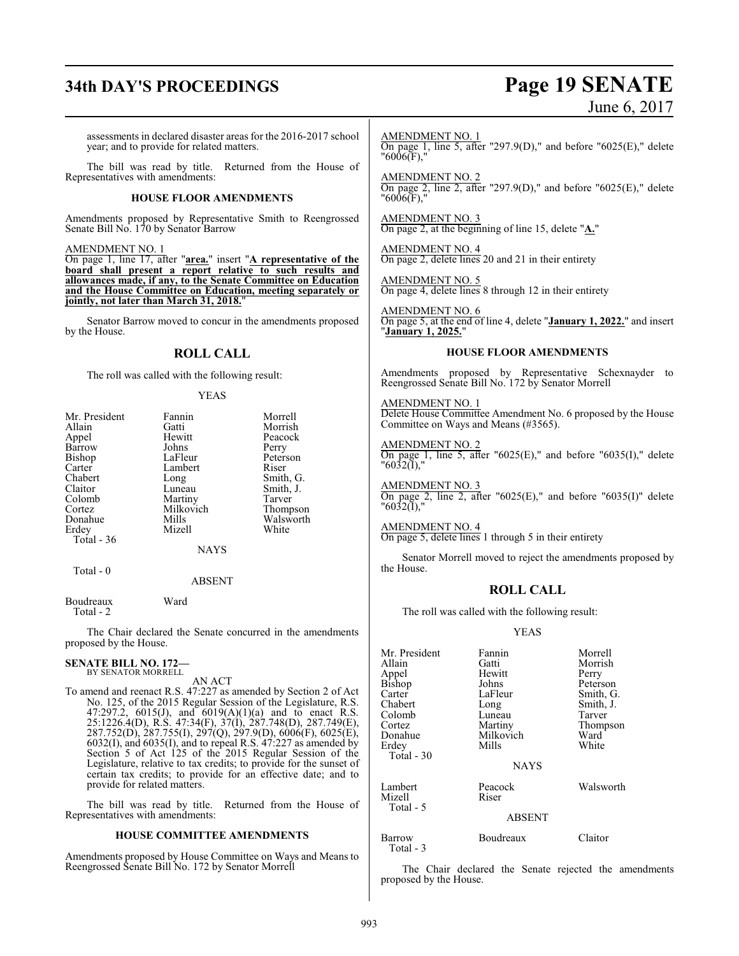# **34th DAY'S PROCEEDINGS Page 19 SENATE**

# June 6, 2017

assessments in declared disaster areas for the 2016-2017 school year; and to provide for related matters.

The bill was read by title. Returned from the House of Representatives with amendments:

#### **HOUSE FLOOR AMENDMENTS**

Amendments proposed by Representative Smith to Reengrossed Senate Bill No. 170 by Senator Barrow

AMENDMENT NO. 1

On page 1, line 17, after "**area.**" insert "**A representative of the board shall present a report relative to such results and allowances made, if any, to the Senate Committee on Education and the House Committee on Education, meeting separately or jointly, not later than March 31, 2018.**"

Senator Barrow moved to concur in the amendments proposed by the House.

#### **ROLL CALL**

The roll was called with the following result:

#### YEAS

| Mr. President | Fannin      | Morrell   |
|---------------|-------------|-----------|
| Allain        | Gatti       | Morrish   |
| Appel         | Hewitt      | Peacock   |
| Barrow        | Johns       | Perry     |
| Bishop        | LaFleur     | Peterson  |
| Carter        | Lambert     | Riser     |
| Chabert       | Long        | Smith, G. |
| Claitor       | Luneau      | Smith, J. |
| Colomb        | Martiny     | Tarver    |
| Cortez        | Milkovich   | Thompson  |
| Donahue       | Mills       | Walsworth |
| Erdey         | Mizell      | White     |
| Total - 36    |             |           |
|               | <b>NAYS</b> |           |
|               |             |           |

Total - 0

Total - 2

#### ABSENT

The Chair declared the Senate concurred in the amendments proposed by the House.

# **SENATE BILL NO. 172—** BY SENATOR MORRELL

Boudreaux Ward

AN ACT

To amend and reenact R.S. 47:227 as amended by Section 2 of Act No. 125, of the 2015 Regular Session of the Legislature, R.S. 47:297.2, 6015(J), and 6019(A)(1)(a) and to enact R.S. 25:1226.4(D), R.S. 47:34(F), 37(I), 287.748(D), 287.749(E), 287.752(D), 287.755(I), 297(Q), 297.9(D), 6006(F), 6025(E), 6032(I), and 6035(I), and to repeal R.S. 47:227 as amended by Section 5 of Act 125 of the 2015 Regular Session of the Legislature, relative to tax credits; to provide for the sunset of certain tax credits; to provide for an effective date; and to provide for related matters.

The bill was read by title. Returned from the House of Representatives with amendments:

#### **HOUSE COMMITTEE AMENDMENTS**

Amendments proposed by House Committee on Ways and Means to Reengrossed Senate Bill No. 172 by Senator Morrell

AMENDMENT NO. 1 On page 1, line 5, after "297.9(D)," and before "6025(E)," delete "6006(F),"

AMENDMENT NO. 2 On page 2, line 2, after "297.9(D)," and before "6025(E)," delete  $"6006(F)$ ,"

AMENDMENT NO. 3 On page 2, at the beginning of line 15, delete "**A.**"

AMENDMENT NO. 4 On page 2, delete lines 20 and 21 in their entirety

AMENDMENT NO. 5 On page 4, delete lines 8 through 12 in their entirety

AMENDMENT NO. 6 On page 5, at the end of line 4, delete "**January 1, 2022.**" and insert "**January 1, 2025.**"

#### **HOUSE FLOOR AMENDMENTS**

Amendments proposed by Representative Schexnayder to Reengrossed Senate Bill No. 172 by Senator Morrell

#### AMENDMENT NO. 1

Delete House Committee Amendment No. 6 proposed by the House Committee on Ways and Means (#3565).

AMENDMENT NO. 2 On page 1, line 5, after "6025(E)," and before "6035(I)," delete "6032(I),"

AMENDMENT NO. 3 On page 2, line 2, after "6025(E)," and before "6035(I)" delete "6032(I),"

AMENDMENT NO. 4 On page 5, delete lines 1 through 5 in their entirety

Senator Morrell moved to reject the amendments proposed by the House.

#### **ROLL CALL**

The roll was called with the following result:

#### YEAS

| Mr. President<br>Allain<br>Appel<br>Bishop<br>Carter<br>Chabert<br>Colomb<br>Cortez<br>Donahue<br>Erdev<br>Total - $30$ | Fannin<br>Gatti<br>Hewitt<br>Johns<br>LaFleur<br>Long<br>Luneau<br>Martiny<br>Milkovich<br>Mills<br><b>NAYS</b> | Morrell<br>Morrish<br>Perry<br>Peterson<br>Smith, G.<br>Smith, J.<br>Tarver<br>Thompson<br>Ward<br>White |
|-------------------------------------------------------------------------------------------------------------------------|-----------------------------------------------------------------------------------------------------------------|----------------------------------------------------------------------------------------------------------|
| Lambert<br>Mizell<br>Total - 5                                                                                          | Peacock<br>Riser                                                                                                | Walsworth                                                                                                |
|                                                                                                                         | <b>ABSENT</b>                                                                                                   |                                                                                                          |
| Barrow                                                                                                                  | Boudreaux                                                                                                       | Claitor                                                                                                  |

Total - 3

The Chair declared the Senate rejected the amendments proposed by the House.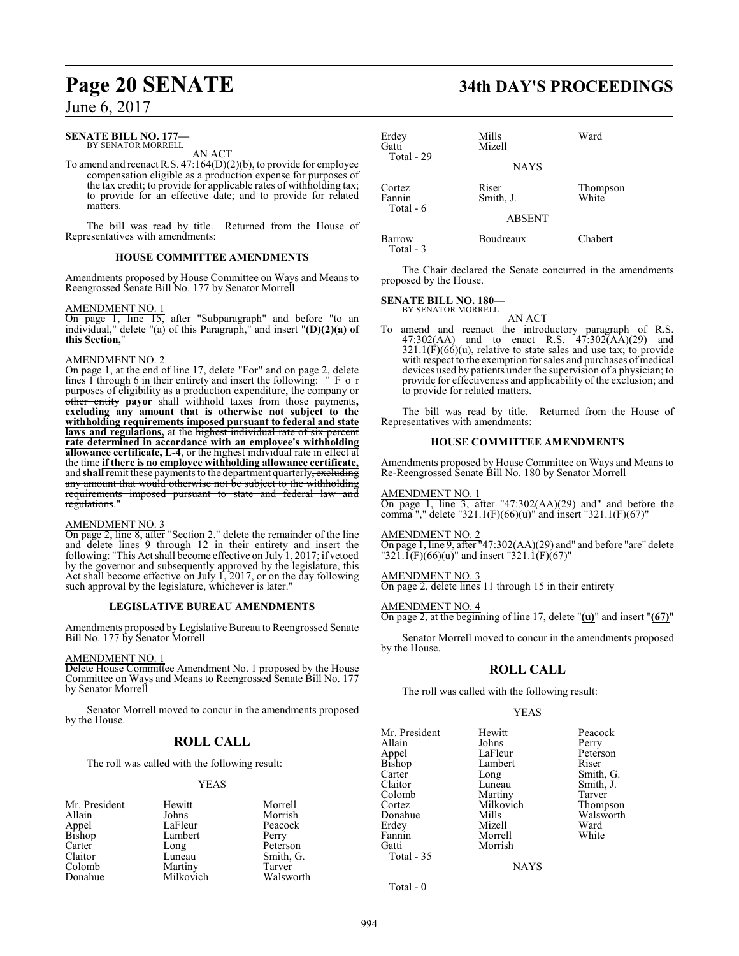#### **SENATE BILL NO. 177—** BY SENATOR MORRELL

AN ACT

To amend and reenact R.S. 47:164(D)(2)(b), to provide for employee compensation eligible as a production expense for purposes of the tax credit; to provide for applicable rates of withholding tax; to provide for an effective date; and to provide for related matters.

The bill was read by title. Returned from the House of Representatives with amendments:

#### **HOUSE COMMITTEE AMENDMENTS**

Amendments proposed by House Committee on Ways and Means to Reengrossed Senate Bill No. 177 by Senator Morrell

#### AMENDMENT NO. 1

On page 1, line 15, after "Subparagraph" and before "to an individual," delete "(a) of this Paragraph," and insert "**(D)(2)(a) of this Section,**"

#### AMENDMENT NO. 2

On page 1, at the end of line 17, delete "For" and on page 2, delete lines 1 through 6 in their entirety and insert the following: " F o r purposes of eligibility as a production expenditure, the company or other entity **payor** shall withhold taxes from those payments**, excluding any amount that is otherwise not subject to the withholding requirements imposed pursuant to federal and state laws and regulations,** at the highest individual rate of six percent **rate determined in accordance with an employee's withholding allowance certificate, L-4**, or the highest individual rate in effect at the time **if there is no employee withholding allowance certificate,** and **shall** remit these payments to the department quarterly, excluding any amount that would otherwise not be subject to the withholding requirements imposed pursuant to state and federal law and regulations."

#### AMENDMENT NO. 3

On page 2, line 8, after "Section 2." delete the remainder of the line and delete lines 9 through 12 in their entirety and insert the following: "This Act shall become effective on July 1, 2017; if vetoed by the governor and subsequently approved by the legislature, this Act shall become effective on July 1, 2017, or on the day following such approval by the legislature, whichever is later."

#### **LEGISLATIVE BUREAU AMENDMENTS**

Amendments proposed by Legislative Bureau to Reengrossed Senate Bill No. 177 by Senator Morrell

#### AMENDMENT NO. 1

Delete House Committee Amendment No. 1 proposed by the House Committee on Ways and Means to Reengrossed Senate Bill No. 177 by Senator Morrell

Senator Morrell moved to concur in the amendments proposed by the House.

## **ROLL CALL**

The roll was called with the following result:

#### YEAS

| Mr. President   | Hewitt    | Morrell   |
|-----------------|-----------|-----------|
| Allain          | Johns     | Morrish   |
|                 | LaFleur   | Peacock   |
| Appel<br>Bishop | Lambert   | Perry     |
| Carter          | Long      | Peterson  |
| Claitor         | Luneau    | Smith, G. |
| Colomb          | Martiny   | Tarver    |
| Donahue         | Milkovich | Walsworth |

# **Page 20 SENATE 34th DAY'S PROCEEDINGS**

| Erdey<br>Gatti<br>Total - 29  | Mills<br>Mizell<br><b>NAYS</b>      | Ward              |
|-------------------------------|-------------------------------------|-------------------|
| Cortez<br>Fannin<br>Total - 6 | Riser<br>Smith, J.<br><b>ABSENT</b> | Thompson<br>White |
| Barrow<br>$Total - 3$         | Boudreaux                           | Chabert           |

The Chair declared the Senate concurred in the amendments proposed by the House.

# **SENATE BILL NO. 180—** BY SENATOR MORRELL

AN ACT

To amend and reenact the introductory paragraph of R.S.  $47:302(AA)$  and to enact R.S.  $47:302(AA)(29)$  and  $321.1(F)(66)(u)$ , relative to state sales and use tax; to provide with respect to the exemption for sales and purchases of medical devices used by patients under the supervision of a physician; to provide for effectiveness and applicability of the exclusion; and to provide for related matters.

The bill was read by title. Returned from the House of Representatives with amendments:

#### **HOUSE COMMITTEE AMENDMENTS**

Amendments proposed by House Committee on Ways and Means to Re-Reengrossed Senate Bill No. 180 by Senator Morrell

AMENDMENT NO. 1

On page 1, line 3, after "47:302(AA)(29) and" and before the comma "," delete "321.1(F)(66)(u)" and insert "321.1(F)(67)"

#### AMENDMENT NO. 2

On page 1, line 9, after "47:302(AA)(29) and" and before "are" delete  $1321.1(F)(66)(u)$ " and insert "321.1(F)(67)"

#### AMENDMENT NO. 3

On page 2, delete lines 11 through 15 in their entirety

#### AMENDMENT NO. 4

On page 2, at the beginning of line 17, delete "**(u)**" and insert "**(67)**"

Senator Morrell moved to concur in the amendments proposed by the House.

## **ROLL CALL**

The roll was called with the following result:

#### YEAS

| Mr. President | Hewitt    | Peacock   |
|---------------|-----------|-----------|
| Allain        | Johns     | Perry     |
| Appel         | LaFleur   | Peterson  |
| Bishop        | Lambert   | Riser     |
| Carter        | Long      | Smith, G. |
| Claitor       | Luneau    | Smith, J. |
| Colomb        | Martiny   | Tarver    |
| Cortez        | Milkovich | Thompson  |
| Donahue       | Mills     | Walsworth |
| Erdey         | Mizell    | Ward      |
| Fannin        | Morrell   | White     |
| Gatti         | Morrish   |           |
| Total - 35    |           |           |
|               | NAYS      |           |

**NAYS** 

Total - 0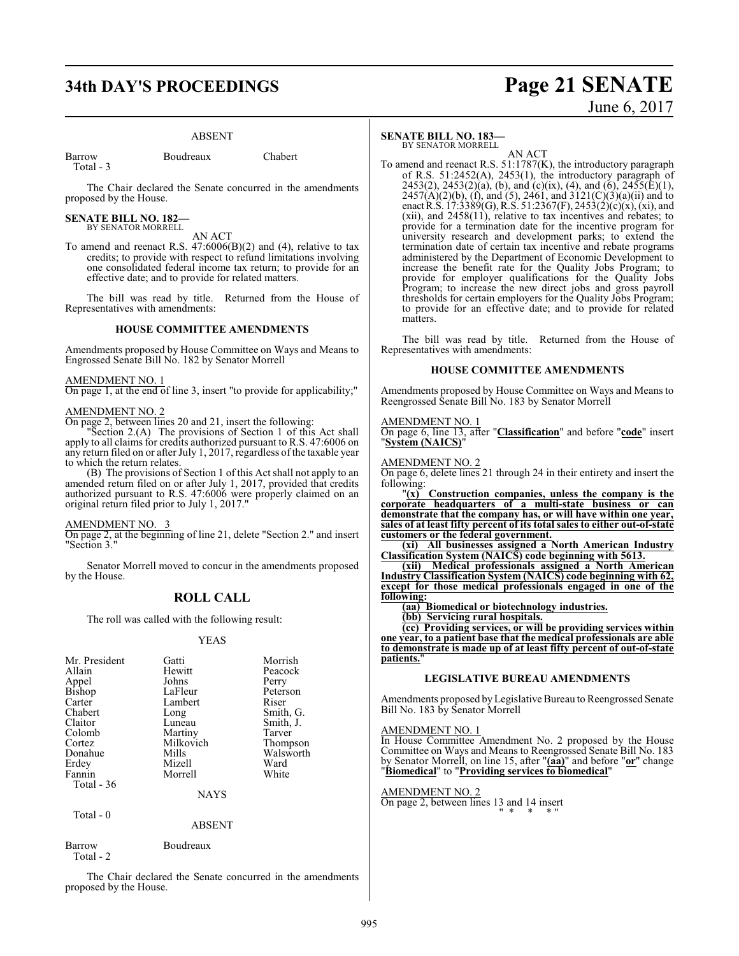# **34th DAY'S PROCEEDINGS Page 21 SENATE**

#### ABSENT

Barrow Boudreaux Chabert Total - 3

The Chair declared the Senate concurred in the amendments proposed by the House.

# **SENATE BILL NO. 182—** BY SENATOR MORRELL

AN ACT

To amend and reenact R.S. 47:6006(B)(2) and (4), relative to tax credits; to provide with respect to refund limitations involving one consolidated federal income tax return; to provide for an effective date; and to provide for related matters.

The bill was read by title. Returned from the House of Representatives with amendments:

#### **HOUSE COMMITTEE AMENDMENTS**

Amendments proposed by House Committee on Ways and Means to Engrossed Senate Bill No. 182 by Senator Morrell

#### AMENDMENT NO. 1

On page 1, at the end of line 3, insert "to provide for applicability;"

#### AMENDMENT NO. 2

On page 2, between lines 20 and 21, insert the following:

"Section 2.(A) The provisions of Section 1 of this Act shall apply to all claims for credits authorized pursuant to R.S. 47:6006 on any return filed on or after July 1, 2017, regardless of the taxable year to which the return relates.

(B) The provisions of Section 1 of this Act shall not apply to an amended return filed on or after July 1, 2017, provided that credits authorized pursuant to R.S. 47:6006 were properly claimed on an original return filed prior to July 1, 2017."

#### AMENDMENT NO. 3

On page 2, at the beginning of line 21, delete "Section 2." and insert "Section 3."

Senator Morrell moved to concur in the amendments proposed by the House.

## **ROLL CALL**

The roll was called with the following result:

#### YEAS

| Mr. President | Gatti     | Morrish   |
|---------------|-----------|-----------|
| Allain        | Hewitt    | Peacock   |
|               |           |           |
| Appel         | Johns     | Perry     |
| Bishop        | LaFleur   | Peterson  |
| Carter        | Lambert   | Riser     |
| Chabert       | Long      | Smith, G. |
| Claitor       | Luneau    | Smith, J. |
| Colomb        | Martiny   | Tarver    |
| Cortez        | Milkovich | Thompson  |
| Donahue       | Mills     | Walsworth |
| Erdey         | Mizell    | Ward      |
| Fannin        | Morrell   | White     |
| Total - 36    |           |           |
|               | NAYS      |           |

Total - 0

ABSENT

Barrow Boudreaux Total - 2

The Chair declared the Senate concurred in the amendments proposed by the House.

#### **SENATE BILL NO. 183—**

BY SENATOR MORRELL

AN ACT To amend and reenact R.S. 51:1787(K), the introductory paragraph of R.S. 51:2452(A), 2453(1), the introductory paragraph of 2453(2), 2453(2)(a), (b), and (c)(ix), (4), and (6), 2455(E)(1),  $2457(A)(2)(b)$ , (f), and (5), 2461, and 3121(C)(3)(a)(ii) and to enact R.S. 17:3389(G), R.S. 51:2367(F), 2453(2)(c)(x), (xi), and (xii), and 2458(11), relative to tax incentives and rebates; to provide for a termination date for the incentive program for university research and development parks; to extend the termination date of certain tax incentive and rebate programs administered by the Department of Economic Development to increase the benefit rate for the Quality Jobs Program; to provide for employer qualifications for the Quality Jobs Program; to increase the new direct jobs and gross payroll thresholds for certain employers for the Quality Jobs Program; to provide for an effective date; and to provide for related matters.

The bill was read by title. Returned from the House of Representatives with amendments:

#### **HOUSE COMMITTEE AMENDMENTS**

Amendments proposed by House Committee on Ways and Means to Reengrossed Senate Bill No. 183 by Senator Morrell

#### AMENDMENT NO. 1

On page 6, line 13, after "**Classification**" and before "**code**" insert "**System (NAICS)**"

#### AMENDMENT NO. 2

On page 6, delete lines 21 through 24 in their entirety and insert the following:

"**(x) Construction companies, unless the company is the corporate headquarters of a multi-state business or can demonstrate that the company has, or will have within one year, sales of at least fifty percent of its total sales to either out-of-state customers or the federal government.**

**(xi) All businesses assigned a North American Industry Classification System (NAICS) code beginning with 5613.**

**(xii) Medical professionals assigned a North American Industry Classification System (NAICS) code beginning with 62, except for those medical professionals engaged in one of the following:**

**(aa) Biomedical or biotechnology industries.**

**(bb) Servicing rural hospitals.**

**(cc) Providing services, or will be providing services within one year, to a patient base that the medical professionals are able to demonstrate is made up of at least fifty percent of out-of-state patients.**"

#### **LEGISLATIVE BUREAU AMENDMENTS**

Amendments proposed by Legislative Bureau to Reengrossed Senate Bill No. 183 by Senator Morrell

#### AMENDMENT NO. 1

In House Committee Amendment No. 2 proposed by the House Committee on Ways and Means to Reengrossed Senate Bill No. 183 by Senator Morrell, on line 15, after "**(aa)**" and before "**or**" change "**Biomedical**" to "**Providing services to biomedical**"

#### AMENDMENT NO. 2

On page 2, between lines 13 and 14 insert " \* \* \* "

# June 6, 2017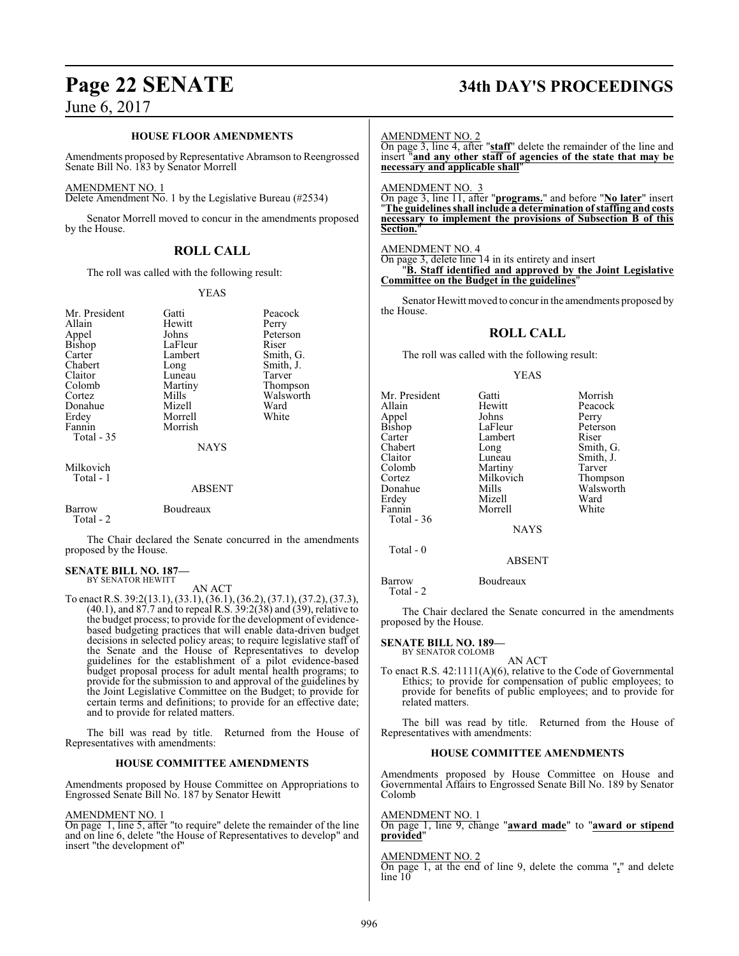#### **HOUSE FLOOR AMENDMENTS**

Amendments proposed by Representative Abramson to Reengrossed Senate Bill No. 183 by Senator Morrell

#### AMENDMENT NO. 1

Delete Amendment No. 1 by the Legislative Bureau (#2534)

Senator Morrell moved to concur in the amendments proposed by the House.

#### **ROLL CALL**

The roll was called with the following result:

#### YEAS

| Mr. President<br>Allain<br>Appel<br><b>Bishop</b><br>Carter<br>Chabert<br>Claitor<br>Colomb<br>Cortez<br>Donahue<br>Erdey<br>Fannin<br><b>Total - 35</b> | Gatti<br>Hewitt<br>Johns<br>LaFleur<br>Lambert<br>Long<br>Luneau<br>Martiny<br>Mills<br>Mizell<br>Morrell<br>Morrish<br><b>NAYS</b> | Peacock<br>Perry<br>Peterson<br>Riser<br>Smith, G.<br>Smith, J.<br>Tarver<br>Thompson<br>Walsworth<br>Ward<br>White |
|----------------------------------------------------------------------------------------------------------------------------------------------------------|-------------------------------------------------------------------------------------------------------------------------------------|---------------------------------------------------------------------------------------------------------------------|
| Milkovich<br>Total - 1                                                                                                                                   | <b>ABSENT</b>                                                                                                                       |                                                                                                                     |
| Barrow<br>Total - 2                                                                                                                                      | Boudreaux                                                                                                                           |                                                                                                                     |

The Chair declared the Senate concurred in the amendments proposed by the House.

#### **SENATE BILL NO. 187—** BY SENATOR HEWITT

AN ACT

To enact R.S. 39:2(13.1), (33.1), (36.1), (36.2), (37.1), (37.2), (37.3), (40.1), and 87.7 and to repeal R.S. 39:2(38) and (39), relative to the budget process; to provide for the development of evidencebased budgeting practices that will enable data-driven budget decisions in selected policy areas; to require legislative staff of the Senate and the House of Representatives to develop guidelines for the establishment of a pilot evidence-based budget proposal process for adult mental health programs; to provide for the submission to and approval of the guidelines by the Joint Legislative Committee on the Budget; to provide for certain terms and definitions; to provide for an effective date; and to provide for related matters.

The bill was read by title. Returned from the House of Representatives with amendments:

#### **HOUSE COMMITTEE AMENDMENTS**

Amendments proposed by House Committee on Appropriations to Engrossed Senate Bill No. 187 by Senator Hewitt

#### AMENDMENT NO. 1

On page 1, line 5, after "to require" delete the remainder of the line and on line 6, delete "the House of Representatives to develop" and insert "the development of"

# **Page 22 SENATE 34th DAY'S PROCEEDINGS**

#### AMENDMENT NO. 2

On page 3, line 4, after "**staff**" delete the remainder of the line and insert "**and any other staff of agencies of the state that may be necessary and applicable shall**"

#### AMENDMENT NO. 3

On page 3, line 11, after "**programs.**" and before "**No later**" insert "**The guidelines shall include a determination of staffing and costs necessary to implement the provisions of Subsection B of this Section.**"

#### AMENDMENT NO. 4

On page 3, delete line 14 in its entirety and insert "**B. Staff identified and approved by the Joint Legislative Committee on the Budget in the guidelines**"

Senator Hewitt moved to concur in the amendments proposed by the House.

#### **ROLL CALL**

The roll was called with the following result:

#### YEAS

| Mr. President | Gatti         | Morrish   |
|---------------|---------------|-----------|
| Allain        | Hewitt        | Peacock   |
| Appel         | Johns         | Perry     |
| Bishop        | LaFleur       | Peterson  |
| Carter        | Lambert       | Riser     |
| Chabert       | Long          | Smith, G. |
| Claitor       | Luneau        | Smith, J. |
| Colomb        | Martiny       | Tarver    |
| Cortez        | Milkovich     | Thompson  |
| Donahue       | Mills         | Walsworth |
| Erdey         | Mizell        | Ward      |
| Fannin        | Morrell       | White     |
| Total - 36    |               |           |
|               | <b>NAYS</b>   |           |
| Total $-0$    |               |           |
|               | <b>ABSENT</b> |           |
|               |               |           |

Barrow Boudreaux Total - 2

The Chair declared the Senate concurred in the amendments proposed by the House.

#### **SENATE BILL NO. 189—** BY SENATOR COLOMB

AN ACT

To enact R.S. 42:1111(A)(6), relative to the Code of Governmental Ethics; to provide for compensation of public employees; to provide for benefits of public employees; and to provide for related matters.

The bill was read by title. Returned from the House of Representatives with amendments:

#### **HOUSE COMMITTEE AMENDMENTS**

Amendments proposed by House Committee on House and Governmental Affairs to Engrossed Senate Bill No. 189 by Senator Colomb

#### AMENDMENT NO. 1

On page 1, line 9, change "**award made**" to "**award or stipend provided**"

#### AMENDMENT NO. 2

On page 1, at the end of line 9, delete the comma "**,**" and delete line<sup>10</sup>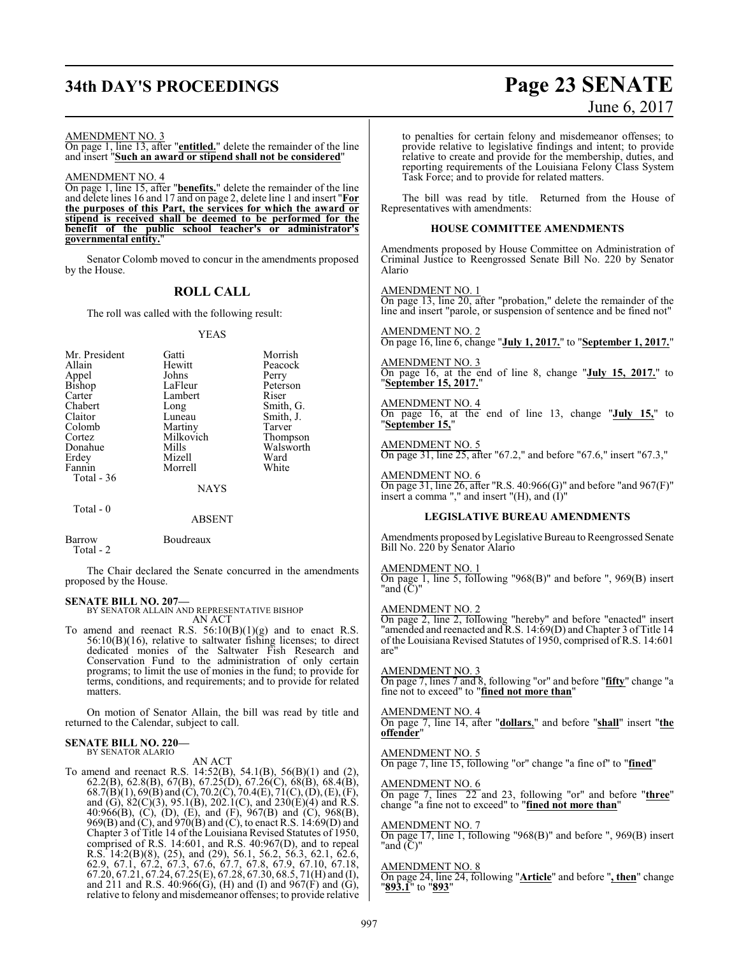# **34th DAY'S PROCEEDINGS Page 23 SENATE**

# June 6, 2017

#### AMENDMENT NO. 3

On page 1, line 13, after "**entitled.**" delete the remainder of the line and insert "**Such an award or stipend shall not be considered**"

AMENDMENT NO. 4 On page 1, line 15, after "**benefits.**" delete the remainder of the line and delete lines 16 and 17 and on page 2, delete line 1 and insert "**For the purposes of this Part, the services for which the award or stipend is received shall be deemed to be performed for the benefit of the public school teacher's or administrator's governmental entity.**"

Senator Colomb moved to concur in the amendments proposed by the House.

## **ROLL CALL**

The roll was called with the following result:

#### YEAS

| Mr. President<br>Allain<br>Appel<br><b>Bishop</b><br>Carter<br>Chabert<br>Claitor<br>Colomb<br>Cortez<br>Donahue<br>Erdey | Gatti<br>Hewitt<br>Johns<br>LaFleur<br>Lambert<br>Long<br>Luneau<br>Martiny<br>Milkovich<br>Mills<br>Mizell | Morrish<br>Peacock<br>Perry<br>Peterson<br>Riser<br>Smith, G.<br>Smith, J.<br>Tarver<br>Thompson<br>Walsworth<br>Ward |
|---------------------------------------------------------------------------------------------------------------------------|-------------------------------------------------------------------------------------------------------------|-----------------------------------------------------------------------------------------------------------------------|
|                                                                                                                           |                                                                                                             |                                                                                                                       |
| Fannin                                                                                                                    | Morrell                                                                                                     | White                                                                                                                 |
| Total $-36$                                                                                                               |                                                                                                             |                                                                                                                       |
|                                                                                                                           | <b>NAYS</b>                                                                                                 |                                                                                                                       |

Total - 0

ABSENT

Barrow Boudreaux Total - 2

The Chair declared the Senate concurred in the amendments proposed by the House.

#### **SENATE BILL NO. 207—**

BY SENATOR ALLAIN AND REPRESENTATIVE BISHOP

AN ACT To amend and reenact R.S.  $56:10(B)(1)(g)$  and to enact R.S. 56:10(B)(16), relative to saltwater fishing licenses; to direct dedicated monies of the Saltwater Fish Research and Conservation Fund to the administration of only certain programs; to limit the use of monies in the fund; to provide for terms, conditions, and requirements; and to provide for related matters.

On motion of Senator Allain, the bill was read by title and returned to the Calendar, subject to call.

#### **SENATE BILL NO. 220—** BY SENATOR ALARIO

AN ACT

To amend and reenact R.S. 14:52(B), 54.1(B), 56(B)(1) and (2), 62.2(B), 62.8(B), 67(B), 67.25(D), 67.26(C), 68(B), 68.4(B), 68.7(B)(1), 69(B) and (C), 70.2(C), 70.4(E), 71(C), (D), (E), (F), and (G), 82(C)(3), 95.1(B), 202.1(C), and 230(E)(4) and R.S. 40:966(B), (C), (D), (E), and (F), 967(B) and (C), 968(B), 969(B) and (C), and 970(B) and (C), to enact R.S. 14:69(D) and Chapter 3 of Title 14 of the Louisiana Revised Statutes of 1950, comprised of R.S. 14:601, and R.S. 40:967(D), and to repeal R.S. 14:2(B)(8), (25), and (29), 56.1, 56.2, 56.3, 62.1, 62.6, 62.9, 67.1, 67.2, 67.3, 67.6, 67.7, 67.8, 67.9, 67.10, 67.18, 67.20, 67.21, 67.24, 67.25(E), 67.28, 67.30, 68.5, 71(H) and (I), and 211 and R.S.  $40:966(G)$ , (H) and (I) and  $967(F)$  and (G), relative to felony and misdemeanor offenses; to provide relative to penalties for certain felony and misdemeanor offenses; to provide relative to legislative findings and intent; to provide relative to create and provide for the membership, duties, and reporting requirements of the Louisiana Felony Class System Task Force; and to provide for related matters.

The bill was read by title. Returned from the House of Representatives with amendments:

#### **HOUSE COMMITTEE AMENDMENTS**

Amendments proposed by House Committee on Administration of Criminal Justice to Reengrossed Senate Bill No. 220 by Senator Alario

AMENDMENT NO. 1 On page 13, line 20, after "probation," delete the remainder of the line and insert "parole, or suspension of sentence and be fined not"

AMENDMENT NO. 2 On page 16, line 6, change "**July 1, 2017.**" to "**September 1, 2017.**"

AMENDMENT NO. 3 On page 16, at the end of line 8, change "**July 15, 2017.**" to "**September 15, 2017.**"

AMENDMENT NO. 4 On page 16, at the end of line 13, change "**July 15,**" to "**September 15,**"

AMENDMENT NO. 5 On page 31, line 25, after "67.2," and before "67.6," insert "67.3,"

AMENDMENT NO. 6 On page 31, line 26, after "R.S.  $40:966(G)$ " and before "and  $967(F)$ " insert a comma "," and insert "(H), and (I)"

#### **LEGISLATIVE BUREAU AMENDMENTS**

Amendments proposed byLegislative Bureau to Reengrossed Senate Bill No. 220 by Senator Alario

#### AMENDMENT NO. 1

On page 1, line 5, following "968(B)" and before ", 969(B) insert "and (C)"

#### AMENDMENT NO. 2

On page 2, line 2, following "hereby" and before "enacted" insert "amended and reenacted and R.S. 14:69(D) and Chapter 3 of Title 14 of the Louisiana Revised Statutes of 1950, comprised of R.S. 14:601 are"

#### AMENDMENT NO. 3

On page 7, lines 7 and 8, following "or" and before "**fifty**" change "a fine not to exceed" to "**fined not more than**"

AMENDMENT NO. 4 On page 7, line 14, after "**dollars**," and before "**shall**" insert "**the offender**"

## AMENDMENT NO. 5

On page 7, line 15, following "or" change "a fine of" to "**fined**"

#### AMENDMENT NO. 6

On page 7, lines 22 and 23, following "or" and before "**three**" change "a fine not to exceed" to "**fined not more than**"

#### AMENDMENT NO. 7

On page 17, line 1, following "968(B)" and before ", 969(B) insert "and (C)"

#### AMENDMENT NO. 8

On page 24, line 24, following "**Article**" and before "**, then**" change "**893.1**" to "**893**"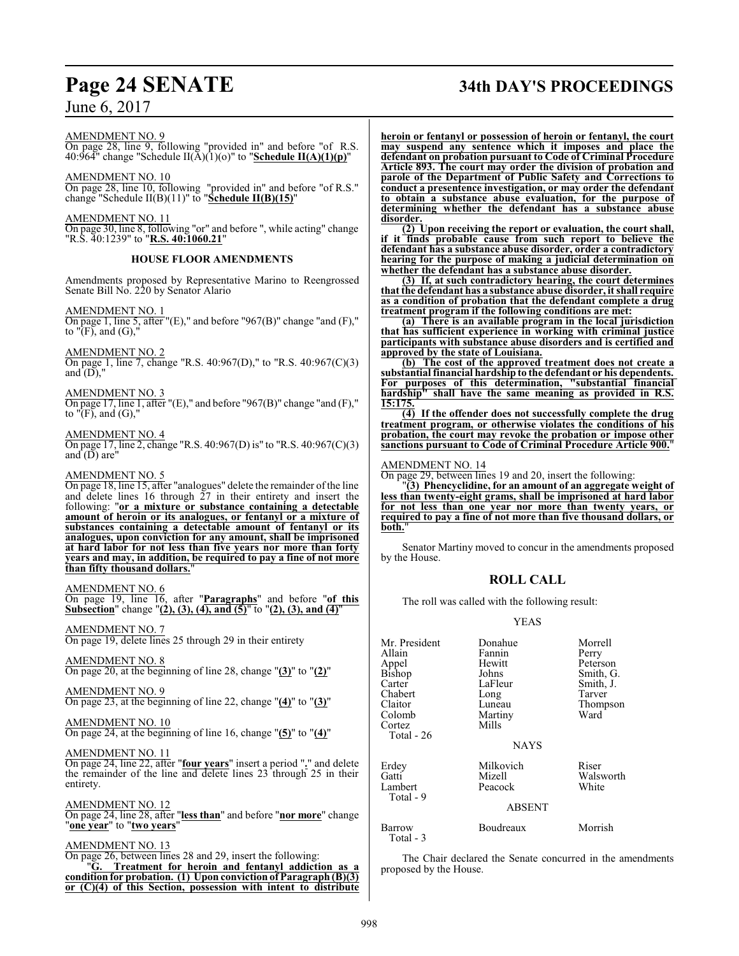# **Page 24 SENATE 34th DAY'S PROCEEDINGS**

AMENDMENT NO. 9

On page 28, line 9, following "provided in" and before "of R.S. 40:964" change "Schedule II(A)(1)(o)" to "**Schedule II(A)(1)(p)**"

AMENDMENT NO. 10

On page 28, line 10, following "provided in" and before "of R.S." change "Schedule II(B)(11)" to "**Schedule II(B)(15)**"

AMENDMENT NO. 11

On page 30, line 8, following "or" and before ", while acting" change "R.S. 40:1239" to "**R.S. 40:1060.21**"

#### **HOUSE FLOOR AMENDMENTS**

Amendments proposed by Representative Marino to Reengrossed Senate Bill No. 220 by Senator Alario

#### AMENDMENT NO. 1

On page 1, line 5, after "(E)," and before "967(B)" change "and (F)," to "(F), and (G),"

AMENDMENT NO. 2

On page 1, line 7, change "R.S. 40:967(D)," to "R.S. 40:967(C)(3) and  $(D)$ ,"

AMENDMENT NO. 3

On page 17, line 1, after "(E)," and before "967(B)" change "and (F)," to  $\sqrt[r]{F}$ , and  $(G)$ ,

AMENDMENT NO. 4

On page 17, line 2, change "R.S. 40:967(D) is" to "R.S. 40:967(C)(3) and  $(D)$  are"

#### AMENDMENT NO. 5

On page 18, line 15, after "analogues" delete the remainder ofthe line and delete lines 16 through 27 in their entirety and insert the following: "**or a mixture or substance containing a detectable amount of heroin or its analogues, or fentanyl or a mixture of substances containing a detectable amount of fentanyl or its analogues, upon conviction for any amount, shall be imprisoned at hard labor for not less than five years nor more than forty years and may, in addition, be required to pay a fine of not more than fifty thousand dollars.**"

#### AMENDMENT NO. 6

On page 19, line 16, after "**Paragraphs**" and before "**of this Subsection**" change "**(2), (3), (4), and (5)**" to "**(2), (3), and (4)**"

AMENDMENT NO. 7 On page 19, delete lines 25 through 29 in their entirety

AMENDMENT NO. 8

On page 20, at the beginning of line 28, change "**(3)**" to "**(2)**"

AMENDMENT NO. 9 On page 23, at the beginning of line 22, change "**(4)**" to "**(3)**"

AMENDMENT NO. 10 On page 24, at the beginning of line 16, change "**(5)**" to "**(4)**"

AMENDMENT NO. 11

On page 24, line 22, after "**four years**" insert a period "**.**" and delete the remainder of the line and delete lines 23 through 25 in their entirety.

AMENDMENT NO. 12

On page 24, line 28, after "**less than**" and before "**nor more**" change "**one year**" to "**two years**"

#### AMENDMENT NO. 13

On page 26, between lines 28 and 29, insert the following: "**G. Treatment for heroin and fentanyl addiction as a condition for probation. (1) Upon conviction of Paragraph (B)(3) or (C)(4) of this Section, possession with intent to distribute** **heroin or fentanyl or possession of heroin or fentanyl, the court may suspend any sentence which it imposes and place the defendant on probation pursuant to Code of Criminal Procedure Article 893. The court may order the division of probation and parole of the Department of Public Safety and Corrections to conduct a presentence investigation, or may order the defendant to obtain a substance abuse evaluation, for the purpose of determining whether the defendant has a substance abuse disorder.**

**(2) Upon receiving the report or evaluation, the court shall, if it finds probable cause from such report to believe the defendant has a substance abuse disorder, order a contradictory hearing for the purpose of making a judicial determination on whether the defendant has a substance abuse disorder.**

**(3) If, at such contradictory hearing, the court determines that the defendant has a substance abuse disorder, it shall require as a condition of probation that the defendant complete a drug treatment program if the following conditions are met:**

**(a) There is an available program in the local jurisdiction that has sufficient experience in working with criminal justice participants with substance abuse disorders and is certified and approved by the state of Louisiana.**

**(b) The cost of the approved treatment does not create a substantial financial hardship to the defendant or his dependents. For purposes of this determination, "substantial financial hardship" shall have the same meaning as provided in R.S. 15:175.**

**(4) If the offender does not successfully complete the drug treatment program, or otherwise violates the conditions of his probation, the court may revoke the probation or impose other sanctions pursuant to Code of Criminal Procedure Article 900.**"

#### AMENDMENT NO. 14

On page 29, between lines 19 and 20, insert the following:

"**(3) Phencyclidine, for an amount of an aggregate weight of less than twenty-eight grams, shall be imprisoned at hard labor for not less than one year nor more than twenty years, or required to pay a fine of not more than five thousand dollars, or** both.

Senator Martiny moved to concur in the amendments proposed by the House.

#### **ROLL CALL**

The roll was called with the following result:

#### YEAS

| Mr. President<br>Allain<br>Appel<br>Bishop<br>Carter<br>Chabert<br>Claitor<br>Colomb<br>Cortez<br>Total - 26 | Donahue<br>Fannin<br>Hewitt<br>Johns<br>LaFleur<br>Long<br>Luneau<br>Martiny<br>Mills<br><b>NAYS</b> | Morrell<br>Perry<br>Peterson<br>Smith, G.<br>Smith, J.<br>Tarver<br>Thompson<br>Ward |
|--------------------------------------------------------------------------------------------------------------|------------------------------------------------------------------------------------------------------|--------------------------------------------------------------------------------------|
| Erdey<br>Gatti<br>Lambert<br>Total - 9                                                                       | Milkovich<br>Mizell<br>Peacock<br><b>ABSENT</b>                                                      | Riser<br>Walsworth<br>White                                                          |
| Barrow<br>Total - 3                                                                                          | Boudreaux                                                                                            | Morrish                                                                              |

The Chair declared the Senate concurred in the amendments proposed by the House.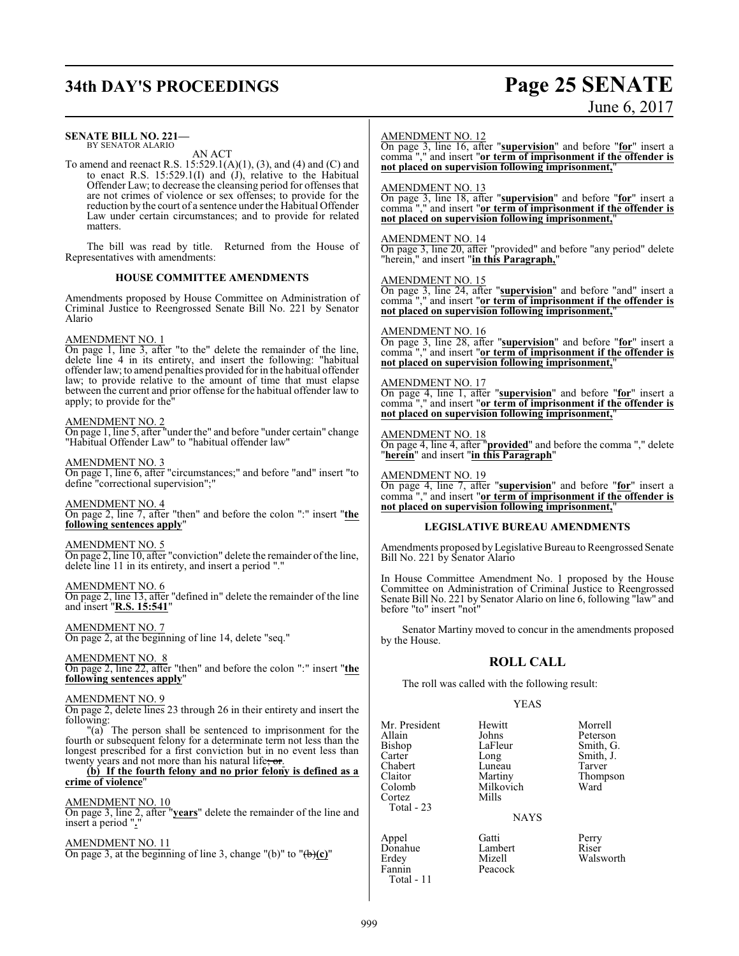# **34th DAY'S PROCEEDINGS Page 25 SENATE**

# June 6, 2017

| <b>SENATE BILL NO. 221-</b><br>BY SENATOR ALARIO<br>AN ACT<br>To amend and reenact R.S. $15:529.1(A)(1)$ , (3), and (4) and (C) and<br>to enact R.S. $15:529.1(I)$ and $(I)$ , relative to the Habitual                                                                                                                                                               | AMENDMENT NO. 12<br>On page 3, line 16, after "supervision" and before "for" insert a<br>comma <sup>"</sup> ," and insert "or term of imprisonment if the offender is<br>not placed on supervision following imprisonment,"        |                                                              |                                                                             |
|-----------------------------------------------------------------------------------------------------------------------------------------------------------------------------------------------------------------------------------------------------------------------------------------------------------------------------------------------------------------------|------------------------------------------------------------------------------------------------------------------------------------------------------------------------------------------------------------------------------------|--------------------------------------------------------------|-----------------------------------------------------------------------------|
| Offender Law; to decrease the cleansing period for offenses that<br>are not crimes of violence or sex offenses; to provide for the<br>reduction by the court of a sentence under the Habitual Offender<br>Law under certain circumstances; and to provide for related<br>matters.                                                                                     | <b>AMENDMENT NO. 13</b><br>On page 3, line 18, after "supervision" and before "for" insert a<br>comma <sup>"</sup> ," and insert "or term of imprisonment if the offender is<br>not placed on supervision following imprisonment," |                                                              |                                                                             |
| The bill was read by title. Returned from the House of<br>Representatives with amendments:                                                                                                                                                                                                                                                                            | $\frac{\text{AMENDMENT NO. 14}}{\text{On page 3, line 20, after}}$ "provided" and before "any period" delete<br>"herein," and insert "in this Paragraph,"                                                                          |                                                              |                                                                             |
| <b>HOUSE COMMITTEE AMENDMENTS</b>                                                                                                                                                                                                                                                                                                                                     | <b>AMENDMENT NO. 15</b>                                                                                                                                                                                                            |                                                              |                                                                             |
| Amendments proposed by House Committee on Administration of<br>Criminal Justice to Reengrossed Senate Bill No. 221 by Senator<br>Alario                                                                                                                                                                                                                               | On page 3, line 24, after "supervision" and before "and" insert a<br>comma "," and insert "or term of imprisonment if the offender is<br>not placed on supervision following imprisonment,"                                        |                                                              |                                                                             |
| <b>AMENDMENT NO. 1</b><br>On page 1, line 3, after "to the" delete the remainder of the line,<br>delete line 4 in its entirety, and insert the following: "habitual<br>offender law; to amend penalties provided for in the habitual offender                                                                                                                         | <b>AMENDMENT NO. 16</b><br>On page 3, line 28, after "supervision" and before "for" insert a<br>comma "," and insert "or term of imprisonment if the offender is<br>not placed on supervision following imprisonment,"             |                                                              |                                                                             |
| law; to provide relative to the amount of time that must elapse<br>between the current and prior offense for the habitual offender law to<br>apply; to provide for the"                                                                                                                                                                                               | <b>AMENDMENT NO. 17</b><br>On page 4, line 1, after "supervision" and before "for" insert a<br>comma"," and insert "or term of imprisonment if the offender is<br>not placed on supervision following imprisonment,'               |                                                              |                                                                             |
| <b>AMENDMENT NO. 2</b><br>On page 1, line 5, after "under the" and before "under certain" change<br>"Habitual Offender Law" to "habitual offender law"                                                                                                                                                                                                                | AMENDMENT NO. 18<br>On page 4, line 4, after " <b>provided</b> " and before the comma "," delete<br>"herein" and insert "in this Paragraph"                                                                                        |                                                              |                                                                             |
| <b>AMENDMENT NO. 3</b><br>On page 1, line 6, after "circumstances;" and before "and" insert "to<br>define "correctional supervision";"                                                                                                                                                                                                                                | <b>AMENDMENT NO. 19</b><br>On page 4, line 7, after "supervision" and before "for" insert a<br>comma "," and insert "or term of imprisonment if the offender is                                                                    |                                                              |                                                                             |
| AMENDMENT NO. 4<br>On page 2, line 7, after "then" and before the colon ":" insert "the                                                                                                                                                                                                                                                                               | not placed on supervision following imprisonment,"                                                                                                                                                                                 |                                                              |                                                                             |
| following sentences apply"                                                                                                                                                                                                                                                                                                                                            |                                                                                                                                                                                                                                    | <b>LEGISLATIVE BUREAU AMENDMENTS</b>                         |                                                                             |
| <b>AMENDMENT NO. 5</b><br>On page 2, line 10, after "conviction" delete the remainder of the line,<br>delete line 11 in its entirety, and insert a period "."                                                                                                                                                                                                         | Amendments proposed by Legislative Bureau to Reengrossed Senate<br>Bill No. 221 by Senator Alario                                                                                                                                  |                                                              |                                                                             |
| <b>AMENDMENT NO. 6</b><br>On page 2, line 13, after "defined in" delete the remainder of the line<br>and insert "R.S. 15:541"                                                                                                                                                                                                                                         | In House Committee Amendment No. 1 proposed by the House<br>Committee on Administration of Criminal Justice to Reengrossed<br>Senate Bill No. 221 by Senator Alario on line 6, following "law" and<br>before "to" insert "not"     |                                                              |                                                                             |
| <b>AMENDMENT NO. 7</b><br>On page 2, at the beginning of line 14, delete "seq."                                                                                                                                                                                                                                                                                       | by the House.                                                                                                                                                                                                                      |                                                              | Senator Martiny moved to concur in the amendments proposed                  |
| <b>AMENDMENT NO. 8</b><br>On page 2, line 22, after "then" and before the colon ":" insert "the<br>following sentences apply"                                                                                                                                                                                                                                         |                                                                                                                                                                                                                                    | <b>ROLL CALL</b>                                             |                                                                             |
|                                                                                                                                                                                                                                                                                                                                                                       | The roll was called with the following result:                                                                                                                                                                                     |                                                              |                                                                             |
| <b>AMENDMENT NO. 9</b><br>On page 2, delete lines 23 through 26 in their entirety and insert the                                                                                                                                                                                                                                                                      |                                                                                                                                                                                                                                    | <b>YEAS</b>                                                  |                                                                             |
| following:<br>"(a) The person shall be sentenced to imprisonment for the<br>fourth or subsequent felony for a determinate term not less than the<br>longest prescribed for a first conviction but in no event less than<br>twenty years and not more than his natural life; or.<br>(b) If the fourth felony and no prior felony is defined as a<br>crime of violence" | Mr. President<br>Allain<br>Bishop<br>Carter<br>Long<br>Chabert<br>Claitor<br>Colomb                                                                                                                                                | Hewitt<br>Johns<br>LaFleur<br>Luneau<br>Martiny<br>Milkovich | Morrell<br>Peterson<br>Smith, G.<br>Smith, J.<br>Tarver<br>Thompson<br>Ward |
|                                                                                                                                                                                                                                                                                                                                                                       | Cortez<br>Mills                                                                                                                                                                                                                    |                                                              |                                                                             |

#### AMENDMENT NO. 10

On page 3, line 2, after "**years**" delete the remainder of the line and insert a period "**.**"

#### AMENDMENT NO. 11

On page 3, at the beginning of line 3, change "(b)" to "(b)**(c)**"

#### 999

Cortez Total - 23

Total - 11

NAYS

Appel Gatti Perry Donahue Lambert Riser Appel Gatti Perry<br>
Donahue Lambert Riser<br>
Erdey Mizell Walsworth<br>
Fannin Peacock Peacock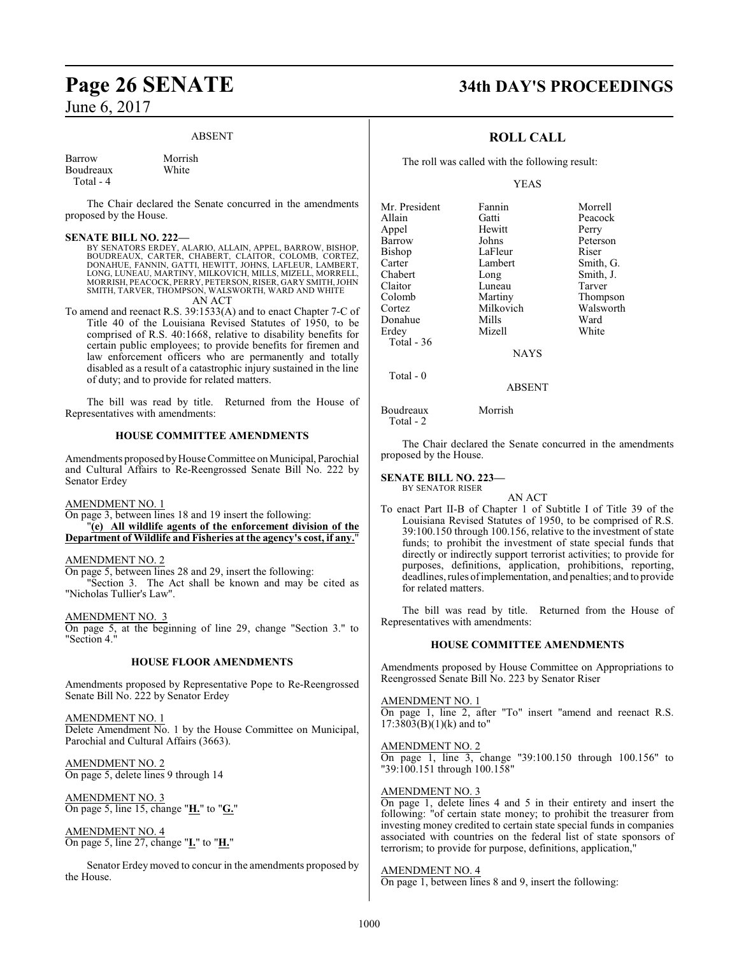#### ABSENT

Morrish White

| Barrow    |  |
|-----------|--|
| Boudreaux |  |
| Total - 4 |  |

The Chair declared the Senate concurred in the amendments proposed by the House.

#### **SENATE BILL NO. 222—**

BY SENATORS ERDEY, ALARIO, ALLAIN, APPEL, BARROW, BISHOP, BOUDREAUX, CARTER, CHABERT, CLAITOR, COLOMB, CORTEZ, DONAHUE, FANNIN, GATTI, HEWITT, JOHNS, LAFLEUR, LAMBERT, LONG, LUNEAU, MARTINY, MILKOVICH, MILLS, MIZELL, MORRELL, MORRISH, PEACOCK, PERRY, PETERSON, RISER, GARY SMITH,JOHN SMITH, TARVER, THOMPSON, WALSWORTH, WARD AND WHITE

AN ACT

To amend and reenact R.S. 39:1533(A) and to enact Chapter 7-C of Title 40 of the Louisiana Revised Statutes of 1950, to be comprised of R.S. 40:1668, relative to disability benefits for certain public employees; to provide benefits for firemen and law enforcement officers who are permanently and totally disabled as a result of a catastrophic injury sustained in the line of duty; and to provide for related matters.

The bill was read by title. Returned from the House of Representatives with amendments:

#### **HOUSE COMMITTEE AMENDMENTS**

Amendments proposed by House Committee on Municipal, Parochial and Cultural Affairs to Re-Reengrossed Senate Bill No. 222 by Senator Erdey

#### AMENDMENT NO. 1

On page 3, between lines 18 and 19 insert the following: "**(e) All wildlife agents of the enforcement division of the Department of Wildlife and Fisheries at the agency's cost, if any.**"

#### AMENDMENT NO. 2

On page 5, between lines 28 and 29, insert the following:

"Section 3. The Act shall be known and may be cited as "Nicholas Tullier's Law".

AMENDMENT NO. 3

On page 5, at the beginning of line 29, change "Section 3." to "Section 4."

#### **HOUSE FLOOR AMENDMENTS**

Amendments proposed by Representative Pope to Re-Reengrossed Senate Bill No. 222 by Senator Erdey

AMENDMENT NO. 1 Delete Amendment No. 1 by the House Committee on Municipal, Parochial and Cultural Affairs (3663).

AMENDMENT NO. 2 On page 5, delete lines 9 through 14

AMENDMENT NO. 3 On page 5, line 15, change "**H.**" to "**G.**"

AMENDMENT NO. 4 On page 5, line 27, change "**I.**" to "**H.**"

Senator Erdey moved to concur in the amendments proposed by the House.

# **Page 26 SENATE 34th DAY'S PROCEEDINGS**

## **ROLL CALL**

The roll was called with the following result:

#### YEAS

| Fannin      | Morrell   |
|-------------|-----------|
| Gatti       | Peacock   |
| Hewitt      | Perry     |
| Johns       | Peterson  |
| LaFleur     | Riser     |
| Lambert     | Smith, G. |
| Long        | Smith, J. |
| Luneau      | Tarver    |
| Martiny     | Thompson  |
| Milkovich   | Walsworth |
| Mills       | Ward      |
| Mizell      | White     |
|             |           |
| <b>NAYS</b> |           |
|             |           |

ABSENT

Boudreaux Morrish Total - 2

Total - 0

The Chair declared the Senate concurred in the amendments proposed by the House.

#### **SENATE BILL NO. 223—** BY SENATOR RISER

AN ACT

To enact Part II-B of Chapter 1 of Subtitle I of Title 39 of the Louisiana Revised Statutes of 1950, to be comprised of R.S. 39:100.150 through 100.156, relative to the investment of state funds; to prohibit the investment of state special funds that directly or indirectly support terrorist activities; to provide for purposes, definitions, application, prohibitions, reporting, deadlines, rules ofimplementation, and penalties; and to provide for related matters.

The bill was read by title. Returned from the House of Representatives with amendments:

#### **HOUSE COMMITTEE AMENDMENTS**

Amendments proposed by House Committee on Appropriations to Reengrossed Senate Bill No. 223 by Senator Riser

#### AMENDMENT NO. 1

On page 1, line 2, after "To" insert "amend and reenact R.S.  $17:3803(B)(1)(k)$  and to"

#### AMENDMENT NO. 2

On page 1, line 3, change "39:100.150 through 100.156" to "39:100.151 through 100.158"

#### AMENDMENT NO. 3

On page 1, delete lines 4 and 5 in their entirety and insert the following: "of certain state money; to prohibit the treasurer from investing money credited to certain state special funds in companies associated with countries on the federal list of state sponsors of terrorism; to provide for purpose, definitions, application,"

#### AMENDMENT NO. 4

On page 1, between lines 8 and 9, insert the following: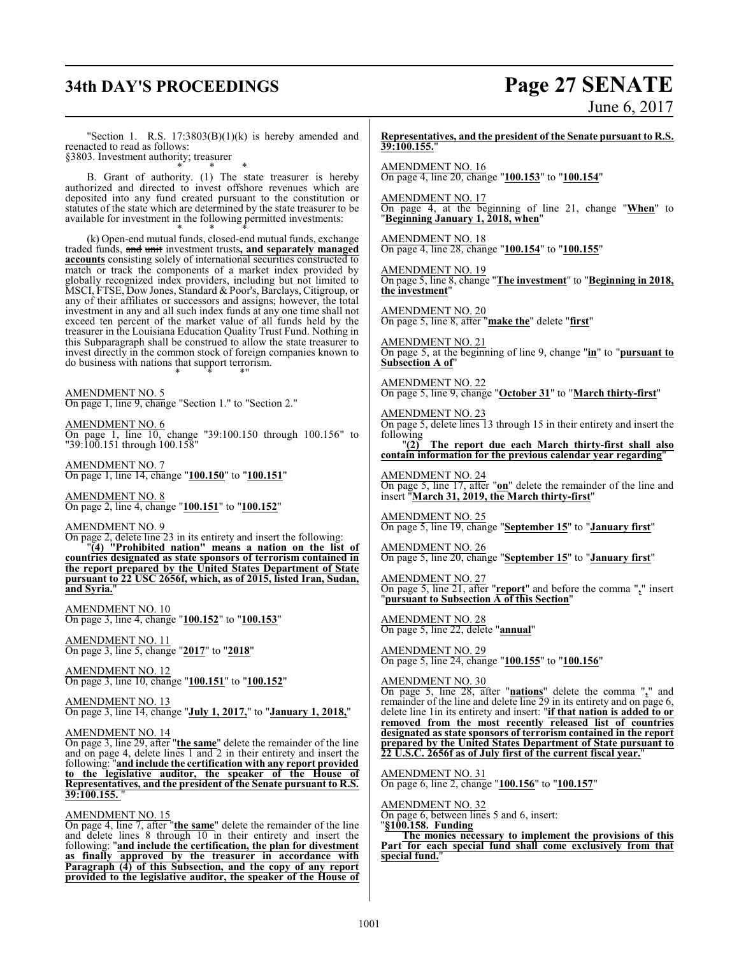# **34th DAY'S PROCEEDINGS Page 27 SENATE**

June 6, 2017

"Section 1. R.S.  $17:3803(B)(1)(k)$  is hereby amended and reenacted to read as follows:

§3803. Investment authority; treasurer \* \* \*

B. Grant of authority. (1) The state treasurer is hereby authorized and directed to invest offshore revenues which are deposited into any fund created pursuant to the constitution or statutes of the state which are determined by the state treasurer to be available for investment in the following permitted investments: \* \* \*

(k) Open-end mutual funds, closed-end mutual funds, exchange traded funds, and unit investment trusts**, and separately managed accounts** consisting solely of international securities constructed to match or track the components of a market index provided by globally recognized index providers, including but not limited to MSCI, FTSE, Dow Jones, Standard & Poor's, Barclays, Citigroup, or any of their affiliates or successors and assigns; however, the total investment in any and all such index funds at any one time shall not exceed ten percent of the market value of all funds held by the treasurer in the Louisiana Education Quality Trust Fund. Nothing in this Subparagraph shall be construed to allow the state treasurer to invest directly in the common stock of foreign companies known to do business with nations that support terrorism. \* \* \*"

AMENDMENT NO. 5 On page 1, line 9, change "Section 1." to "Section 2."

AMENDMENT NO. 6 On page 1, line 10, change "39:100.150 through 100.156" to "39:100.151 through 100.158"

AMENDMENT NO. 7 On page 1, line 14, change "**100.150**" to "**100.151**"

AMENDMENT NO. 8 On page 2, line 4, change "**100.151**" to "**100.152**"

AMENDMENT NO. 9 On page 2, delete line 23 in its entirety and insert the following: "**(4) "Prohibited nation" means a nation on the list of countries designated as state sponsors of terrorism contained in the report prepared by the United States Department of State pursuant to 22 USC 2656f, which, as of 2015, listed Iran, Sudan,**

**and Syria.**"

AMENDMENT NO. 10 On page 3, line 4, change "**100.152**" to "**100.153**"

AMENDMENT NO. 11 On page 3, line 5, change "**2017**" to "**2018**"

AMENDMENT NO. 12 On page 3, line 10, change "**100.151**" to "**100.152**"

AMENDMENT NO. 13 On page 3, line 14, change "**July 1, 2017,**" to "**January 1, 2018,**"

AMENDMENT NO. 14

On page 3, line 29, after "**the same**" delete the remainder of the line and on page 4, delete lines 1 and 2 in their entirety and insert the following: "**and include the certification with any report provided to the legislative auditor, the speaker of the House of Representatives, and the president of the Senate pursuant to R.S. 39:100.155.** "

AMENDMENT NO. 15

On page 4, line 7, after "**the same**" delete the remainder of the line and delete lines 8 through 10 in their entirety and insert the following: "**and include the certification, the plan for divestment as finally approved by the treasurer in accordance with Paragraph (4) of this Subsection, and the copy of any report provided to the legislative auditor, the speaker of the House of**

**Representatives, and the president of the Senate pursuant to R.S. 39:100.155.**"

AMENDMENT NO. 16 On page 4, line 20, change "**100.153**" to "**100.154**"

AMENDMENT NO. 17 On page 4, at the beginning of line 21, change "**When**" to "**Beginning January 1, 2018, when**"

AMENDMENT NO. 18 On page 4, line 28, change "**100.154**" to "**100.155**"

AMENDMENT NO. 19 On page 5, line 8, change "**The investment**" to "**Beginning in 2018, the investment**"

AMENDMENT NO. 20 On page 5, line 8, after "**make the**" delete "**first**"

AMENDMENT NO. 21 On page 5, at the beginning of line 9, change "**in**" to "**pursuant to Subsection A of**"

AMENDMENT NO. 22 On page 5, line 9, change "**October 31**" to "**March thirty-first**"

AMENDMENT NO. 23 On page 5, delete lines 13 through 15 in their entirety and insert the following

"**(2) The report due each March thirty-first shall also contain information for the previous calendar year regarding**"

AMENDMENT NO. 24 On page 5, line 17, after "**on**" delete the remainder of the line and insert "**March 31, 2019, the March thirty-first**"

AMENDMENT NO. 25 On page 5, line 19, change "**September 15**" to "**January first**"

AMENDMENT NO. 26 On page 5, line 20, change "**September 15**" to "**January first**"

AMENDMENT NO. 27 On page 5, line 21, after "**report**" and before the comma "**,**" insert "**pursuant to Subsection A of this Section**"

AMENDMENT NO. 28 On page 5, line 22, delete "**annual**"

AMENDMENT NO. 29 On page 5, line 24, change "**100.155**" to "**100.156**"

AMENDMENT NO. 30

On page 5, line 28, after "**nations**" delete the comma "**,**" and remainder of the line and delete line 29 in its entirety and on page 6, delete line 1in its entirety and insert: "**if that nation is added to or removed from the most recently released list of countries designated as state sponsors of terrorism contained in the report prepared by the United States Department of State pursuant to 22 U.S.C. 2656f as of July first of the current fiscal year.**"

AMENDMENT NO. 31 On page 6, line 2, change "**100.156**" to "**100.157**"

AMENDMENT NO. 32

On page 6, between lines 5 and 6, insert:

"**§100.158. Funding The monies necessary to implement the provisions of this Part for each special fund shall come exclusively from that special fund.**"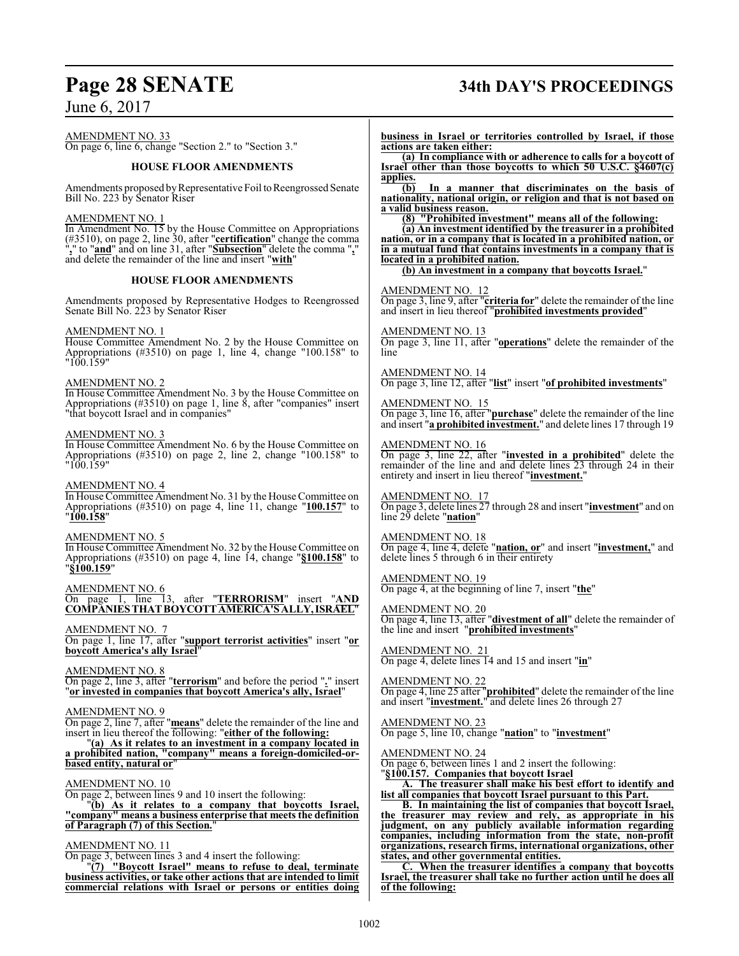AMENDMENT NO. 33 On page 6, line 6, change "Section 2." to "Section 3."

#### **HOUSE FLOOR AMENDMENTS**

Amendments proposed by Representative Foil to Reengrossed Senate Bill No. 223 by Senator Riser

#### AMENDMENT NO. 1

In Amendment No. 15 by the House Committee on Appropriations (#3510), on page 2, line 30, after "**certification**" change the comma "**,**" to "**and**" and on line 31, after "**Subsection**" delete the comma "**,**" and delete the remainder of the line and insert "**with**"

#### **HOUSE FLOOR AMENDMENTS**

Amendments proposed by Representative Hodges to Reengrossed Senate Bill No. 223 by Senator Riser

#### AMENDMENT NO. 1

House Committee Amendment No. 2 by the House Committee on Appropriations (#3510) on page 1, line 4, change "100.158" to "100.159"

#### AMENDMENT NO. 2

In House Committee Amendment No. 3 by the House Committee on Appropriations (#3510) on page 1, line 8, after "companies" insert "that boycott Israel and in companies"

#### AMENDMENT NO. 3

In House Committee Amendment No. 6 by the House Committee on Appropriations (#3510) on page 2, line 2, change "100.158" to "100.159"

#### AMENDMENT NO. 4

In House Committee Amendment No. 31 by the House Committee on Appropriations (#3510) on page 4, line 11, change "**100.157**" to "**100.158**"

#### AMENDMENT NO. 5

In House Committee Amendment No. 32 by the House Committee on Appropriations (#3510) on page 4, line 14, change "**§100.158**" to "**§100.159**"

#### AMENDMENT NO. 6

On page 1, line 13, after "**TERRORISM**" insert "**AND COMPANIESTHATBOYCOTTAMERICA'S ALLY,ISRAEL**"

#### AMENDMENT NO. 7

On page 1, line 17, after "**support terrorist activities**" insert "**or boycott America's ally Israel**"

#### AMENDMENT NO. 8

On page 2, line 3, after "**terrorism**" and before the period "**.**" insert "**or invested in companies that boycott America's ally, Israel**"

#### AMENDMENT NO. 9

On page 2, line 7, after "**means**" delete the remainder of the line and insert in lieu thereof the following: "**either of the following:**

"**(a) As it relates to an investment in a company located in a prohibited nation, "company" means a foreign-domiciled-orbased entity, natural or**"

#### AMENDMENT NO. 10

On page 2, between lines 9 and 10 insert the following:

"**(b) As it relates to a company that boycotts Israel, "company" means a business enterprise that meets the definition of Paragraph (7) of this Section.**"

#### AMENDMENT NO. 11

On page 3, between lines 3 and 4 insert the following:

"**(7) "Boycott Israel" means to refuse to deal, terminate business activities, or take other actions that are intended to limit commercial relations with Israel or persons or entities doing**

# **Page 28 SENATE 34th DAY'S PROCEEDINGS**

**business in Israel or territories controlled by Israel, if those actions are taken either:**

**(a) In compliance with or adherence to calls for a boycott of Israel other than those boycotts to which 50 U.S.C. §4607(c)** applies.<br>(b)

**(b) In a manner that discriminates on the basis of nationality, national origin, or religion and that is not based on a valid business reason.**

**(8) "Prohibited investment" means all of the following:**

**(a) An investment identified by the treasurer in a prohibited nation, or in a company that is located in a prohibited nation, or in a mutual fund that contains investments in a company that is located in a prohibited nation.**

**(b) An investment in a company that boycotts Israel.**"

#### AMENDMENT NO. 12

On page 3, line 9, after "**criteria for**" delete the remainder of the line and insert in lieu thereof "**prohibited investments provided**"

AMENDMENT NO. 13 On page 3, line 11, after "**operations**" delete the remainder of the line

AMENDMENT NO. 14 On page 3, line 12, after "**list**" insert "**of prohibited investments**"

AMENDMENT NO. 15 On page 3, line 16, after "**purchase**" delete the remainder of the line and insert "**a prohibited investment.**" and delete lines 17 through 19

#### AMENDMENT NO. 16

On page 3, line 22, after "**invested in a prohibited**" delete the remainder of the line and and delete lines 23 through 24 in their entirety and insert in lieu thereof "**investment.**"

AMENDMENT NO. 17 On page 3, delete lines 27 through 28 and insert "**investment**" and on line 29 delete "**nation**"

AMENDMENT NO. 18 On page 4, line 4, delete "**nation, or**" and insert "**investment,**" and delete lines 5 through 6 in their entirety

AMENDMENT NO. 19 On page 4, at the beginning of line 7, insert "**the**"

AMENDMENT NO. 20 On page 4, line 13, after "**divestment of all**" delete the remainder of the line and insert "**prohibited investments**"

AMENDMENT NO. 21 On page 4, delete lines 14 and 15 and insert "**in**"

AMENDMENT NO. 22 On page 4, line 25 after "**prohibited**" delete the remainder of the line and insert "**investment.**" and delete lines 26 through 27

AMENDMENT NO. 23 On page 5, line 10, change "**nation**" to "**investment**"

AMENDMENT NO. 24

On page 6, between lines 1 and 2 insert the following: "**§100.157. Companies that boycott Israel**

**A. The treasurer shall make his best effort to identify and list all companies that boycott Israel pursuant to this Part.**

**B. In maintaining the list of companies that boycott Israel, the treasurer may review and rely, as appropriate in his judgment, on any publicly available information regarding companies, including information from the state, non-profit organizations, research firms, international organizations, other states, and other governmental entities.**

**C. When the treasurer identifies a company that boycotts Israel, the treasurer shall take no further action until he does all of the following:**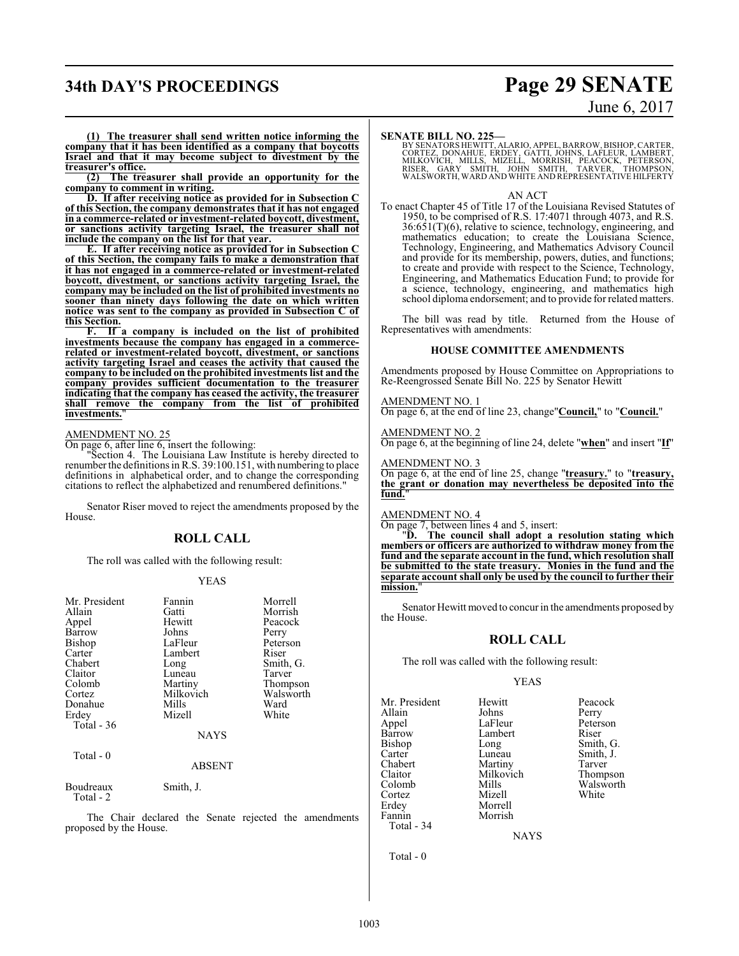# **34th DAY'S PROCEEDINGS Page 29 SENATE**

# June 6, 2017

**(1) The treasurer shall send written notice informing the company that it has been identified as a company that boycotts Israel and that it may become subject to divestment by the treasurer's office.**

**(2) The treasurer shall provide an opportunity for the company to comment in writing.**

**D. If after receiving notice as provided for in Subsection C of this Section, the company demonstrates that it has not engaged in a commerce-related or investment-related boycott, divestment, or sanctions activity targeting Israel, the treasurer shall not include the company on the list for that year.**

**E. If after receiving notice as provided for in Subsection C of this Section, the company fails to make a demonstration that it has not engaged in a commerce-related or investment-related boycott, divestment, or sanctions activity targeting Israel, the company may be included on the list of prohibited investments no sooner than ninety days following the date on which written notice** was sent to the company as provided in Subsection **this Section.**

**F. If a company is included on the list of prohibited investments because the company has engaged in a commercerelated or investment-related boycott, divestment, or sanctions activity targeting Israel and ceases the activity that caused the company to be included on the prohibited investments list and the company provides sufficient documentation to the treasurer indicating that the company has ceased the activity, the treasurer shall remove the company from the list of prohibited investments.**"

#### AMENDMENT NO. 25

On page 6, after line 6, insert the following:

"Section 4. The Louisiana Law Institute is hereby directed to renumber the definitions in R.S. 39:100.151, with numbering to place definitions in alphabetical order, and to change the corresponding citations to reflect the alphabetized and renumbered definitions."

Senator Riser moved to reject the amendments proposed by the House.

#### **ROLL CALL**

The roll was called with the following result:

#### YEAS

| Mr. President<br>Allain<br>Appel<br>Barrow<br>Bishop<br>Carter<br>Chabert<br>Claitor<br>Colomb<br>Cortez<br>Donahue | Fannin<br>Gatti<br>Hewitt<br>Johns<br>LaFleur<br>Lambert<br>Long<br>Luneau<br>Martiny<br>Milkovich<br>Mills | Morrell<br>Morrish<br>Peacock<br>Perry<br>Peterson<br>Riser<br>Smith, G.<br>Tarver<br>Thompson<br>Walsworth<br>Ward |
|---------------------------------------------------------------------------------------------------------------------|-------------------------------------------------------------------------------------------------------------|---------------------------------------------------------------------------------------------------------------------|
| Erdey<br>Total - 36<br>Total - 0                                                                                    | Mizell<br><b>NAYS</b><br><b>ABSENT</b>                                                                      | White                                                                                                               |
| Boudreaux<br>Total - 2                                                                                              | Smith, J.                                                                                                   |                                                                                                                     |

The Chair declared the Senate rejected the amendments proposed by the House.

#### **SENATE BILL NO. 225—**

BY SENATORS HEWITT, ALARIO, APPEL, BARROW, BISHOP, CARTER,<br>CORTEZ, DONAHUE, ERDEY, GATTI, JOHNS, LAFLEUR, LAMBERT,<br>MILKOVICH, MILLS, MIZELL, MORRISH, PEACOCK, PETERSON,<br>RISER, GARY SMITH, JOHN SMITH, TARVER, THOMPSON,<br>WALS

#### AN ACT

To enact Chapter 45 of Title 17 of the Louisiana Revised Statutes of 1950, to be comprised of R.S. 17:4071 through 4073, and R.S.  $36:651(T)(6)$ , relative to science, technology, engineering, and mathematics education; to create the Louisiana Science, Technology, Engineering, and Mathematics Advisory Council and provide for its membership, powers, duties, and functions; to create and provide with respect to the Science, Technology, Engineering, and Mathematics Education Fund; to provide for a science, technology, engineering, and mathematics high school diploma endorsement; and to provide for related matters.

The bill was read by title. Returned from the House of Representatives with amendments:

#### **HOUSE COMMITTEE AMENDMENTS**

Amendments proposed by House Committee on Appropriations to Re-Reengrossed Senate Bill No. 225 by Senator Hewitt

#### AMENDMENT NO. 1

On page 6, at the end of line 23, change"**Council,**" to "**Council.**"

#### AMENDMENT NO. 2

On page 6, at the beginning of line 24, delete "**when**" and insert "**If**"

#### AMENDMENT NO. 3

On page 6, at the end of line 25, change "**treasury.**" to "**treasury, the grant or donation may nevertheless be deposited into the** fund.

#### AMENDMENT NO. 4

On page 7, between lines 4 and 5, insert:

"**D. The council shall adopt a resolution stating which members or officers are authorized to withdraw money from the fund and the separate account in the fund, which resolution shall be submitted to the state treasury. Monies in the fund and the separate account shall only be used by the council to further their mission.**"

Senator Hewitt moved to concur in the amendments proposed by the House.

#### **ROLL CALL**

The roll was called with the following result:

#### YEAS

Mr. President Hewitt Peacock<br>Allain Johns Perry Allain Johns<br>
Appel LaFleur Appel LaFleur Peterson<br>Barrow Lambert Riser Barrow Lambert<br>Bishop Long Bishop Long Smith, G.<br>Carter Luneau Smith, J. Carter Luneau Smith, J.<br>
Chabert Martiny Tarver Chabert Martiny Tarver<br>
Claitor Milkovich Thompson Claitor Milkovich<br>Colomb Mills Cortez<br>Erdev Fannin Total - 34

Total - 0

Morrell<br>Morrish

Mills Walsworth<br>
Mizell White

**NAYS**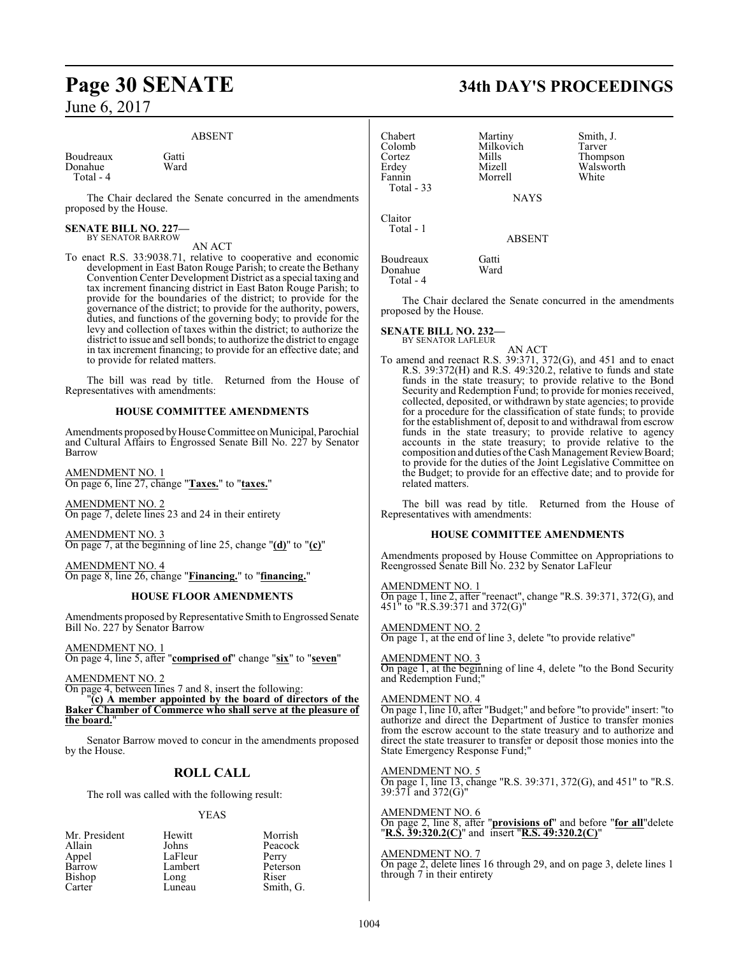#### ABSENT

Boudreaux Gatti<br>Donahue Ward Donahue Total - 4

The Chair declared the Senate concurred in the amendments proposed by the House.

#### **SENATE BILL NO. 227—** BY SENATOR BARROW

AN ACT

To enact R.S. 33:9038.71, relative to cooperative and economic development in East Baton Rouge Parish; to create the Bethany Convention Center Development District as a special taxing and tax increment financing district in East Baton Rouge Parish; to provide for the boundaries of the district; to provide for the governance of the district; to provide for the authority, powers, duties, and functions of the governing body; to provide for the levy and collection of taxes within the district; to authorize the district to issue and sell bonds; to authorize the district to engage in tax increment financing; to provide for an effective date; and to provide for related matters.

The bill was read by title. Returned from the House of Representatives with amendments:

#### **HOUSE COMMITTEE AMENDMENTS**

Amendments proposed by House Committee on Municipal, Parochial and Cultural Affairs to Engrossed Senate Bill No. 227 by Senator Barrow

AMENDMENT NO. 1 On page 6, line 27, change "**Taxes.**" to "**taxes.**"

AMENDMENT NO. 2 On page 7, delete lines 23 and 24 in their entirety

AMENDMENT NO. 3 On page 7, at the beginning of line 25, change "**(d)**" to "**(c)**"

AMENDMENT NO. 4 On page 8, line 26, change "**Financing.**" to "**financing.**"

#### **HOUSE FLOOR AMENDMENTS**

Amendments proposed by Representative Smith to Engrossed Senate Bill No. 227 by Senator Barrow

AMENDMENT NO. 1 On page 4, line 5, after "**comprised of**" change "**six**" to "**seven**"

AMENDMENT NO. 2

On page 4, between lines 7 and 8, insert the following:

"**(c) A member appointed by the board of directors of the Baker Chamber of Commerce who shall serve at the pleasure of the board.**"

Senator Barrow moved to concur in the amendments proposed by the House.

## **ROLL CALL**

The roll was called with the following result:

#### YEAS

| Mr. President | Hewitt  | Morrish   |
|---------------|---------|-----------|
| Allain        | Johns   | Peacock   |
| Appel         | LaFleur | Perry     |
| Barrow        | Lambert | Peterson  |
| Bishop        | Long    | Riser     |
| Carter        | Luneau  | Smith, G. |

# **Page 30 SENATE 34th DAY'S PROCEEDINGS**

| Chabert<br>Colomb<br>Cortez<br>Erdey<br>Fannin<br>Total - 33 | Martiny<br>Milkovich<br>Mills<br>Mizell<br>Morrell<br><b>NAYS</b> | Smith, J.<br>Tarver<br>Thompson<br>Walsworth<br>White |
|--------------------------------------------------------------|-------------------------------------------------------------------|-------------------------------------------------------|
| Claitor<br>Total - 1                                         | <b>ABSENT</b>                                                     |                                                       |
| Boudreaux<br>Donahue<br>Total - 4                            | Gatti<br>Ward                                                     |                                                       |

The Chair declared the Senate concurred in the amendments proposed by the House.

## **SENATE BILL NO. 232—**

BY SENATOR LAFLEUR

AN ACT To amend and reenact R.S. 39:371, 372(G), and 451 and to enact R.S. 39:372(H) and R.S. 49:320.2, relative to funds and state funds in the state treasury; to provide relative to the Bond Security and Redemption Fund; to provide for monies received, collected, deposited, or withdrawn by state agencies; to provide for a procedure for the classification of state funds; to provide for the establishment of, deposit to and withdrawal from escrow funds in the state treasury; to provide relative to agency accounts in the state treasury; to provide relative to the composition and duties of the Cash Management Review Board; to provide for the duties of the Joint Legislative Committee on the Budget; to provide for an effective date; and to provide for related matters.

The bill was read by title. Returned from the House of Representatives with amendments:

#### **HOUSE COMMITTEE AMENDMENTS**

Amendments proposed by House Committee on Appropriations to Reengrossed Senate Bill No. 232 by Senator LaFleur

#### AMENDMENT NO. 1

On page 1, line 2, after "reenact", change "R.S. 39:371, 372(G), and 451" to "R.S.39:371 and 372(G)"

AMENDMENT NO. 2 On page 1, at the end of line 3, delete "to provide relative"

AMENDMENT NO. 3 On page 1, at the beginning of line 4, delete "to the Bond Security and Redemption Fund;"

#### AMENDMENT NO. 4

On page 1, line 10, after "Budget;" and before "to provide" insert: "to authorize and direct the Department of Justice to transfer monies from the escrow account to the state treasury and to authorize and direct the state treasurer to transfer or deposit those monies into the State Emergency Response Fund;"

AMENDMENT NO. 5

On page 1, line 13, change "R.S. 39:371, 372(G), and 451" to "R.S. 39:371 and 372(G)"

AMENDMENT NO. 6 On page 2, line 8, after "**provisions of**" and before "**for all**"delete "**R.S. 39:320.2(C)**" and insert "**R.S. 49:320.2(C)**"

AMENDMENT NO. 7 On page 2, delete lines 16 through 29, and on page 3, delete lines 1 through 7 in their entirety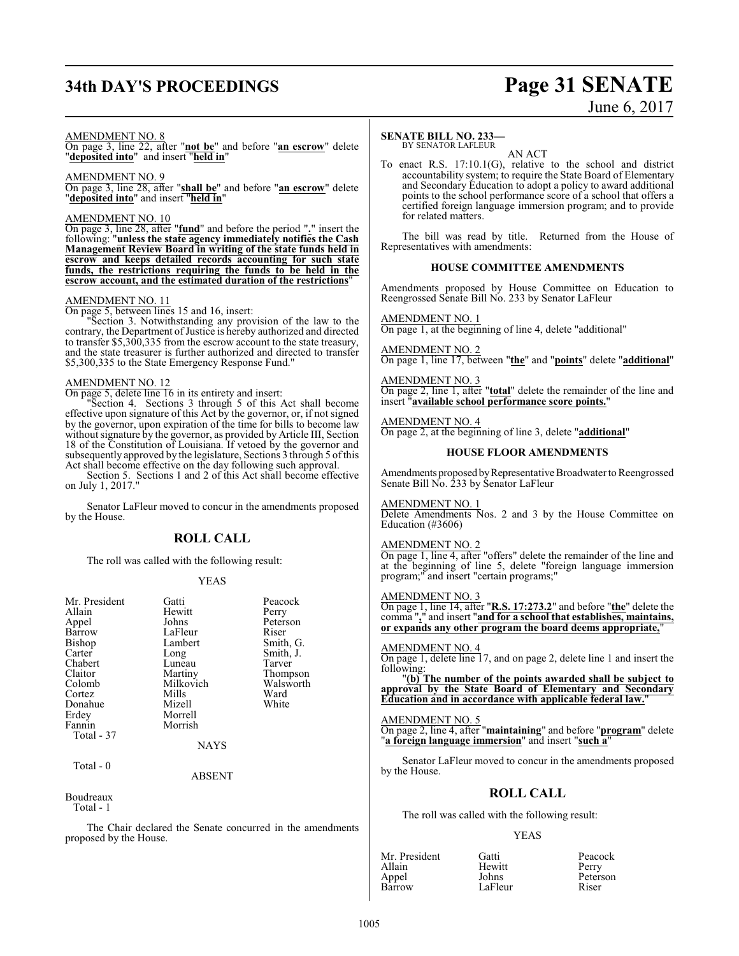# **34th DAY'S PROCEEDINGS Page 31 SENATE** June 6, 2017

#### AMENDMENT NO. 8

On page 3, line 22, after "**not be**" and before "**an escrow**" delete "**deposited into**" and insert "**held in**"

#### AMENDMENT NO. 9

On page 3, line 28, after "**shall be**" and before "**an escrow**" delete "**deposited into**" and insert "**held in**"

#### AMENDMENT NO. 10

On page 3, line 28, after "**fund**" and before the period "**.**" insert the following: "**unless the state agency immediately notifies the Cash Management Review Board in writing of the state funds held in escrow and keeps detailed records accounting for such state funds, the restrictions requiring the funds to be held in the escrow account, and the estimated duration of the restrictions**"

### AMENDMENT NO. 11

On page 5, between lines 15 and 16, insert:

"Section 3. Notwithstanding any provision of the law to the contrary, the Department of Justice is hereby authorized and directed to transfer \$5,300,335 from the escrow account to the state treasury, and the state treasurer is further authorized and directed to transfer \$5,300,335 to the State Emergency Response Fund."

#### AMENDMENT NO. 12

On page 5, delete line 16 in its entirety and insert:

"Section 4. Sections 3 through 5 of this Act shall become effective upon signature of this Act by the governor, or, if not signed by the governor, upon expiration of the time for bills to become law without signature by the governor, as provided by Article III, Section 18 of the Constitution of Louisiana. If vetoed by the governor and subsequently approved by the legislature, Sections 3 through 5 ofthis Act shall become effective on the day following such approval.

Section 5. Sections 1 and 2 of this Act shall become effective on July 1, 2017."

Senator LaFleur moved to concur in the amendments proposed by the House.

#### **ROLL CALL**

The roll was called with the following result:

#### YEAS

| Mr. President | Gatti     | Peacock   |
|---------------|-----------|-----------|
| Allain        | Hewitt    | Perry     |
| Appel         | Johns     | Peterson  |
| Barrow        | LaFleur   | Riser     |
| Bishop        | Lambert   | Smith, G. |
| Carter        | Long      | Smith, J. |
| Chabert       | Luneau    | Tarver    |
| Claitor       | Martiny   | Thompson  |
| Colomb        | Milkovich | Walsworth |
| Cortez        | Mills     | Ward      |
| Donahue       | Mizell    | White     |
| Erdey         | Morrell   |           |
| Fannin        | Morrish   |           |
| Total - 37    |           |           |
|               | NAYS      |           |
|               |           |           |

Total - 0

ABSENT

#### Boudreaux

Total - 1

The Chair declared the Senate concurred in the amendments proposed by the House.

#### **SENATE BILL NO. 233—**

BY SENATOR LAFLEUR AN ACT

To enact R.S. 17:10.1(G), relative to the school and district accountability system; to require the State Board of Elementary and Secondary Education to adopt a policy to award additional points to the school performance score of a school that offers a certified foreign language immersion program; and to provide for related matters.

The bill was read by title. Returned from the House of Representatives with amendments:

#### **HOUSE COMMITTEE AMENDMENTS**

Amendments proposed by House Committee on Education to Reengrossed Senate Bill No. 233 by Senator LaFleur

#### AMENDMENT NO. 1

On page 1, at the beginning of line 4, delete "additional"

AMENDMENT NO. 2 On page 1, line 17, between "**the**" and "**points**" delete "**additional**"

#### AMENDMENT NO. 3

On page 2, line 1, after "**total**" delete the remainder of the line and insert "**available school performance score points.**"

#### AMENDMENT NO. 4

On page 2, at the beginning of line 3, delete "**additional**"

#### **HOUSE FLOOR AMENDMENTS**

Amendments proposed by Representative Broadwater to Reengrossed Senate Bill No. 233 by Senator LaFleur

#### AMENDMENT NO. 1

Delete Amendments Nos. 2 and 3 by the House Committee on Education (#3606)

#### AMENDMENT NO. 2

On page 1, line 4, after "offers" delete the remainder of the line and at the beginning of line 5, delete "foreign language immersion" program;" and insert "certain programs;"

#### AMENDMENT NO. 3

On page 1, line 14, after "**R.S. 17:273.2**" and before "**the**" delete the comma "**,**" and insert "**and for a school that establishes, maintains, or expands any other program the board deems appropriate,**"

#### AMENDMENT NO. 4

On page 1, delete line 17, and on page 2, delete line 1 and insert the following:

"**(b) The number of the points awarded shall be subject to approval by the State Board of Elementary and Secondary Education and in accordance with applicable federal law.**"

#### AMENDMENT NO. 5

On page 2, line 4, after "**maintaining**" and before "**program**" delete "**a foreign language immersion**" and insert "**such a**"

Senator LaFleur moved to concur in the amendments proposed by the House.

## **ROLL CALL**

The roll was called with the following result:

#### YEAS

| Mr. President | Gatti   | Peacock  |
|---------------|---------|----------|
| Allain        | Hewitt  | Perry    |
| Appel         | Johns   | Peterson |
| Barrow        | LaFleur | Riser    |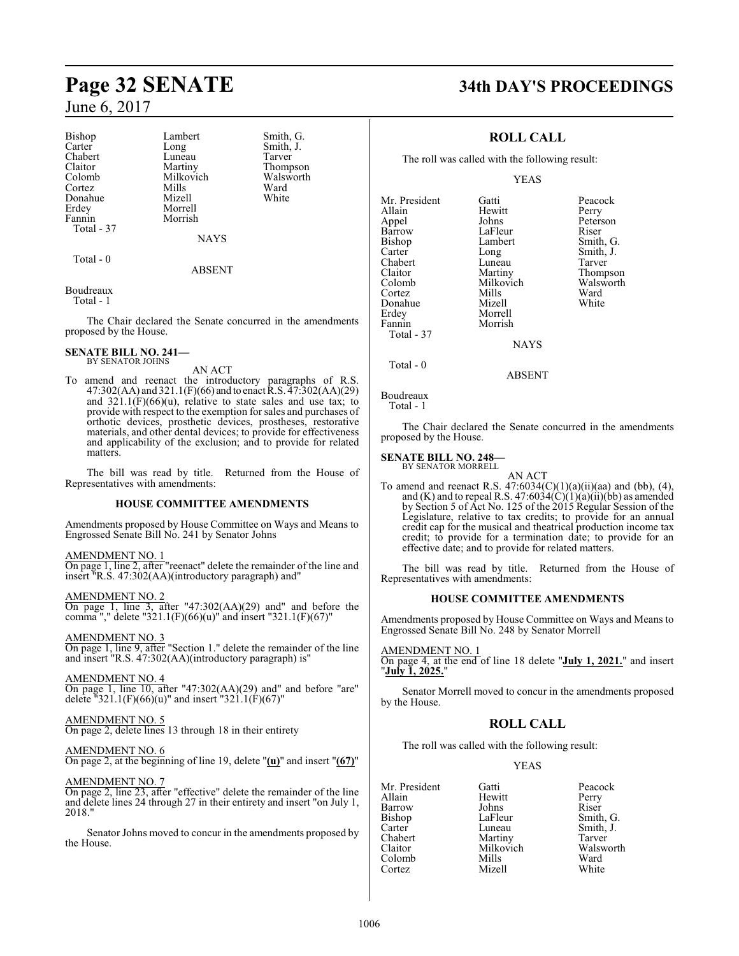Bishop Lambert Smith, G.<br>Carter Long Smith, J. Chabert Luneau<br>Claitor Martiny Cortez Mills Ward Donahue Erdey Morrell<br>Fannin Morrish Fannin Total - 37

Long Smith, J.<br>Luneau Tarver Claitor Martiny Thompson<br>Colomb Milkovich Walsworth Milkovich Walsworth<br>
Mills Ward

> NAYS ABSENT

Boudreaux

Total - 0

Total - 1

The Chair declared the Senate concurred in the amendments proposed by the House.

#### **SENATE BILL NO. 241—** BY SENATOR JOHNS

AN ACT

To amend and reenact the introductory paragraphs of R.S. 47:302(AA) and 321.1(F)(66) and to enact R.S. 47:302(AA)(29) and  $321.1(F)(66)(u)$ , relative to state sales and use tax; to provide with respect to the exemption for sales and purchases of orthotic devices, prosthetic devices, prostheses, restorative materials, and other dental devices; to provide for effectiveness and applicability of the exclusion; and to provide for related matters.

The bill was read by title. Returned from the House of Representatives with amendments:

#### **HOUSE COMMITTEE AMENDMENTS**

Amendments proposed by House Committee on Ways and Means to Engrossed Senate Bill No. 241 by Senator Johns

#### AMENDMENT NO. 1

On page 1, line 2, after "reenact" delete the remainder of the line and insert "R.S. 47:302(AA)(introductory paragraph) and"

AMENDMENT NO. 2

On page 1, line 3, after "47:302(AA)(29) and" and before the comma "," delete "321.1(F)(66)(u)" and insert "321.1(F)(67)"

#### AMENDMENT NO. 3

On page 1, line 9, after "Section 1." delete the remainder of the line and insert "R.S. 47:302(AA)(introductory paragraph) is"

AMENDMENT NO. 4

On page 1, line 10, after "47:302(AA)(29) and" and before "are" delete "321.1(F)(66)(u)" and insert "321.1(F)(67)"

#### AMENDMENT NO. 5

On page 2, delete lines 13 through 18 in their entirety

AMENDMENT NO. 6 On page 2, at the beginning of line 19, delete "**(u)**" and insert "**(67)**"

#### AMENDMENT NO. 7

On page 2, line 23, after "effective" delete the remainder of the line and delete lines 24 through 27 in their entirety and insert "on July 1, 2018."

Senator Johns moved to concur in the amendments proposed by the House.

# **Page 32 SENATE 34th DAY'S PROCEEDINGS**

### **ROLL CALL**

The roll was called with the following result:

YEAS

Mr. President Gatti Peacock Hewitt<br>Johns Appel Johns Peterson Barrow LaFleur<br>Bishop Lambert Bishop Lambert Smith, G.<br>Carter Long Smith, J. Carter Long Smith, J.<br>
Chabert Luneau Tarver Chabert Luneau<br>Claitor Martiny Claitor Martiny Thompson Cortez Mills Ward Donahue Erdey Morrell Morrish Total - 37

Milkovich Walsworth<br>
Mills Ward

Total - 0

Boudreaux

```
 Total - 1
```
The Chair declared the Senate concurred in the amendments proposed by the House.

**NAYS** 

ABSENT

#### **SENATE BILL NO. 248—**

BY SENATOR MORRELL AN ACT

To amend and reenact R.S.  $47:6034(C)(1)(a)(ii)(aa)$  and (bb), (4), and (K) and to repeal R.S.  $47:6034(C)(1)(a)(ii)(bb)$  as amended by Section 5 of Act No. 125 of the 2015 Regular Session of the Legislature, relative to tax credits; to provide for an annual credit cap for the musical and theatrical production income tax credit; to provide for a termination date; to provide for an effective date; and to provide for related matters.

The bill was read by title. Returned from the House of Representatives with amendments:

#### **HOUSE COMMITTEE AMENDMENTS**

Amendments proposed by House Committee on Ways and Means to Engrossed Senate Bill No. 248 by Senator Morrell

#### AMENDMENT NO. 1

On page 4, at the end of line 18 delete "**July 1, 2021.**" and insert "**July 1, 2025.**"

Senator Morrell moved to concur in the amendments proposed by the House.

## **ROLL CALL**

The roll was called with the following result:

#### YEAS

Mr. President Gatti Peacock Barrow Johns<br>Bishop LaFleur Bishop LaFleur Smith, G.<br>Carter Luneau Smith, J. Carter Luneau Smith, J.<br>Chabert Martiny Tarver Chabert Martiny<br>Claitor Milkovich Colomb Mills Ward<br>Cortez Mizell White Cortez

Hewitt Perry<br>Johns Riser Walsworth<br>Ward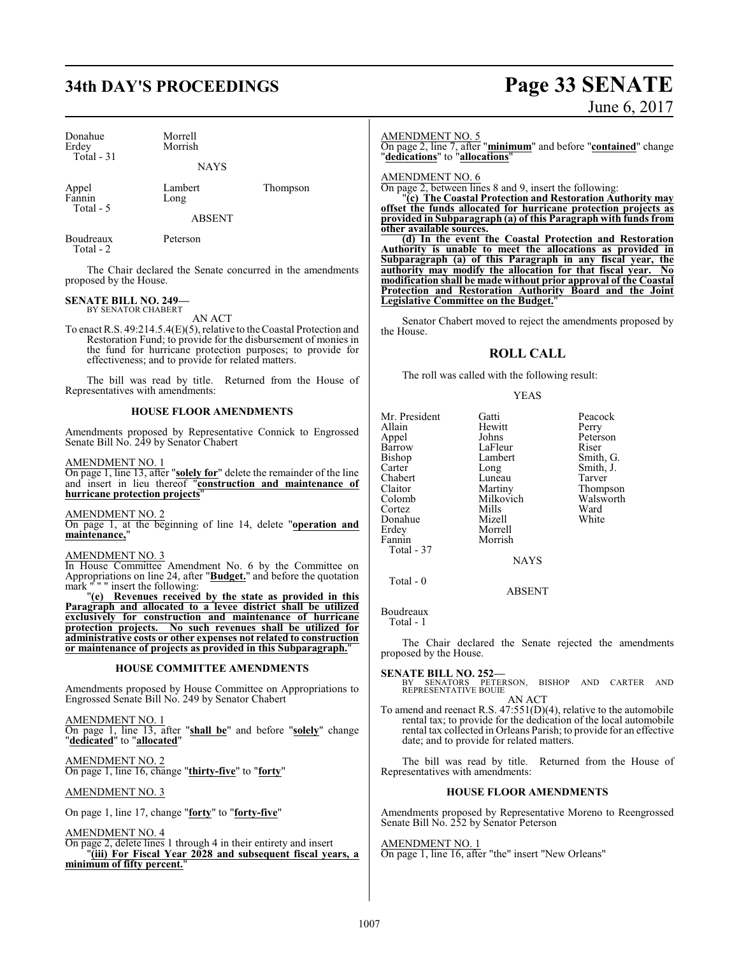# **34th DAY'S PROCEEDINGS Page 33 SENATE**

| Donahue<br>Erdey<br>Total $-31$ | Morrell<br>Morrish |          |
|---------------------------------|--------------------|----------|
|                                 | <b>NAYS</b>        |          |
| Appel<br>Fannin                 | Lambert<br>Long    | Thompson |

ABSENT

Boudreaux Peterson Total - 2

Total - 5

The Chair declared the Senate concurred in the amendments proposed by the House.

# **SENATE BILL NO. 249—** BY SENATOR CHABERT

AN ACT

To enact R.S. 49:214.5.4(E)(5), relative to theCoastal Protection and Restoration Fund; to provide for the disbursement of monies in the fund for hurricane protection purposes; to provide for effectiveness; and to provide for related matters.

The bill was read by title. Returned from the House of Representatives with amendments:

#### **HOUSE FLOOR AMENDMENTS**

Amendments proposed by Representative Connick to Engrossed Senate Bill No. 249 by Senator Chabert

AMENDMENT NO. 1

On page 1, line 13, after "**solely for**" delete the remainder of the line and insert in lieu thereof "**construction and maintenance of hurricane protection projects**"

AMENDMENT NO. 2 On page 1, at the beginning of line 14, delete "**operation and maintenance,**"

#### AMENDMENT NO. 3

In House Committee Amendment No. 6 by the Committee on Appropriations on line 24, after "**Budget.**" and before the quotation mark " " " insert the following:

"**(e) Revenues received by the state as provided in this Paragraph and allocated to a levee district shall be utilized exclusively for construction and maintenance of hurricane protection projects. No such revenues shall be utilized for administrative costs or other expenses not related to construction or maintenance of projects as provided in this Subparagraph.**"

#### **HOUSE COMMITTEE AMENDMENTS**

Amendments proposed by House Committee on Appropriations to Engrossed Senate Bill No. 249 by Senator Chabert

AMENDMENT NO. 1 On page 1, line 13, after "**shall be**" and before "**solely**" change "**dedicated**" to "**allocated**"

AMENDMENT NO. 2 On page 1, line 16, change "**thirty-five**" to "**forty**"

#### AMENDMENT NO. 3

On page 1, line 17, change "**forty**" to "**forty-five**"

AMENDMENT NO. 4

On page 2, delete lines 1 through 4 in their entirety and insert "**(iii) For Fiscal Year 2028 and subsequent fiscal years, a minimum of fifty percent.**"

#### AMENDMENT NO. 5

On page 2, line 7, after "**minimum**" and before "**contained**" change "**dedications**" to "**allocations**"

AMENDMENT NO. 6

On page 2, between lines 8 and 9, insert the following:

"**(c) The Coastal Protection and Restoration Authority may offset the funds allocated for hurricane protection projects as provided in Subparagraph (a) of this Paragraph with funds from other available sources.**

**(d) In the event the Coastal Protection and Restoration Authority is unable to meet the allocations as provided in Subparagraph (a) of this Paragraph in any fiscal year, the authority may modify the allocation for that fiscal year. No modification shall be made without prior approval of the Coastal Protection and Restoration Authority Board and the Joint Legislative Committee on the Budget.**"

Senator Chabert moved to reject the amendments proposed by the House.

#### **ROLL CALL**

The roll was called with the following result:

Morrell

#### YEAS

Mr. President Gatti Peacock Allain Hewitt<br>Appel Johns Barrow LaFleur Riser<br>Bishop Lambert Smith Bishop Lambert Smith, G.<br>Carter Long Smith, J. Chabert Luneau<br>Claitor Martiny Claitor Martiny Thompson Cortez Mills Ward<br>
Mizell White<br>
Mizell White Donahue<br>Erdev Fannin Morrish Total - 37

Peterson Long Smith, J.<br>
Luneau Tarver Milkovich Walsw<br>Mills Ward

Boudreaux

Total - 0

Total - 1

The Chair declared the Senate rejected the amendments proposed by the House.

**NAYS** 

ABSENT

**SENATE BILL NO. 252—**<br>BY SENATORS PETERSON, BISHOP AND CARTER AND<br>REPRESENTATIVE BOUIE

AN ACT To amend and reenact R.S. 47:551(D)(4), relative to the automobile rental tax; to provide for the dedication of the local automobile rental tax collected in Orleans Parish; to provide for an effective date; and to provide for related matters.

The bill was read by title. Returned from the House of Representatives with amendments:

#### **HOUSE FLOOR AMENDMENTS**

Amendments proposed by Representative Moreno to Reengrossed Senate Bill No. 252 by Senator Peterson

AMENDMENT NO. 1 On page 1, line 16, after "the" insert "New Orleans"

# June 6, 2017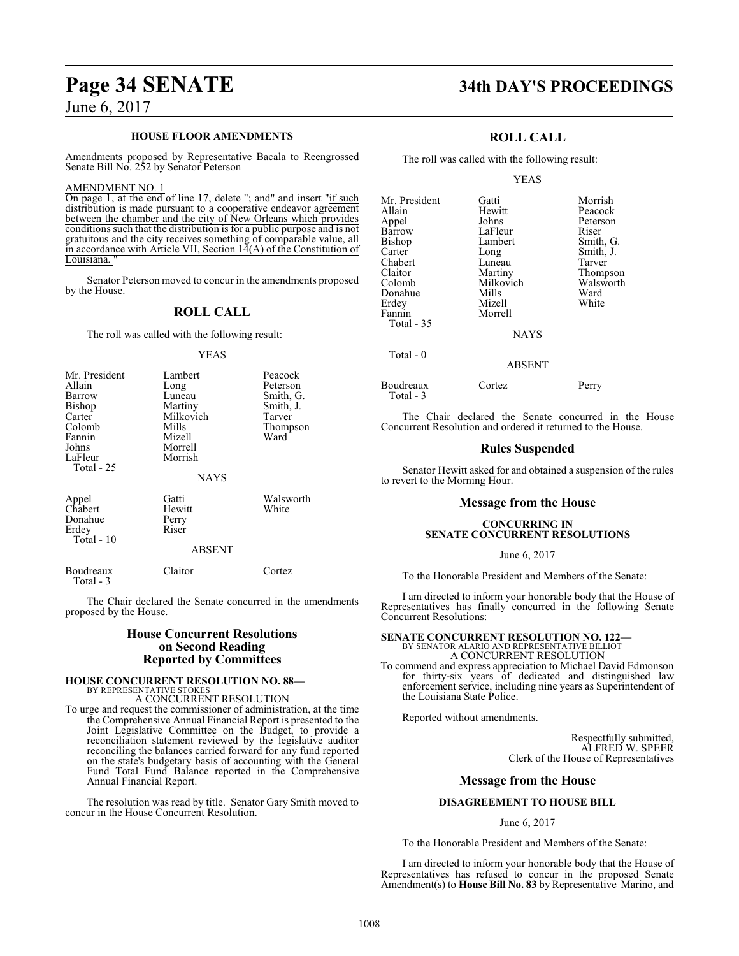#### **HOUSE FLOOR AMENDMENTS**

Amendments proposed by Representative Bacala to Reengrossed Senate Bill No. 252 by Senator Peterson

#### AMENDMENT NO. 1

On page 1, at the end of line 17, delete "; and" and insert "if such distribution is made pursuant to a cooperative endeavor agreement between the chamber and the city of New Orleans which provides conditions such that the distribution is for a public purpose and is not gratuitous and the city receives something of comparable value, all in accordance with Article VII, Section 14(A) of the Constitution of Louisiana.

Senator Peterson moved to concur in the amendments proposed by the House.

## **ROLL CALL**

The roll was called with the following result:

YEAS

| Mr. President<br>Allain                                                          | Lambert<br>Long                                                         | Peacock<br>Peterson                                  |
|----------------------------------------------------------------------------------|-------------------------------------------------------------------------|------------------------------------------------------|
| Barrow<br>Bishop<br>Carter<br>Colomb<br>Fannin<br>Johns<br>LaFleur<br>Total - 25 | Luneau<br>Martiny<br>Milkovich<br>Mills<br>Mizell<br>Morrell<br>Morrish | Smith, G.<br>Smith, J.<br>Tarver<br>Thompson<br>Ward |
|                                                                                  | <b>NAYS</b>                                                             |                                                      |
| Appel<br>Chabert<br>Donahue<br>Erdey<br>Total - 10                               | Gatti<br>Hewitt<br>Perry<br>Riser                                       | Walsworth<br>White                                   |
|                                                                                  | <b>ABSENT</b>                                                           |                                                      |
| Boudreaux<br>Total - $3$                                                         | Claitor                                                                 | Cortez                                               |

The Chair declared the Senate concurred in the amendments proposed by the House.

#### **House Concurrent Resolutions on Second Reading Reported by Committees**

#### **HOUSE CONCURRENT RESOLUTION NO. 88—** BY REPRESENTATIVE STOKES

A CONCURRENT RESOLUTION

To urge and request the commissioner of administration, at the time the Comprehensive Annual Financial Report is presented to the Joint Legislative Committee on the Budget, to provide a reconciliation statement reviewed by the legislative auditor reconciling the balances carried forward for any fund reported on the state's budgetary basis of accounting with the General Fund Total Fund Balance reported in the Comprehensive Annual Financial Report.

The resolution was read by title. Senator Gary Smith moved to concur in the House Concurrent Resolution.

# **Page 34 SENATE 34th DAY'S PROCEEDINGS**

### **ROLL CALL**

The roll was called with the following result:

#### YEAS

| Mr. President | Gatti     | Morrish   |
|---------------|-----------|-----------|
| Allain        | Hewitt    | Peacock   |
| Appel         | Johns     | Peterson  |
| Barrow        | LaFleur   | Riser     |
| <b>Bishop</b> | Lambert   | Smith, G. |
| Carter        | Long      | Smith, J. |
| Chabert       | Luneau    | Tarver    |
| Claitor       | Martiny   | Thompson  |
| Colomb        | Milkovich | Walsworth |
| Donahue       | Mills     | Ward      |
| Erdey         | Mizell    | White     |
| Fannin        | Morrell   |           |
| Total - 35    |           |           |
|               | NAVC      |           |

NAYS

ABSENT

Boudreaux Cortez Perry

Total - 3

Total - 0

The Chair declared the Senate concurred in the House Concurrent Resolution and ordered it returned to the House.

#### **Rules Suspended**

Senator Hewitt asked for and obtained a suspension of the rules to revert to the Morning Hour.

#### **Message from the House**

#### **CONCURRING IN SENATE CONCURRENT RESOLUTIONS**

June 6, 2017

To the Honorable President and Members of the Senate:

I am directed to inform your honorable body that the House of Representatives has finally concurred in the following Senate Concurrent Resolutions:

## **SENATE CONCURRENT RESOLUTION NO. 122—** BY SENATOR ALARIO AND REPRESENTATIVE BILLIOT A CONCURRENT RESOLUTION

To commend and express appreciation to Michael David Edmonson for thirty-six years of dedicated and distinguished law enforcement service, including nine years as Superintendent of the Louisiana State Police.

Reported without amendments.

Respectfully submitted, ALFRED W. SPEER Clerk of the House of Representatives

#### **Message from the House**

#### **DISAGREEMENT TO HOUSE BILL**

June 6, 2017

To the Honorable President and Members of the Senate:

I am directed to inform your honorable body that the House of Representatives has refused to concur in the proposed Senate Amendment(s) to **House Bill No. 83** by Representative Marino, and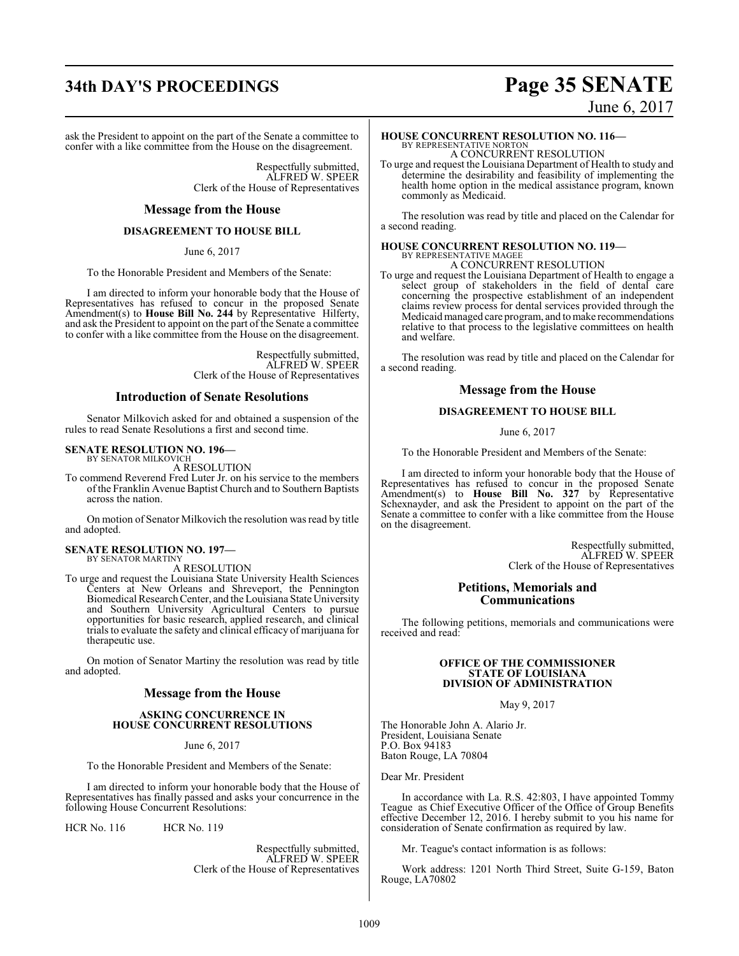# **34th DAY'S PROCEEDINGS Page 35 SENATE**

ask the President to appoint on the part of the Senate a committee to confer with a like committee from the House on the disagreement.

> Respectfully submitted, ALFRED W. SPEER Clerk of the House of Representatives

#### **Message from the House**

#### **DISAGREEMENT TO HOUSE BILL**

June 6, 2017

To the Honorable President and Members of the Senate:

I am directed to inform your honorable body that the House of Representatives has refused to concur in the proposed Senate Amendment(s) to **House Bill No. 244** by Representative Hilferty, and ask the President to appoint on the part of the Senate a committee to confer with a like committee from the House on the disagreement.

> Respectfully submitted, ALFRED W. SPEER Clerk of the House of Representatives

#### **Introduction of Senate Resolutions**

Senator Milkovich asked for and obtained a suspension of the rules to read Senate Resolutions a first and second time.

#### **SENATE RESOLUTION NO. 196—** BY SENATOR MILKOVICH

A RESOLUTION

To commend Reverend Fred Luter Jr. on his service to the members of the Franklin Avenue Baptist Church and to Southern Baptists across the nation.

On motion of Senator Milkovich the resolution was read by title and adopted.

#### **SENATE RESOLUTION NO. 197—** BY SENATOR MARTINY

A RESOLUTION

To urge and request the Louisiana State University Health Sciences Centers at New Orleans and Shreveport, the Pennington Biomedical Research Center, and the Louisiana State University and Southern University Agricultural Centers to pursue opportunities for basic research, applied research, and clinical trials to evaluate the safety and clinical efficacy of marijuana for therapeutic use.

On motion of Senator Martiny the resolution was read by title and adopted.

#### **Message from the House**

#### **ASKING CONCURRENCE IN HOUSE CONCURRENT RESOLUTIONS**

June 6, 2017

To the Honorable President and Members of the Senate:

I am directed to inform your honorable body that the House of Representatives has finally passed and asks your concurrence in the following House Concurrent Resolutions:

HCR No. 116 HCR No. 119

Respectfully submitted, ALFRED W. SPEER Clerk of the House of Representatives

# June 6, 2017

**HOUSE CONCURRENT RESOLUTION NO. 116—**

BY REPRESENTATIVE NORTON A CONCURRENT RESOLUTION

To urge and request the Louisiana Department of Health to study and determine the desirability and feasibility of implementing the health home option in the medical assistance program, known commonly as Medicaid.

The resolution was read by title and placed on the Calendar for a second reading.

#### **HOUSE CONCURRENT RESOLUTION NO. 119—** BY REPRESENTATIVE MAGEE A CONCURRENT RESOLUTION

To urge and request the Louisiana Department of Health to engage a select group of stakeholders in the field of dental care concerning the prospective establishment of an independent claims review process for dental services provided through the Medicaidmanaged care program, and tomake recommendations relative to that process to the legislative committees on health and welfare.

The resolution was read by title and placed on the Calendar for a second reading.

#### **Message from the House**

#### **DISAGREEMENT TO HOUSE BILL**

June 6, 2017

To the Honorable President and Members of the Senate:

I am directed to inform your honorable body that the House of Representatives has refused to concur in the proposed Senate Amendment(s) to **House Bill No. 327** by Representative Schexnayder, and ask the President to appoint on the part of the Senate a committee to confer with a like committee from the House on the disagreement.

> Respectfully submitted, ALFRED W. SPEER Clerk of the House of Representatives

#### **Petitions, Memorials and Communications**

The following petitions, memorials and communications were received and read:

#### **OFFICE OF THE COMMISSIONER STATE OF LOUISIANA DIVISION OF ADMINISTRATION**

May 9, 2017

The Honorable John A. Alario Jr. President, Louisiana Senate P.O. Box 94183 Baton Rouge, LA 70804

Dear Mr. President

In accordance with La. R.S. 42:803, I have appointed Tommy Teague as Chief Executive Officer of the Office of Group Benefits effective December 12, 2016. I hereby submit to you his name for consideration of Senate confirmation as required by law.

Mr. Teague's contact information is as follows:

Work address: 1201 North Third Street, Suite G-159, Baton Rouge, LA70802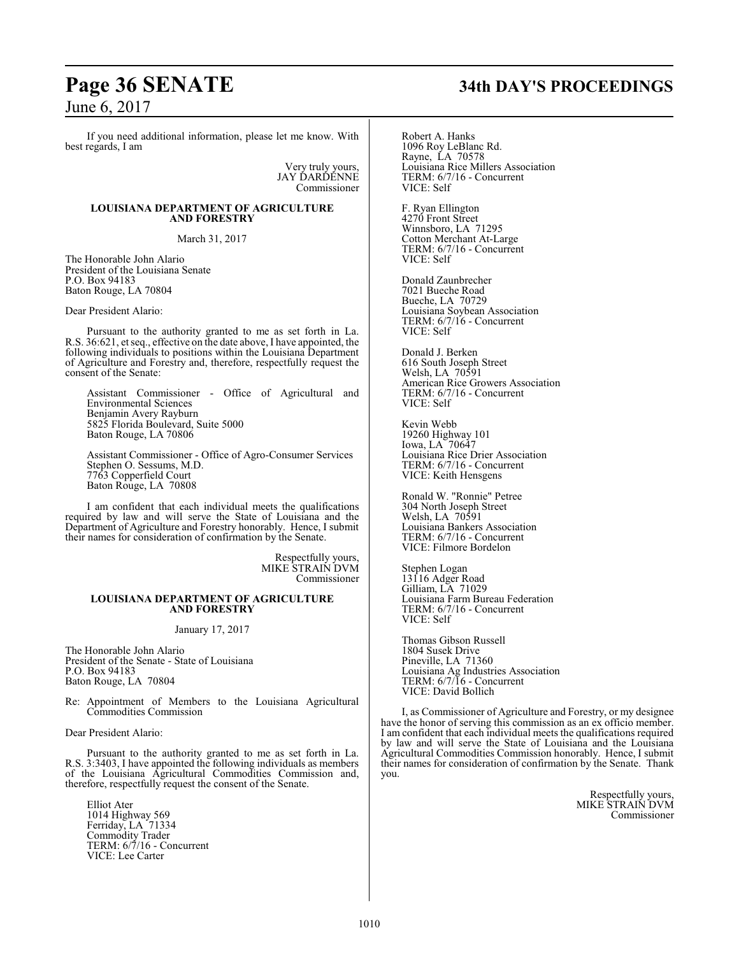If you need additional information, please let me know. With best regards, I am

> Very truly yours, JAY DARDENNE Commissioner

#### **LOUISIANA DEPARTMENT OF AGRICULTURE AND FORESTRY**

March 31, 2017

The Honorable John Alario President of the Louisiana Senate P.O. Box 94183 Baton Rouge, LA 70804

Dear President Alario:

Pursuant to the authority granted to me as set forth in La. R.S. 36:621, et seq., effective on the date above, I have appointed, the following individuals to positions within the Louisiana Department of Agriculture and Forestry and, therefore, respectfully request the consent of the Senate:

Assistant Commissioner - Office of Agricultural and Environmental Sciences Benjamin Avery Rayburn 5825 Florida Boulevard, Suite 5000 Baton Rouge, LA 70806

Assistant Commissioner - Office of Agro-Consumer Services Stephen O. Sessums, M.D. 7763 Copperfield Court Baton Rouge, LA 70808

I am confident that each individual meets the qualifications required by law and will serve the State of Louisiana and the Department of Agriculture and Forestry honorably. Hence, I submit their names for consideration of confirmation by the Senate.

> Respectfully yours, MIKE STRAIN DVM Commissioner

#### **LOUISIANA DEPARTMENT OF AGRICULTURE AND FORESTRY**

#### January 17, 2017

The Honorable John Alario President of the Senate - State of Louisiana P.O. Box 94183 Baton Rouge, LA 70804

Re: Appointment of Members to the Louisiana Agricultural Commodities Commission

Dear President Alario:

Pursuant to the authority granted to me as set forth in La. R.S. 3:3403, I have appointed the following individuals as members of the Louisiana Agricultural Commodities Commission and, therefore, respectfully request the consent of the Senate.

Elliot Ater 1014 Highway 569 Ferriday, LA 71334 Commodity Trader TERM: 6/7/16 - Concurrent VICE: Lee Carter

# **Page 36 SENATE 34th DAY'S PROCEEDINGS**

Robert A. Hanks 1096 Roy LeBlanc Rd. Rayne, LA 70578 Louisiana Rice Millers Association TERM: 6/7/16 - Concurrent VICE: Self

F. Ryan Ellington 4270 Front Street Winnsboro, LA 71295 Cotton Merchant At-Large TERM: 6/7/16 - Concurrent VICE: Self

Donald Zaunbrecher 7021 Bueche Road Bueche, LA 70729 Louisiana Soybean Association TERM: 6/7/16 - Concurrent VICE: Self

Donald J. Berken 616 South Joseph Street Welsh, LA 70591 American Rice Growers Association TERM: 6/7/16 - Concurrent VICE: Self

Kevin Webb 19260 Highway 101 Iowa, LA 70647 Louisiana Rice Drier Association TERM: 6/7/16 - Concurrent VICE: Keith Hensgens

Ronald W. "Ronnie" Petree 304 North Joseph Street Welsh, LA 70591 Louisiana Bankers Association TERM: 6/7/16 - Concurrent VICE: Filmore Bordelon

Stephen Logan 13116 Adger Road Gilliam, LA 71029 Louisiana Farm Bureau Federation TERM: 6/7/16 - Concurrent VICE: Self

Thomas Gibson Russell 1804 Susek Drive Pineville, LA 71360 Louisiana Ag Industries Association TERM: 6/7/16 - Concurrent VICE: David Bollich

I, as Commissioner of Agriculture and Forestry, or my designee have the honor of serving this commission as an ex officio member. I am confident that each individual meets the qualifications required by law and will serve the State of Louisiana and the Louisiana Agricultural Commodities Commission honorably. Hence, I submit their names for consideration of confirmation by the Senate. Thank you.

> Respectfully yours, MIKE STRAIN DVM Commissioner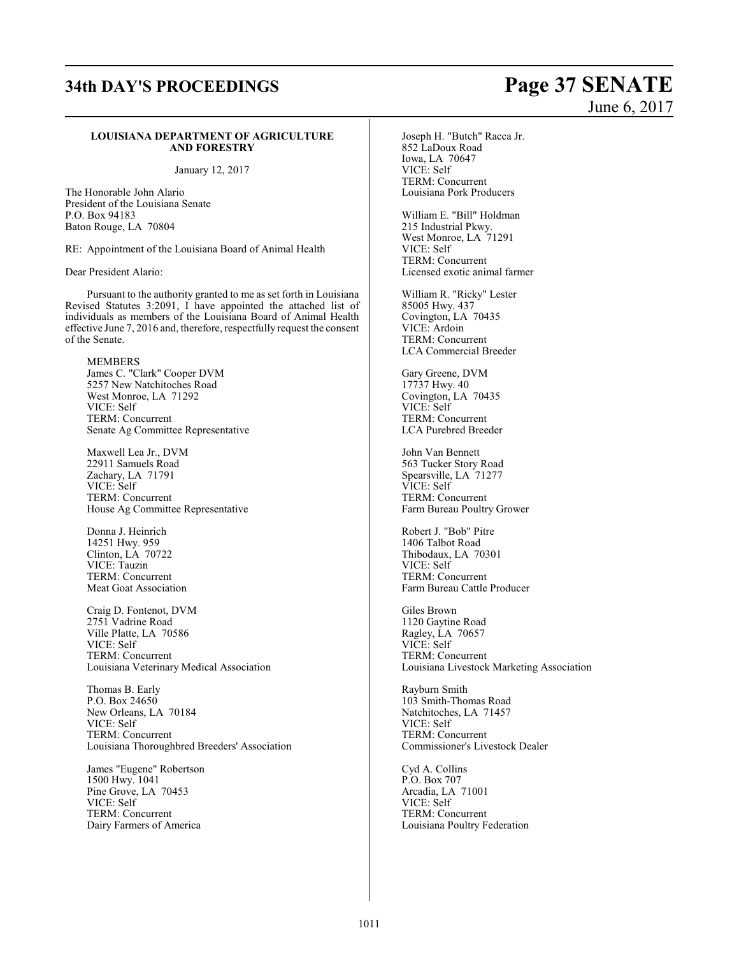### **LOUISIANA DEPARTMENT OF AGRICULTURE AND FORESTRY**

January 12, 2017

The Honorable John Alario President of the Louisiana Senate P.O. Box 94183 Baton Rouge, LA 70804

RE: Appointment of the Louisiana Board of Animal Health

Dear President Alario:

Pursuant to the authority granted to me as set forth in Louisiana Revised Statutes 3:2091, I have appointed the attached list of individuals as members of the Louisiana Board of Animal Health effective June 7, 2016 and, therefore, respectfully request the consent of the Senate.

MEMBERS James C. "Clark" Cooper DVM 5257 New Natchitoches Road West Monroe, LA 71292 VICE: Self TERM: Concurrent Senate Ag Committee Representative

Maxwell Lea Jr., DVM 22911 Samuels Road Zachary, LA 71791 VICE: Self TERM: Concurrent House Ag Committee Representative

Donna J. Heinrich 14251 Hwy. 959 Clinton, LA 70722 VICE: Tauzin TERM: Concurrent Meat Goat Association

Craig D. Fontenot, DVM 2751 Vadrine Road Ville Platte, LA 70586 VICE: Self TERM: Concurrent Louisiana Veterinary Medical Association

Thomas B. Early P.O. Box 24650 New Orleans, LA 70184 VICE: Self TERM: Concurrent Louisiana Thoroughbred Breeders' Association

James "Eugene" Robertson 1500 Hwy. 1041 Pine Grove, LA 70453 VICE: Self TERM: Concurrent Dairy Farmers of America

Joseph H. "Butch" Racca Jr. 852 LaDoux Road Iowa, LA 70647 VICE: Self TERM: Concurrent Louisiana Pork Producers

William E. "Bill" Holdman 215 Industrial Pkwy. West Monroe, LA 71291 VICE: Self TERM: Concurrent Licensed exotic animal farmer

William R. "Ricky" Lester 85005 Hwy. 437 Covington, LA 70435 VICE: Ardoin TERM: Concurrent LCA Commercial Breeder

Gary Greene, DVM 17737 Hwy. 40 Covington, LA 70435 VICE: Self TERM: Concurrent LCA Purebred Breeder

John Van Bennett 563 Tucker Story Road Spearsville, LA 71277 VICE: Self TERM: Concurrent Farm Bureau Poultry Grower

Robert J. "Bob" Pitre 1406 Talbot Road Thibodaux, LA 70301 VICE: Self TERM: Concurrent Farm Bureau Cattle Producer

Giles Brown 1120 Gaytine Road Ragley, LA 70657 VICE: Self TERM: Concurrent Louisiana Livestock Marketing Association

Rayburn Smith 103 Smith-Thomas Road Natchitoches, LA 71457 VICE: Self TERM: Concurrent Commissioner's Livestock Dealer

Cyd A. Collins P.O. Box 707 Arcadia, LA 71001 VICE: Self TERM: Concurrent Louisiana Poultry Federation

# **34th DAY'S PROCEEDINGS Page 37 SENATE** June 6, 2017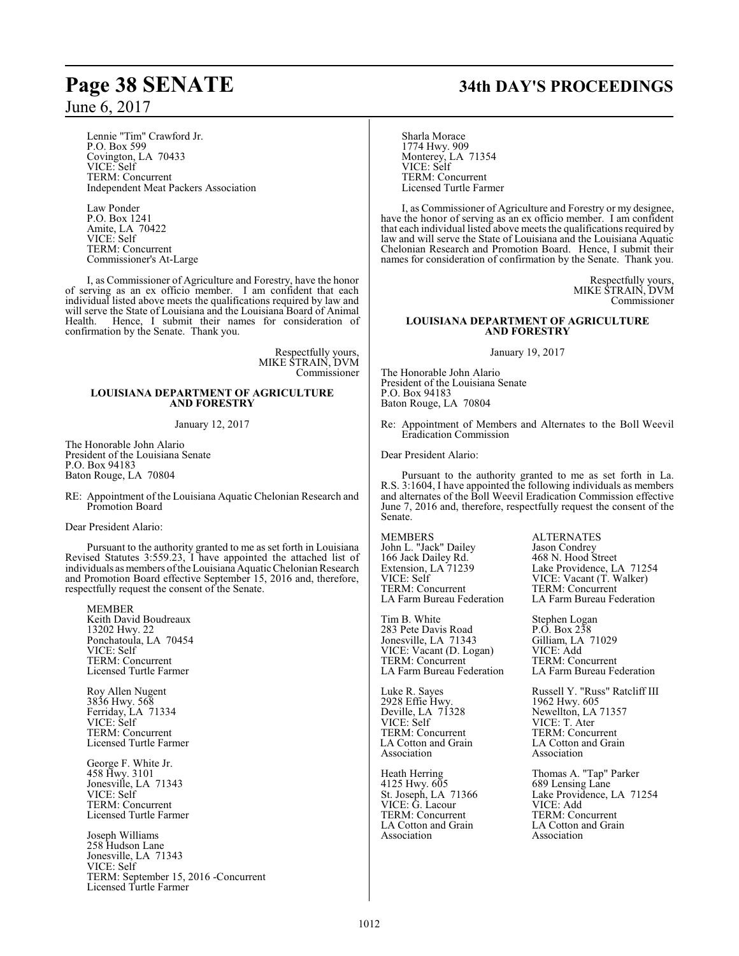Lennie "Tim" Crawford Jr. P.O. Box 599 Covington, LA 70433 VICE: Self TERM: Concurrent Independent Meat Packers Association

Law Ponder P.O. Box 1241 Amite, LA 70422 VICE: Self TERM: Concurrent Commissioner's At-Large

I, as Commissioner of Agriculture and Forestry, have the honor of serving as an ex officio member. I am confident that each individual listed above meets the qualifications required by law and will serve the State of Louisiana and the Louisiana Board of Animal Health. Hence, I submit their names for consideration of confirmation by the Senate. Thank you.

> Respectfully yours, MIKE STRAIN, DVM Commissioner

### **LOUISIANA DEPARTMENT OF AGRICULTURE AND FORESTRY**

January 12, 2017

The Honorable John Alario President of the Louisiana Senate P.O. Box 94183 Baton Rouge, LA 70804

RE: Appointment of the Louisiana Aquatic Chelonian Research and Promotion Board

Dear President Alario:

Pursuant to the authority granted to me as set forth in Louisiana Revised Statutes 3:559.23, I have appointed the attached list of individuals as members of the Louisiana Aquatic Chelonian Research and Promotion Board effective September 15, 2016 and, therefore, respectfully request the consent of the Senate.

MEMBER Keith David Boudreaux 13202 Hwy. 22 Ponchatoula, LA 70454 VICE: Self TERM: Concurrent Licensed Turtle Farmer

Roy Allen Nugent 3836 Hwy. 568 Ferriday, LA 71334 VICE: Self TERM: Concurrent Licensed Turtle Farmer

George F. White Jr. 458 Hwy. 3101 Jonesville, LA 71343 VICE: Self TERM: Concurrent Licensed Turtle Farmer

Joseph Williams 258 Hudson Lane Jonesville, LA 71343 VICE: Self TERM: September 15, 2016 -Concurrent Licensed Turtle Farmer

# **Page 38 SENATE 34th DAY'S PROCEEDINGS**

Sharla Morace 1774 Hwy. 909 Monterey, LA 71354 VICE: Self TERM: Concurrent Licensed Turtle Farmer

I, as Commissioner of Agriculture and Forestry or my designee, have the honor of serving as an ex officio member. I am confident that each individual listed above meets the qualifications required by law and will serve the State of Louisiana and the Louisiana Aquatic Chelonian Research and Promotion Board. Hence, I submit their names for consideration of confirmation by the Senate. Thank you.

> Respectfully yours, MIKE STRAIN, DVM Commissioner

### **LOUISIANA DEPARTMENT OF AGRICULTURE AND FORESTRY**

January 19, 2017

The Honorable John Alario President of the Louisiana Senate P.O. Box 94183 Baton Rouge, LA 70804

Re: Appointment of Members and Alternates to the Boll Weevil Eradication Commission

Dear President Alario:

Pursuant to the authority granted to me as set forth in La. R.S. 3:1604, I have appointed the following individuals as members and alternates of the Boll Weevil Eradication Commission effective June 7, 2016 and, therefore, respectfully request the consent of the Senate.

MEMBERS ALTERNATES John L. "Jack" Dailey Jason Condrey 166 Jack Dailey Rd. 468 N. Hood Street VICE: Self VICE: Vacant (T. Walker) TERM: Concurrent TERM: Concurrent<br>
LA Farm Bureau Federation LA Farm Bureau Fe

Tim B. White<br>
283 Pete Davis Road<br>
P.O. Box 238 283 Pete Davis Road<br>
Jonesville, LA 71343 Gilliam, LA 71029 Jonesville, LA 71343 Gilliam, LA<br>VICE: Vacant (D. Logan) VICE: Add VICE: Vacant (D. Logan)<br>TERM: Concurrent LA Farm Bureau Federation

2928 Effie Hwy.<br>Deville, LA 71328 Deville, LA 71328 Newellton, LA 71357<br>VICE: Self VICE: T. Ater VICE: Self VICE: T. Ater<br>TERM: Concurrent TERM: Concu TERM: Concurrent TERM: Concurrent LA Cotton and Grain LA Cotton and Grain LA Cotton and Grain<br>Association<br>Association<br>Association

4125 Hwy. 605<br>St. Joseph, LA 71366 VICE: G. Lacour<br>TERM: Concurrent TERM: Concurrent TERM: Concurrent LA Cotton and Grain LA Cotton and Grai LA Cotton and Grain<br>Association<br>Association<br>Association

Extension, LA 71239 Lake Providence, LA 71254 LA Farm Bureau Federation

TERM: Concurrent<br>LA Farm Bureau Federation

Luke R. Sayes<br>
2928 Effie Hwy.<br>
1962 Hwy. 605 Association Association

Heath Herring Thomas A. "Tap" Parker 689 Lensing Lane<br>Lake Providence, LA 71254<br>VICE: Add Association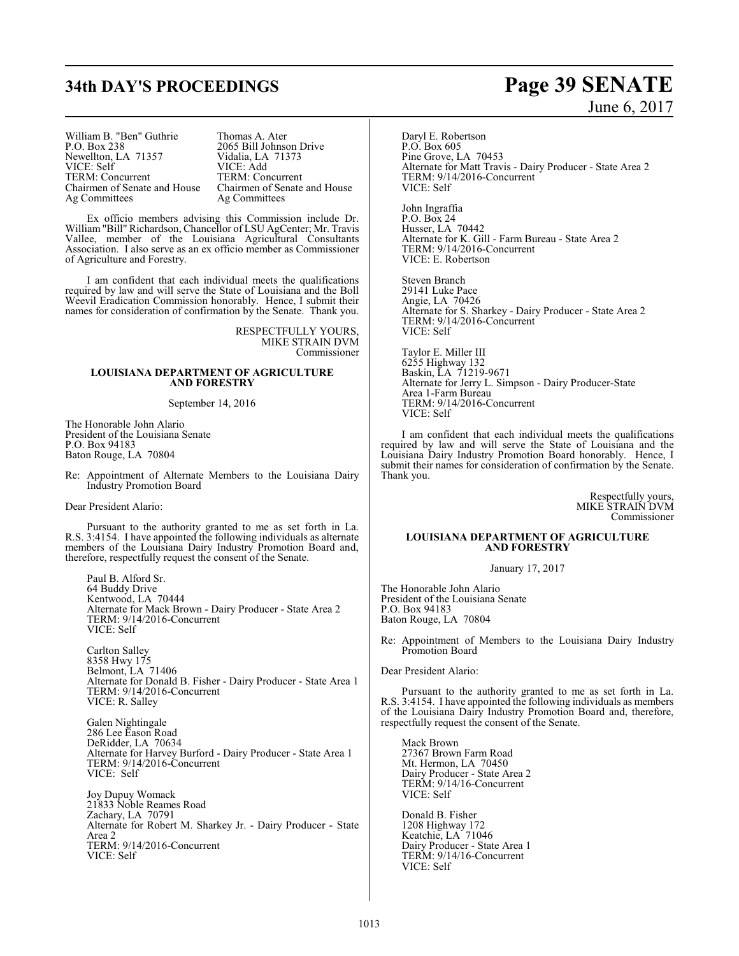# **34th DAY'S PROCEEDINGS Page 39 SENATE**

William B. "Ben" Guthrie Thomas A. Ater<br>P.O. Box 238 2065 Bill Johnse Newellton, LA 71357 Vidalia, LA VICE: Self VICE: Add VICE: Self VICE: Add<br>TERM: Concurrent TERM: Concurrent TERM: Concurrent<br>Chairmen of Senate and House

2065 Bill Johnson Drive<br>Vidalia, LA 71373 Chairmen of Senate and House Chairmen of Senate and House Ag Committees

Ex officio members advising this Commission include Dr. William "Bill" Richardson, Chancellor of LSU AgCenter; Mr. Travis Vallee, member of the Louisiana Agricultural Consultants Association. I also serve as an ex officio member as Commissioner of Agriculture and Forestry.

I am confident that each individual meets the qualifications required by law and will serve the State of Louisiana and the Boll Weevil Eradication Commission honorably. Hence, I submit their names for consideration of confirmation by the Senate. Thank you.

> RESPECTFULLY YOURS, MIKE STRAIN DVM Commissioner

### **LOUISIANA DEPARTMENT OF AGRICULTURE AND FORESTRY**

September 14, 2016

The Honorable John Alario President of the Louisiana Senate P.O. Box 94183 Baton Rouge, LA 70804

Re: Appointment of Alternate Members to the Louisiana Dairy Industry Promotion Board

Dear President Alario:

Pursuant to the authority granted to me as set forth in La. R.S. 3:4154. I have appointed the following individuals as alternate members of the Louisiana Dairy Industry Promotion Board and, therefore, respectfully request the consent of the Senate.

Paul B. Alford Sr. 64 Buddy Drive Kentwood, LA 70444 Alternate for Mack Brown - Dairy Producer - State Area 2 TERM: 9/14/2016-Concurrent VICE: Self

Carlton Salley 8358 Hwy 175 Belmont, LA 71406 Alternate for Donald B. Fisher - Dairy Producer - State Area 1 TERM: 9/14/2016-Concurrent VICE: R. Salley

Galen Nightingale 286 Lee Eason Road DeRidder, LA 70634 Alternate for Harvey Burford - Dairy Producer - State Area 1 TERM: 9/14/2016-Concurrent VICE: Self

Joy Dupuy Womack 21833 Noble Reames Road Zachary, LA 70791 Alternate for Robert M. Sharkey Jr. - Dairy Producer - State Area 2 TERM: 9/14/2016-Concurrent VICE: Self

# June 6, 2017

Daryl E. Robertson P.O. Box 605 Pine Grove, LA 70453 Alternate for Matt Travis - Dairy Producer - State Area 2 TERM: 9/14/2016-Concurrent VICE: Self

John Ingraffia P.O. Box 24 Husser, LA 70442 Alternate for K. Gill - Farm Bureau - State Area 2 TERM: 9/14/2016-Concurrent VICE: E. Robertson

Steven Branch 29141 Luke Pace Angie, LA 70426 Alternate for S. Sharkey - Dairy Producer - State Area 2 TERM: 9/14/2016-Concurrent VICE: Self

Taylor E. Miller III 6255 Highway 132 Baskin, LA 71219-9671 Alternate for Jerry L. Simpson - Dairy Producer-State Area 1-Farm Bureau TERM: 9/14/2016-Concurrent VICE: Self

I am confident that each individual meets the qualifications required by law and will serve the State of Louisiana and the Louisiana Dairy Industry Promotion Board honorably. Hence, I submit their names for consideration of confirmation by the Senate. Thank you.

> Respectfully yours, MIKE STRAIN DVM Commissioner

### **LOUISIANA DEPARTMENT OF AGRICULTURE AND FORESTRY**

January 17, 2017

The Honorable John Alario President of the Louisiana Senate P.O. Box 94183 Baton Rouge, LA 70804

Re: Appointment of Members to the Louisiana Dairy Industry Promotion Board

Dear President Alario:

Pursuant to the authority granted to me as set forth in La. R.S. 3:4154. I have appointed the following individuals as members of the Louisiana Dairy Industry Promotion Board and, therefore, respectfully request the consent of the Senate.

Mack Brown 27367 Brown Farm Road Mt. Hermon, LA 70450 Dairy Producer - State Area 2 TERM: 9/14/16-Concurrent VICE: Self

Donald B. Fisher 1208 Highway 172 Keatchie, LA 71046 Dairy Producer - State Area 1 TERM: 9/14/16-Concurrent VICE: Self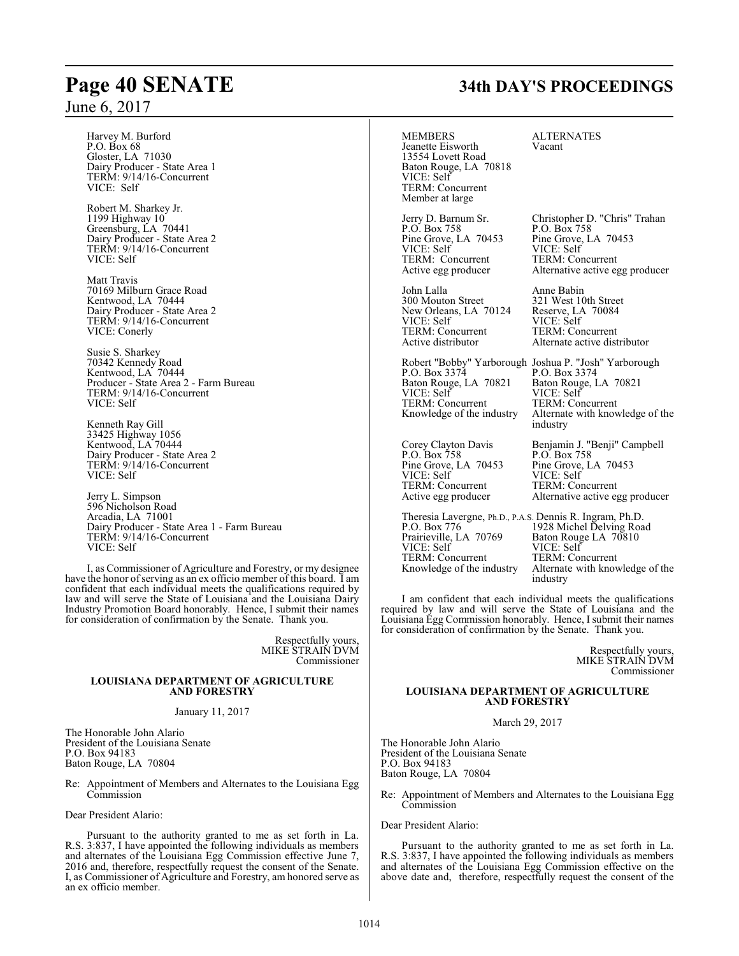# **Page 40 SENATE 34th DAY'S PROCEEDINGS**

June 6, 2017

| $J$ une o, $201/$                                                                                                                                                                                                                                                           |                                                                                                                                                                   |                                                                                                                                                                                                  |
|-----------------------------------------------------------------------------------------------------------------------------------------------------------------------------------------------------------------------------------------------------------------------------|-------------------------------------------------------------------------------------------------------------------------------------------------------------------|--------------------------------------------------------------------------------------------------------------------------------------------------------------------------------------------------|
| Harvey M. Burford<br>P.O. Box 68<br>Gloster, LA 71030<br>Dairy Producer - State Area 1<br>TERM: 9/14/16-Concurrent<br>VICE: Self                                                                                                                                            | <b>MEMBERS</b><br>Jeanette Eisworth<br>13554 Lovett Road<br>Baton Rouge, LA 70818<br>VICE: Self<br><b>TERM:</b> Concurrent<br>Member at large                     | <b>ALTERNATES</b><br>Vacant                                                                                                                                                                      |
| Robert M. Sharkey Jr.<br>1199 Highway 10<br>Greensburg, LA 70441<br>Dairy Producer - State Area 2<br>TERM: 9/14/16-Concurrent<br>VICE: Self                                                                                                                                 | Jerry D. Barnum Sr.<br>P.O. Box 758<br>Pine Grove, LA 70453<br>VICE: Self<br>TERM: Concurrent<br>Active egg producer                                              | Christopher D. "Chris" Trahan<br>$P.O.$ Box 758<br>Pine Grove, LA 70453<br>VICE: Self<br>TERM: Concurrent<br>Alternative active egg producer                                                     |
| Matt Travis<br>70169 Milburn Grace Road<br>Kentwood, LA 70444<br>Dairy Producer - State Area 2<br>TERM: 9/14/16-Concurrent<br>VICE: Conerly                                                                                                                                 | John Lalla<br>300 Mouton Street<br>New Orleans, LA 70124<br>VICE: Self<br>TERM: Concurrent<br>Active distributor                                                  | Anne Babin<br>321 West 10th Street<br>Reserve, LA 70084<br>VICE: Self<br>TERM: Concurrent<br>Alternate active distributor                                                                        |
| Susie S. Sharkey<br>70342 Kennedy Road<br>Kentwood, LA 70444<br>Producer - State Area 2 - Farm Bureau<br>TERM: 9/14/16-Concurrent<br>VICE: Self<br>Kenneth Ray Gill                                                                                                         | P.O. Box 3374<br>Baton Rouge, LA 70821<br>VICE: Self<br>TERM: Concurrent<br>Knowledge of the industry                                                             | Robert "Bobby" Yarborough Joshua P. "Josh" Yarborough<br>P.O. Box 3374<br>Baton Rouge, LA 70821<br>VICE: Self<br>TERM: Concurrent<br>Alternate with knowledge of the<br>industry                 |
| 33425 Highway 1056<br>Kentwood, LA 70444<br>Dairy Producer - State Area 2<br>TERM: 9/14/16-Concurrent<br>VICE: Self<br>Jerry L. Simpson                                                                                                                                     | Corey Clayton Davis<br>P.O. Box 758<br>Pine Grove, LA 70453<br>VICE: Self<br>TERM: Concurrent<br>Active egg producer                                              | Benjamin J. "Benji" Campbell<br>P.O. Box 758<br>Pine Grove, LA 70453<br>VICE: Self<br>TERM: Concurrent<br>Alternative active egg producer                                                        |
| 596 Nicholson Road<br>Arcadia, LA 71001<br>Dairy Producer - State Area 1 - Farm Bureau<br>TERM: 9/14/16-Concurrent<br>VICE: Self<br>I, as Commissioner of Agriculture and Forestry, or my designee<br>have the honor of serving as an ex officio member of this board. I am | Theresia Lavergne, Ph.D., P.A.S. Dennis R. Ingram, Ph.D.<br>P.O. Box 776<br>Prairieville, LA 70769<br>VICE: Self<br>TERM: Concurrent<br>Knowledge of the industry | 1928 Michel Delving Road<br>Baton Rouge LA 70810<br>VICE: Self<br>TERM: Concurrent<br>Alternate with knowledge of the<br>industry                                                                |
| confident that each individual meets the qualifications required by<br>law and will serve the State of Louisiana and the Louisiana Dairy<br>Industry Promotion Board honorably. Hence, I submit their names<br>for consideration of confirmation by the Senate. Thank you.  | for consideration of confirmation by the Senate. Thank you.                                                                                                       | I am confident that each individual meets the qualifications<br>required by law and will serve the State of Louisiana and the<br>Louisiana Egg Commission honorably. Hence, I submit their names |
| Respectfully yours,<br>MIKE STRAIN DVM<br>Commissioner                                                                                                                                                                                                                      |                                                                                                                                                                   | Respectfully yours,<br>MIKE STRAIN DVM<br>Commissioner                                                                                                                                           |
| <b>LOUISIANA DEPARTMENT OF AGRICULTURE</b><br><b>AND FORESTRY</b>                                                                                                                                                                                                           |                                                                                                                                                                   | <b>LOUISIANA DEPARTMENT OF AGRICULTURE</b><br><b>AND FORESTRY</b>                                                                                                                                |
| January 11, 2017                                                                                                                                                                                                                                                            |                                                                                                                                                                   | March 29, 2017                                                                                                                                                                                   |
| The Honorable John Alario<br>President of the Louisiana Senate<br>P.O. Box 94183<br>Baton Rouge, LA 70804                                                                                                                                                                   | The Honorable John Alario<br>President of the Louisiana Senate<br>P.O. Box 94183<br>Baton Rouge, LA 70804                                                         |                                                                                                                                                                                                  |
| Re: Appointment of Members and Alternates to the Louisiana Egg<br>Commission                                                                                                                                                                                                | Commission                                                                                                                                                        | Re: Appointment of Members and Alternates to the Louisiana Egg                                                                                                                                   |
| Dear President Alario:                                                                                                                                                                                                                                                      |                                                                                                                                                                   |                                                                                                                                                                                                  |

Pursuant to the authority granted to me as set forth in La. R.S. 3:837, I have appointed the following individuals as members and alternates of the Louisiana Egg Commission effective June 7, 2016 and, therefore, respectfully request the consent of the Senate. I, as Commissioner of Agriculture and Forestry, am honored serve as an ex officio member.

Dear President Alario:

Pursuant to the authority granted to me as set forth in La. R.S. 3:837, I have appointed the following individuals as members and alternates of the Louisiana Egg Commission effective on the above date and, therefore, respectfully request the consent of the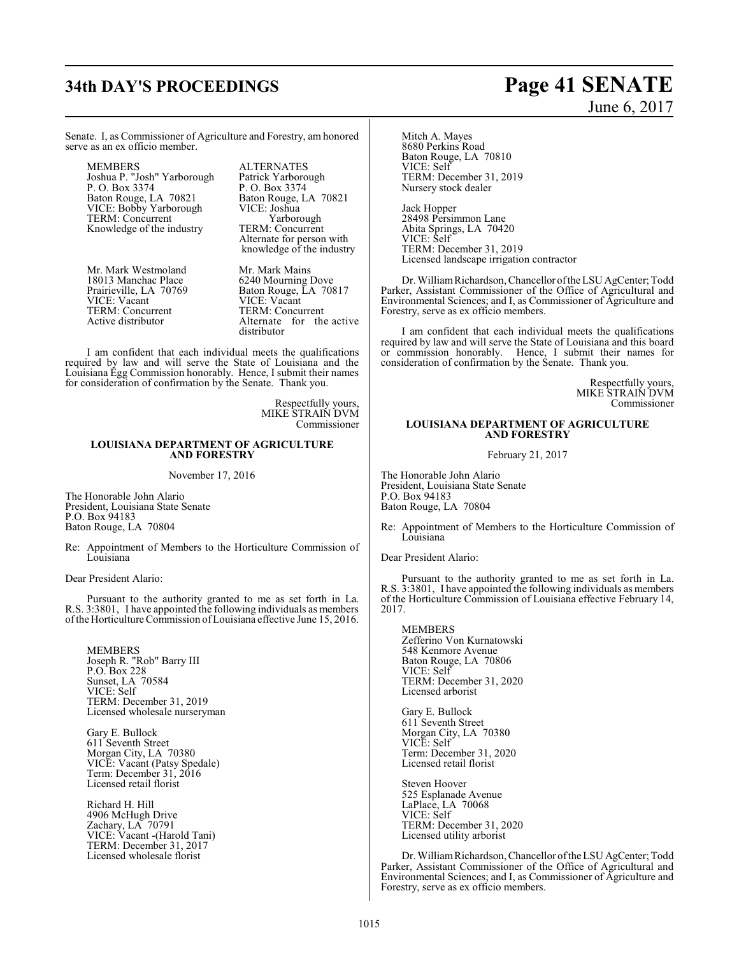# **34th DAY'S PROCEEDINGS Page 41 SENATE**

# June 6, 2017

Senate. I, as Commissioner of Agriculture and Forestry, am honored serve as an ex officio member.

MEMBERS ALTERNATES<br>Joshua P. "Josh" Yarborough Patrick Yarborough Joshua P. "Josh" Yarborough Patrick Yarborough P. O. Box 3374<br>Baton Rouge, LA 70821 Baton Rouge, LA 70821 Baton Rouge, LA 70821 Baton Rouge, LA 70821 VICE: Bobby Yarborough VICE: Joshua TERM: Concurrent Yarborough<br>Knowledge of the industry TERM: Concurrent Knowledge of the industry

Mr. Mark Westmoland Mr. Mark Mains<br>18013 Manchac Place 6240 Mourning Dove 18013 Manchac Place<br>Prairieville, LA 70769 TERM: Concurrent<br>Active distributor

Alternate for person with knowledge of the industry

Prairieville, LA 70769 Baton Rouge, LA 70817<br>VICE: Vacant VICE: Vacant VICE: Vacant<br>TERM: Concurrent Alternate for the active distributor

I am confident that each individual meets the qualifications required by law and will serve the State of Louisiana and the Louisiana Egg Commission honorably. Hence, I submit their names for consideration of confirmation by the Senate. Thank you.

> Respectfully yours, MIKE STRAIN DVM Commissioner

### **LOUISIANA DEPARTMENT OF AGRICULTURE AND FORESTRY**

### November 17, 2016

The Honorable John Alario President, Louisiana State Senate P.O. Box 94183 Baton Rouge, LA 70804

Re: Appointment of Members to the Horticulture Commission of Louisiana

Dear President Alario:

Pursuant to the authority granted to me as set forth in La. R.S. 3:3801, I have appointed the following individuals as members ofthe Horticulture Commission ofLouisiana effective June 15, 2016.

MEMBERS Joseph R. "Rob" Barry III P.O. Box 228 Sunset, LA 70584 VICE: Self TERM: December 31, 2019 Licensed wholesale nurseryman

Gary E. Bullock 611 Seventh Street Morgan City, LA 70380 VICE: Vacant (Patsy Spedale) Term: December 31, 2016 Licensed retail florist

Richard H. Hill 4906 McHugh Drive Zachary, LA 70791 VICE: Vacant -(Harold Tani) TERM: December 31, 2017 Licensed wholesale florist

Mitch A. Mayes 8680 Perkins Road Baton Rouge, LA 70810 VICE: Self TERM: December 31, 2019 Nursery stock dealer

Jack Hopper 28498 Persimmon Lane Abita Springs, LA 70420 VICE: Self TERM: December 31, 2019 Licensed landscape irrigation contractor

Dr. WilliamRichardson, Chancellor ofthe LSU AgCenter; Todd Parker, Assistant Commissioner of the Office of Agricultural and Environmental Sciences; and I, as Commissioner of Agriculture and Forestry, serve as ex officio members.

I am confident that each individual meets the qualifications required by law and will serve the State of Louisiana and this board or commission honorably. Hence, I submit their names for consideration of confirmation by the Senate. Thank you.

> Respectfully yours, MIKE STRAIN DVM Commissioner

### **LOUISIANA DEPARTMENT OF AGRICULTURE AND FORESTRY**

February 21, 2017

The Honorable John Alario President, Louisiana State Senate P.O. Box 94183 Baton Rouge, LA 70804

Re: Appointment of Members to the Horticulture Commission of Louisiana

Dear President Alario:

Pursuant to the authority granted to me as set forth in La. R.S. 3:3801, I have appointed the following individuals as members of the Horticulture Commission of Louisiana effective February 14, 2017.

MEMBERS Zefferino Von Kurnatowski 548 Kenmore Avenue Baton Rouge, LA 70806 VICE: Self TERM: December 31, 2020 Licensed arborist

Gary E. Bullock 611 Seventh Street Morgan City, LA 70380 VICE: Self Term: December 31, 2020 Licensed retail florist

Steven Hoover 525 Esplanade Avenue LaPlace, LA 70068 VICE: Self TERM: December 31, 2020 Licensed utility arborist

Dr. WilliamRichardson, Chancellor ofthe LSU AgCenter; Todd Parker, Assistant Commissioner of the Office of Agricultural and Environmental Sciences; and I, as Commissioner of Agriculture and Forestry, serve as ex officio members.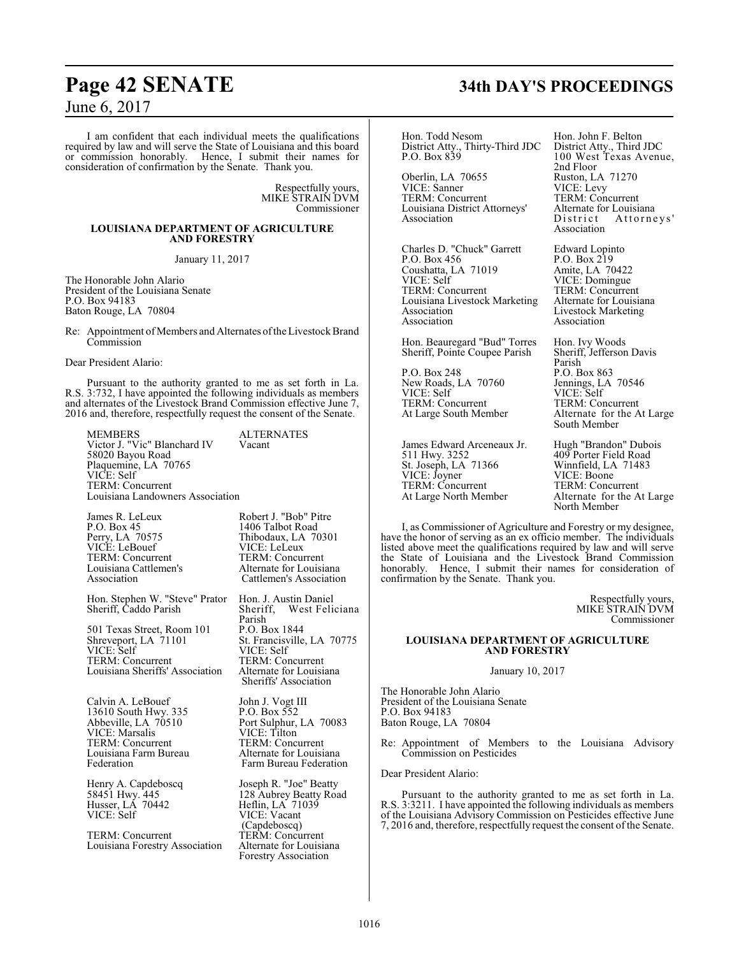I am confident that each individual meets the qualifications required by law and will serve the State of Louisiana and this board or commission honorably. Hence, I submit their names for consideration of confirmation by the Senate. Thank you.

> Respectfully yours, MIKE STRAIN DVM Commissioner

### **LOUISIANA DEPARTMENT OF AGRICULTURE AND FORESTRY**

January 11, 2017

The Honorable John Alario President of the Louisiana Senate P.O. Box 94183 Baton Rouge, LA 70804

Re: Appointment of Members and Alternates of the Livestock Brand Commission

Dear President Alario:

Pursuant to the authority granted to me as set forth in La. R.S. 3:732, I have appointed the following individuals as members and alternates of the Livestock Brand Commission effective June 7, 2016 and, therefore, respectfully request the consent of the Senate.

MEMBERS ALTERNATES Victor J. "Vic" Blanchard IV Vacant 58020 Bayou Road Plaquemine, LA 70765 VICE: Self TERM: Concurrent Louisiana Landowners Association

James R. LeLeux Robert J. "Bob" Pitre P.O. Box 45 1406 Talbot Road Perry, LA 70575<br>
VICE: LeBouef VICE: LeLeux<br>
VICE: LeLeux VICE: LeBouef VICE: LeLeux<br>
TERM: Concurrent TERM: Concurrent TERM: Concurrent TERM: Concurrent<br>
Louisiana Cattlemen's Alternate for Louisiana Louisiana Cattlemen's<br>Association

Hon. Stephen W. "Steve" Prator Hon. J. Austin Daniel Sheriff, Caddo Parish

501 Texas Street, Room 101 P.O. Box 1844 Shreveport, LA 71101 St. Francisville, LA 70775 VICE: Self<br>TERM: Concurrent TERM: Concurrent Louisiana Sheriffs' Association

Calvin A. LeBouef John J. Vogt III<br>13610 South Hwy. 335 P.O. Box 552 13610 South Hwy. 335<br>Abbeville, LA 70510 VICE: Marsalis VICE: Tilton TERM: Concurrent TERM: Concurrent<br>
Louisiana Farm Bureau Alternate for Louisiana Louisiana Farm Bureau<br>Federation

Henry A. Capdeboscq Joseph R. "Joe" Beatty<br>58451 Hwy. 445 128 Aubrey Beatty Roa Husser, LA 70442 Heflin, LA 71039 VICE: Self VICE: Vacant

TERM: Concurrent TERM: Concurrent<br>
Louisiana Forestry Association Alternate for Louisiana Louisiana Forestry Association

Association Cattlemen's Association

Parish<br>P.O. Box 1844 TERM: Concurrent<br>Alternate for Louisiana Sheriffs' Association

Port Sulphur, LA 70083<br>VICE: Tilton Federation Farm Bureau Federation

128 Aubrey Beatty Road<br>Heflin, LA 71039 (Capdeboscq) Forestry Association

# **Page 42 SENATE 34th DAY'S PROCEEDINGS**

Hon. Todd Nesom Hon. John F. Belton<br>District Atty., Thirty-Third JDC District Atty., Third JDC District Atty., Thirty-Third JDC District Atty., Third JDC P.O. Box 839 100 West Texas Avenue,

Oberlin, LA 70655 Ruston, LA<br>VICE: Sanner VICE: Levy VICE: Šanner VICE: Levy<br>TERM: Concurrent TERM: Concurrent TERM: Concurrent TERM: Concurrent<br>
Louisiana District Attorneys' Alternate for Louisiana Louisiana District Attorneys' Alternate for<br>  $\overline{D}$  Association  $\overline{D}$  is t r i c t

Charles D. "Chuck" Garrett Edward Lopinto<br>P.O. Box 456 P.O. Box 219 P.O. Box 456 <br>
Coushatta, LA 71019 <br>
Amite, LA 70422 Coushatta, LA 71019<br>VICE: Self VICE: Self VICE: Domingue<br>TERM: Concurrent TERM: Concurrent Louisiana Livestock Marketing<br>Association Association Livestock Marketing<br>Association Association

Hon. Beauregard "Bud" Torres Hon. Ivy Woods<br>Sheriff, Pointe Coupee Parish Sheriff, Jefferson Davis Sheriff, Pointe Coupee Parish

P.O. Box 248 New Roads, LA 70760<br>VICE: Self TERM: Concurrent<br>At Large South Member

James Edward Arceneaux Jr. Hugh "Brandon" Dubois<br>511 Hwy. 3252 409 Porter Field Road St. Joseph, LA 71366 Winnfield, LA 71483 VICE: Joyner VICE: Boone TERM: Concurrent TERM: Concurrent<br>At Large North Member Alternate for the A

2nd Floor<br>Ruston, LA 71270 Attorneys' Association

TERM: Concurrent<br>Alternate for Louisiana Association Association

Parish<br>P.O. Box 863 Jennings, LA 70546<br>VICE: Self<br>TERM: Concurrent Alternate for the At Large South Member

409 Porter Field Road<br>Winnfield, LA 71483 Alternate for the At Large North Member

I, as Commissioner of Agriculture and Forestry or my designee, have the honor of serving as an ex officio member. The individuals listed above meet the qualifications required by law and will serve the State of Louisiana and the Livestock Brand Commission honorably. Hence, I submit their names for consideration of confirmation by the Senate. Thank you.

> Respectfully yours, MIKE STRAIN DVM Commissioner

### **LOUISIANA DEPARTMENT OF AGRICULTURE AND FORESTRY**

January 10, 2017

The Honorable John Alario President of the Louisiana Senate P.O. Box 94183 Baton Rouge, LA 70804

Re: Appointment of Members to the Louisiana Advisory Commission on Pesticides

Dear President Alario:

Pursuant to the authority granted to me as set forth in La. R.S. 3:3211. I have appointed the following individuals as members of the Louisiana Advisory Commission on Pesticides effective June 7, 2016 and, therefore, respectfully request the consent of the Senate.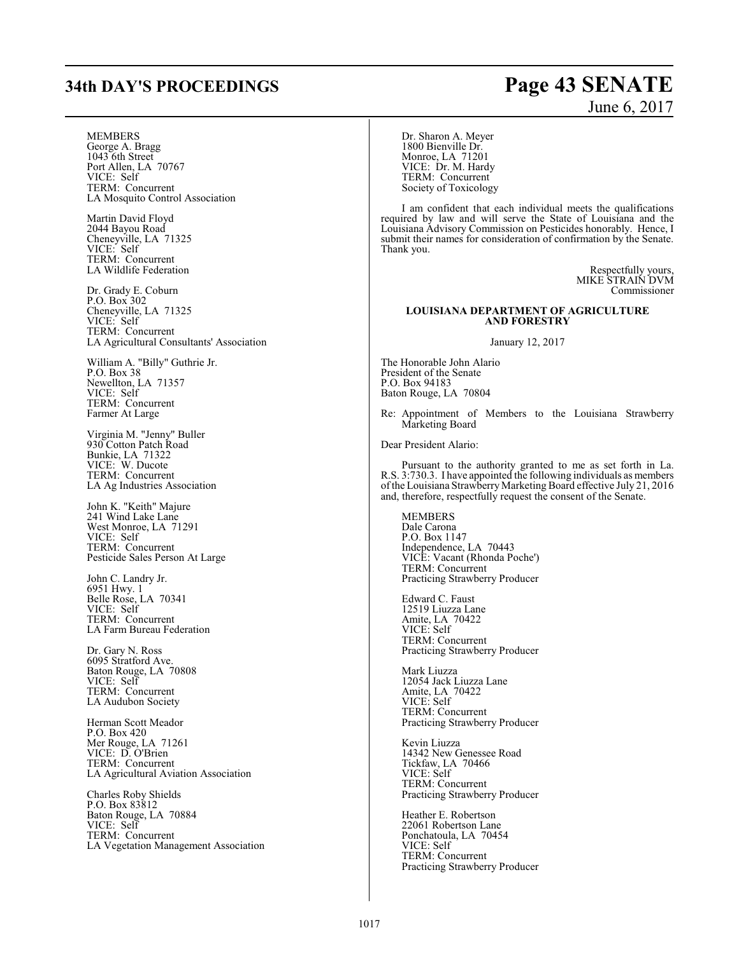## **34th DAY'S PROCEEDINGS Page 43 SENATE**

### **MEMBERS**

George A. Bragg 1043 6th Street Port Allen, LA 70767 VICE: Self TERM: Concurrent LA Mosquito Control Association

Martin David Floyd 2044 Bayou Road Cheneyville, LA 71325 VICE: Self TERM: Concurrent LA Wildlife Federation

Dr. Grady E. Coburn P.O. Box 302 Cheneyville, LA 71325 VICE: Self TERM: Concurrent LA Agricultural Consultants' Association

William A. "Billy" Guthrie Jr. P.O. Box 38 Newellton, LA 71357 VICE: Self TERM: Concurrent Farmer At Large

Virginia M. "Jenny" Buller 930 Cotton Patch Road Bunkie, LA 71322 VICE: W. Ducote TERM: Concurrent LA Ag Industries Association

John K. "Keith" Majure 241 Wind Lake Lane West Monroe, LA 71291 VICE: Self TERM: Concurrent Pesticide Sales Person At Large

John C. Landry Jr. 6951 Hwy. 1 Belle Rose, LA 70341 VICE: Self TERM: Concurrent LA Farm Bureau Federation

Dr. Gary N. Ross 6095 Stratford Ave. Baton Rouge, LA 70808 VICE: Self TERM: Concurrent LA Audubon Society

Herman Scott Meador P.O. Box 420 Mer Rouge, LA 71261 VICE: D. O'Brien TERM: Concurrent LA Agricultural Aviation Association

Charles Roby Shields P.O. Box 83812 Baton Rouge, LA 70884 VICE: Self TERM: Concurrent LA Vegetation Management Association Dr. Sharon A. Meyer 1800 Bienville Dr. Monroe, LA 71201 VICE: Dr. M. Hardy TERM: Concurrent Society of Toxicology

I am confident that each individual meets the qualifications required by law and will serve the State of Louisiana and the Louisiana Advisory Commission on Pesticides honorably. Hence, I submit their names for consideration of confirmation by the Senate. Thank you.

> Respectfully yours, MIKE STRAIN DVM Commissioner

### **LOUISIANA DEPARTMENT OF AGRICULTURE AND FORESTRY**

January 12, 2017

The Honorable John Alario President of the Senate P.O. Box 94183 Baton Rouge, LA 70804

Re: Appointment of Members to the Louisiana Strawberry Marketing Board

Dear President Alario:

Pursuant to the authority granted to me as set forth in La. R.S. 3:730.3. I have appointed the following individuals as members of the Louisiana Strawberry Marketing Board effective July 21, 2016 and, therefore, respectfully request the consent of the Senate.

MEMBERS Dale Carona P.O. Box 1147 Independence, LA 70443 VICE: Vacant (Rhonda Poche') TERM: Concurrent Practicing Strawberry Producer

Edward C. Faust 12519 Liuzza Lane Amite, LA 70422 VICE: Self TERM: Concurrent Practicing Strawberry Producer

Mark Liuzza 12054 Jack Liuzza Lane Amite, LA 70422 VICE: Self TERM: Concurrent Practicing Strawberry Producer

Kevin Liuzza 14342 New Genessee Road Tickfaw, LA 70466 VICE: Self TERM: Concurrent Practicing Strawberry Producer

Heather E. Robertson 22061 Robertson Lane Ponchatoula, LA 70454 VICE: Self TERM: Concurrent Practicing Strawberry Producer

# June 6, 2017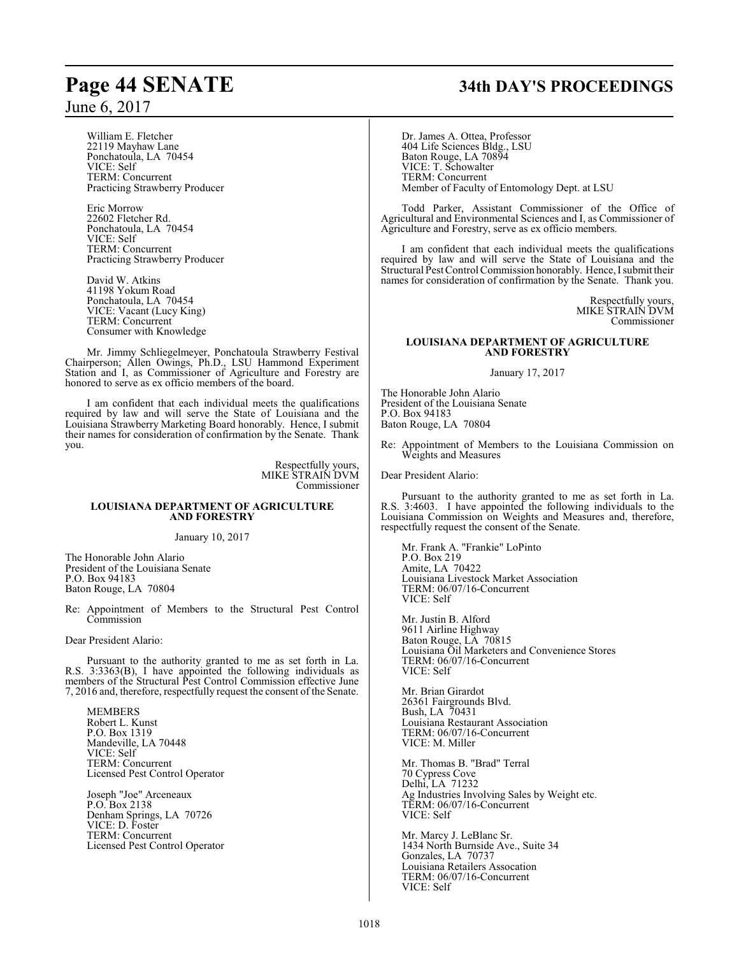William E. Fletcher 22119 Mayhaw Lane Ponchatoula, LA 70454 VICE: Self TERM: Concurrent Practicing Strawberry Producer

Eric Morrow 22602 Fletcher Rd. Ponchatoula, LA 70454 VICE: Self TERM: Concurrent Practicing Strawberry Producer

David W. Atkins 41198 Yokum Road Ponchatoula, LA 70454 VICE: Vacant (Lucy King) TERM: Concurrent Consumer with Knowledge

Mr. Jimmy Schliegelmeyer, Ponchatoula Strawberry Festival Chairperson; Allen Owings, Ph.D., LSU Hammond Experiment Station and I, as Commissioner of Agriculture and Forestry are honored to serve as ex officio members of the board.

I am confident that each individual meets the qualifications required by law and will serve the State of Louisiana and the Louisiana Strawberry Marketing Board honorably. Hence, I submit their names for consideration of confirmation by the Senate. Thank you.

> Respectfully yours, MIKE STRAIN DVM Commissioner

### **LOUISIANA DEPARTMENT OF AGRICULTURE AND FORESTRY**

January 10, 2017

The Honorable John Alario President of the Louisiana Senate P.O. Box 94183 Baton Rouge, LA 70804

Re: Appointment of Members to the Structural Pest Control Commission

Dear President Alario:

Pursuant to the authority granted to me as set forth in La. R.S. 3:3363(B), I have appointed the following individuals as members of the Structural Pest Control Commission effective June 7, 2016 and, therefore, respectfully request the consent of the Senate.

MEMBERS Robert L. Kunst P.O. Box 1319 Mandeville, LA 70448 VICE: Self TERM: Concurrent Licensed Pest Control Operator

Joseph "Joe" Arceneaux P.O. Box 2138 Denham Springs, LA 70726 VICE: D. Foster TERM: Concurrent Licensed Pest Control Operator

# **Page 44 SENATE 34th DAY'S PROCEEDINGS**

Dr. James A. Ottea, Professor 404 Life Sciences Bldg., LSU Baton Rouge, LA 70894 VICE: T. Schowalter TERM: Concurrent Member of Faculty of Entomology Dept. at LSU

Todd Parker, Assistant Commissioner of the Office of Agricultural and Environmental Sciences and I, as Commissioner of Agriculture and Forestry, serve as ex officio members.

I am confident that each individual meets the qualifications required by law and will serve the State of Louisiana and the Structural Pest Control Commission honorably. Hence, I submit their names for consideration of confirmation by the Senate. Thank you.

> Respectfully yours, MIKE STRAIN DVM Commissioner

### **LOUISIANA DEPARTMENT OF AGRICULTURE AND FORESTRY**

January 17, 2017

The Honorable John Alario President of the Louisiana Senate P.O. Box 94183 Baton Rouge, LA 70804

Re: Appointment of Members to the Louisiana Commission on Weights and Measures

Dear President Alario:

Pursuant to the authority granted to me as set forth in La. R.S. 3:4603. I have appointed the following individuals to the Louisiana Commission on Weights and Measures and, therefore, respectfully request the consent of the Senate.

Mr. Frank A. "Frankie" LoPinto P.O. Box 219 Amite, LA 70422 Louisiana Livestock Market Association TERM: 06/07/16-Concurrent VICE: Self

Mr. Justin B. Alford 9611 Airline Highway Baton Rouge, LA 70815 Louisiana Oil Marketers and Convenience Stores TERM: 06/07/16-Concurrent VICE: Self

Mr. Brian Girardot 26361 Fairgrounds Blvd. Bush, LA 70431 Louisiana Restaurant Association TERM: 06/07/16-Concurrent VICE: M. Miller

Mr. Thomas B. "Brad" Terral 70 Cypress Cove Delhi, LA 71232 Ag Industries Involving Sales by Weight etc. TERM: 06/07/16-Concurrent VICE: Self

Mr. Marcy J. LeBlanc Sr. 1434 North Burnside Ave., Suite 34 Gonzales, LA 70737 Louisiana Retailers Assocation TERM: 06/07/16-Concurrent VICE: Self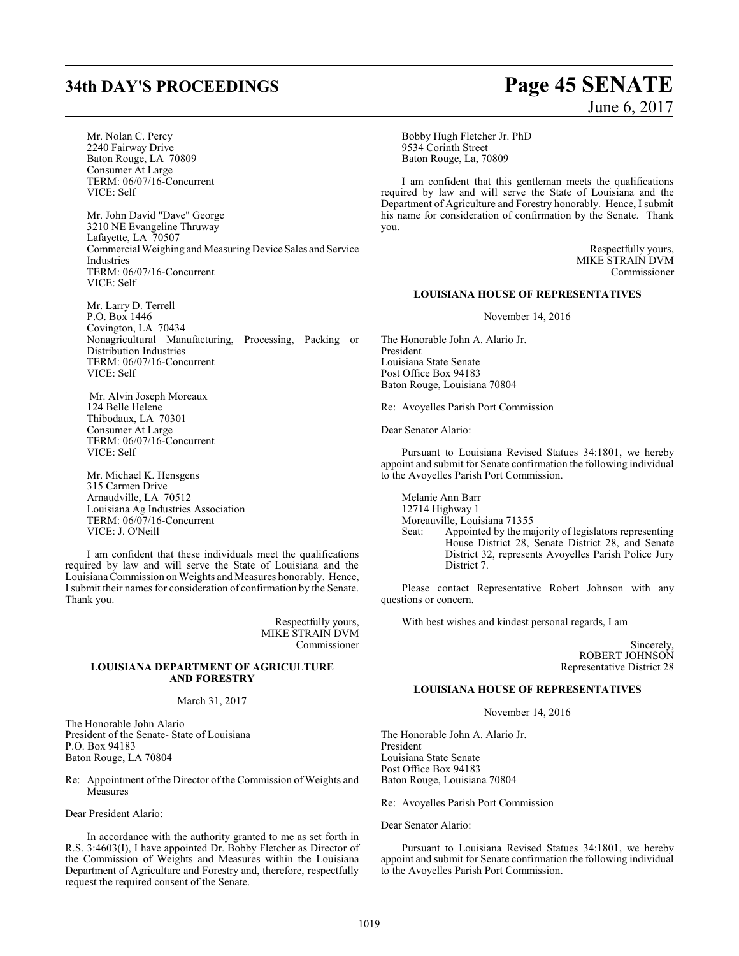# **34th DAY'S PROCEEDINGS Page 45 SENATE** June 6, 2017

| Mr. Nolan C. Percy<br>2240 Fairway Drive<br>Baton Rouge, LA 70809<br>Consumer At Large<br>TERM: 06/07/16-Concurrent<br>VICE: Self                     | Bobby Hugh Fletcher Jr. PhD<br>9534 Corinth Street<br>Baton Rouge, La, 70809<br>I am confident that this gentleman meets the qualifications<br>required by law and will serve the State of Louisiana and the<br>Department of Agriculture and Forestry honorably. Hence, I submit |
|-------------------------------------------------------------------------------------------------------------------------------------------------------|-----------------------------------------------------------------------------------------------------------------------------------------------------------------------------------------------------------------------------------------------------------------------------------|
| Mr. John David "Dave" George<br>3210 NE Evangeline Thruway<br>Lafayette, LA 70507                                                                     | his name for consideration of confirmation by the Senate. Thank<br>you.                                                                                                                                                                                                           |
| Commercial Weighing and Measuring Device Sales and Service<br>Industries<br>TERM: 06/07/16-Concurrent<br>VICE: Self                                   | Respectfully yours,<br>MIKE STRAIN DVM<br>Commissioner                                                                                                                                                                                                                            |
|                                                                                                                                                       | <b>LOUISIANA HOUSE OF REPRESENTATIVES</b>                                                                                                                                                                                                                                         |
| Mr. Larry D. Terrell<br>P.O. Box 1446<br>Covington, LA 70434                                                                                          | November 14, 2016                                                                                                                                                                                                                                                                 |
| Nonagricultural Manufacturing, Processing, Packing or<br>Distribution Industries                                                                      | The Honorable John A. Alario Jr.<br>President                                                                                                                                                                                                                                     |
| TERM: 06/07/16-Concurrent<br>VICE: Self                                                                                                               | Louisiana State Senate<br>Post Office Box 94183                                                                                                                                                                                                                                   |
|                                                                                                                                                       | Baton Rouge, Louisiana 70804                                                                                                                                                                                                                                                      |
| Mr. Alvin Joseph Moreaux<br>124 Belle Helene                                                                                                          | Re: Avoyelles Parish Port Commission                                                                                                                                                                                                                                              |
| Thibodaux, LA 70301<br>Consumer At Large                                                                                                              | Dear Senator Alario:                                                                                                                                                                                                                                                              |
| TERM: 06/07/16-Concurrent<br>VICE: Self                                                                                                               | Pursuant to Louisiana Revised Statues 34:1801, we hereby                                                                                                                                                                                                                          |
| Mr. Michael K. Hensgens                                                                                                                               | appoint and submit for Senate confirmation the following individual<br>to the Avoyelles Parish Port Commission.                                                                                                                                                                   |
| 315 Carmen Drive<br>Arnaudville, LA 70512                                                                                                             | Melanie Ann Barr                                                                                                                                                                                                                                                                  |
| Louisiana Ag Industries Association<br>TERM: 06/07/16-Concurrent                                                                                      | 12714 Highway 1<br>Moreauville, Louisiana 71355                                                                                                                                                                                                                                   |
| VICE: J. O'Neill                                                                                                                                      | Appointed by the majority of legislators representing<br>Seat:<br>House District 28, Senate District 28, and Senate                                                                                                                                                               |
| I am confident that these individuals meet the qualifications<br>required by law and will serve the State of Louisiana and the                        | District 32, represents Avoyelles Parish Police Jury<br>District 7.                                                                                                                                                                                                               |
| Louisiana Commission on Weights and Measures honorably. Hence,<br>I submit their names for consideration of confirmation by the Senate.<br>Thank you. | Please contact Representative Robert Johnson with any<br>questions or concern.                                                                                                                                                                                                    |
| Respectfully yours,<br>MIKE STRAIN DVM                                                                                                                | With best wishes and kindest personal regards, I am                                                                                                                                                                                                                               |
| Commissioner                                                                                                                                          | Sincerely,<br>ROBERT JOHNSON                                                                                                                                                                                                                                                      |
| LOUISIANA DEPARTMENT OF AGRICULTURE<br><b>AND FORESTRY</b>                                                                                            | Representative District 28                                                                                                                                                                                                                                                        |
|                                                                                                                                                       | <b>LOUISIANA HOUSE OF REPRESENTATIVES</b>                                                                                                                                                                                                                                         |
| March 31, 2017                                                                                                                                        | November 14, 2016                                                                                                                                                                                                                                                                 |
| The Honorable John Alario<br>President of the Senate- State of Louisiana                                                                              | The Honorable John A. Alario Jr.                                                                                                                                                                                                                                                  |
| P.O. Box 94183<br>Baton Rouge, LA 70804                                                                                                               | President<br>Louisiana State Senate                                                                                                                                                                                                                                               |
| Re: Appointment of the Director of the Commission of Weights and<br>Measures                                                                          | Post Office Box 94183<br>Baton Rouge, Louisiana 70804                                                                                                                                                                                                                             |
| Dear President Alario:                                                                                                                                | Re: Avoyelles Parish Port Commission                                                                                                                                                                                                                                              |

Dear Senator Alario:

Pursuant to Louisiana Revised Statues 34:1801, we hereby appoint and submit for Senate confirmation the following individual to the Avoyelles Parish Port Commission.

In accordance with the authority granted to me as set forth in R.S. 3:4603(I), I have appointed Dr. Bobby Fletcher as Director of the Commission of Weights and Measures within the Louisiana Department of Agriculture and Forestry and, therefore, respectfully

request the required consent of the Senate.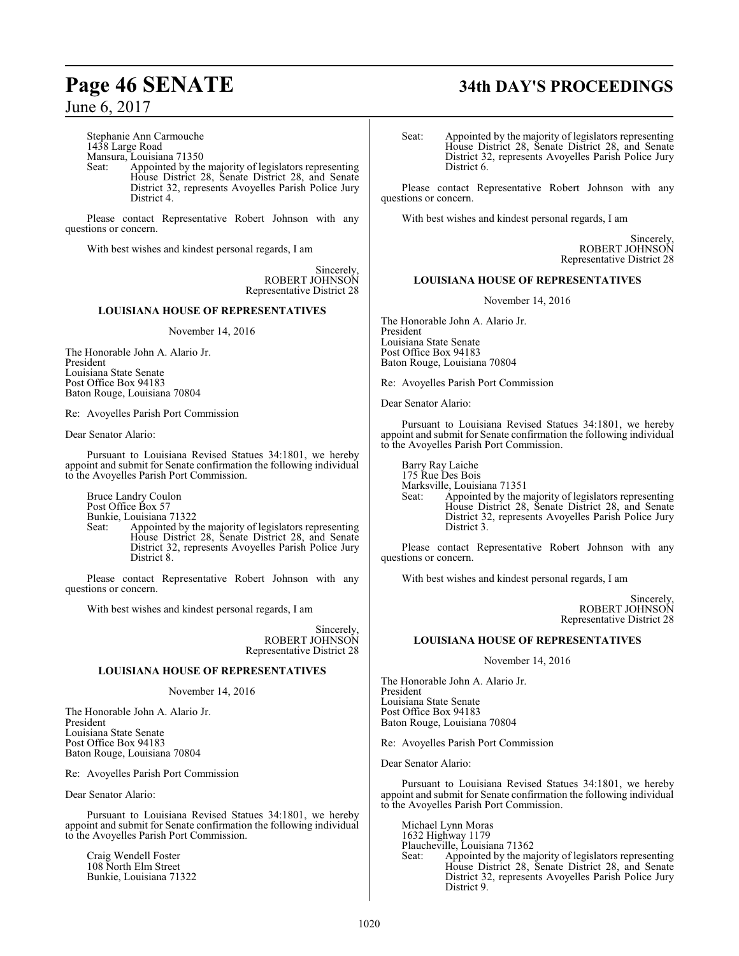Stephanie Ann Carmouche 1438 Large Road Mansura, Louisiana 71350 Seat: Appointed by the majority of legislators representing

House District 28, Senate District 28, and Senate District 32, represents Avoyelles Parish Police Jury District 4.

Please contact Representative Robert Johnson with any questions or concern.

With best wishes and kindest personal regards, I am

Sincerely, ROBERT JOHNSON Representative District 28

### **LOUISIANA HOUSE OF REPRESENTATIVES**

November 14, 2016

The Honorable John A. Alario Jr. President Louisiana State Senate Post Office Box 94183 Baton Rouge, Louisiana 70804

Re: Avoyelles Parish Port Commission

Dear Senator Alario:

Pursuant to Louisiana Revised Statues 34:1801, we hereby appoint and submit for Senate confirmation the following individual to the Avoyelles Parish Port Commission.

Bruce Landry Coulon Post Office Box 57 Bunkie, Louisiana 71322

Seat: Appointed by the majority of legislators representing House District 28, Senate District 28, and Senate District 32, represents Avoyelles Parish Police Jury District 8.

Please contact Representative Robert Johnson with any questions or concern.

With best wishes and kindest personal regards, I am

Sincerely, ROBERT JOHNSON Representative District 28

### **LOUISIANA HOUSE OF REPRESENTATIVES**

November 14, 2016

The Honorable John A. Alario Jr. President Louisiana State Senate Post Office Box 94183 Baton Rouge, Louisiana 70804

Re: Avoyelles Parish Port Commission

Dear Senator Alario:

Pursuant to Louisiana Revised Statues 34:1801, we hereby appoint and submit for Senate confirmation the following individual to the Avoyelles Parish Port Commission.

Craig Wendell Foster 108 North Elm Street Bunkie, Louisiana 71322

# **Page 46 SENATE 34th DAY'S PROCEEDINGS**

Seat: Appointed by the majority of legislators representing House District 28, Senate District 28, and Senate District 32, represents Avoyelles Parish Police Jury District 6.

Please contact Representative Robert Johnson with any questions or concern.

With best wishes and kindest personal regards, I am

Sincerely, ROBERT JOHNSON Representative District 28

### **LOUISIANA HOUSE OF REPRESENTATIVES**

November 14, 2016

The Honorable John A. Alario Jr. President Louisiana State Senate Post Office Box 94183 Baton Rouge, Louisiana 70804

Re: Avoyelles Parish Port Commission

Dear Senator Alario:

Pursuant to Louisiana Revised Statues 34:1801, we hereby appoint and submit for Senate confirmation the following individual to the Avoyelles Parish Port Commission.

Barry Ray Laiche 175 Rue Des Bois Marksville, Louisiana 71351<br>Seat: Appointed by the n Appointed by the majority of legislators representing House District 28, Senate District 28, and Senate District 32, represents Avoyelles Parish Police Jury District 3.

Please contact Representative Robert Johnson with any questions or concern.

With best wishes and kindest personal regards, I am

Sincerely, ROBERT JOHNSON Representative District 28

### **LOUISIANA HOUSE OF REPRESENTATIVES**

November 14, 2016

The Honorable John A. Alario Jr. President Louisiana State Senate Post Office Box 94183 Baton Rouge, Louisiana 70804

Re: Avoyelles Parish Port Commission

Dear Senator Alario:

Pursuant to Louisiana Revised Statues 34:1801, we hereby appoint and submit for Senate confirmation the following individual to the Avoyelles Parish Port Commission.

Michael Lynn Moras 1632 Highway 1179 Plaucheville, Louisiana 71362 Seat: Appointed by the majority of legislators representing House District 28, Senate District 28, and Senate District 32, represents Avoyelles Parish Police Jury District 9.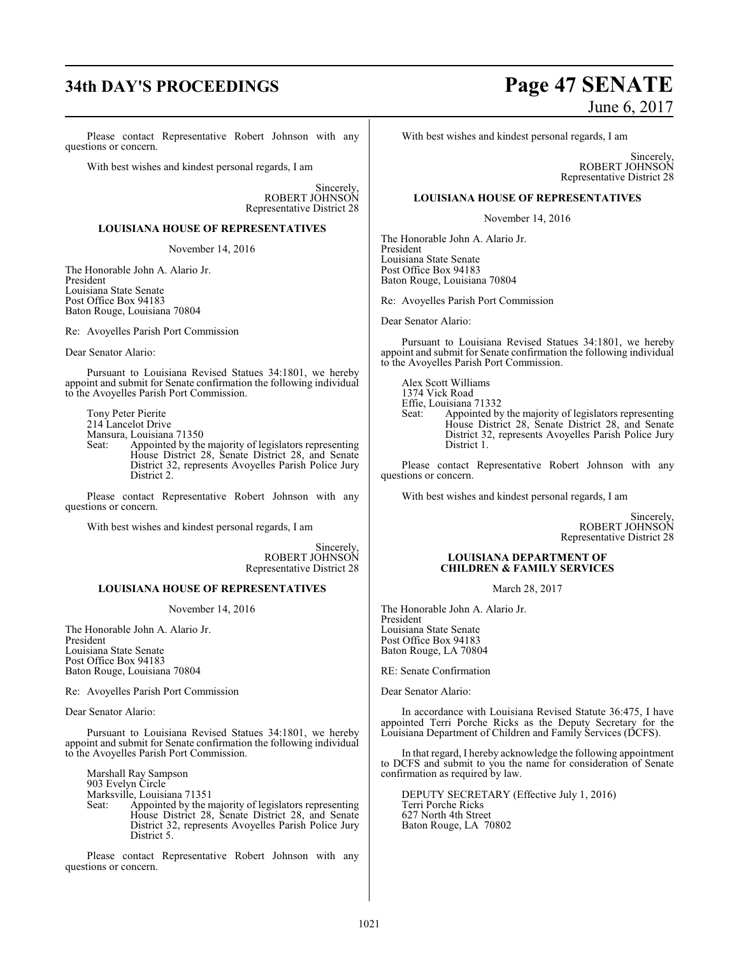# **34th DAY'S PROCEEDINGS Page 47 SENATE**

Please contact Representative Robert Johnson with any questions or concern.

With best wishes and kindest personal regards, I am

Sincerely, ROBERT JOHNSON Representative District 28

### **LOUISIANA HOUSE OF REPRESENTATIVES**

November 14, 2016

The Honorable John A. Alario Jr. President Louisiana State Senate Post Office Box 94183 Baton Rouge, Louisiana 70804

Re: Avoyelles Parish Port Commission

Dear Senator Alario:

Pursuant to Louisiana Revised Statues 34:1801, we hereby appoint and submit for Senate confirmation the following individual to the Avoyelles Parish Port Commission.

Tony Peter Pierite 214 Lancelot Drive Mansura, Louisiana 71350<br>Seat: Appointed by the

Appointed by the majority of legislators representing House District 28, Senate District 28, and Senate District 32, represents Avoyelles Parish Police Jury District 2.

Please contact Representative Robert Johnson with any questions or concern.

With best wishes and kindest personal regards, I am

Sincerely, ROBERT JOHNSON Representative District 28

### **LOUISIANA HOUSE OF REPRESENTATIVES**

November 14, 2016

The Honorable John A. Alario Jr. President Louisiana State Senate Post Office Box 94183 Baton Rouge, Louisiana 70804

Re: Avoyelles Parish Port Commission

Dear Senator Alario:

Pursuant to Louisiana Revised Statues 34:1801, we hereby appoint and submit for Senate confirmation the following individual to the Avoyelles Parish Port Commission.

Marshall Ray Sampson 903 Evelyn Circle Marksville, Louisiana 71351<br>Seat: Appointed by the n Appointed by the majority of legislators representing House District 28, Senate District 28, and Senate District 32, represents Avoyelles Parish Police Jury District 5.

Please contact Representative Robert Johnson with any questions or concern.

June 6, 2017

With best wishes and kindest personal regards, I am

Sincerely, ROBERT JOHNSON Representative District 28

### **LOUISIANA HOUSE OF REPRESENTATIVES**

November 14, 2016

The Honorable John A. Alario Jr. President Louisiana State Senate Post Office Box 94183 Baton Rouge, Louisiana 70804

Re: Avoyelles Parish Port Commission

Dear Senator Alario:

Pursuant to Louisiana Revised Statues 34:1801, we hereby appoint and submit for Senate confirmation the following individual to the Avoyelles Parish Port Commission.

Alex Scott Williams 1374 Vick Road Effie, Louisiana 71332<br>Seat: Appointed by Seat: Appointed by the majority of legislators representing House District 28, Senate District 28, and Senate District 32, represents Avoyelles Parish Police Jury District 1.

Please contact Representative Robert Johnson with any questions or concern.

With best wishes and kindest personal regards, I am

Sincerely, ROBERT JOHNSON Representative District 28

### **LOUISIANA DEPARTMENT OF CHILDREN & FAMILY SERVICES**

March 28, 2017

The Honorable John A. Alario Jr. President Louisiana State Senate Post Office Box 94183 Baton Rouge, LA 70804

RE: Senate Confirmation

Dear Senator Alario:

In accordance with Louisiana Revised Statute 36:475, I have appointed Terri Porche Ricks as the Deputy Secretary for the Louisiana Department of Children and Family Services (DCFS).

In that regard, I hereby acknowledge the following appointment to DCFS and submit to you the name for consideration of Senate confirmation as required by law.

DEPUTY SECRETARY (Effective July 1, 2016) Terri Porche Ricks 627 North 4th Street Baton Rouge, LA 70802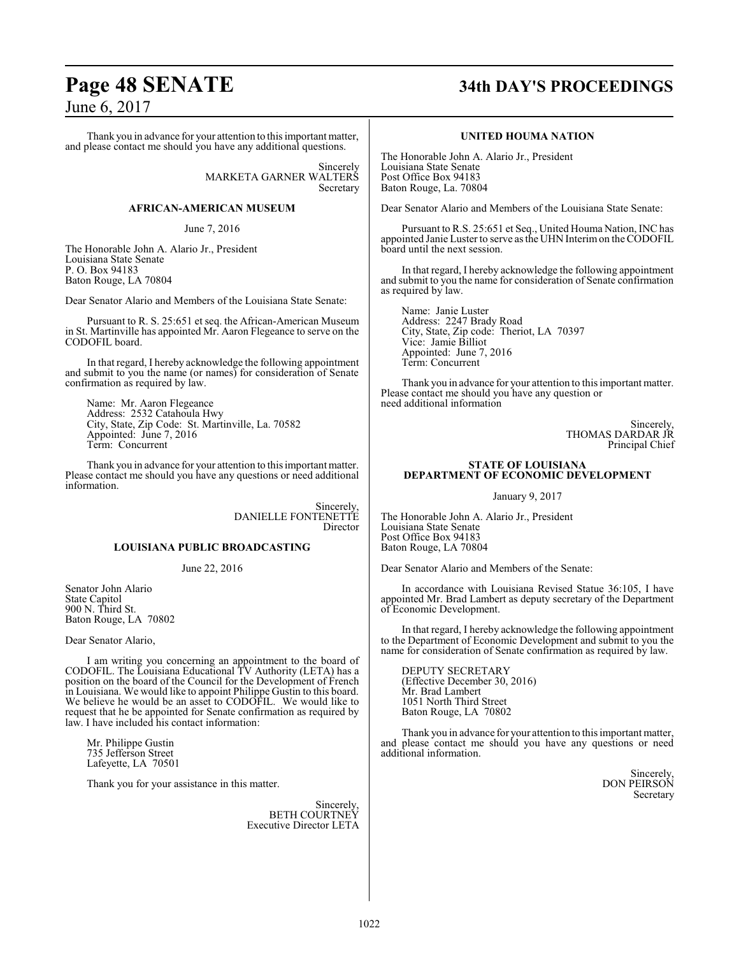Thank you in advance for your attention to this important matter, and please contact me should you have any additional questions.

> Sincerely MARKETA GARNER WALTERS Secretary

### **AFRICAN-AMERICAN MUSEUM**

June 7, 2016

The Honorable John A. Alario Jr., President Louisiana State Senate P. O. Box 94183 Baton Rouge, LA 70804

Dear Senator Alario and Members of the Louisiana State Senate:

Pursuant to R. S. 25:651 et seq. the African-American Museum in St. Martinville has appointed Mr. Aaron Flegeance to serve on the CODOFIL board.

In that regard, I hereby acknowledge the following appointment and submit to you the name (or names) for consideration of Senate confirmation as required by law.

Name: Mr. Aaron Flegeance Address: 2532 Catahoula Hwy City, State, Zip Code: St. Martinville, La. 70582 Appointed: June 7, 2016 Term: Concurrent

Thank you in advance for your attention to this important matter. Please contact me should you have any questions or need additional information.

> Sincerely, DANIELLE FONTENETTE Director

### **LOUISIANA PUBLIC BROADCASTING**

June 22, 2016

Senator John Alario State Capitol 900 N. Third St. Baton Rouge, LA 70802

Dear Senator Alario,

I am writing you concerning an appointment to the board of CODOFIL. The Louisiana Educational TV Authority (LETA) has a position on the board of the Council for the Development of French in Louisiana. We would like to appoint Philippe Gustin to this board. We believe he would be an asset to CODOFIL. We would like to request that he be appointed for Senate confirmation as required by law. I have included his contact information:

Mr. Philippe Gustin 735 Jefferson Street Lafeyette, LA 70501

Thank you for your assistance in this matter.

Sincerely, BETH COURTNEY Executive Director LETA

# **Page 48 SENATE 34th DAY'S PROCEEDINGS**

### **UNITED HOUMA NATION**

The Honorable John A. Alario Jr., President Louisiana State Senate Post Office Box 94183 Baton Rouge, La. 70804

Dear Senator Alario and Members of the Louisiana State Senate:

Pursuant to R.S. 25:651 et Seq., United Houma Nation, INC has appointed Janie Luster to serve asthe UHN Interimon theCODOFIL board until the next session.

In that regard, I hereby acknowledge the following appointment and submit to you the name for consideration of Senate confirmation as required by law.

Name: Janie Luster Address: 2247 Brady Road City, State, Zip code: Theriot, LA 70397 Vice: Jamie Billiot Appointed: June 7, 2016 Term: Concurrent

Thank you in advance for your attention to this important matter. Please contact me should you have any question or need additional information

> Sincerely, THOMAS DARDAR JR Principal Chief

### **STATE OF LOUISIANA DEPARTMENT OF ECONOMIC DEVELOPMENT**

January 9, 2017

The Honorable John A. Alario Jr., President Louisiana State Senate Post Office Box 94183 Baton Rouge, LA 70804

Dear Senator Alario and Members of the Senate:

In accordance with Louisiana Revised Statue 36:105, I have appointed Mr. Brad Lambert as deputy secretary of the Department of Economic Development.

In that regard, I hereby acknowledge the following appointment to the Department of Economic Development and submit to you the name for consideration of Senate confirmation as required by law.

DEPUTY SECRETARY (Effective December 30, 2016) Mr. Brad Lambert 1051 North Third Street Baton Rouge, LA 70802

Thank you in advance for your attention to this important matter, and please contact me should you have any questions or need additional information.

> Sincerely, DON PEIRSON Secretary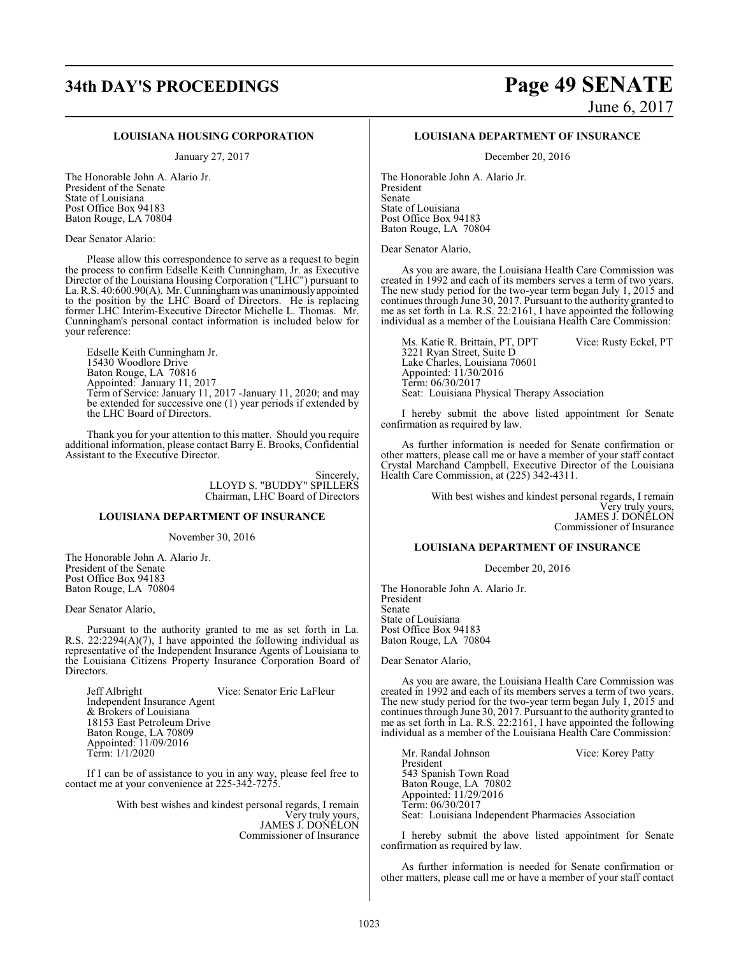## **34th DAY'S PROCEEDINGS Page 49 SENATE** June 6, 2017

### **LOUISIANA HOUSING CORPORATION**

January 27, 2017

The Honorable John A. Alario Jr. President of the Senate State of Louisiana Post Office Box 94183 Baton Rouge, LA 70804

Dear Senator Alario:

Please allow this correspondence to serve as a request to begin the process to confirm Edselle Keith Cunningham, Jr. as Executive Director of the Louisiana Housing Corporation ("LHC") pursuant to La. R.S. 40:600.90(A). Mr. Cunninghamwas unanimouslyappointed to the position by the LHC Board of Directors. He is replacing former LHC Interim-Executive Director Michelle L. Thomas. Mr. Cunningham's personal contact information is included below for your reference:

Edselle Keith Cunningham Jr. 15430 Woodlore Drive Baton Rouge, LA 70816 Appointed: January 11, 2017 Term of Service: January 11, 2017 -January 11, 2020; and may be extended for successive one (1) year periods if extended by the LHC Board of Directors.

Thank you for your attention to this matter. Should you require additional information, please contact Barry E. Brooks, Confidential Assistant to the Executive Director.

> Sincerely, LLOYD S. "BUDDY" SPILLERS Chairman, LHC Board of Directors

### **LOUISIANA DEPARTMENT OF INSURANCE**

November 30, 2016

The Honorable John A. Alario Jr. President of the Senate Post Office Box 94183 Baton Rouge, LA 70804

Dear Senator Alario,

Pursuant to the authority granted to me as set forth in La. R.S. 22:2294(A)(7), I have appointed the following individual as representative of the Independent Insurance Agents of Louisiana to the Louisiana Citizens Property Insurance Corporation Board of Directors.

Jeff Albright Vice: Senator Eric LaFleur Independent Insurance Agent & Brokers of Louisiana 18153 East Petroleum Drive Baton Rouge, LA 70809 Appointed: 11/09/2016 Term: 1/1/2020

If I can be of assistance to you in any way, please feel free to contact me at your convenience at 225-342-7275.

> With best wishes and kindest personal regards, I remain Very truly yours, JAMES J. DONELON Commissioner of Insurance

### **LOUISIANA DEPARTMENT OF INSURANCE**

December 20, 2016

The Honorable John A. Alario Jr. President Senate State of Louisiana Post Office Box 94183 Baton Rouge, LA 70804

Dear Senator Alario,

As you are aware, the Louisiana Health Care Commission was created in 1992 and each of its members serves a term of two years. The new study period for the two-year term began July 1, 2015 and continues through June 30, 2017. Pursuant to the authority granted to me as set forth in La. R.S. 22:2161, I have appointed the following individual as a member of the Louisiana Health Care Commission:

Ms. Katie R. Brittain, PT, DPT Vice: Rusty Eckel, PT 3221 Ryan Street, Suite D Lake Charles, Louisiana 70601 Appointed: 11/30/2016 Term: 06/30/2017 Seat: Louisiana Physical Therapy Association

I hereby submit the above listed appointment for Senate confirmation as required by law.

As further information is needed for Senate confirmation or other matters, please call me or have a member of your staff contact Crystal Marchand Campbell, Executive Director of the Louisiana Health Care Commission, at (225) 342-4311.

> With best wishes and kindest personal regards, I remain Very truly yours, JAMES J. DONELON Commissioner of Insurance

### **LOUISIANA DEPARTMENT OF INSURANCE**

December 20, 2016

The Honorable John A. Alario Jr. President Senate State of Louisiana Post Office Box 94183 Baton Rouge, LA 70804

Dear Senator Alario,

As you are aware, the Louisiana Health Care Commission was created in 1992 and each of its members serves a term of two years. The new study period for the two-year term began July 1, 2015 and continues through June 30, 2017. Pursuant to the authority granted to me as set forth in La. R.S. 22:2161, I have appointed the following individual as a member of the Louisiana Health Care Commission:

Mr. Randal Johnson Vice: Korey Patty President 543 Spanish Town Road Baton Rouge, LA 70802 Appointed: 11/29/2016 Term: 06/30/2017 Seat: Louisiana Independent Pharmacies Association

I hereby submit the above listed appointment for Senate confirmation as required by law.

As further information is needed for Senate confirmation or other matters, please call me or have a member of your staff contact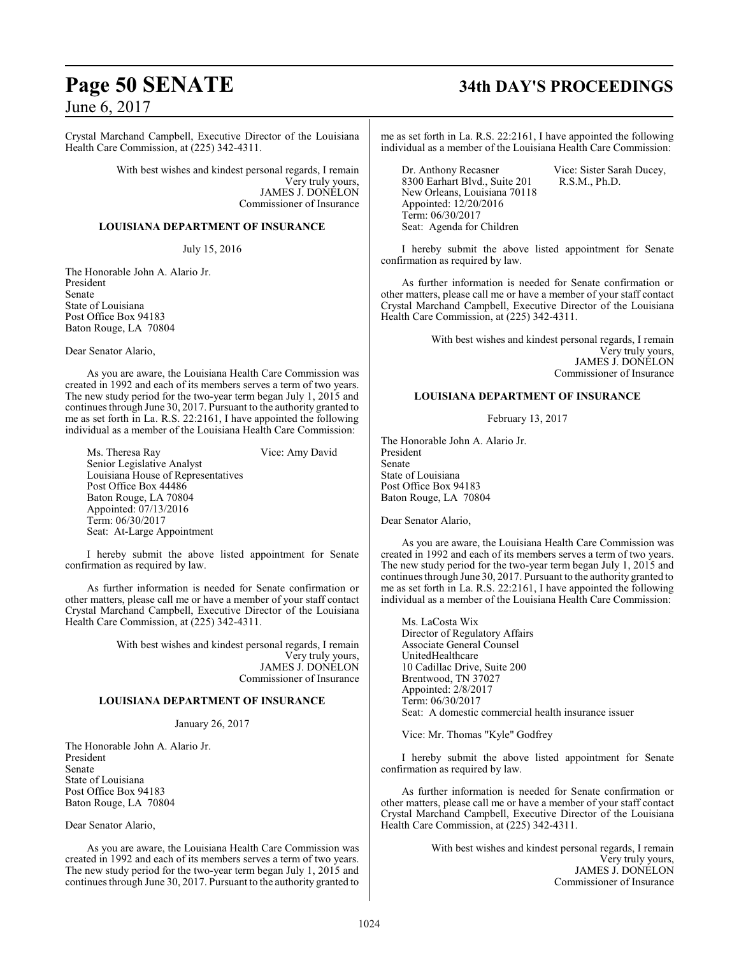Crystal Marchand Campbell, Executive Director of the Louisiana Health Care Commission, at (225) 342-4311.

> With best wishes and kindest personal regards, I remain Very truly yours, JAMES J. DONELON Commissioner of Insurance

### **LOUISIANA DEPARTMENT OF INSURANCE**

July 15, 2016

The Honorable John A. Alario Jr. President Senate State of Louisiana Post Office Box 94183 Baton Rouge, LA 70804

Dear Senator Alario,

As you are aware, the Louisiana Health Care Commission was created in 1992 and each of its members serves a term of two years. The new study period for the two-year term began July 1, 2015 and continues through June 30, 2017. Pursuant to the authority granted to me as set forth in La. R.S. 22:2161, I have appointed the following individual as a member of the Louisiana Health Care Commission:

Ms. Theresa Ray Vice: Amy David Senior Legislative Analyst Louisiana House of Representatives Post Office Box 44486 Baton Rouge, LA 70804 Appointed: 07/13/2016 Term: 06/30/2017 Seat: At-Large Appointment

I hereby submit the above listed appointment for Senate confirmation as required by law.

As further information is needed for Senate confirmation or other matters, please call me or have a member of your staff contact Crystal Marchand Campbell, Executive Director of the Louisiana Health Care Commission, at (225) 342-4311.

> With best wishes and kindest personal regards, I remain Very truly yours, JAMES J. DONELON Commissioner of Insurance

### **LOUISIANA DEPARTMENT OF INSURANCE**

January 26, 2017

The Honorable John A. Alario Jr. President Senate State of Louisiana Post Office Box 94183 Baton Rouge, LA 70804

Dear Senator Alario,

As you are aware, the Louisiana Health Care Commission was created in 1992 and each of its members serves a term of two years. The new study period for the two-year term began July 1, 2015 and continues through June 30, 2017. Pursuant to the authority granted to

# **Page 50 SENATE 34th DAY'S PROCEEDINGS**

me as set forth in La. R.S. 22:2161, I have appointed the following individual as a member of the Louisiana Health Care Commission:

Dr. Anthony Recasner Vice: Sister Sarah Ducey,<br>8300 Earhart Blvd., Suite 201 R.S.M., Ph.D. 8300 Earhart Blvd., Suite 201 New Orleans, Louisiana 70118 Appointed: 12/20/2016 Term: 06/30/2017 Seat: Agenda for Children

I hereby submit the above listed appointment for Senate confirmation as required by law.

As further information is needed for Senate confirmation or other matters, please call me or have a member of your staff contact Crystal Marchand Campbell, Executive Director of the Louisiana Health Care Commission, at (225) 342-4311.

> With best wishes and kindest personal regards, I remain Very truly yours, JAMES J. DONELON Commissioner of Insurance

### **LOUISIANA DEPARTMENT OF INSURANCE**

February 13, 2017

The Honorable John A. Alario Jr. President Senate State of Louisiana Post Office Box 94183 Baton Rouge, LA 70804

Dear Senator Alario,

As you are aware, the Louisiana Health Care Commission was created in 1992 and each of its members serves a term of two years. The new study period for the two-year term began July 1, 2015 and continues through June 30, 2017. Pursuant to the authority granted to me as set forth in La. R.S. 22:2161, I have appointed the following individual as a member of the Louisiana Health Care Commission:

Ms. LaCosta Wix Director of Regulatory Affairs Associate General Counsel UnitedHealthcare 10 Cadillac Drive, Suite 200 Brentwood, TN 37027 Appointed: 2/8/2017 Term: 06/30/2017 Seat: A domestic commercial health insurance issuer

Vice: Mr. Thomas "Kyle" Godfrey

I hereby submit the above listed appointment for Senate confirmation as required by law.

As further information is needed for Senate confirmation or other matters, please call me or have a member of your staff contact Crystal Marchand Campbell, Executive Director of the Louisiana Health Care Commission, at (225) 342-4311.

> With best wishes and kindest personal regards, I remain Very truly yours, JAMES J. DONELON Commissioner of Insurance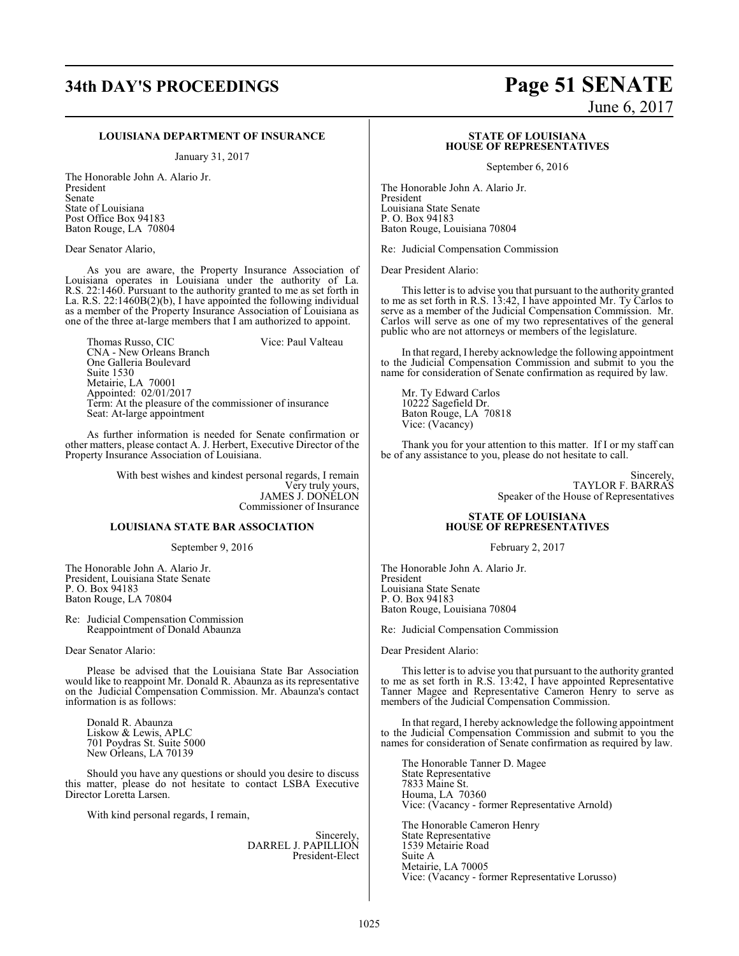### **LOUISIANA DEPARTMENT OF INSURANCE**

January 31, 2017

The Honorable John A. Alario Jr. President Senate State of Louisiana Post Office Box 94183 Baton Rouge, LA 70804

Dear Senator Alario,

As you are aware, the Property Insurance Association of Louisiana operates in Louisiana under the authority of La. R.S. 22:1460. Pursuant to the authority granted to me as set forth in La. R.S. 22:1460B(2)(b), I have appointed the following individual as a member of the Property Insurance Association of Louisiana as one of the three at-large members that I am authorized to appoint.

Thomas Russo, CIC Vice: Paul Valteau CNA - New Orleans Branch One Galleria Boulevard Suite 1530 Metairie, LA 70001 Appointed: 02/01/2017 Term: At the pleasure of the commissioner of insurance Seat: At-large appointment

As further information is needed for Senate confirmation or other matters, please contact A. J. Herbert, Executive Director of the Property Insurance Association of Louisiana.

> With best wishes and kindest personal regards, I remain Very truly yours, JAMES J. DONELON Commissioner of Insurance

### **LOUISIANA STATE BAR ASSOCIATION**

September 9, 2016

The Honorable John A. Alario Jr. President, Louisiana State Senate P. O. Box 94183 Baton Rouge, LA 70804

Re: Judicial Compensation Commission Reappointment of Donald Abaunza

Dear Senator Alario:

Please be advised that the Louisiana State Bar Association would like to reappoint Mr. Donald R. Abaunza as its representative on the Judicial Compensation Commission. Mr. Abaunza's contact information is as follows:

Donald R. Abaunza Liskow & Lewis, APLC 701 Poydras St. Suite 5000 New Orleans, LA 70139

Should you have any questions or should you desire to discuss this matter, please do not hesitate to contact LSBA Executive Director Loretta Larsen.

With kind personal regards, I remain,

Sincerely, DARREL J. PAPILLION President-Elect

# **34th DAY'S PROCEEDINGS Page 51 SENATE**

June 6, 2017

### **STATE OF LOUISIANA HOUSE OF REPRESENTATIVES**

September 6, 2016

The Honorable John A. Alario Jr. President Louisiana State Senate P. O. Box 94183 Baton Rouge, Louisiana 70804

Re: Judicial Compensation Commission

Dear President Alario:

This letter is to advise you that pursuant to the authority granted to me as set forth in R.S. 13:42, I have appointed Mr. Ty Carlos to serve as a member of the Judicial Compensation Commission. Mr. Carlos will serve as one of my two representatives of the general public who are not attorneys or members of the legislature.

In that regard, I hereby acknowledge the following appointment to the Judicial Compensation Commission and submit to you the name for consideration of Senate confirmation as required by law.

Mr. Ty Edward Carlos 10222 Sagefield Dr. Baton Rouge, LA 70818 Vice: (Vacancy)

Thank you for your attention to this matter. If I or my staff can be of any assistance to you, please do not hesitate to call.

> Sincerely, TAYLOR F. BARRAS Speaker of the House of Representatives

### **STATE OF LOUISIANA HOUSE OF REPRESENTATIVES**

February 2, 2017

The Honorable John A. Alario Jr. President Louisiana State Senate P. O. Box 94183 Baton Rouge, Louisiana 70804

Re: Judicial Compensation Commission

Dear President Alario:

This letter is to advise you that pursuant to the authority granted to me as set forth in R.S. 13:42, I have appointed Representative Tanner Magee and Representative Cameron Henry to serve as members of the Judicial Compensation Commission.

In that regard, I hereby acknowledge the following appointment to the Judicial Compensation Commission and submit to you the names for consideration of Senate confirmation as required by law.

The Honorable Tanner D. Magee State Representative 7833 Maine St. Houma, LA 70360 Vice: (Vacancy - former Representative Arnold)

The Honorable Cameron Henry State Representative 1539 Metairie Road Suite A Metairie, LA 70005 Vice: (Vacancy - former Representative Lorusso)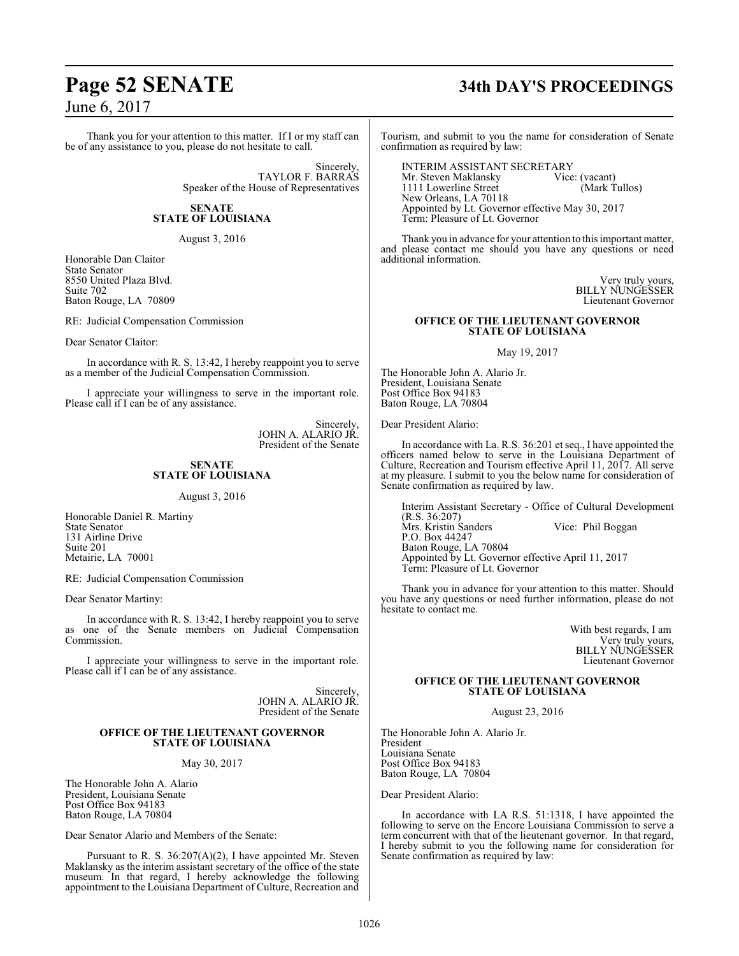Thank you for your attention to this matter. If I or my staff can be of any assistance to you, please do not hesitate to call.

> Sincerely, TAYLOR F. BARRAS Speaker of the House of Representatives

### **SENATE STATE OF LOUISIANA**

August 3, 2016

Honorable Dan Claitor State Senator 8550 United Plaza Blvd. Suite 702 Baton Rouge, LA 70809

RE: Judicial Compensation Commission

Dear Senator Claitor:

In accordance with R. S. 13:42, I hereby reappoint you to serve as a member of the Judicial Compensation Commission.

I appreciate your willingness to serve in the important role. Please call if I can be of any assistance.

> Sincerely, JOHN A. ALARIO JR. President of the Senate

### **SENATE STATE OF LOUISIANA**

August 3, 2016

Honorable Daniel R. Martiny State Senator 131 Airline Drive Suite 201 Metairie, LA 70001

RE: Judicial Compensation Commission

Dear Senator Martiny:

In accordance with R. S. 13:42, I hereby reappoint you to serve as one of the Senate members on Judicial Compensation Commission.

I appreciate your willingness to serve in the important role. Please call if I can be of any assistance.

> Sincerely, JOHN A. ALARIO JR. President of the Senate

### **OFFICE OF THE LIEUTENANT GOVERNOR STATE OF LOUISIANA**

May 30, 2017

The Honorable John A. Alario President, Louisiana Senate Post Office Box 94183 Baton Rouge, LA 70804

Dear Senator Alario and Members of the Senate:

Pursuant to R. S. 36:207(A)(2), I have appointed Mr. Steven Maklansky as the interim assistant secretary of the office of the state museum. In that regard, I hereby acknowledge the following appointment to the Louisiana Department of Culture, Recreation and

# **Page 52 SENATE 34th DAY'S PROCEEDINGS**

Tourism, and submit to you the name for consideration of Senate confirmation as required by law:

INTERIM ASSISTANT SECRETARY<br>Mr. Steven Maklansky Vice: (vacant) Mr. Steven Maklansky Vice: (vacant)<br>1111 Lowerline Street (Mark Tullos) 1111 Lowerline Street New Orleans, LA 70118 Appointed by Lt. Governor effective May 30, 2017 Term: Pleasure of Lt. Governor

Thank you in advance for your attention to this important matter, and please contact me should you have any questions or need additional information.

> Very truly yours, BILLY NUNGESSER Lieutenant Governor

### **OFFICE OF THE LIEUTENANT GOVERNOR STATE OF LOUISIANA**

May 19, 2017

The Honorable John A. Alario Jr. President, Louisiana Senate Post Office Box 94183 Baton Rouge, LA 70804

Dear President Alario:

In accordance with La. R.S. 36:201 et seq., I have appointed the officers named below to serve in the Louisiana Department of Culture, Recreation and Tourism effective April 11, 2017. All serve at my pleasure. I submit to you the below name for consideration of Senate confirmation as required by law.

Interim Assistant Secretary - Office of Cultural Development (R.S. 36:207) Vice: Phil Boggan P.O. Box 44247 Baton Rouge, LA 70804 Appointed by Lt. Governor effective April 11, 2017 Term: Pleasure of Lt. Governor

Thank you in advance for your attention to this matter. Should you have any questions or need further information, please do not hesitate to contact me.

> With best regards, I am Very truly yours, BILLY NUNGESSER Lieutenant Governor

### **OFFICE OF THE LIEUTENANT GOVERNOR STATE OF LOUISIANA**

August 23, 2016

The Honorable John A. Alario Jr. President Louisiana Senate Post Office Box 94183 Baton Rouge, LA 70804

Dear President Alario:

In accordance with LA R.S. 51:1318, I have appointed the following to serve on the Encore Louisiana Commission to serve a term concurrent with that of the lieutenant governor. In that regard, I hereby submit to you the following name for consideration for Senate confirmation as required by law: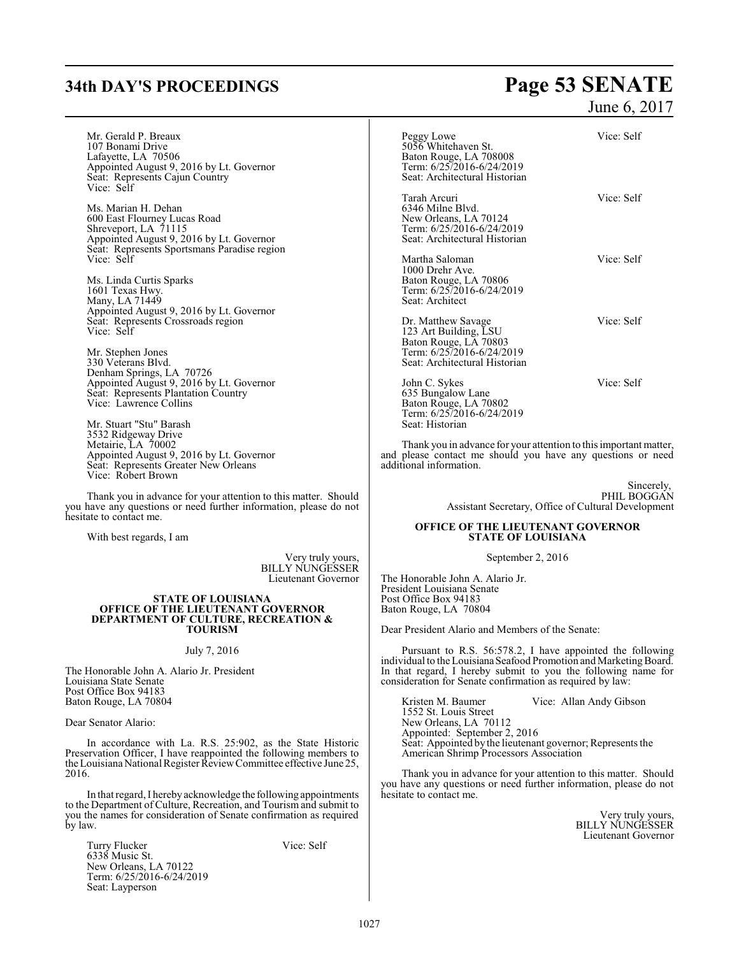# **34th DAY'S PROCEEDINGS Page 53 SENATE**

## June 6, 2017

| Mr. Gerald P. Breaux<br>107 Bonami Drive<br>Lafayette, LA 70506<br>Appointed August 9, 2016 by Lt. Governor<br>Seat: Represents Cajun Country                                                         | Vice: Self<br>Peggy Lowe<br>5056 Whitehaven St.<br>Baton Rouge, LA 708008<br>Term: 6/25/2016-6/24/2019<br>Seat: Architectural Historian                                                                                                                       |  |
|-------------------------------------------------------------------------------------------------------------------------------------------------------------------------------------------------------|---------------------------------------------------------------------------------------------------------------------------------------------------------------------------------------------------------------------------------------------------------------|--|
| Vice: Self<br>Ms. Marian H. Dehan<br>600 East Flourney Lucas Road<br>Shreveport, LA 71115<br>Appointed August 9, 2016 by Lt. Governor<br>Seat: Represents Sportsmans Paradise region                  | Vice: Self<br>Tarah Arcuri<br>6346 Milne Blvd.<br>New Orleans, LA 70124<br>Term: 6/25/2016-6/24/2019<br>Seat: Architectural Historian                                                                                                                         |  |
| Vice: Self<br>Ms. Linda Curtis Sparks<br>1601 Texas Hwy.<br>Many, LA 71449                                                                                                                            | Vice: Self<br>Martha Saloman<br>1000 Drehr Ave.<br>Baton Rouge, LA 70806<br>Term: 6/25/2016-6/24/2019<br>Seat: Architect                                                                                                                                      |  |
| Appointed August 9, 2016 by Lt. Governor<br>Seat: Represents Crossroads region<br>Vice: Self<br>Mr. Stephen Jones<br>330 Veterans Blvd.                                                               | Vice: Self<br>Dr. Matthew Savage<br>123 Art Building, LSU<br>Baton Rouge, LA 70803<br>Term: 6/25/2016-6/24/2019<br>Seat: Architectural Historian                                                                                                              |  |
| Denham Springs, LA 70726<br>Appointed August 9, 2016 by Lt. Governor<br>Seat: Represents Plantation Country<br>Vice: Lawrence Collins<br>Mr. Stuart "Stu" Barash                                      | Vice: Self<br>John C. Sykes<br>635 Bungalow Lane<br>Baton Rouge, LA 70802<br>Term: 6/25/2016-6/24/2019<br>Seat: Historian                                                                                                                                     |  |
| 3532 Ridgeway Drive<br>Metairie, LA 70002<br>Appointed August 9, 2016 by Lt. Governor<br>Seat: Represents Greater New Orleans<br>Vice: Robert Brown                                                   | Thank you in advance for your attention to this important matter,<br>and please contact me should you have any questions or need<br>additional information.                                                                                                   |  |
| Thank you in advance for your attention to this matter. Should<br>you have any questions or need further information, please do not<br>hesitate to contact me.                                        | Sincerely,<br>PHIL BOGGAN<br>Assistant Secretary, Office of Cultural Development                                                                                                                                                                              |  |
| With best regards, I am                                                                                                                                                                               | <b>OFFICE OF THE LIEUTENANT GOVERNOR</b><br><b>STATE OF LOUISIANA</b>                                                                                                                                                                                         |  |
| Very truly yours,<br><b>BILLY NUNGESSER</b><br>Lieutenant Governor                                                                                                                                    | September 2, 2016<br>The Honorable John A. Alario Jr.<br>President Louisiana Senate                                                                                                                                                                           |  |
| <b>STATE OF LOUISIANA</b><br>OFFICE OF THE LIEUTENANT GOVERNOR<br><b>DEPARTMENT OF CULTURE, RECREATION &amp;</b><br><b>TOURISM</b>                                                                    | Post Office Box 94183<br>Baton Rouge, LA 70804<br>Dear President Alario and Members of the Senate:                                                                                                                                                            |  |
|                                                                                                                                                                                                       |                                                                                                                                                                                                                                                               |  |
| July 7, 2016<br>The Honorable John A. Alario Jr. President<br>Louisiana State Senate<br>Post Office Box 94183                                                                                         | Pursuant to R.S. 56:578.2, I have appointed the following<br>individual to the Louisiana Seafood Promotion and Marketing Board.<br>In that regard, I hereby submit to you the following name for<br>consideration for Senate confirmation as required by law: |  |
| Baton Rouge, LA 70804                                                                                                                                                                                 | Kristen M. Baumer<br>Vice: Allan Andy Gibson<br>1552 St. Louis Street                                                                                                                                                                                         |  |
| Dear Senator Alario:                                                                                                                                                                                  | New Orleans, LA 70112<br>Appointed: September 2, 2016                                                                                                                                                                                                         |  |
| In accordance with La. R.S. 25:902, as the State Historic<br>Preservation Officer, I have reappointed the following members to<br>the Louisiana National Register Review Committee effective June 25, | Seat: Appointed by the lieutenant governor; Represents the<br>American Shrimp Processors Association                                                                                                                                                          |  |
| 2016.<br>In that regard, I hereby acknowledge the following appointments                                                                                                                              | Thank you in advance for your attention to this matter. Should<br>you have any questions or need further information, please do not<br>hesitate to contact me.                                                                                                |  |
| to the Department of Culture, Recreation, and Tourism and submit to<br>you the names for consideration of Senate confirmation as required<br>by law.                                                  | Very truly yours,<br><b>BILLY NUNGESSER</b><br>Lieutenant Governor                                                                                                                                                                                            |  |
| Vice: Self<br>Turry Flucker<br>6338 Music St.<br>New Orleans, LA 70122<br>Term: 6/25/2016-6/24/2019                                                                                                   |                                                                                                                                                                                                                                                               |  |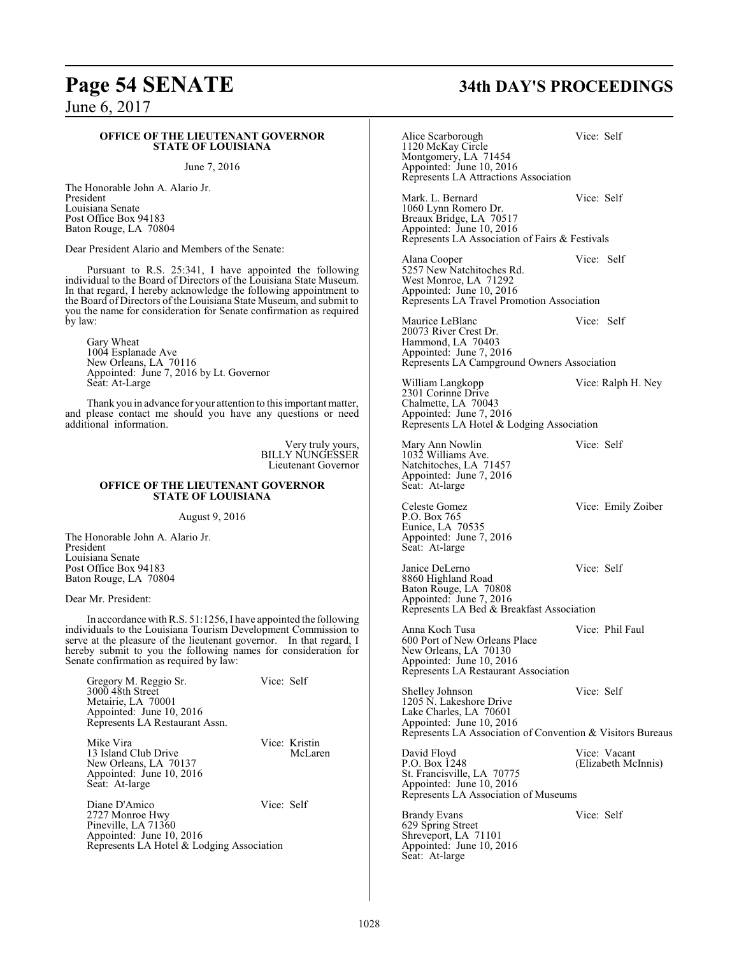# **Page 54 SENATE 34th DAY'S PROCEEDINGS**

### June 6, 2017

### **OFFICE OF THE LIEUTENANT GOVERNOR STATE OF LOUISIANA**

### June 7, 2016

The Honorable John A. Alario Jr. President Louisiana Senate Post Office Box 94183 Baton Rouge, LA 70804

Dear President Alario and Members of the Senate:

Pursuant to R.S. 25:341, I have appointed the following individual to the Board of Directors of the Louisiana State Museum. In that regard, I hereby acknowledge the following appointment to the Board of Directors of the Louisiana State Museum, and submit to you the name for consideration for Senate confirmation as required by law:

Gary Wheat 1004 Esplanade Ave New Orleans, LA 70116 Appointed: June 7, 2016 by Lt. Governor Seat: At-Large

Thank you in advance for your attention to this important matter, and please contact me should you have any questions or need additional information.

> Very truly yours, BILLY NUNGESSER Lieutenant Governor

### **OFFICE OF THE LIEUTENANT GOVERNOR STATE OF LOUISIANA**

August 9, 2016

The Honorable John A. Alario Jr. President Louisiana Senate Post Office Box 94183 Baton Rouge, LA 70804

Dear Mr. President:

In accordance with R.S. 51:1256, I have appointed the following individuals to the Louisiana Tourism Development Commission to serve at the pleasure of the lieutenant governor. In that regard, I hereby submit to you the following names for consideration for Senate confirmation as required by law:

| Gregory M. Reggio Sr.<br>3000 48th Street<br>Metairie, LA 70001<br>Appointed: June 10, 2016<br>Represents LA Restaurant Assn. | Vice: Self |                          |
|-------------------------------------------------------------------------------------------------------------------------------|------------|--------------------------|
| Mike Vira<br>13 Island Club Drive<br>New Orleans, LA 70137<br>Appointed: June 10, 2016<br>Seat: At-large                      |            | Vice: Kristin<br>McLaren |
| Diane D'Amico<br>2727 Monroe Hwy<br>Pineville, LA 71360<br>Appointed: June 10, 2016                                           | Vice: Self |                          |

Represents LA Hotel & Lodging Association

Alice Scarborough Vice: Self 1120 McKay Circle Montgomery, LA 71454 Appointed: June 10, 2016 Represents LA Attractions Association

Mark. L. Bernard Vice: Self 1060 Lynn Romero Dr. Breaux Bridge, LA 70517 Appointed: June 10, 2016 Represents LA Association of Fairs & Festivals

Alana Cooper Vice: Self 5257 New Natchitoches Rd. West Monroe, LA 71292 Appointed: June 10, 2016 Represents LA Travel Promotion Association

Maurice LeBlanc Vice: Self 20073 River Crest Dr. Hammond, LA 70403 Appointed: June 7, 2016

William Langkopp Vice: Ralph H. Ney 2301 Corinne Drive Chalmette, LA 70043 Appointed: June 7, 2016 Represents LA Hotel & Lodging Association

Represents LA Campground Owners Association

Mary Ann Nowlin Vice: Self 1032 Williams Ave. Natchitoches, LA 71457 Appointed: June 7, 2016 Seat: At-large

Celeste Gomez Vice: Emily Zoiber P.O. Box 765 Eunice, LA 70535 Appointed: June 7, 2016 Seat: At-large

Janice DeLerno Vice: Self 8860 Highland Road Baton Rouge, LA 70808 Appointed: June 7, 2016 Represents LA Bed & Breakfast Association

Anna Koch Tusa Vice: Phil Faul

600 Port of New Orleans Place New Orleans, LA 70130 Appointed: June 10, 2016 Represents LA Restaurant Association

Shelley Johnson Vice: Self 1205 N. Lakeshore Drive Lake Charles, LA 70601 Appointed: June 10, 2016 Represents LA Association of Convention & Visitors Bureaus

David Floyd<br>
P.O. Box 1248 (Elizabeth Mc St. Francisville, LA 70775 Appointed: June 10, 2016 Represents LA Association of Museums

(Elizabeth McInnis)

Brandy Evans Vice: Self 629 Spring Street Shreveport, LA 71101 Appointed: June 10, 2016 Seat: At-large

1028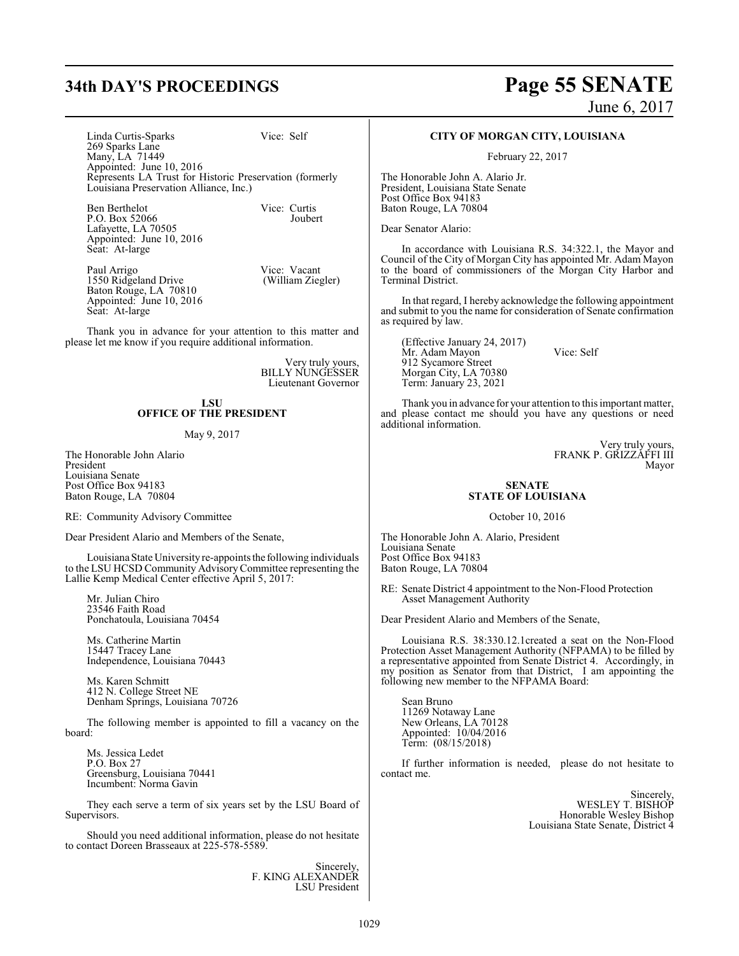# **34th DAY'S PROCEEDINGS Page 55 SENATE**

June 6, 2017

Linda Curtis-Sparks Vice: Self 269 Sparks Lane Many, LA 71449 Appointed: June 10, 2016 Represents LA Trust for Historic Preservation (formerly Louisiana Preservation Alliance, Inc.)

Ben Berthelot Vice: Curtis<br>P O Box 52066 Iouhert P.O. Box 52066 Lafayette, LA 70505 Appointed: June 10, 2016 Seat: At-large

Paul Arrigo Vice: Vacant<br>1550 Ridgeland Drive (William Ziegler) 1550 Ridgeland Drive Baton Rouge, LA 70810 Appointed: June 10, 2016 Seat: At-large

Thank you in advance for your attention to this matter and please let me know if you require additional information.

> Very truly yours, BILLY NUNGESSER Lieutenant Governor

### **LSU OFFICE OF THE PRESIDENT**

### May 9, 2017

The Honorable John Alario President Louisiana Senate Post Office Box 94183 Baton Rouge, LA 70804

RE: Community Advisory Committee

Dear President Alario and Members of the Senate,

LouisianaState Universityre-appoints the following individuals to the LSU HCSD Community Advisory Committee representing the Lallie Kemp Medical Center effective April 5, 2017:

Mr. Julian Chiro 23546 Faith Road Ponchatoula, Louisiana 70454

Ms. Catherine Martin 15447 Tracey Lane Independence, Louisiana 70443

Ms. Karen Schmitt 412 N. College Street NE Denham Springs, Louisiana 70726

The following member is appointed to fill a vacancy on the board:

Ms. Jessica Ledet P.O. Box 27 Greensburg, Louisiana 70441 Incumbent: Norma Gavin

They each serve a term of six years set by the LSU Board of Supervisors.

Should you need additional information, please do not hesitate to contact Doreen Brasseaux at 225-578-5589.

> Sincerely, F. KING ALEXANDER LSU President

### **CITY OF MORGAN CITY, LOUISIANA**

February 22, 2017

The Honorable John A. Alario Jr. President, Louisiana State Senate Post Office Box 94183 Baton Rouge, LA 70804

Dear Senator Alario:

In accordance with Louisiana R.S. 34:322.1, the Mayor and Council of the City of Morgan City has appointed Mr. Adam Mayon to the board of commissioners of the Morgan City Harbor and Terminal District.

In that regard, I hereby acknowledge the following appointment and submit to you the name for consideration of Senate confirmation as required by law.

(Effective January 24, 2017) Mr. Adam Mayon Vice: Self 912 Sycamore Street Morgan City, LA 70380 Term: January 23, 2021

Thank you in advance for your attention to this important matter, and please contact me should you have any questions or need additional information.

> Very truly yours, FRANK P. GRIZZAFFI III Mayor

### **SENATE STATE OF LOUISIANA**

October 10, 2016

The Honorable John A. Alario, President Louisiana Senate Post Office Box 94183 Baton Rouge, LA 70804

RE: Senate District 4 appointment to the Non-Flood Protection Asset Management Authority

Dear President Alario and Members of the Senate,

Louisiana R.S. 38:330.12.1created a seat on the Non-Flood Protection Asset Management Authority (NFPAMA) to be filled by a representative appointed from Senate District 4. Accordingly, in my position as Senator from that District, I am appointing the following new member to the NFPAMA Board:

Sean Bruno 11269 Notaway Lane New Orleans, LA 70128 Appointed: 10/04/2016 Term: (08/15/2018)

If further information is needed, please do not hesitate to contact me.

> **Sincerely** WESLEY T. BISHOP Honorable Wesley Bishop Louisiana State Senate, District 4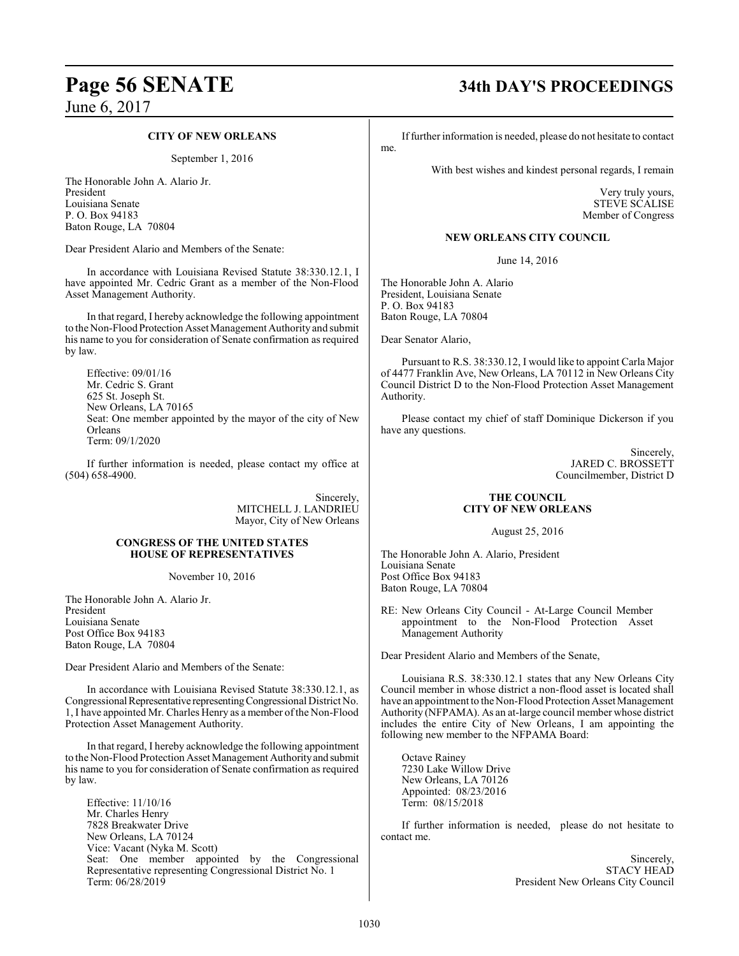### **CITY OF NEW ORLEANS**

September 1, 2016

The Honorable John A. Alario Jr. President Louisiana Senate P. O. Box 94183 Baton Rouge, LA 70804

Dear President Alario and Members of the Senate:

In accordance with Louisiana Revised Statute 38:330.12.1, I have appointed Mr. Cedric Grant as a member of the Non-Flood Asset Management Authority.

In that regard, I hereby acknowledge the following appointment to the Non-Flood Protection Asset Management Authority and submit his name to you for consideration of Senate confirmation as required by law.

Effective: 09/01/16 Mr. Cedric S. Grant 625 St. Joseph St. New Orleans, LA 70165 Seat: One member appointed by the mayor of the city of New Orleans Term: 09/1/2020

If further information is needed, please contact my office at (504) 658-4900.

> Sincerely, MITCHELL J. LANDRIEU Mayor, City of New Orleans

### **CONGRESS OF THE UNITED STATES HOUSE OF REPRESENTATIVES**

November 10, 2016

The Honorable John A. Alario Jr. President Louisiana Senate Post Office Box 94183 Baton Rouge, LA 70804

Dear President Alario and Members of the Senate:

In accordance with Louisiana Revised Statute 38:330.12.1, as Congressional Representative representing Congressional District No. 1, I have appointed Mr. Charles Henry as a member ofthe Non-Flood Protection Asset Management Authority.

In that regard, I hereby acknowledge the following appointment to the Non-Flood Protection Asset Management Authorityand submit his name to you for consideration of Senate confirmation as required by law.

Effective: 11/10/16 Mr. Charles Henry 7828 Breakwater Drive New Orleans, LA 70124 Vice: Vacant (Nyka M. Scott) Seat: One member appointed by the Congressional Representative representing Congressional District No. 1 Term: 06/28/2019

# **Page 56 SENATE 34th DAY'S PROCEEDINGS**

Iffurther information is needed, please do not hesitate to contact

With best wishes and kindest personal regards, I remain

Very truly yours, STEVE SCALISE Member of Congress

### **NEW ORLEANS CITY COUNCIL**

June 14, 2016

The Honorable John A. Alario President, Louisiana Senate P. O. Box 94183 Baton Rouge, LA 70804

Dear Senator Alario,

me.

Pursuant to R.S. 38:330.12, I would like to appoint Carla Major of 4477 Franklin Ave, New Orleans, LA 70112 in New Orleans City Council District D to the Non-Flood Protection Asset Management Authority.

Please contact my chief of staff Dominique Dickerson if you have any questions.

> Sincerely, JARED C. BROSSETT Councilmember, District D

### **THE COUNCIL CITY OF NEW ORLEANS**

August 25, 2016

The Honorable John A. Alario, President Louisiana Senate Post Office Box 94183 Baton Rouge, LA 70804

RE: New Orleans City Council - At-Large Council Member appointment to the Non-Flood Protection Asset Management Authority

Dear President Alario and Members of the Senate,

Louisiana R.S. 38:330.12.1 states that any New Orleans City Council member in whose district a non-flood asset is located shall have an appointment to the Non-Flood Protection Asset Management Authority (NFPAMA). As an at-large council member whose district includes the entire City of New Orleans, I am appointing the following new member to the NFPAMA Board:

Octave Rainey 7230 Lake Willow Drive New Orleans, LA 70126 Appointed: 08/23/2016 Term: 08/15/2018

If further information is needed, please do not hesitate to contact me.

> Sincerely, STACY HEAD President New Orleans City Council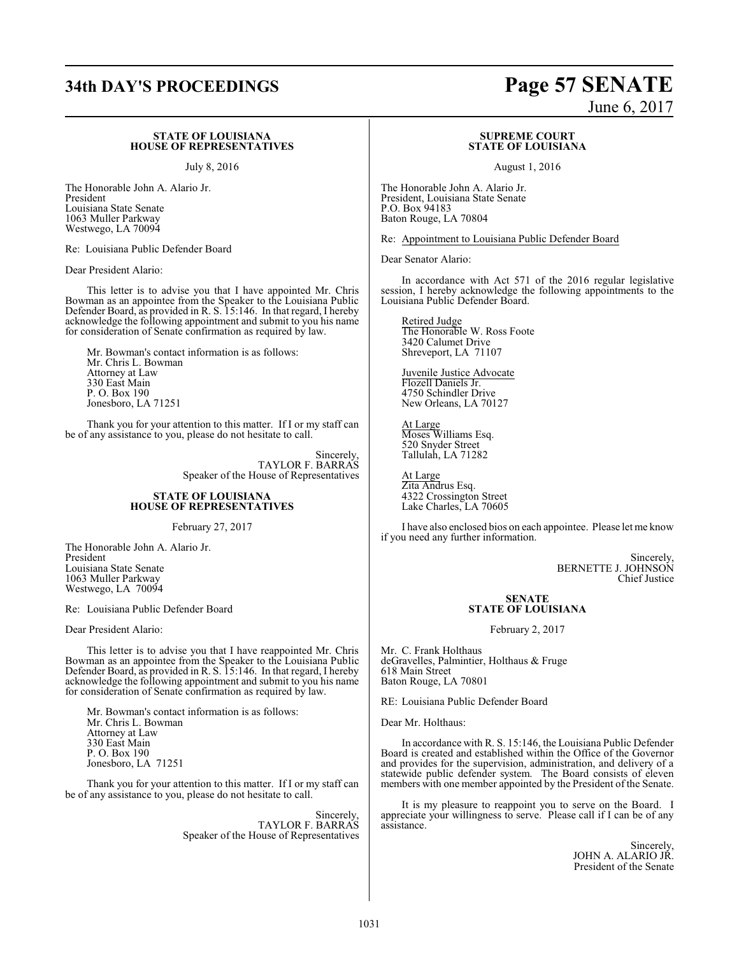### **STATE OF LOUISIANA HOUSE OF REPRESENTATIVES**

July 8, 2016

The Honorable John A. Alario Jr. President Louisiana State Senate 1063 Muller Parkway Westwego, LA 70094

Re: Louisiana Public Defender Board

Dear President Alario:

This letter is to advise you that I have appointed Mr. Chris Bowman as an appointee from the Speaker to the Louisiana Public Defender Board, as provided in R. S. 15:146. In that regard, I hereby acknowledge the following appointment and submit to you his name for consideration of Senate confirmation as required by law.

Mr. Bowman's contact information is as follows: Mr. Chris L. Bowman Attorney at Law 330 East Main P. O. Box 190 Jonesboro, LA 71251

Thank you for your attention to this matter. If I or my staff can be of any assistance to you, please do not hesitate to call.

> Sincerely, TAYLOR F. BARRAS Speaker of the House of Representatives

### **STATE OF LOUISIANA HOUSE OF REPRESENTATIVES**

February 27, 2017

The Honorable John A. Alario Jr. President Louisiana State Senate 1063 Muller Parkway Westwego, LA 70094

Re: Louisiana Public Defender Board

Dear President Alario:

This letter is to advise you that I have reappointed Mr. Chris Bowman as an appointee from the Speaker to the Louisiana Public Defender Board, as provided in R. S. 15:146. In that regard, I hereby acknowledge the following appointment and submit to you his name for consideration of Senate confirmation as required by law.

Mr. Bowman's contact information is as follows: Mr. Chris L. Bowman Attorney at Law 330 East Main P. O. Box 190 Jonesboro, LA 71251

Thank you for your attention to this matter. If I or my staff can be of any assistance to you, please do not hesitate to call.

> Sincerely, TAYLOR F. BARRAS Speaker of the House of Representatives

# **34th DAY'S PROCEEDINGS Page 57 SENATE**

June 6, 2017

### **SUPREME COURT STATE OF LOUISIANA**

August 1, 2016

The Honorable John A. Alario Jr. President, Louisiana State Senate P.O. Box 94183 Baton Rouge, LA 70804

Re: Appointment to Louisiana Public Defender Board

Dear Senator Alario:

In accordance with Act 571 of the 2016 regular legislative session, I hereby acknowledge the following appointments to the Louisiana Public Defender Board.

Retired Judge The Honorable W. Ross Foote 3420 Calumet Drive Shreveport, LA 71107

Juvenile Justice Advocate Flozell Daniels Jr. 4750 Schindler Drive New Orleans, LA 70127

At Large Moses Williams Esq. 520 Snyder Street Tallulah, LA 71282

At Large Zita Andrus Esq. 4322 Crossington Street Lake Charles, LA 70605

I have also enclosed bios on each appointee. Please let me know if you need any further information.

> Sincerely, BERNETTE J. JOHNSON Chief Justice

### **SENATE STATE OF LOUISIANA**

February 2, 2017

Mr. C. Frank Holthaus deGravelles, Palmintier, Holthaus & Fruge 618 Main Street Baton Rouge, LA 70801

RE: Louisiana Public Defender Board

Dear Mr. Holthaus:

In accordance with R. S. 15:146, the Louisiana Public Defender Board is created and established within the Office of the Governor and provides for the supervision, administration, and delivery of a statewide public defender system. The Board consists of eleven members with one member appointed by the President of the Senate.

It is my pleasure to reappoint you to serve on the Board. I appreciate your willingness to serve. Please call if I can be of any assistance.

> Sincerely, JOHN A. ALARIO JR. President of the Senate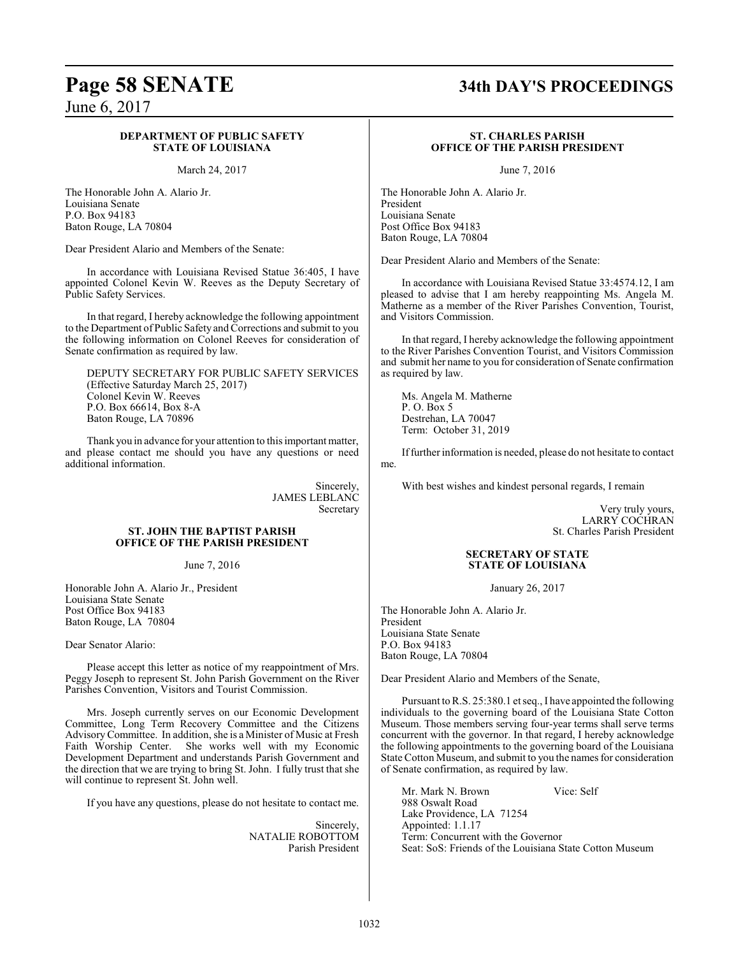### **DEPARTMENT OF PUBLIC SAFETY STATE OF LOUISIANA**

March 24, 2017

The Honorable John A. Alario Jr. Louisiana Senate P.O. Box 94183 Baton Rouge, LA 70804

Dear President Alario and Members of the Senate:

In accordance with Louisiana Revised Statue 36:405, I have appointed Colonel Kevin W. Reeves as the Deputy Secretary of Public Safety Services.

In that regard, I hereby acknowledge the following appointment to the Department of Public Safety and Corrections and submit to you the following information on Colonel Reeves for consideration of Senate confirmation as required by law.

DEPUTY SECRETARY FOR PUBLIC SAFETY SERVICES (Effective Saturday March 25, 2017) Colonel Kevin W. Reeves P.O. Box 66614, Box 8-A Baton Rouge, LA 70896

Thank you in advance for your attention to this important matter, and please contact me should you have any questions or need additional information.

> Sincerely, JAMES LEBLANC Secretary

### **ST. JOHN THE BAPTIST PARISH OFFICE OF THE PARISH PRESIDENT**

June 7, 2016

Honorable John A. Alario Jr., President Louisiana State Senate Post Office Box 94183 Baton Rouge, LA 70804

Dear Senator Alario:

Please accept this letter as notice of my reappointment of Mrs. Peggy Joseph to represent St. John Parish Government on the River Parishes Convention, Visitors and Tourist Commission.

Mrs. Joseph currently serves on our Economic Development Committee, Long Term Recovery Committee and the Citizens AdvisoryCommittee. In addition, she is a Minister of Music at Fresh Faith Worship Center. She works well with my Economic Development Department and understands Parish Government and the direction that we are trying to bring St. John. I fully trust that she will continue to represent St. John well.

If you have any questions, please do not hesitate to contact me.

Sincerely, NATALIE ROBOTTOM Parish President

# **Page 58 SENATE 34th DAY'S PROCEEDINGS**

### **ST. CHARLES PARISH OFFICE OF THE PARISH PRESIDENT**

June 7, 2016

The Honorable John A. Alario Jr. President Louisiana Senate Post Office Box 94183 Baton Rouge, LA 70804

Dear President Alario and Members of the Senate:

In accordance with Louisiana Revised Statue 33:4574.12, I am pleased to advise that I am hereby reappointing Ms. Angela M. Matherne as a member of the River Parishes Convention, Tourist, and Visitors Commission.

In that regard, I hereby acknowledge the following appointment to the River Parishes Convention Tourist, and Visitors Commission and submit her name to you for consideration of Senate confirmation as required by law.

Ms. Angela M. Matherne P. O. Box 5 Destrehan, LA 70047 Term: October 31, 2019

Iffurther information is needed, please do not hesitate to contact me.

With best wishes and kindest personal regards, I remain

Very truly yours, LARRY COCHRAN St. Charles Parish President

### **SECRETARY OF STATE STATE OF LOUISIANA**

January 26, 2017

The Honorable John A. Alario Jr. President Louisiana State Senate P.O. Box 94183 Baton Rouge, LA 70804

Dear President Alario and Members of the Senate,

Pursuant to R.S. 25:380.1 et seq., I have appointed the following individuals to the governing board of the Louisiana State Cotton Museum. Those members serving four-year terms shall serve terms concurrent with the governor. In that regard, I hereby acknowledge the following appointments to the governing board of the Louisiana State Cotton Museum, and submit to you the names for consideration of Senate confirmation, as required by law.

Mr. Mark N. Brown Vice: Self 988 Oswalt Road Lake Providence, LA 71254 Appointed: 1.1.17 Term: Concurrent with the Governor Seat: SoS: Friends of the Louisiana State Cotton Museum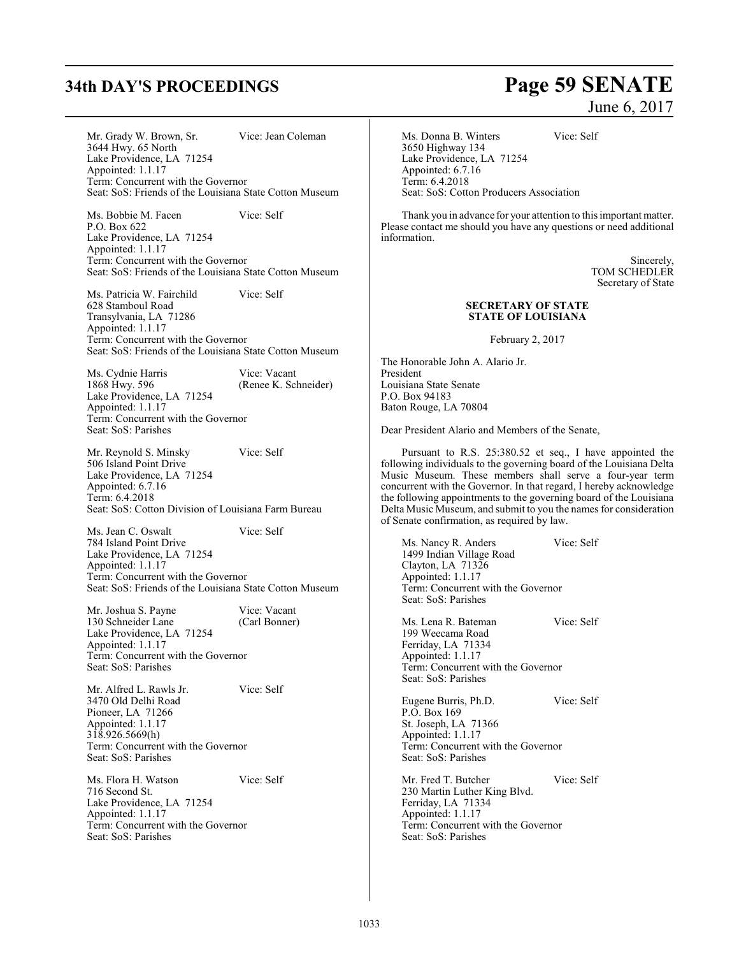# **34th DAY'S PROCEEDINGS Page 59 SENATE**

Mr. Grady W. Brown, Sr. Vice: Jean Coleman 3644 Hwy. 65 North Lake Providence, LA 71254 Appointed: 1.1.17 Term: Concurrent with the Governor Seat: SoS: Friends of the Louisiana State Cotton Museum

Ms. Bobbie M. Facen Vice: Self P.O. Box 622 Lake Providence, LA 71254 Appointed: 1.1.17 Term: Concurrent with the Governor Seat: SoS: Friends of the Louisiana State Cotton Museum

Ms. Patricia W. Fairchild Vice: Self 628 Stamboul Road Transylvania, LA 71286 Appointed: 1.1.17 Term: Concurrent with the Governor Seat: SoS: Friends of the Louisiana State Cotton Museum

Ms. Cydnie Harris Vice: Vacant<br>1868 Hwy. 596 (Renee K. Scl (Renee K. Schneider) Lake Providence, LA 71254 Appointed: 1.1.17 Term: Concurrent with the Governor Seat: SoS: Parishes

Mr. Reynold S. Minsky Vice: Self 506 Island Point Drive Lake Providence, LA 71254 Appointed: 6.7.16 Term: 6.4.2018 Seat: SoS: Cotton Division of Louisiana Farm Bureau

Ms. Jean C. Oswalt Vice: Self 784 Island Point Drive Lake Providence, LA 71254 Appointed: 1.1.17 Term: Concurrent with the Governor Seat: SoS: Friends of the Louisiana State Cotton Museum

Mr. Joshua S. Payne Vice: Vacant<br>130 Schneider Lane (Carl Bonner) 130 Schneider Lane Lake Providence, LA 71254 Appointed: 1.1.17 Term: Concurrent with the Governor Seat: SoS: Parishes

Mr. Alfred L. Rawls Jr. Vice: Self 3470 Old Delhi Road Pioneer, LA 71266 Appointed: 1.1.17  $318.926.5669(h)$ Term: Concurrent with the Governor Seat: SoS: Parishes

Ms. Flora H. Watson Vice: Self 716 Second St. Lake Providence, LA 71254 Appointed: 1.1.17 Term: Concurrent with the Governor Seat: SoS: Parishes

# June 6, 2017

Ms. Donna B. Winters Vice: Self 3650 Highway 134 Lake Providence, LA 71254 Appointed: 6.7.16 Term: 6.4.2018 Seat: SoS: Cotton Producers Association

Thank you in advance for your attention to this important matter. Please contact me should you have any questions or need additional information.

> Sincerely, TOM SCHEDLER Secretary of State

### **SECRETARY OF STATE STATE OF LOUISIANA**

February 2, 2017

The Honorable John A. Alario Jr. President Louisiana State Senate P.O. Box 94183 Baton Rouge, LA 70804

Dear President Alario and Members of the Senate,

Pursuant to R.S. 25:380.52 et seq., I have appointed the following individuals to the governing board of the Louisiana Delta Music Museum. These members shall serve a four-year term concurrent with the Governor. In that regard, I hereby acknowledge the following appointments to the governing board of the Louisiana Delta Music Museum, and submit to you the names for consideration of Senate confirmation, as required by law.

Ms. Nancy R. Anders Vice: Self 1499 Indian Village Road Clayton, LA 71326 Appointed: 1.1.17 Term: Concurrent with the Governor Seat: SoS: Parishes

Ms. Lena R. Bateman Vice: Self 199 Weecama Road Ferriday, LA 71334 Appointed: 1.1.17 Term: Concurrent with the Governor Seat: SoS: Parishes

Eugene Burris, Ph.D. Vice: Self P.O. Box 169 St. Joseph, LA 71366 Appointed: 1.1.17 Term: Concurrent with the Governor Seat: SoS: Parishes

Mr. Fred T. Butcher Vice: Self 230 Martin Luther King Blvd. Ferriday, LA 71334 Appointed: 1.1.17 Term: Concurrent with the Governor Seat: SoS: Parishes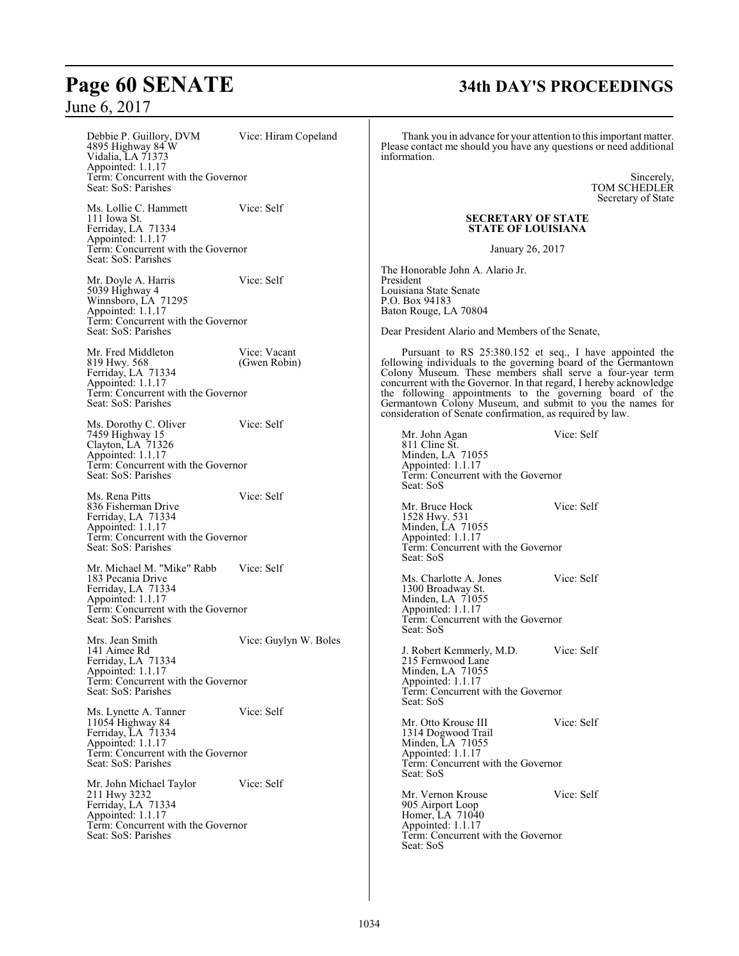Debbie P. Guillory, DVM Vice: Hiram Copeland 4895 Highway 84 W Vidalia, LA 71373 Appointed: 1.1.17 Term: Concurrent with the Governor Seat: SoS: Parishes Ms. Lollie C. Hammett Vice: Self 111 Iowa St. Ferriday, LA 71334 Appointed: 1.1.17 Term: Concurrent with the Governor Seat: SoS: Parishes Mr. Doyle A. Harris Vice: Self 5039 Highway 4 Winnsboro, LA 71295 Appointed: 1.1.17 Term: Concurrent with the Governor Seat: SoS: Parishes Mr. Fred Middleton Vice: Vacant<br>
819 Hwy. 568 (Gwen Robin) 819 Hwy. 568 Ferriday, LA 71334 Appointed: 1.1.17 Term: Concurrent with the Governor Seat: SoS: Parishes Ms. Dorothy C. Oliver Vice: Self 7459 Highway 15 Clayton, LA 71326 Appointed: 1.1.17 Term: Concurrent with the Governor Seat: SoS: Parishes Ms. Rena Pitts Vice: Self 836 Fisherman Drive Ferriday, LA 71334 Appointed: 1.1.17 Term: Concurrent with the Governor Seat: SoS: Parishes Mr. Michael M. "Mike" Rabb Vice: Self 183 Pecania Drive Ferriday, LA 71334 Appointed: 1.1.17 Term: Concurrent with the Governor Seat: SoS: Parishes Mrs. Jean Smith Vice: Guylyn W. Boles 141 Aimee Rd Ferriday, LA 71334 Appointed: 1.1.17 Term: Concurrent with the Governor Seat: SoS: Parishes Ms. Lynette A. Tanner Vice: Self 11054 Highway 84 Ferriday, LA 71334 Appointed: 1.1.17 Term: Concurrent with the Governor Seat: SoS: Parishes Mr. John Michael Taylor Vice: Self 211 Hwy 3232 Ferriday, LA 71334 Appointed: 1.1.17 Term: Concurrent with the Governor Seat: SoS: Parishes Thank you in advance for your attention to this important matter. Please contact me should you have any questions or need additional information. Sincerely, TOM SCHEDLER Secretary of State **SECRETARY OF STATE STATE OF LOUISIANA** January 26, 2017 The Honorable John A. Alario Jr. President Louisiana State Senate P.O. Box 94183 Baton Rouge, LA 70804 Dear President Alario and Members of the Senate, Pursuant to RS 25:380.152 et seq., I have appointed the following individuals to the governing board of the Germantown Colony Museum. These members shall serve a four-year term concurrent with the Governor. In that regard, I hereby acknowledge the following appointments to the governing board of the Germantown Colony Museum, and submit to you the names for consideration of Senate confirmation, as required by law. Mr. John Agan Vice: Self 811 Cline St. Minden, LA 71055 Appointed: 1.1.17 Term: Concurrent with the Governor Seat: SoS Mr. Bruce Hock Vice: Self 1528 Hwy. 531 Minden, LA 71055 Appointed: 1.1.17 Term: Concurrent with the Governor Seat: SoS Ms. Charlotte A. Jones Vice: Self 1300 Broadway St. Minden, LA 71055 Appointed: 1.1.17 Term: Concurrent with the Governor Seat: SoS J. Robert Kemmerly, M.D. Vice: Self 215 Fernwood Lane Minden, LA 71055 Appointed: 1.1.17 Term: Concurrent with the Governor Seat: SoS Mr. Otto Krouse III Vice: Self 1314 Dogwood Trail Minden, LA 71055 Appointed: 1.1.17 Term: Concurrent with the Governor Seat: SoS Mr. Vernon Krouse Vice: Self 905 Airport Loop Homer, LA 71040 Appointed: 1.1.17 Term: Concurrent with the Governor Seat: SoS

## **Page 60 SENATE 34th DAY'S PROCEEDINGS**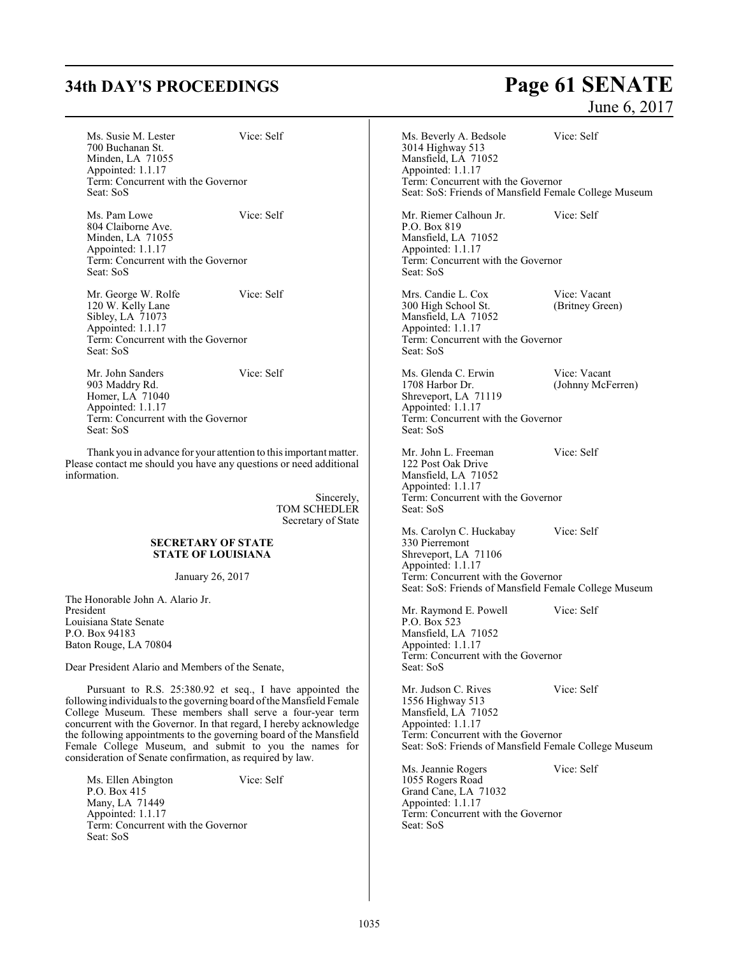Ms. Susie M. Lester Vice: Self 700 Buchanan St. Minden, LA 71055 Appointed: 1.1.17 Term: Concurrent with the Governor Seat: SoS

Ms. Pam Lowe Vice: Self 804 Claiborne Ave. Minden, LA 71055 Appointed: 1.1.17 Term: Concurrent with the Governor Seat: SoS

Mr. George W. Rolfe Vice: Self 120 W. Kelly Lane Sibley, LA 71073 Appointed: 1.1.17 Term: Concurrent with the Governor Seat: SoS

Mr. John Sanders Vice: Self 903 Maddry Rd. Homer, LA 71040 Appointed: 1.1.17 Term: Concurrent with the Governor Seat: SoS

Thank you in advance for your attention to this important matter. Please contact me should you have any questions or need additional information.

> Sincerely, TOM SCHEDLER Secretary of State

### **SECRETARY OF STATE STATE OF LOUISIANA**

January 26, 2017

The Honorable John A. Alario Jr. President Louisiana State Senate P.O. Box 94183 Baton Rouge, LA 70804

Dear President Alario and Members of the Senate,

Pursuant to R.S. 25:380.92 et seq., I have appointed the following individuals to the governing board ofthe Mansfield Female College Museum. These members shall serve a four-year term concurrent with the Governor. In that regard, I hereby acknowledge the following appointments to the governing board of the Mansfield Female College Museum, and submit to you the names for consideration of Senate confirmation, as required by law.

Ms. Ellen Abington Vice: Self P.O. Box 415 Many, LA 71449 Appointed: 1.1.17 Term: Concurrent with the Governor Seat: SoS

# **34th DAY'S PROCEEDINGS Page 61 SENATE**

June 6, 2017

Ms. Beverly A. Bedsole Vice: Self 3014 Highway 513 Mansfield, LA 71052 Appointed: 1.1.17 Term: Concurrent with the Governor Seat: SoS: Friends of Mansfield Female College Museum Mr. Riemer Calhoun Jr. Vice: Self P.O. Box 819 Mansfield, LA 71052 Appointed: 1.1.17 Term: Concurrent with the Governor Seat: SoS Mrs. Candie L. Cox Vice: Vacant<br>300 High School St. (Britney Green) 300 High School St. Mansfield, LA 71052 Appointed: 1.1.17 Term: Concurrent with the Governor Seat: SoS Ms. Glenda C. Erwin Vice: Vacant<br>1708 Harbor Dr. (Johnny McF (Johnny McFerren) Shreveport, LA 71119 Appointed: 1.1.17 Term: Concurrent with the Governor Seat: SoS Mr. John L. Freeman Vice: Self 122 Post Oak Drive Mansfield, LA 71052 Appointed: 1.1.17 Term: Concurrent with the Governor Seat: SoS Ms. Carolyn C. Huckabay Vice: Self 330 Pierremont Shreveport, LA 71106 Appointed: 1.1.17 Term: Concurrent with the Governor Seat: SoS: Friends of Mansfield Female College Museum Mr. Raymond E. Powell Vice: Self

P.O. Box 523 Mansfield, LA 71052 Appointed: 1.1.17 Term: Concurrent with the Governor Seat: SoS

Mr. Judson C. Rives Vice: Self 1556 Highway 513 Mansfield, LA 71052 Appointed: 1.1.17 Term: Concurrent with the Governor Seat: SoS: Friends of Mansfield Female College Museum

Ms. Jeannie Rogers Vice: Self 1055 Rogers Road Grand Cane, LA 71032 Appointed: 1.1.17 Term: Concurrent with the Governor Seat: SoS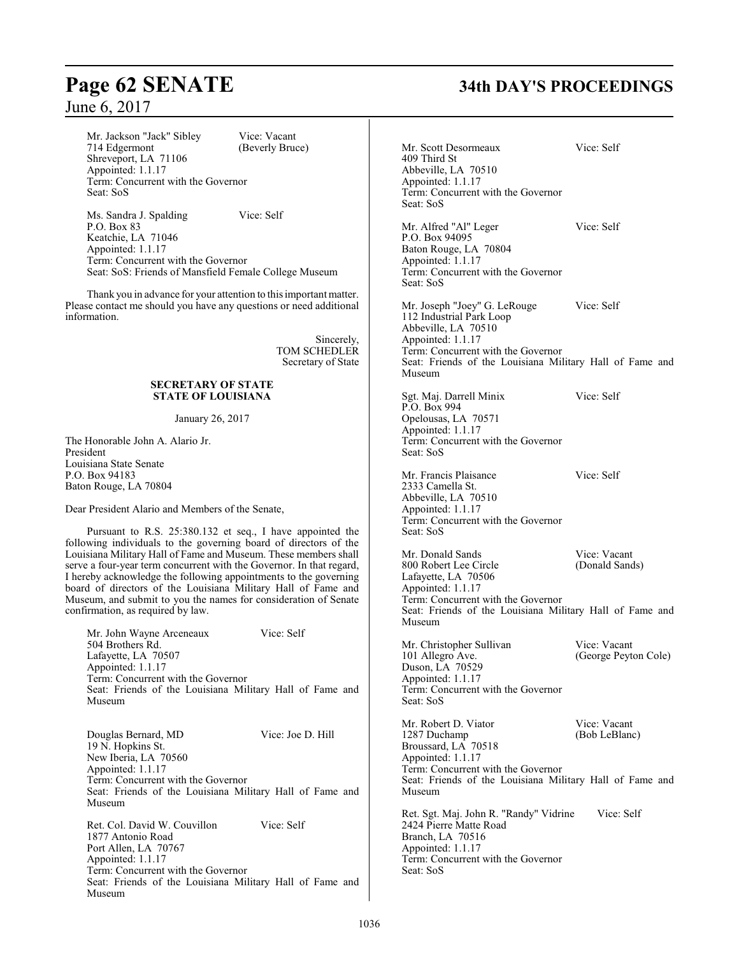Mr. Jackson "Jack" Sibley Vice: Vacant<br>714 Edgermont (Beverly Bruc (Beverly Bruce) Shreveport, LA 71106 Appointed: 1.1.17 Term: Concurrent with the Governor Seat: SoS

Ms. Sandra J. Spalding Vice: Self P.O. Box 83 Keatchie, LA 71046 Appointed: 1.1.17 Term: Concurrent with the Governor Seat: SoS: Friends of Mansfield Female College Museum

Thank you in advance for your attention to this important matter. Please contact me should you have any questions or need additional information.

> Sincerely, TOM SCHEDLER Secretary of State

### **SECRETARY OF STATE STATE OF LOUISIANA**

January 26, 2017

The Honorable John A. Alario Jr. President Louisiana State Senate P.O. Box 94183 Baton Rouge, LA 70804

Dear President Alario and Members of the Senate,

Pursuant to R.S. 25:380.132 et seq., I have appointed the following individuals to the governing board of directors of the Louisiana Military Hall of Fame and Museum. These members shall serve a four-year term concurrent with the Governor. In that regard, I hereby acknowledge the following appointments to the governing board of directors of the Louisiana Military Hall of Fame and Museum, and submit to you the names for consideration of Senate confirmation, as required by law.

Mr. John Wayne Arceneaux Vice: Self 504 Brothers Rd. Lafayette, LA 70507 Appointed: 1.1.17 Term: Concurrent with the Governor Seat: Friends of the Louisiana Military Hall of Fame and Museum

Douglas Bernard, MD Vice: Joe D. Hill 19 N. Hopkins St. New Iberia, LA 70560 Appointed: 1.1.17 Term: Concurrent with the Governor Seat: Friends of the Louisiana Military Hall of Fame and Museum

Ret. Col. David W. Couvillon Vice: Self 1877 Antonio Road Port Allen, LA 70767 Appointed: 1.1.17 Term: Concurrent with the Governor Seat: Friends of the Louisiana Military Hall of Fame and Museum

# **Page 62 SENATE 34th DAY'S PROCEEDINGS**

Mr. Scott Desormeaux Vice: Self 409 Third St Abbeville, LA 70510 Appointed: 1.1.17 Term: Concurrent with the Governor Seat: SoS Mr. Alfred "Al" Leger Vice: Self P.O. Box 94095 Baton Rouge, LA 70804 Appointed: 1.1.17 Term: Concurrent with the Governor Seat: SoS Mr. Joseph "Joey" G. LeRouge Vice: Self 112 Industrial Park Loop Abbeville, LA 70510 Appointed: 1.1.17 Term: Concurrent with the Governor Seat: Friends of the Louisiana Military Hall of Fame and Museum Sgt. Maj. Darrell Minix Vice: Self P.O. Box 994 Opelousas, LA 70571 Appointed: 1.1.17 Term: Concurrent with the Governor Seat: SoS Mr. Francis Plaisance Vice: Self 2333 Camella St. Abbeville, LA 70510 Appointed: 1.1.17 Term: Concurrent with the Governor Seat: SoS Mr. Donald Sands Vice: Vacant<br>
800 Robert Lee Circle (Donald Sands) 800 Robert Lee Circle Lafayette, LA 70506 Appointed: 1.1.17 Term: Concurrent with the Governor Seat: Friends of the Louisiana Military Hall of Fame and Museum Mr. Christopher Sullivan Vice: Vacant<br>
101 Allegro Ave. (George Peyto (George Peyton Cole) Duson, LA 70529 Appointed: 1.1.17 Term: Concurrent with the Governor Seat: SoS Mr. Robert D. Viator Vice: Vacant<br>
1287 Duchamp (Bob LeBlanc) 1287 Duchamp Broussard, LA 70518 Appointed: 1.1.17 Term: Concurrent with the Governor Seat: Friends of the Louisiana Military Hall of Fame and Museum Ret. Sgt. Maj. John R. "Randy" Vidrine Vice: Self 2424 Pierre Matte Road Branch, LA 70516 Appointed: 1.1.17 Term: Concurrent with the Governor Seat: SoS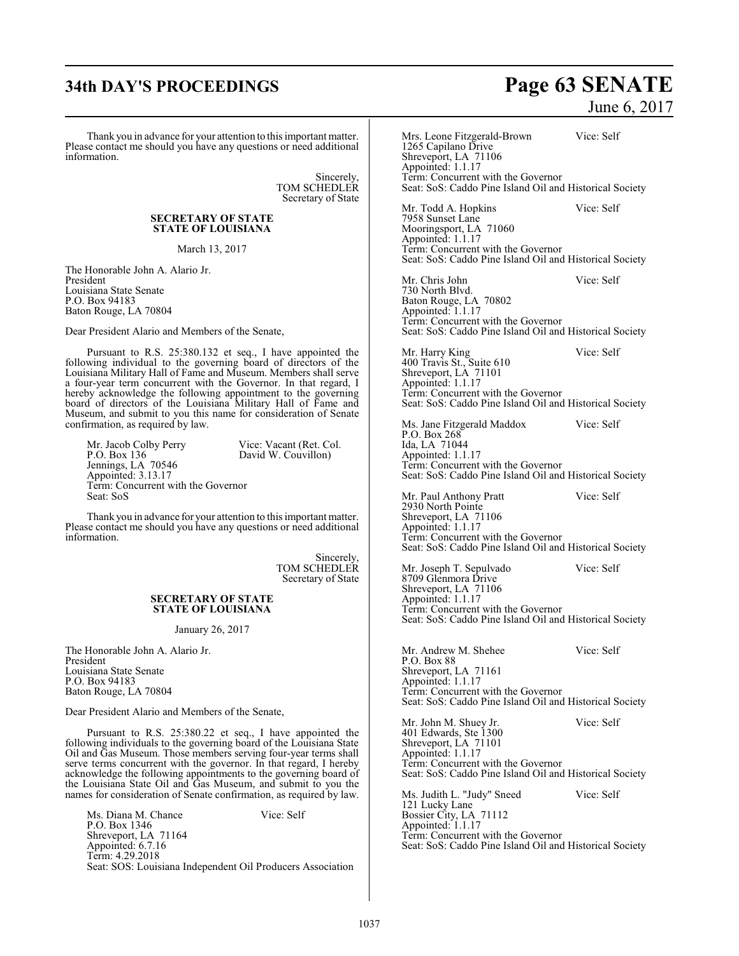# **34th DAY'S PROCEEDINGS Page 63 SENATE**

Thank you in advance for your attention to this important matter. Please contact me should you have any questions or need additional information.

> Sincerely, TOM SCHEDLER Secretary of State

### **SECRETARY OF STATE STATE OF LOUISIANA**

March 13, 2017

The Honorable John A. Alario Jr. President Louisiana State Senate P.O. Box 94183 Baton Rouge, LA 70804

Dear President Alario and Members of the Senate,

Pursuant to R.S. 25:380.132 et seq., I have appointed the following individual to the governing board of directors of the Louisiana Military Hall of Fame and Museum. Members shall serve a four-year term concurrent with the Governor. In that regard, I hereby acknowledge the following appointment to the governing board of directors of the Louisiana Military Hall of Fame and Museum, and submit to you this name for consideration of Senate confirmation, as required by law.

Mr. Jacob Colby Perry Vice: Vacant (Ret. Col. P.O. Box 136 David W. Couvillon) David W. Couvillon) Jennings, LA 70546 Appointed: 3.13.17 Term: Concurrent with the Governor Seat: SoS

Thank you in advance for your attention to this important matter. Please contact me should you have any questions or need additional

> Sincerely, TOM SCHEDLER Secretary of State

### **SECRETARY OF STATE STATE OF LOUISIANA**

January 26, 2017

The Honorable John A. Alario Jr. President Louisiana State Senate P.O. Box 94183 Baton Rouge, LA 70804

information.

Dear President Alario and Members of the Senate,

Pursuant to R.S. 25:380.22 et seq., I have appointed the following individuals to the governing board of the Louisiana State Oil and Gas Museum. Those members serving four-year terms shall serve terms concurrent with the governor. In that regard, I hereby acknowledge the following appointments to the governing board of the Louisiana State Oil and Gas Museum, and submit to you the names for consideration of Senate confirmation, as required by law.

Ms. Diana M. Chance Vice: Self P.O. Box 1346 Shreveport, LA 71164 Appointed: 6.7.16 Term: 4.29.2018 Seat: SOS: Louisiana Independent Oil Producers Association

June 6, 2017

Mrs. Leone Fitzgerald-Brown Vice: Self 1265 Capilano Drive Shreveport, LA 71106 Appointed: 1.1.17 Term: Concurrent with the Governor Seat: SoS: Caddo Pine Island Oil and Historical Society Mr. Todd A. Hopkins Vice: Self 7958 Sunset Lane Mooringsport, LA 71060 Appointed: 1.1.17 Term: Concurrent with the Governor Seat: SoS: Caddo Pine Island Oil and Historical Society Mr. Chris John Vice: Self 730 North Blvd. Baton Rouge, LA 70802 Appointed: 1.1.17 Term: Concurrent with the Governor Seat: SoS: Caddo Pine Island Oil and Historical Society Mr. Harry King Vice: Self 400 Travis St., Suite 610 Shreveport, LA 71101 Appointed: 1.1.17 Term: Concurrent with the Governor Seat: SoS: Caddo Pine Island Oil and Historical Society Ms. Jane Fitzgerald Maddox Vice: Self P.O. Box 268 Ida, LA 71044 Appointed: 1.1.17 Term: Concurrent with the Governor Seat: SoS: Caddo Pine Island Oil and Historical Society Mr. Paul Anthony Pratt Vice: Self 2930 North Pointe Shreveport, LA 71106 Appointed: 1.1.17 Term: Concurrent with the Governor Seat: SoS: Caddo Pine Island Oil and Historical Society Mr. Joseph T. Sepulvado Vice: Self 8709 Glenmora Drive Shreveport, LA 71106 Appointed: 1.1.17 Term: Concurrent with the Governor Seat: SoS: Caddo Pine Island Oil and Historical Society Mr. Andrew M. Shehee Vice: Self P.O. Box 88 Shreveport, LA 71161 Appointed: 1.1.17 Term: Concurrent with the Governor Seat: SoS: Caddo Pine Island Oil and Historical Society Mr. John M. Shuey Jr. Vice: Self 401 Edwards, Ste 1300 Shreveport, LA 71101 Appointed: 1.1.17 Term: Concurrent with the Governor Seat: SoS: Caddo Pine Island Oil and Historical Society Ms. Judith L. "Judy" Sneed Vice: Self 121 Lucky Lane Bossier City, LA 71112 Appointed: 1.1.17 Term: Concurrent with the Governor Seat: SoS: Caddo Pine Island Oil and Historical Society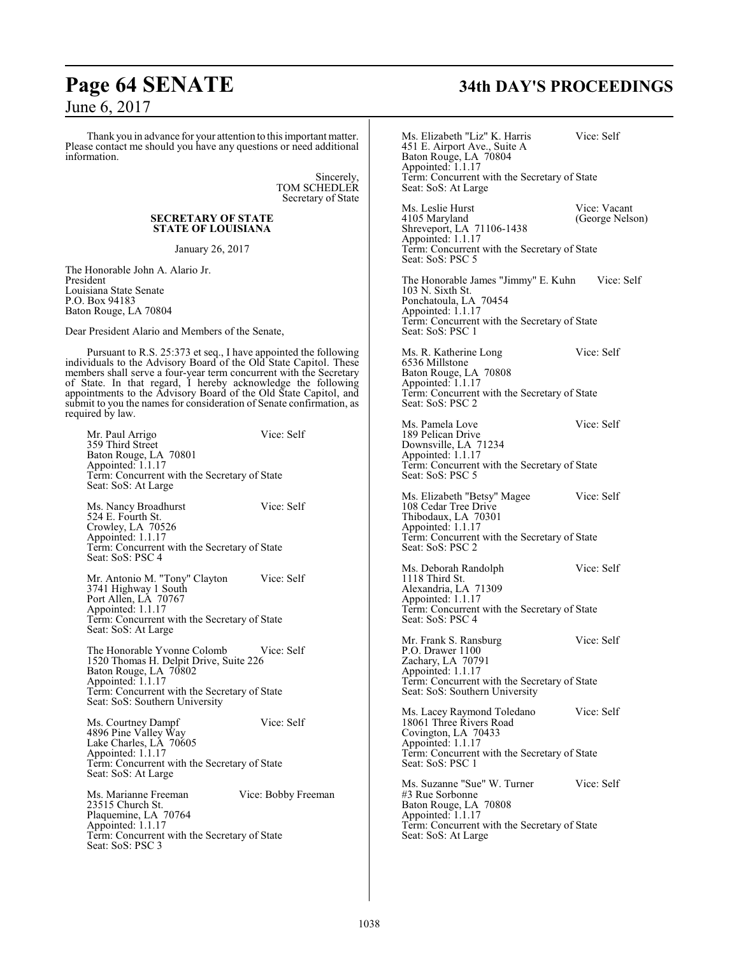# **Page 64 SENATE 34th DAY'S PROCEEDINGS**

### June 6, 2017

Thank you in advance for your attention to this important matter. Please contact me should you have any questions or need additional information.

> Sincerely, TOM SCHEDLER Secretary of State

### **SECRETARY OF STATE STATE OF LOUISIANA**

January 26, 2017

The Honorable John A. Alario Jr. President Louisiana State Senate P.O. Box 94183 Baton Rouge, LA 70804

Dear President Alario and Members of the Senate,

Pursuant to R.S. 25:373 et seq., I have appointed the following individuals to the Advisory Board of the Old State Capitol. These members shall serve a four-year term concurrent with the Secretary of State. In that regard, I hereby acknowledge the following appointments to the Advisory Board of the Old State Capitol, and submit to you the names for consideration of Senate confirmation, as required by law.

Mr. Paul Arrigo Vice: Self 359 Third Street Baton Rouge, LA 70801 Appointed: 1.1.17 Term: Concurrent with the Secretary of State Seat: SoS: At Large Ms. Nancy Broadhurst Vice: Self 524 E. Fourth St. Crowley, LA 70526 Appointed: 1.1.17 Term: Concurrent with the Secretary of State Seat: SoS: PSC 4 Mr. Antonio M. "Tony" Clayton Vice: Self 3741 Highway 1 South Port Allen, LA 70767 Appointed: 1.1.17 Term: Concurrent with the Secretary of State Seat: SoS: At Large The Honorable Yvonne Colomb Vice: Self 1520 Thomas H. Delpit Drive, Suite 226 Baton Rouge, LA 70802 Appointed: 1.1.17 Term: Concurrent with the Secretary of State Seat: SoS: Southern University Ms. Courtney Dampf Vice: Self 4896 Pine Valley Way Lake Charles, LA 70605 Appointed: 1.1.17 Term: Concurrent with the Secretary of State Seat: SoS: At Large Ms. Marianne Freeman Vice: Bobby Freeman 23515 Church St. Plaquemine, LA 70764 Appointed: 1.1.17 Term: Concurrent with the Secretary of State Seat: SoS: PSC 3

Ms. Elizabeth "Liz" K. Harris Vice: Self 451 E. Airport Ave., Suite A Baton Rouge, LA 70804 Appointed: 1.1.17 Term: Concurrent with the Secretary of State Seat: SoS: At Large Ms. Leslie Hurst Vice: Vacant<br>
4105 Maryland (George Nelse (George Nelson) Shreveport, LA 71106-1438 Appointed: 1.1.17 Term: Concurrent with the Secretary of State Seat: SoS: PSC 5 The Honorable James "Jimmy" E. Kuhn Vice: Self 103 N. Sixth St. Ponchatoula, LA 70454 Appointed: 1.1.17 Term: Concurrent with the Secretary of State Seat: SoS: PSC 1 Ms. R. Katherine Long Vice: Self 6536 Millstone Baton Rouge, LA 70808 Appointed: 1.1.17 Term: Concurrent with the Secretary of State Seat: SoS: PSC 2 Ms. Pamela Love Vice: Self 189 Pelican Drive Downsville, LA 71234 Appointed: 1.1.17 Term: Concurrent with the Secretary of State Seat: SoS: PSC 5 Ms. Elizabeth "Betsy" Magee Vice: Self 108 Cedar Tree Drive Thibodaux, LA 70301 Appointed: 1.1.17 Term: Concurrent with the Secretary of State Seat: SoS: PSC 2 Ms. Deborah Randolph Vice: Self 1118 Third St. Alexandria, LA 71309 Appointed: 1.1.17 Term: Concurrent with the Secretary of State Seat: SoS: PSC 4 Mr. Frank S. Ransburg Vice: Self P.O. Drawer 1100 Zachary, LA 70791 Appointed: 1.1.17 Term: Concurrent with the Secretary of State Seat: SoS: Southern University Ms. Lacey Raymond Toledano Vice: Self 18061 Three Rivers Road Covington, LA 70433 Appointed: 1.1.17 Term: Concurrent with the Secretary of State Seat: SoS: PSC 1 Ms. Suzanne "Sue" W. Turner Vice: Self #3 Rue Sorbonne Baton Rouge, LA 70808 Appointed: 1.1.17 Term: Concurrent with the Secretary of State Seat: SoS: At Large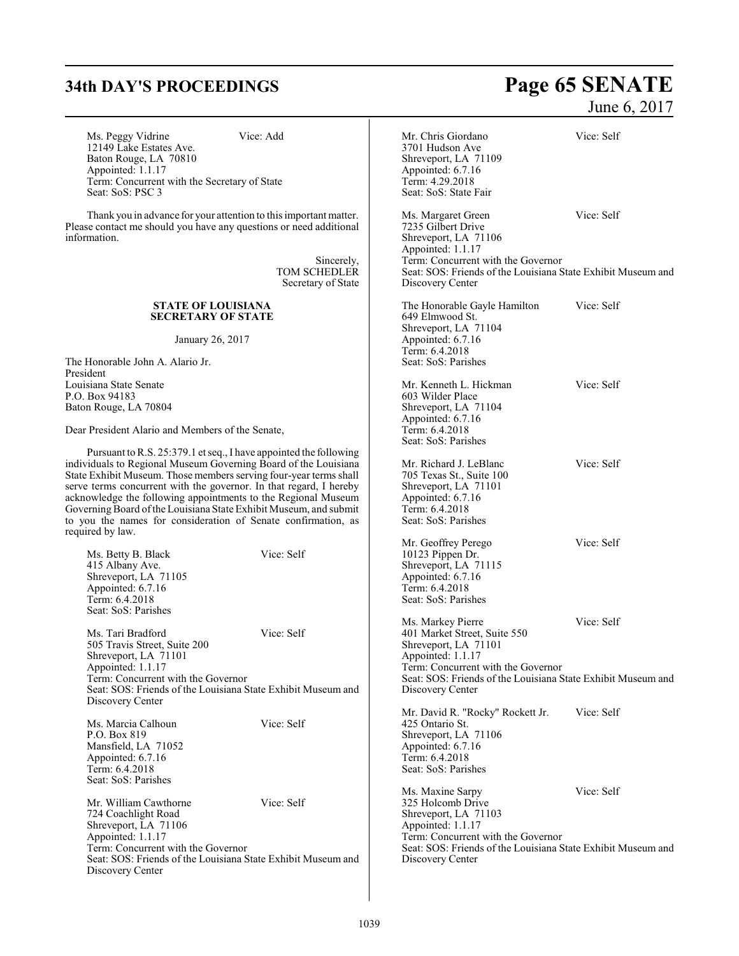Ms. Peggy Vidrine Vice: Add 12149 Lake Estates Ave. Baton Rouge, LA 70810 Appointed: 1.1.17 Term: Concurrent with the Secretary of State Seat: SoS: PSC 3

Thank you in advance for your attention to this important matter. Please contact me should you have any questions or need additional information.

> Sincerely, TOM SCHEDLER Secretary of State

### **STATE OF LOUISIANA SECRETARY OF STATE**

January 26, 2017

The Honorable John A. Alario Jr. President Louisiana State Senate P.O. Box 94183 Baton Rouge, LA 70804

Dear President Alario and Members of the Senate,

Pursuant to R.S. 25:379.1 et seq., I have appointed the following individuals to Regional Museum Governing Board of the Louisiana State Exhibit Museum. Those members serving four-year terms shall serve terms concurrent with the governor. In that regard, I hereby acknowledge the following appointments to the Regional Museum Governing Board of the Louisiana State Exhibit Museum, and submit to you the names for consideration of Senate confirmation, as required by law.

| Ms. Betty B. Black<br>415 Albany Ave.<br>Shreveport, LA 71105<br>Appointed: 6.7.16<br>Term: 6.4.2018<br>Seat: SoS: Parishes                                                                                              | Vice: Self |
|--------------------------------------------------------------------------------------------------------------------------------------------------------------------------------------------------------------------------|------------|
| Ms. Tari Bradford<br>505 Travis Street, Suite 200<br>Shreveport, LA 71101<br>Appointed: 1.1.17<br>Term: Concurrent with the Governor<br>Seat: SOS: Friends of the Louisiana State Exhibit Museum and<br>Discovery Center | Vice: Self |
| Ms. Marcia Calhoun<br>P.O. Box 819<br>Mansfield, LA 71052<br>Appointed: 6.7.16<br>Term: 6.4.2018<br>Seat: SoS: Parishes                                                                                                  | Vice: Self |
| Mr. William Cawthorne<br>724 Coachlight Road<br>Shreveport, LA 71106<br>Appointed: 1.1.17<br>Term: Concurrent with the Governor<br>Seat: SOS: Friends of the Louisiana State Exhibit Museum and<br>Discovery Center      | Vice: Self |

# **34th DAY'S PROCEEDINGS Page 65 SENATE** June 6, 2017

Mr. Chris Giordano Vice: Self 3701 Hudson Ave Shreveport, LA 71109 Appointed: 6.7.16 Term: 4.29.2018 Seat: SoS: State Fair Ms. Margaret Green Vice: Self 7235 Gilbert Drive Shreveport, LA 71106 Appointed: 1.1.17 Term: Concurrent with the Governor Seat: SOS: Friends of the Louisiana State Exhibit Museum and Discovery Center The Honorable Gayle Hamilton Vice: Self 649 Elmwood St. Shreveport, LA 71104 Appointed: 6.7.16 Term: 6.4.2018 Seat: SoS: Parishes Mr. Kenneth L. Hickman Vice: Self 603 Wilder Place Shreveport, LA 71104 Appointed: 6.7.16 Term: 6.4.2018 Seat: SoS: Parishes Mr. Richard J. LeBlanc Vice: Self 705 Texas St., Suite 100 Shreveport, LA 71101 Appointed: 6.7.16 Term: 6.4.2018 Seat: SoS: Parishes Mr. Geoffrey Perego Vice: Self 10123 Pippen Dr. Shreveport, LA 71115 Appointed: 6.7.16 Term: 6.4.2018 Seat: SoS: Parishes Ms. Markey Pierre Vice: Self 401 Market Street, Suite 550 Shreveport, LA 71101 Appointed: 1.1.17 Term: Concurrent with the Governor Seat: SOS: Friends of the Louisiana State Exhibit Museum and Discovery Center Mr. David R. "Rocky" Rockett Jr. Vice: Self 425 Ontario St. Shreveport, LA 71106 Appointed: 6.7.16 Term: 6.4.2018 Seat: SoS: Parishes Ms. Maxine Sarpy Vice: Self 325 Holcomb Drive Shreveport, LA 71103 Appointed: 1.1.17 Term: Concurrent with the Governor Seat: SOS: Friends of the Louisiana State Exhibit Museum and Discovery Center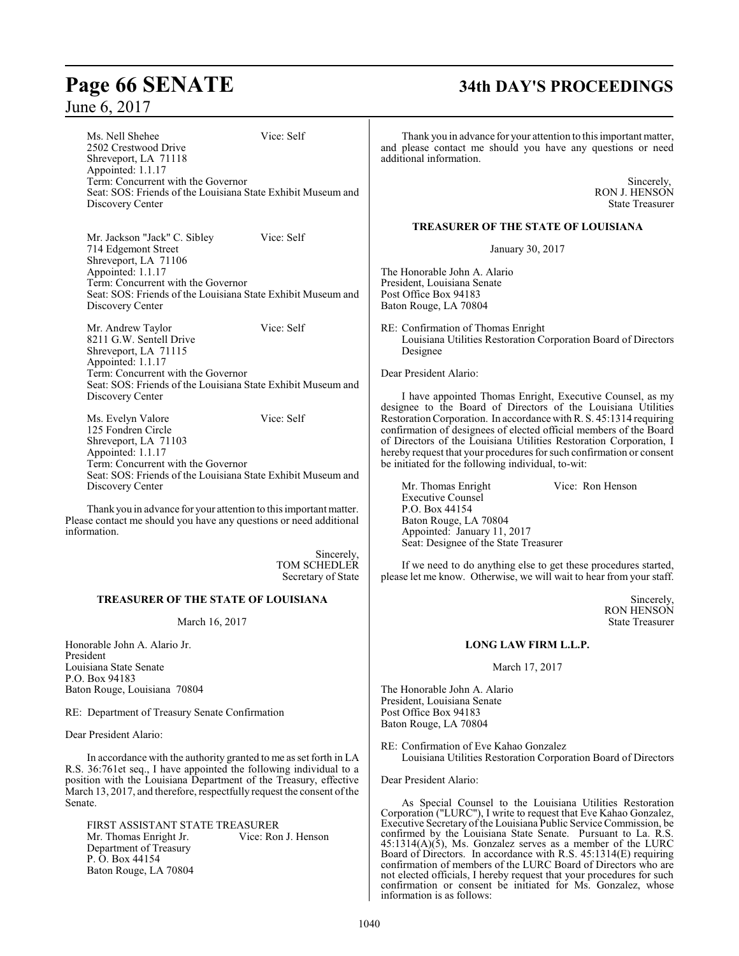# **Page 66 SENATE 34th DAY'S PROCEEDINGS**

Ms. Nell Shehee Vice: Self 2502 Crestwood Drive Shreveport, LA 71118 Appointed: 1.1.17 Term: Concurrent with the Governor Seat: SOS: Friends of the Louisiana State Exhibit Museum and Discovery Center

Mr. Jackson "Jack" C. Sibley Vice: Self 714 Edgemont Street Shreveport, LA 71106 Appointed: 1.1.17 Term: Concurrent with the Governor Seat: SOS: Friends of the Louisiana State Exhibit Museum and Discovery Center

Mr. Andrew Taylor Vice: Self 8211 G.W. Sentell Drive Shreveport, LA 71115 Appointed: 1.1.17 Term: Concurrent with the Governor Seat: SOS: Friends of the Louisiana State Exhibit Museum and Discovery Center

Ms. Evelyn Valore Vice: Self 125 Fondren Circle Shreveport, LA 71103 Appointed: 1.1.17 Term: Concurrent with the Governor Seat: SOS: Friends of the Louisiana State Exhibit Museum and Discovery Center

Thank you in advance for your attention to this important matter. Please contact me should you have any questions or need additional information.

> Sincerely, TOM SCHEDLER Secretary of State

### **TREASURER OF THE STATE OF LOUISIANA**

### March 16, 2017

Honorable John A. Alario Jr. President Louisiana State Senate P.O. Box 94183 Baton Rouge, Louisiana 70804

RE: Department of Treasury Senate Confirmation

Dear President Alario:

In accordance with the authority granted to me as set forth in LA R.S. 36:761et seq., I have appointed the following individual to a position with the Louisiana Department of the Treasury, effective March 13, 2017, and therefore, respectfully request the consent of the Senate.

FIRST ASSISTANT STATE TREASURER<br>Mr. Thomas Enright Jr. Vice: Ron J. Henson Mr. Thomas Enright Jr. Department of Treasury P. O. Box 44154 Baton Rouge, LA 70804

Thank you in advance for your attention to this important matter, and please contact me should you have any questions or need additional information.

> Sincerely, RON J. HENSON State Treasurer

### **TREASURER OF THE STATE OF LOUISIANA**

January 30, 2017

The Honorable John A. Alario President, Louisiana Senate Post Office Box 94183 Baton Rouge, LA 70804

RE: Confirmation of Thomas Enright Louisiana Utilities Restoration Corporation Board of Directors Designee

Dear President Alario:

I have appointed Thomas Enright, Executive Counsel, as my designee to the Board of Directors of the Louisiana Utilities Restoration Corporation. In accordance with R. S. 45:1314 requiring confirmation of designees of elected official members of the Board of Directors of the Louisiana Utilities Restoration Corporation, I hereby request that your procedures for such confirmation or consent be initiated for the following individual, to-wit:

Mr. Thomas Enright Vice: Ron Henson Executive Counsel P.O. Box 44154 Baton Rouge, LA 70804 Appointed: January 11, 2017 Seat: Designee of the State Treasurer

If we need to do anything else to get these procedures started, please let me know. Otherwise, we will wait to hear from your staff.

> Sincerely, RON HENSON State Treasurer

### **LONG LAW FIRM L.L.P.**

March 17, 2017

The Honorable John A. Alario President, Louisiana Senate Post Office Box 94183 Baton Rouge, LA 70804

RE: Confirmation of Eve Kahao Gonzalez Louisiana Utilities Restoration Corporation Board of Directors

Dear President Alario:

As Special Counsel to the Louisiana Utilities Restoration Corporation ("LURC"), I write to request that Eve Kahao Gonzalez, Executive Secretary of the Louisiana Public Service Commission, be confirmed by the Louisiana State Senate. Pursuant to La. R.S.  $45:1314(A)(5)$ , Ms. Gonzalez serves as a member of the LURC Board of Directors. In accordance with R.S. 45:1314(E) requiring confirmation of members of the LURC Board of Directors who are not elected officials, I hereby request that your procedures for such confirmation or consent be initiated for Ms. Gonzalez, whose information is as follows: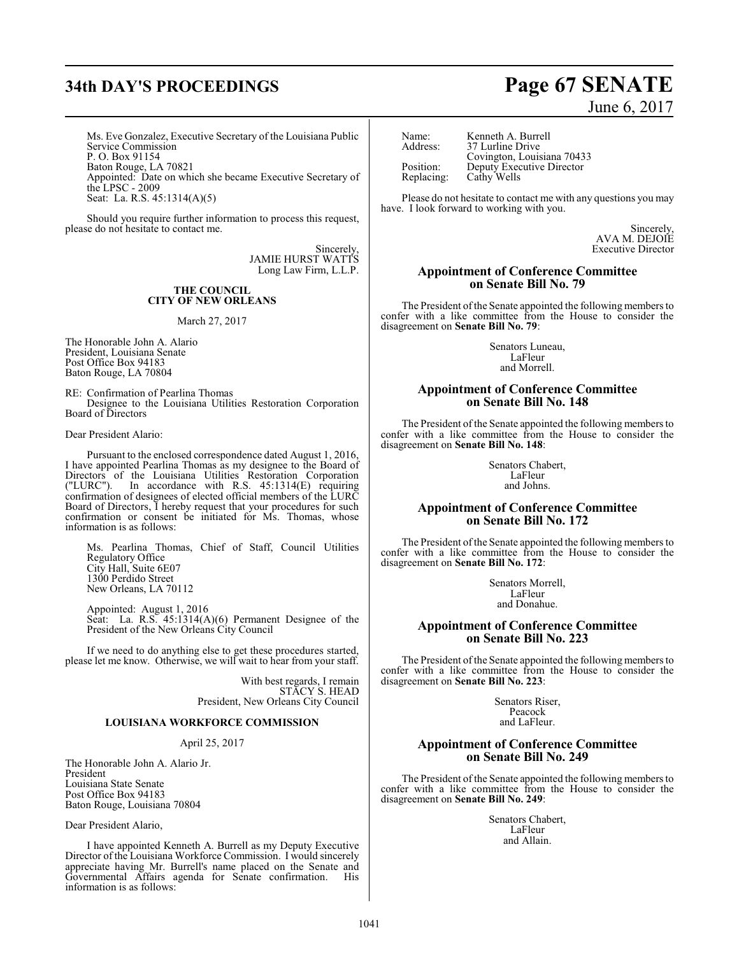# **34th DAY'S PROCEEDINGS Page 67 SENATE**

Ms. Eve Gonzalez, Executive Secretary of the Louisiana Public Service Commission P. O. Box 91154 Baton Rouge, LA 70821 Appointed: Date on which she became Executive Secretary of the LPSC - 2009 Seat: La. R.S. 45:1314(A)(5)

Should you require further information to process this request, please do not hesitate to contact me.

> **Sincerely** JAMIE HURST WATTS Long Law Firm, L.L.P.

### **THE COUNCIL CITY OF NEW ORLEANS**

March 27, 2017

The Honorable John A. Alario President, Louisiana Senate Post Office Box 94183 Baton Rouge, LA 70804

RE: Confirmation of Pearlina Thomas Designee to the Louisiana Utilities Restoration Corporation Board of Directors

Dear President Alario:

Pursuant to the enclosed correspondence dated August 1, 2016, I have appointed Pearlina Thomas as my designee to the Board of Directors of the Louisiana Utilities Restoration Corporation ("LURC"). In accordance with R.S. 45:1314(E) requiring confirmation of designees of elected official members of the LURC Board of Directors, I hereby request that your procedures for such confirmation or consent be initiated for Ms. Thomas, whose information is as follows:

Ms. Pearlina Thomas, Chief of Staff, Council Utilities Regulatory Office City Hall, Suite 6E07 1300 Perdido Street New Orleans, LA 70112

Appointed: August 1, 2016 Seat: La. R.S. 45:1314(A)(6) Permanent Designee of the President of the New Orleans City Council

If we need to do anything else to get these procedures started, please let me know. Otherwise, we will wait to hear from your staff.

> With best regards, I remain STACY S. HEAD President, New Orleans City Council

### **LOUISIANA WORKFORCE COMMISSION**

### April 25, 2017

The Honorable John A. Alario Jr. President Louisiana State Senate Post Office Box 94183 Baton Rouge, Louisiana 70804

Dear President Alario,

I have appointed Kenneth A. Burrell as my Deputy Executive Director of the Louisiana Workforce Commission. I would sincerely appreciate having Mr. Burrell's name placed on the Senate and Governmental Affairs agenda for Senate confirmation. His information is as follows:

| Name:      | Kenr  |
|------------|-------|
| Address:   | 37 Li |
|            | Covi  |
| Position:  | Dept  |
| Replacing: | Cath  |

neth A. Burrell urline Drive ington, Louisiana 70433 uty Executive Director y Wells

Please do not hesitate to contact me with any questions you may have. I look forward to working with you.

> Sincerely, AVA M. DEJOIE Executive Director

### **Appointment of Conference Committee on Senate Bill No. 79**

The President of the Senate appointed the following members to confer with a like committee from the House to consider the disagreement on **Senate Bill No. 79**:

> Senators Luneau, LaFleur and Morrell.

### **Appointment of Conference Committee on Senate Bill No. 148**

The President of the Senate appointed the following members to confer with a like committee from the House to consider the disagreement on **Senate Bill No. 148**:

> Senators Chabert, LaFleur and Johns.

### **Appointment of Conference Committee on Senate Bill No. 172**

The President of the Senate appointed the following members to confer with a like committee from the House to consider the disagreement on **Senate Bill No. 172**:

> Senators Morrell, LaFleur and Donahue.

### **Appointment of Conference Committee on Senate Bill No. 223**

The President of the Senate appointed the following members to confer with a like committee from the House to consider the disagreement on **Senate Bill No. 223**:

> Senators Riser, Peacock and LaFleur.

### **Appointment of Conference Committee on Senate Bill No. 249**

The President of the Senate appointed the following members to confer with a like committee from the House to consider the disagreement on **Senate Bill No. 249**:

> Senators Chabert, LaFleur and Allain.

# June 6, 2017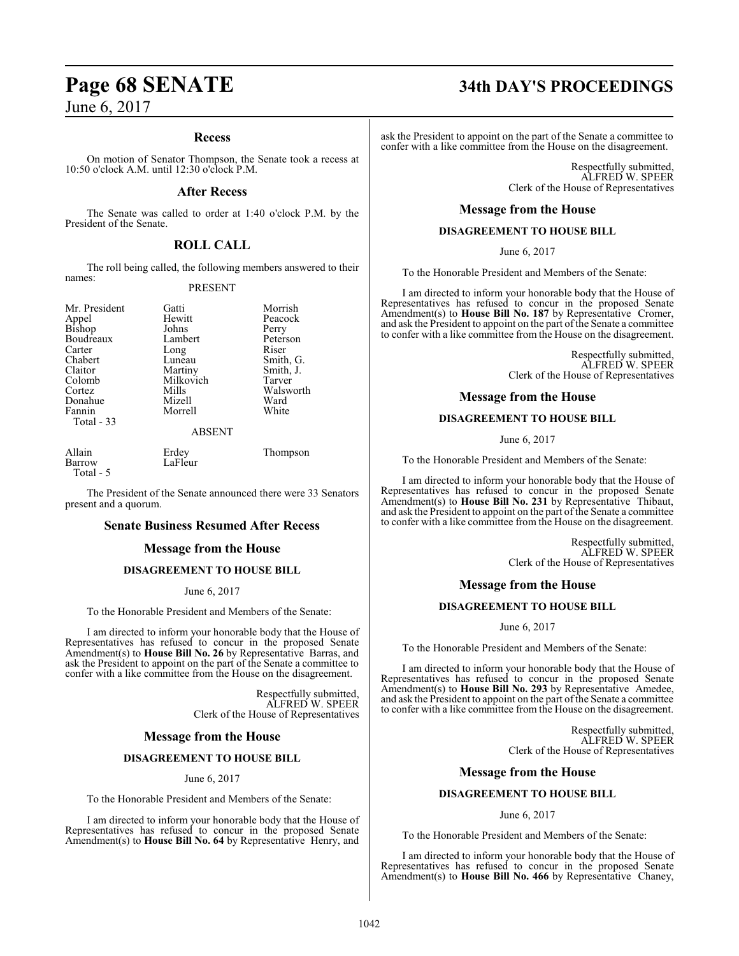### **Recess**

On motion of Senator Thompson, the Senate took a recess at 10:50 o'clock A.M. until 12:30 o'clock P.M.

### **After Recess**

The Senate was called to order at 1:40 o'clock P.M. by the President of the Senate.

### **ROLL CALL**

The roll being called, the following members answered to their names:

### PRESENT

Hewitt Peacock<br>Johns Perry

Mr. President Gatti Gatti Morrish<br>Appel Hewitt Peacock Bishop Johns Perry<br>Boudreaux Lambert Peterson Boudreaux Lambert Peters<br>Carter Long Riser Carter Long<br>Chabert Luneau Chabert Luneau Smith, G. Claitor Martiny Smith, J.<br>Colomb Milkovich Tarver Colomb Milkovich Tarver Donahue Mizell Ward Total - 33

Mills Walsworth<br>
Mizell Ward Morrell

ABSENT

| Allain    | Erdey   | Thompson |
|-----------|---------|----------|
| Barrow    | LaFleur |          |
| Total - 5 |         |          |

The President of the Senate announced there were 33 Senators present and a quorum.

### **Senate Business Resumed After Recess**

### **Message from the House**

### **DISAGREEMENT TO HOUSE BILL**

### June 6, 2017

To the Honorable President and Members of the Senate:

I am directed to inform your honorable body that the House of Representatives has refused to concur in the proposed Senate Amendment(s) to **House Bill No. 26** by Representative Barras, and ask the President to appoint on the part of the Senate a committee to confer with a like committee from the House on the disagreement.

> Respectfully submitted, ALFRED W. SPEER Clerk of the House of Representatives

### **Message from the House**

### **DISAGREEMENT TO HOUSE BILL**

June 6, 2017

To the Honorable President and Members of the Senate:

I am directed to inform your honorable body that the House of Representatives has refused to concur in the proposed Senate Amendment(s) to **House Bill No. 64** by Representative Henry, and

# **Page 68 SENATE 34th DAY'S PROCEEDINGS**

ask the President to appoint on the part of the Senate a committee to confer with a like committee from the House on the disagreement.

> Respectfully submitted, ALFRED W. SPEER Clerk of the House of Representatives

### **Message from the House**

### **DISAGREEMENT TO HOUSE BILL**

June 6, 2017

To the Honorable President and Members of the Senate:

I am directed to inform your honorable body that the House of Representatives has refused to concur in the proposed Senate Amendment(s) to **House Bill No. 187** by Representative Cromer, and ask the President to appoint on the part of the Senate a committee to confer with a like committee from the House on the disagreement.

> Respectfully submitted, ALFRED W. SPEER Clerk of the House of Representatives

### **Message from the House**

### **DISAGREEMENT TO HOUSE BILL**

June 6, 2017

To the Honorable President and Members of the Senate:

I am directed to inform your honorable body that the House of Representatives has refused to concur in the proposed Senate Amendment(s) to **House Bill No. 231** by Representative Thibaut, and ask the President to appoint on the part of the Senate a committee to confer with a like committee from the House on the disagreement.

> Respectfully submitted, ALFRED W. SPEER Clerk of the House of Representatives

### **Message from the House**

### **DISAGREEMENT TO HOUSE BILL**

June 6, 2017

To the Honorable President and Members of the Senate:

I am directed to inform your honorable body that the House of Representatives has refused to concur in the proposed Senate Amendment(s) to **House Bill No. 293** by Representative Amedee, and ask the President to appoint on the part of the Senate a committee to confer with a like committee from the House on the disagreement.

> Respectfully submitted, ALFRED W. SPEER Clerk of the House of Representatives

### **Message from the House**

### **DISAGREEMENT TO HOUSE BILL**

June 6, 2017

To the Honorable President and Members of the Senate:

I am directed to inform your honorable body that the House of Representatives has refused to concur in the proposed Senate Amendment(s) to **House Bill No. 466** by Representative Chaney,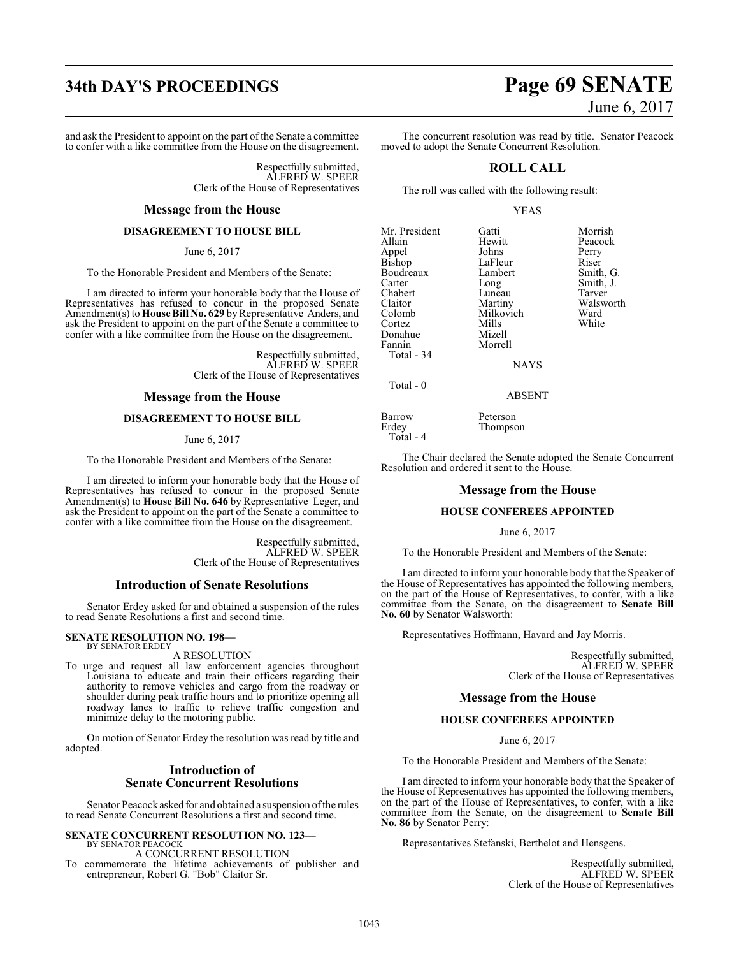and ask the President to appoint on the part of the Senate a committee to confer with a like committee from the House on the disagreement.

> Respectfully submitted, ALFRED W. SPEER Clerk of the House of Representatives

### **Message from the House**

### **DISAGREEMENT TO HOUSE BILL**

June 6, 2017

To the Honorable President and Members of the Senate:

I am directed to inform your honorable body that the House of Representatives has refused to concur in the proposed Senate Amendment(s) to **House Bill No. 629** byRepresentative Anders, and ask the President to appoint on the part of the Senate a committee to confer with a like committee from the House on the disagreement.

> Respectfully submitted, ALFRED W. SPEER Clerk of the House of Representatives

### **Message from the House**

### **DISAGREEMENT TO HOUSE BILL**

June 6, 2017

To the Honorable President and Members of the Senate:

I am directed to inform your honorable body that the House of Representatives has refused to concur in the proposed Senate Amendment(s) to **House Bill No. 646** by Representative Leger, and ask the President to appoint on the part of the Senate a committee to confer with a like committee from the House on the disagreement.

> Respectfully submitted, ALFRED W. SPEER Clerk of the House of Representatives

### **Introduction of Senate Resolutions**

Senator Erdey asked for and obtained a suspension of the rules to read Senate Resolutions a first and second time.

### **SENATE RESOLUTION NO. 198—** BY SENATOR ERDEY

A RESOLUTION

To urge and request all law enforcement agencies throughout Louisiana to educate and train their officers regarding their authority to remove vehicles and cargo from the roadway or shoulder during peak traffic hours and to prioritize opening all roadway lanes to traffic to relieve traffic congestion and minimize delay to the motoring public.

On motion of Senator Erdey the resolution was read by title and adopted.

### **Introduction of Senate Concurrent Resolutions**

Senator Peacock asked for and obtained a suspension ofthe rules to read Senate Concurrent Resolutions a first and second time.

**SENATE CONCURRENT RESOLUTION NO. 123—** BY SENATOR PEACOCK

A CONCURRENT RESOLUTION To commemorate the lifetime achievements of publisher and entrepreneur, Robert G. "Bob" Claitor Sr.

# **34th DAY'S PROCEEDINGS Page 69 SENATE** June 6, 2017

The concurrent resolution was read by title. Senator Peacock moved to adopt the Senate Concurrent Resolution.

### **ROLL CALL**

The roll was called with the following result:

### YEAS

Mr. President Gatti Morrish Appel Johns Perry<br>Bishop LaFleur Riser Bishop LaFleur<br>Boudreaux Lambert Boudreaux Lambert Smith, G.<br>
Carter Long Smith, J. Chabert Luneau<br>Claitor Martiny Claitor Martiny Walsworth Cortez Mills<br>Donahue Mizell Donahue<br>Fannin Total - 34

Hewitt Peacock<br>Johns Perry Long Smith, J.<br>Luneau Tarver Milkovich Ward<br>
Mills White NAYS

Total - 0

Total - 4

Barrow Peterson<br>Erdey Thompso **Thompson** 

Morrell

The Chair declared the Senate adopted the Senate Concurrent Resolution and ordered it sent to the House.

ABSENT

### **Message from the House**

### **HOUSE CONFEREES APPOINTED**

### June 6, 2017

To the Honorable President and Members of the Senate:

I am directed to inform your honorable body that the Speaker of the House of Representatives has appointed the following members, on the part of the House of Representatives, to confer, with a like committee from the Senate, on the disagreement to **Senate Bill No. 60** by Senator Walsworth:

Representatives Hoffmann, Havard and Jay Morris.

Respectfully submitted, ALFRED W. SPEER Clerk of the House of Representatives

### **Message from the House**

### **HOUSE CONFEREES APPOINTED**

June 6, 2017

To the Honorable President and Members of the Senate:

I am directed to inform your honorable body that the Speaker of the House of Representatives has appointed the following members, on the part of the House of Representatives, to confer, with a like committee from the Senate, on the disagreement to **Senate Bill No. 86** by Senator Perry:

Representatives Stefanski, Berthelot and Hensgens.

Respectfully submitted, ALFRED W. SPEER Clerk of the House of Representatives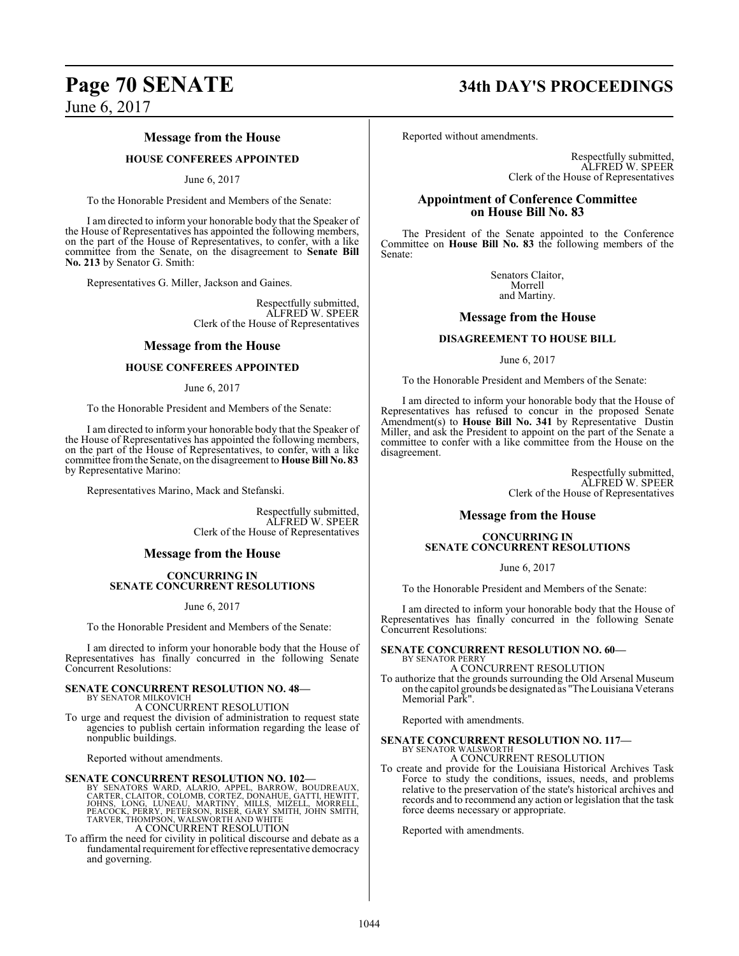### **Message from the House**

### **HOUSE CONFEREES APPOINTED**

### June 6, 2017

To the Honorable President and Members of the Senate:

I am directed to inform your honorable body that the Speaker of the House of Representatives has appointed the following members, on the part of the House of Representatives, to confer, with a like committee from the Senate, on the disagreement to **Senate Bill No. 213** by Senator G. Smith:

Representatives G. Miller, Jackson and Gaines.

Respectfully submitted, ALFRED W. SPEER Clerk of the House of Representatives

### **Message from the House**

### **HOUSE CONFEREES APPOINTED**

### June 6, 2017

To the Honorable President and Members of the Senate:

I am directed to inform your honorable body that the Speaker of the House of Representatives has appointed the following members, on the part of the House of Representatives, to confer, with a like committee fromthe Senate, on the disagreement to **House Bill No. 83** by Representative Marino:

Representatives Marino, Mack and Stefanski.

Respectfully submitted, ALFRED W. SPEER Clerk of the House of Representatives

### **Message from the House**

### **CONCURRING IN SENATE CONCURRENT RESOLUTIONS**

June 6, 2017

To the Honorable President and Members of the Senate:

I am directed to inform your honorable body that the House of Representatives has finally concurred in the following Senate Concurrent Resolutions:

### **SENATE CONCURRENT RESOLUTION NO. 48—** BY SENATOR MILKOVICH

A CONCURRENT RESOLUTION

To urge and request the division of administration to request state agencies to publish certain information regarding the lease of nonpublic buildings.

Reported without amendments.

### **SENATE CONCURRENT RESOLUTION NO. 102—**

BY SENATORS WARD, ALARIO, APPEL, BARROW, BOUDREAUX,<br>CARTER, CLAITOR, COLOMB, CORTEZ, DONAHUE, GATTI, HEWITT,<br>JOHNS, LONG, LUNEAU, MARTINY, MILLS, MIZELL, MORRELL,<br>PEACOCK, PERRY, PETERSON, RISER, GARY SMITH, JOHN SMITH,<br>TA A CONCURRENT RESOLUTION

To affirm the need for civility in political discourse and debate as a fundamental requirement for effective representative democracy and governing.

## **Page 70 SENATE 34th DAY'S PROCEEDINGS**

Reported without amendments.

Respectfully submitted, ALFRED W. SPEER Clerk of the House of Representatives

### **Appointment of Conference Committee on House Bill No. 83**

The President of the Senate appointed to the Conference Committee on **House Bill No. 83** the following members of the Senate:

> Senators Claitor, Morrell and Martiny.

### **Message from the House**

### **DISAGREEMENT TO HOUSE BILL**

June 6, 2017

To the Honorable President and Members of the Senate:

I am directed to inform your honorable body that the House of Representatives has refused to concur in the proposed Senate Amendment(s) to **House Bill No. 341** by Representative Dustin Miller, and ask the President to appoint on the part of the Senate a committee to confer with a like committee from the House on the disagreement.

> Respectfully submitted, ALFRED W. SPEER Clerk of the House of Representatives

### **Message from the House**

### **CONCURRING IN SENATE CONCURRENT RESOLUTIONS**

June 6, 2017

To the Honorable President and Members of the Senate:

I am directed to inform your honorable body that the House of Representatives has finally concurred in the following Senate Concurrent Resolutions:

### **SENATE CONCURRENT RESOLUTION NO. 60—** BY SENATOR PERRY

A CONCURRENT RESOLUTION

To authorize that the grounds surrounding the Old Arsenal Museum on the capitol grounds be designated as "TheLouisiana Veterans Memorial Park".

Reported with amendments.

## **SENATE CONCURRENT RESOLUTION NO. 117—** BY SENATOR WALSWORTH

A CONCURRENT RESOLUTION

To create and provide for the Louisiana Historical Archives Task Force to study the conditions, issues, needs, and problems relative to the preservation of the state's historical archives and records and to recommend any action or legislation that the task force deems necessary or appropriate.

Reported with amendments.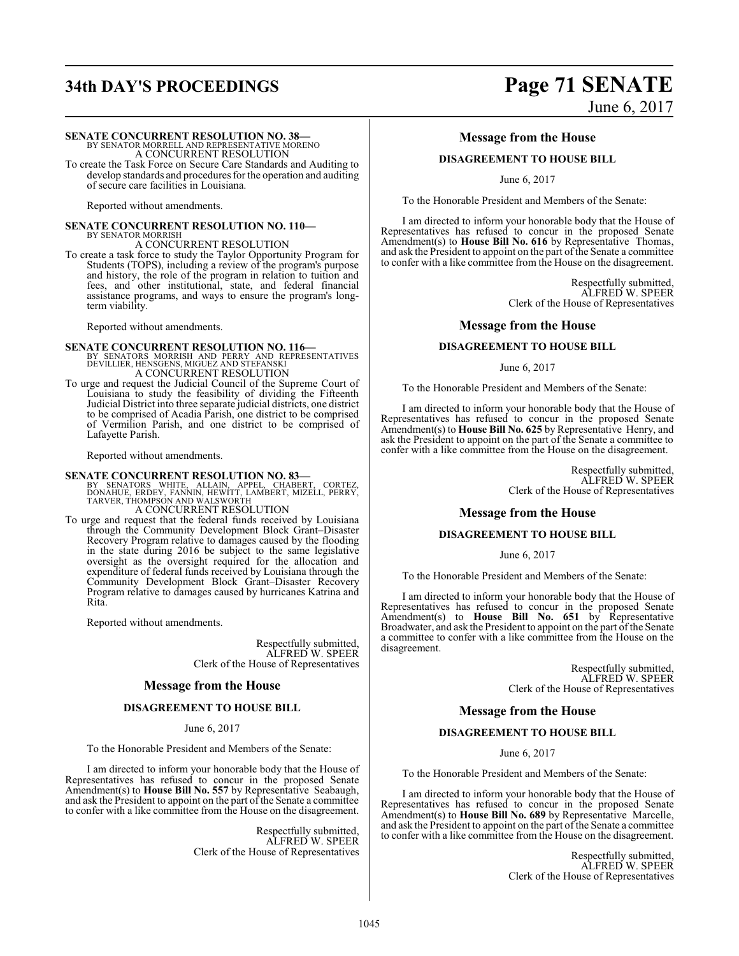# **34th DAY'S PROCEEDINGS Page 71 SENATE**

### **SENATE CONCURRENT RESOLUTION NO. 38—**

BY SENATOR MORRELL AND REPRESENTATIVE MORENO A CONCURRENT RESOLUTION

To create the Task Force on Secure Care Standards and Auditing to develop standards and procedures for the operation and auditing of secure care facilities in Louisiana.

Reported without amendments.

### **SENATE CONCURRENT RESOLUTION NO. 110—** BY SENATOR MORRISH A CONCURRENT RESOLUTION

To create a task force to study the Taylor Opportunity Program for Students (TOPS), including a review of the program's purpose and history, the role of the program in relation to tuition and fees, and other institutional, state, and federal financial assistance programs, and ways to ensure the program's longterm viability.

Reported without amendments.

**SENATE CONCURRENT RESOLUTION NO. 116—**<br>BY SENATORS MORRISH AND PERRY AND REPRESENTATIVES<br>DEVILLIER, HENSGENS, MIGUEZ AND STEFANSKI A CONCURRENT RESOLUTION

To urge and request the Judicial Council of the Supreme Court of Louisiana to study the feasibility of dividing the Fifteenth Judicial District into three separate judicial districts, one district to be comprised of Acadia Parish, one district to be comprised of Vermilion Parish, and one district to be comprised of Lafayette Parish.

Reported without amendments.

**SENATE CONCURRENT RESOLUTION NO. 83**<br>
BY SENATORS WHITE, ALLAIN, APPEL, CHABERT, CORTEZ,<br>
DONAHUE, ERDEY, FANNIN, HEWITT, LAMBERT, MIZELL, PERRY,<br>
TARVER, THOMPSON AND WALSWORTH A CONCURRENT RESOLUTION

To urge and request that the federal funds received by Louisiana through the Community Development Block Grant–Disaster Recovery Program relative to damages caused by the flooding in the state during 2016 be subject to the same legislative oversight as the oversight required for the allocation and expenditure of federal funds received by Louisiana through the Community Development Block Grant–Disaster Recovery Program relative to damages caused by hurricanes Katrina and R<sub>ita</sub>

Reported without amendments.

Respectfully submitted, ALFRED W. SPEER Clerk of the House of Representatives

### **Message from the House**

### **DISAGREEMENT TO HOUSE BILL**

June 6, 2017

To the Honorable President and Members of the Senate:

I am directed to inform your honorable body that the House of Representatives has refused to concur in the proposed Senate Amendment(s) to **House Bill No. 557** by Representative Seabaugh, and ask the President to appoint on the part of the Senate a committee to confer with a like committee from the House on the disagreement.

> Respectfully submitted, ALFRED W. SPEER Clerk of the House of Representatives

# June 6, 2017

### **Message from the House**

### **DISAGREEMENT TO HOUSE BILL**

June 6, 2017

To the Honorable President and Members of the Senate:

I am directed to inform your honorable body that the House of Representatives has refused to concur in the proposed Senate Amendment(s) to **House Bill No. 616** by Representative Thomas, and ask the President to appoint on the part ofthe Senate a committee to confer with a like committee from the House on the disagreement.

> Respectfully submitted, ALFRED W. SPEER Clerk of the House of Representatives

### **Message from the House**

### **DISAGREEMENT TO HOUSE BILL**

June 6, 2017

To the Honorable President and Members of the Senate:

I am directed to inform your honorable body that the House of Representatives has refused to concur in the proposed Senate Amendment(s) to **House Bill No. 625** by Representative Henry, and ask the President to appoint on the part of the Senate a committee to confer with a like committee from the House on the disagreement.

> Respectfully submitted, ALFRED W. SPEER Clerk of the House of Representatives

### **Message from the House**

### **DISAGREEMENT TO HOUSE BILL**

### June 6, 2017

To the Honorable President and Members of the Senate:

I am directed to inform your honorable body that the House of Representatives has refused to concur in the proposed Senate Amendment(s) to **House Bill No. 651** by Representative Broadwater, and ask the President to appoint on the part of the Senate a committee to confer with a like committee from the House on the disagreement.

> Respectfully submitted, ALFRED W. SPEER Clerk of the House of Representatives

### **Message from the House**

### **DISAGREEMENT TO HOUSE BILL**

June 6, 2017

To the Honorable President and Members of the Senate:

I am directed to inform your honorable body that the House of Representatives has refused to concur in the proposed Senate Amendment(s) to **House Bill No. 689** by Representative Marcelle, and ask the President to appoint on the part of the Senate a committee to confer with a like committee from the House on the disagreement.

> Respectfully submitted, ALFRED W. SPEER Clerk of the House of Representatives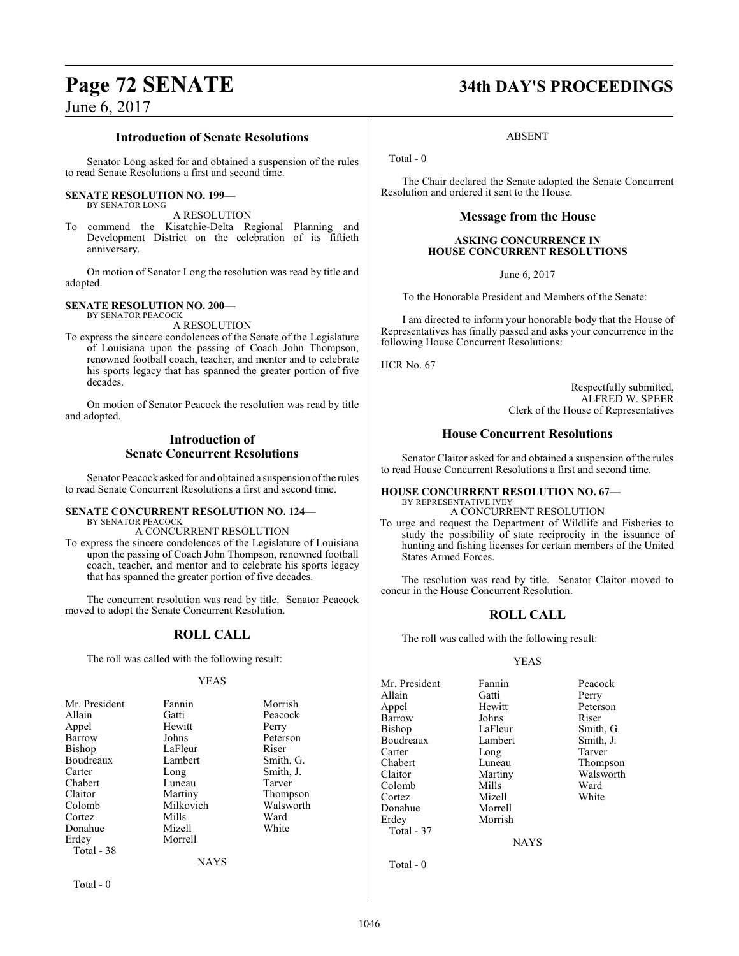### **Introduction of Senate Resolutions**

Senator Long asked for and obtained a suspension of the rules to read Senate Resolutions a first and second time.

### **SENATE RESOLUTION NO. 199—** BY SENATOR LONG

A RESOLUTION

To commend the Kisatchie-Delta Regional Planning and Development District on the celebration of its fiftieth anniversary.

On motion of Senator Long the resolution was read by title and adopted.

### **SENATE RESOLUTION NO. 200—** BY SENATOR PEACOCK

A RESOLUTION

To express the sincere condolences of the Senate of the Legislature of Louisiana upon the passing of Coach John Thompson, renowned football coach, teacher, and mentor and to celebrate his sports legacy that has spanned the greater portion of five decades.

On motion of Senator Peacock the resolution was read by title and adopted.

### **Introduction of Senate Concurrent Resolutions**

Senator Peacock asked for and obtained a suspension ofthe rules to read Senate Concurrent Resolutions a first and second time.

### **SENATE CONCURRENT RESOLUTION NO. 124—** BY SENATOR PEACOCK

A CONCURRENT RESOLUTION

To express the sincere condolences of the Legislature of Louisiana upon the passing of Coach John Thompson, renowned football coach, teacher, and mentor and to celebrate his sports legacy that has spanned the greater portion of five decades.

The concurrent resolution was read by title. Senator Peacock moved to adopt the Senate Concurrent Resolution.

### **ROLL CALL**

The roll was called with the following result:

### YEAS

| Mr. President | Fannin      | Morrish   |
|---------------|-------------|-----------|
| Allain        | Gatti       | Peacock   |
| Appel         | Hewitt      | Perry     |
| Barrow        | Johns       | Peterson  |
| Bishop        | LaFleur     | Riser     |
| Boudreaux     | Lambert     | Smith, G. |
| Carter        | Long        | Smith, J. |
| Chabert       | Luneau      | Tarver    |
| Claitor       | Martiny     | Thompson  |
| Colomb        | Milkovich   | Walsworth |
| Cortez        | Mills       | Ward      |
| Donahue       | Mizell      | White     |
| Erdey         | Morrell     |           |
| Total - 38    |             |           |
|               | <b>NAYS</b> |           |

Total - 0

# **Page 72 SENATE 34th DAY'S PROCEEDINGS**

ABSENT

Total - 0

The Chair declared the Senate adopted the Senate Concurrent Resolution and ordered it sent to the House.

### **Message from the House**

### **ASKING CONCURRENCE IN HOUSE CONCURRENT RESOLUTIONS**

June 6, 2017

To the Honorable President and Members of the Senate:

I am directed to inform your honorable body that the House of Representatives has finally passed and asks your concurrence in the following House Concurrent Resolutions:

HCR No. 67

Respectfully submitted, ALFRED W. SPEER Clerk of the House of Representatives

### **House Concurrent Resolutions**

Senator Claitor asked for and obtained a suspension of the rules to read House Concurrent Resolutions a first and second time.

### **HOUSE CONCURRENT RESOLUTION NO. 67—** BY REPRESENTATIVE IVEY A CONCURRENT RESOLUTION

To urge and request the Department of Wildlife and Fisheries to study the possibility of state reciprocity in the issuance of hunting and fishing licenses for certain members of the United States Armed Forces.

The resolution was read by title. Senator Claitor moved to concur in the House Concurrent Resolution.

### **ROLL CALL**

The roll was called with the following result:

### YEAS

| Mr. President | Fannin      | Peacock   |
|---------------|-------------|-----------|
| Allain        | Gatti       | Perry     |
| Appel         | Hewitt      | Peterson  |
| Barrow        | Johns       | Riser     |
| Bishop        | LaFleur     | Smith, G. |
| Boudreaux     | Lambert     | Smith, J. |
| Carter        | Long        | Tarver    |
| Chabert       | Luneau      | Thompson  |
| Claitor       | Martiny     | Walsworth |
| Colomb        | Mills       | Ward      |
| Cortez        | Mizell      | White     |
| Donahue       | Morrell     |           |
| Erdey         | Morrish     |           |
| Total - 37    |             |           |
|               | <b>NAYS</b> |           |
|               |             |           |

Total - 0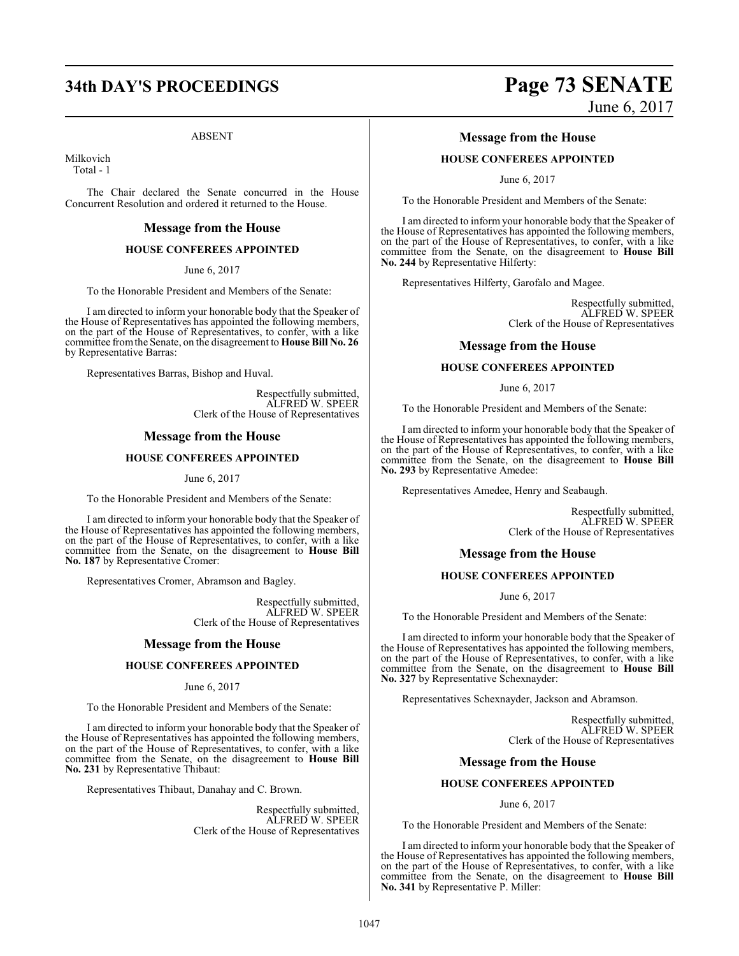#### ABSENT

Milkovich Total - 1

The Chair declared the Senate concurred in the House Concurrent Resolution and ordered it returned to the House.

#### **Message from the House**

#### **HOUSE CONFEREES APPOINTED**

June 6, 2017

To the Honorable President and Members of the Senate:

I am directed to inform your honorable body that the Speaker of the House of Representatives has appointed the following members, on the part of the House of Representatives, to confer, with a like committee fromthe Senate, on the disagreement to **House Bill No. 26** by Representative Barras:

Representatives Barras, Bishop and Huval.

Respectfully submitted, ALFRED W. SPEER Clerk of the House of Representatives

#### **Message from the House**

#### **HOUSE CONFEREES APPOINTED**

June 6, 2017

To the Honorable President and Members of the Senate:

I am directed to inform your honorable body that the Speaker of the House of Representatives has appointed the following members, on the part of the House of Representatives, to confer, with a like committee from the Senate, on the disagreement to **House Bill No. 187** by Representative Cromer:

Representatives Cromer, Abramson and Bagley.

Respectfully submitted, ALFRED W. SPEER Clerk of the House of Representatives

#### **Message from the House**

#### **HOUSE CONFEREES APPOINTED**

June 6, 2017

To the Honorable President and Members of the Senate:

I am directed to inform your honorable body that the Speaker of the House of Representatives has appointed the following members, on the part of the House of Representatives, to confer, with a like committee from the Senate, on the disagreement to **House Bill No. 231** by Representative Thibaut:

Representatives Thibaut, Danahay and C. Brown.

Respectfully submitted, ALFRED W. SPEER Clerk of the House of Representatives

# **34th DAY'S PROCEEDINGS Page 73 SENATE** June 6, 2017

#### **Message from the House**

#### **HOUSE CONFEREES APPOINTED**

June 6, 2017

To the Honorable President and Members of the Senate:

I am directed to inform your honorable body that the Speaker of the House of Representatives has appointed the following members, on the part of the House of Representatives, to confer, with a like committee from the Senate, on the disagreement to **House Bill No. 244** by Representative Hilferty:

Representatives Hilferty, Garofalo and Magee.

Respectfully submitted, ALFRED W. SPEER Clerk of the House of Representatives

#### **Message from the House**

#### **HOUSE CONFEREES APPOINTED**

June 6, 2017

To the Honorable President and Members of the Senate:

I am directed to inform your honorable body that the Speaker of the House of Representatives has appointed the following members, on the part of the House of Representatives, to confer, with a like committee from the Senate, on the disagreement to **House Bill No. 293** by Representative Amedee:

Representatives Amedee, Henry and Seabaugh.

Respectfully submitted, ALFRED W. SPEER Clerk of the House of Representatives

#### **Message from the House**

#### **HOUSE CONFEREES APPOINTED**

June 6, 2017

To the Honorable President and Members of the Senate:

I am directed to inform your honorable body that the Speaker of the House of Representatives has appointed the following members, on the part of the House of Representatives, to confer, with a like committee from the Senate, on the disagreement to **House Bill No. 327** by Representative Schexnayder:

Representatives Schexnayder, Jackson and Abramson.

Respectfully submitted, ALFRED W. SPEER Clerk of the House of Representatives

#### **Message from the House**

#### **HOUSE CONFEREES APPOINTED**

June 6, 2017

To the Honorable President and Members of the Senate:

I am directed to inform your honorable body that the Speaker of the House of Representatives has appointed the following members, on the part of the House of Representatives, to confer, with a like committee from the Senate, on the disagreement to **House Bill No. 341** by Representative P. Miller: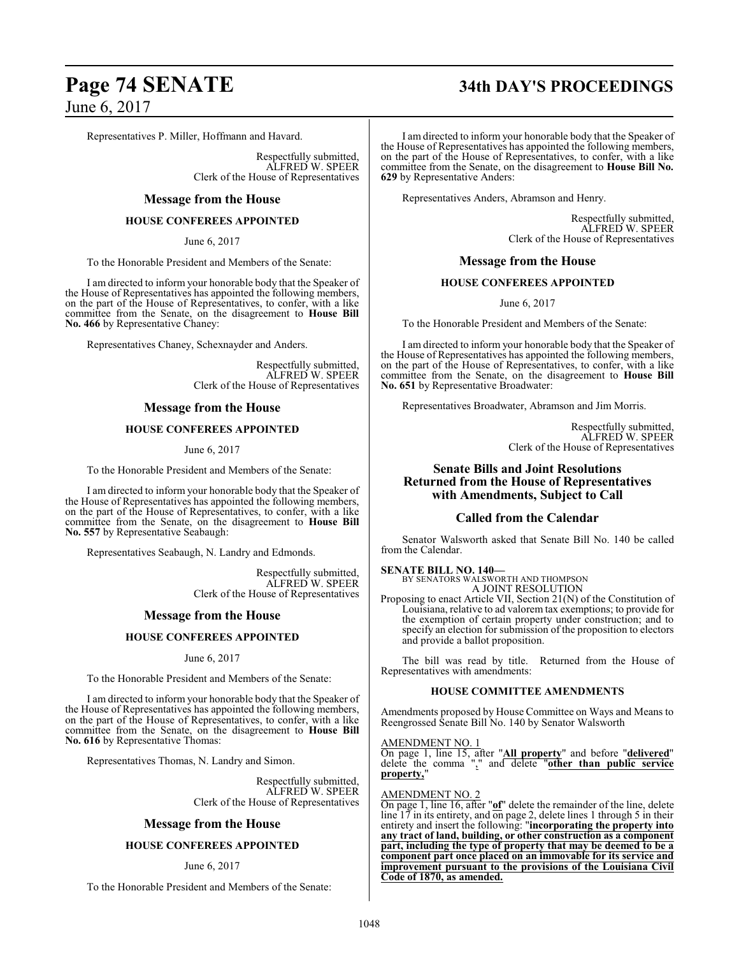# **Page 74 SENATE 34th DAY'S PROCEEDINGS**

Representatives P. Miller, Hoffmann and Havard.

Respectfully submitted, ALFRED W. SPEER Clerk of the House of Representatives

#### **Message from the House**

#### **HOUSE CONFEREES APPOINTED**

June 6, 2017

To the Honorable President and Members of the Senate:

I am directed to inform your honorable body that the Speaker of the House of Representatives has appointed the following members, on the part of the House of Representatives, to confer, with a like committee from the Senate, on the disagreement to **House Bill No. 466** by Representative Chaney:

Representatives Chaney, Schexnayder and Anders.

Respectfully submitted, ALFRED W. SPEER Clerk of the House of Representatives

## **Message from the House**

#### **HOUSE CONFEREES APPOINTED**

June 6, 2017

To the Honorable President and Members of the Senate:

I am directed to inform your honorable body that the Speaker of the House of Representatives has appointed the following members, on the part of the House of Representatives, to confer, with a like committee from the Senate, on the disagreement to **House Bill No. 557** by Representative Seabaugh:

Representatives Seabaugh, N. Landry and Edmonds.

Respectfully submitted, ALFRED W. SPEER Clerk of the House of Representatives

#### **Message from the House**

#### **HOUSE CONFEREES APPOINTED**

June 6, 2017

To the Honorable President and Members of the Senate:

I am directed to inform your honorable body that the Speaker of the House of Representatives has appointed the following members, on the part of the House of Representatives, to confer, with a like committee from the Senate, on the disagreement to **House Bill No. 616** by Representative Thomas:

Representatives Thomas, N. Landry and Simon.

Respectfully submitted, ALFRED W. SPEER Clerk of the House of Representatives

## **Message from the House**

#### **HOUSE CONFEREES APPOINTED**

#### June 6, 2017

To the Honorable President and Members of the Senate:

I am directed to inform your honorable body that the Speaker of the House of Representatives has appointed the following members, on the part of the House of Representatives, to confer, with a like committee from the Senate, on the disagreement to **House Bill No. 629** by Representative Anders:

Representatives Anders, Abramson and Henry.

Respectfully submitted, ALFRED W. SPEER Clerk of the House of Representatives

#### **Message from the House**

#### **HOUSE CONFEREES APPOINTED**

June 6, 2017

To the Honorable President and Members of the Senate:

I am directed to inform your honorable body that the Speaker of the House of Representatives has appointed the following members, on the part of the House of Representatives, to confer, with a like committee from the Senate, on the disagreement to **House Bill No. 651** by Representative Broadwater:

Representatives Broadwater, Abramson and Jim Morris.

Respectfully submitted, ALFRED W. SPEER Clerk of the House of Representatives

## **Senate Bills and Joint Resolutions Returned from the House of Representatives with Amendments, Subject to Call**

## **Called from the Calendar**

Senator Walsworth asked that Senate Bill No. 140 be called from the Calendar.

#### **SENATE BILL NO. 140—**

BY SENATORS WALSWORTH AND THOMPSON A JOINT RESOLUTION

Proposing to enact Article VII, Section 21(N) of the Constitution of Louisiana, relative to ad valorem tax exemptions; to provide for the exemption of certain property under construction; and to specify an election for submission of the proposition to electors and provide a ballot proposition.

The bill was read by title. Returned from the House of Representatives with amendments:

#### **HOUSE COMMITTEE AMENDMENTS**

Amendments proposed by House Committee on Ways and Means to Reengrossed Senate Bill No. 140 by Senator Walsworth

#### AMENDMENT NO. 1

On page 1, line 15, after "**All property**" and before "**delivered**" delete the comma "," and delete "**other than public service property,**"

#### AMENDMENT NO. 2

On page 1, line 16, after "**of**" delete the remainder of the line, delete line 17 in its entirety, and on page 2, delete lines 1 through 5 in their entirety and insert the following: "**incorporating the property into any tract of land, building, or other construction as a component part, including the type of property that may be deemed to be a component part once placed on an immovable for its service and improvement pursuant to the provisions of the Louisiana Civil Code of 1870, as amended.**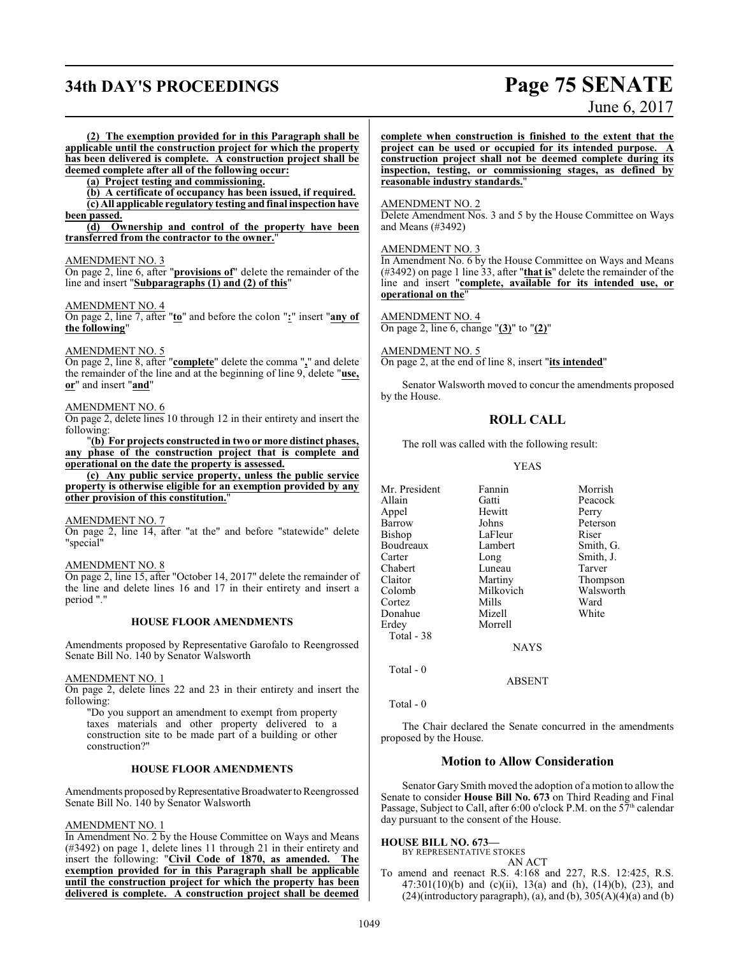# **34th DAY'S PROCEEDINGS Page 75 SENATE**

June 6, 2017

**(2) The exemption provided for in this Paragraph shall be applicable until the construction project for which the property has been delivered is complete. A construction project shall be deemed complete after all of the following occur:**

**(a) Project testing and commissioning.**

**(b) A certificate of occupancy has been issued, if required.**

**(c) All applicable regulatory testing and final inspection have been passed.**

**(d) Ownership and control of the property have been transferred from the contractor to the owner.**"

#### AMENDMENT NO. 3

On page 2, line 6, after "**provisions of**" delete the remainder of the line and insert "**Subparagraphs (1) and (2) of this**"

#### AMENDMENT NO. 4

On page 2, line 7, after "**to**" and before the colon "**:**" insert "**any of the following**"

#### AMENDMENT NO. 5

On page 2, line 8, after "**complete**" delete the comma "**,**" and delete the remainder of the line and at the beginning of line 9, delete "**use, or**" and insert "**and**"

#### AMENDMENT NO. 6

On page 2, delete lines 10 through 12 in their entirety and insert the following:

"**(b) For projects constructed in two or more distinct phases, any phase of the construction project that is complete and operational on the date the property is assessed.**

**(c) Any public service property, unless the public service property is otherwise eligible for an exemption provided by any other provision of this constitution.**"

#### AMENDMENT NO. 7

On page 2, line 14, after "at the" and before "statewide" delete "special"

#### AMENDMENT NO. 8

On page 2, line 15, after "October 14, 2017" delete the remainder of the line and delete lines 16 and 17 in their entirety and insert a period "."

#### **HOUSE FLOOR AMENDMENTS**

Amendments proposed by Representative Garofalo to Reengrossed Senate Bill No. 140 by Senator Walsworth

#### AMENDMENT NO. 1

On page 2, delete lines 22 and 23 in their entirety and insert the following:

"Do you support an amendment to exempt from property taxes materials and other property delivered to a construction site to be made part of a building or other construction?"

#### **HOUSE FLOOR AMENDMENTS**

Amendments proposed by Representative Broadwater to Reengrossed Senate Bill No. 140 by Senator Walsworth

#### AMENDMENT NO. 1

In Amendment No. 2 by the House Committee on Ways and Means (#3492) on page 1, delete lines 11 through 21 in their entirety and insert the following: "**Civil Code of 1870, as amended. The exemption provided for in this Paragraph shall be applicable until the construction project for which the property has been delivered is complete. A construction project shall be deemed** **complete when construction is finished to the extent that the project can be used or occupied for its intended purpose. A construction project shall not be deemed complete during its inspection, testing, or commissioning stages, as defined by reasonable industry standards.**"

#### AMENDMENT NO. 2

Delete Amendment Nos. 3 and 5 by the House Committee on Ways and Means (#3492)

#### AMENDMENT NO. 3

In Amendment No. 6 by the House Committee on Ways and Means (#3492) on page 1 line 33, after "**that is**" delete the remainder of the line and insert "**complete, available for its intended use, or operational on the**"

#### AMENDMENT NO. 4

On page 2, line 6, change "**(3)**" to "**(2)**"

AMENDMENT NO. 5 On page 2, at the end of line 8, insert "**its intended**"

Senator Walsworth moved to concur the amendments proposed by the House.

#### **ROLL CALL**

The roll was called with the following result:

#### YEAS

| Mr. President | Fannin      | Morrish   |  |
|---------------|-------------|-----------|--|
| Allain        | Gatti       | Peacock   |  |
| Appel         | Hewitt      | Perry     |  |
| Barrow        | Johns       | Peterson  |  |
| Bishop        | LaFleur     | Riser     |  |
| Boudreaux     | Lambert     | Smith, G. |  |
| Carter        | Long        | Smith, J. |  |
| Chabert       | Luneau      | Tarver    |  |
| Claitor       | Martiny     | Thompson  |  |
| Colomb        | Milkovich   | Walsworth |  |
| Cortez        | Mills       | Ward      |  |
| Donahue       | Mizell      | White     |  |
| Erdey         | Morrell     |           |  |
| Total - 38    |             |           |  |
|               | <b>NAYS</b> |           |  |
|               |             |           |  |

Total - 0

Total - 0

The Chair declared the Senate concurred in the amendments proposed by the House.

ABSENT

#### **Motion to Allow Consideration**

Senator Gary Smith moved the adoption of a motion to allow the Senate to consider **House Bill No. 673** on Third Reading and Final Passage, Subject to Call, after 6:00 o'clock P.M. on the  $57<sup>th</sup>$  calendar day pursuant to the consent of the House.

## **HOUSE BILL NO. 673—**

BY REPRESENTATIVE STOKES AN ACT

To amend and reenact R.S. 4:168 and 227, R.S. 12:425, R.S. 47:301(10)(b) and (c)(ii), 13(a) and (h), (14)(b), (23), and  $(24)$ (introductory paragraph), (a), and (b),  $305(A)(4)(a)$  and (b)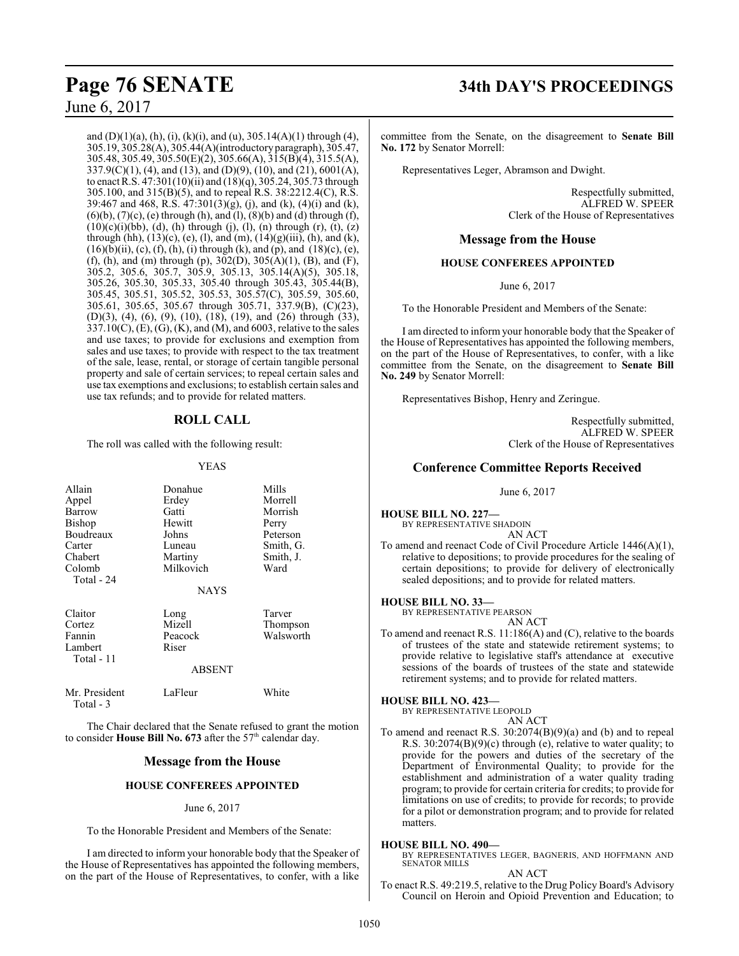and  $(D)(1)(a)$ ,  $(h)$ ,  $(i)$ ,  $(k)(i)$ , and  $(u)$ , 305.14 $(A)(1)$  through  $(4)$ , 305.19, 305.28(A), 305.44(A)(introductoryparagraph), 305.47, 305.48, 305.49, 305.50(E)(2), 305.66(A), 315(B)(4), 315.5(A), 337.9(C)(1), (4), and (13), and (D)(9), (10), and (21), 6001(A), to enact R.S. 47:301(10)(ii) and (18)(q), 305.24, 305.73 through 305.100, and 315(B)(5), and to repeal R.S. 38:2212.4(C), R.S. 39:467 and 468, R.S. 47:301(3)(g), (j), and (k), (4)(i) and (k),  $(6)(b)$ ,  $(7)(c)$ ,  $(e)$  through  $(h)$ , and  $(l)$ ,  $(8)(b)$  and  $(d)$  through  $(f)$ ,  $(10)(c)(i)(bb), (d), (h)$  through  $(i), (l), (n)$  through  $(r), (t), (z)$ through (hh),  $(13)(c)$ ,  $(e)$ ,  $(l)$ , and  $(m)$ ,  $(14)(g)(iii)$ ,  $(h)$ , and  $(k)$ ,  $(16)(b)(ii)$ , (c), (f), (h), (i) through (k), and (p), and (18)(c), (e), (f), (h), and (m) through (p), 302(D), 305(A)(1), (B), and (F), 305.2, 305.6, 305.7, 305.9, 305.13, 305.14(A)(5), 305.18, 305.26, 305.30, 305.33, 305.40 through 305.43, 305.44(B), 305.45, 305.51, 305.52, 305.53, 305.57(C), 305.59, 305.60, 305.61, 305.65, 305.67 through 305.71, 337.9(B), (C)(23), (D)(3), (4), (6), (9), (10), (18), (19), and (26) through (33), 337.10(C), (E), (G), (K), and (M), and 6003, relative to the sales and use taxes; to provide for exclusions and exemption from sales and use taxes; to provide with respect to the tax treatment of the sale, lease, rental, or storage of certain tangible personal property and sale of certain services; to repeal certain sales and use tax exemptions and exclusions; to establish certain sales and use tax refunds; and to provide for related matters.

## **ROLL CALL**

The roll was called with the following result:

#### YEAS

| Allain        | Donahue     | Mills     |
|---------------|-------------|-----------|
| Appel         | Erdey       | Morrell   |
| Barrow        | Gatti       | Morrish   |
| <b>Bishop</b> | Hewitt      | Perry     |
| Boudreaux     | Johns       | Peterson  |
| Carter        | Luneau      | Smith, G. |
| Chabert       | Martiny     | Smith, J. |
| Colomb        | Milkovich   | Ward      |
| Total - 24    |             |           |
|               | <b>NAYS</b> |           |
| Claitor       | Long        | Tarver    |
| Cortez        | Mizell      | Thompson  |
| Fannin        | Peacock     | Walsworth |
| Lambert       | Riser       |           |
| Total - 11    |             |           |
|               | ARSENT      |           |

| Mr. President | LaFleur | White |
|---------------|---------|-------|
| Total - 3     |         |       |

The Chair declared that the Senate refused to grant the motion to consider **House Bill No. 673** after the 57<sup>th</sup> calendar day.

## **Message from the House**

## **HOUSE CONFEREES APPOINTED**

#### June 6, 2017

To the Honorable President and Members of the Senate:

I am directed to inform your honorable body that the Speaker of the House of Representatives has appointed the following members, on the part of the House of Representatives, to confer, with a like

# **Page 76 SENATE 34th DAY'S PROCEEDINGS**

committee from the Senate, on the disagreement to **Senate Bill No. 172** by Senator Morrell:

Representatives Leger, Abramson and Dwight.

Respectfully submitted, ALFRED W. SPEER Clerk of the House of Representatives

#### **Message from the House**

#### **HOUSE CONFEREES APPOINTED**

June 6, 2017

To the Honorable President and Members of the Senate:

I am directed to inform your honorable body that the Speaker of the House of Representatives has appointed the following members, on the part of the House of Representatives, to confer, with a like committee from the Senate, on the disagreement to **Senate Bill No. 249** by Senator Morrell:

Representatives Bishop, Henry and Zeringue.

Respectfully submitted, ALFRED W. SPEER Clerk of the House of Representatives

## **Conference Committee Reports Received**

June 6, 2017

**HOUSE BILL NO. 227—** BY REPRESENTATIVE SHADOIN AN ACT

To amend and reenact Code of Civil Procedure Article 1446(A)(1), relative to depositions; to provide procedures for the sealing of certain depositions; to provide for delivery of electronically sealed depositions; and to provide for related matters.

#### **HOUSE BILL NO. 33—**

BY REPRESENTATIVE PEARSON AN ACT

To amend and reenact R.S. 11:186(A) and (C), relative to the boards of trustees of the state and statewide retirement systems; to provide relative to legislative staff's attendance at executive sessions of the boards of trustees of the state and statewide retirement systems; and to provide for related matters.

#### **HOUSE BILL NO. 423—**

BY REPRESENTATIVE LEOPOLD AN ACT

To amend and reenact R.S. 30:2074(B)(9)(a) and (b) and to repeal R.S. 30:2074(B)(9)(c) through (e), relative to water quality; to provide for the powers and duties of the secretary of the Department of Environmental Quality; to provide for the establishment and administration of a water quality trading program; to provide for certain criteria for credits; to provide for limitations on use of credits; to provide for records; to provide for a pilot or demonstration program; and to provide for related matters.

#### **HOUSE BILL NO. 490—**

BY REPRESENTATIVES LEGER, BAGNERIS, AND HOFFMANN AND SENATOR MILLS

#### AN ACT

To enact R.S. 49:219.5, relative to the Drug Policy Board's Advisory Council on Heroin and Opioid Prevention and Education; to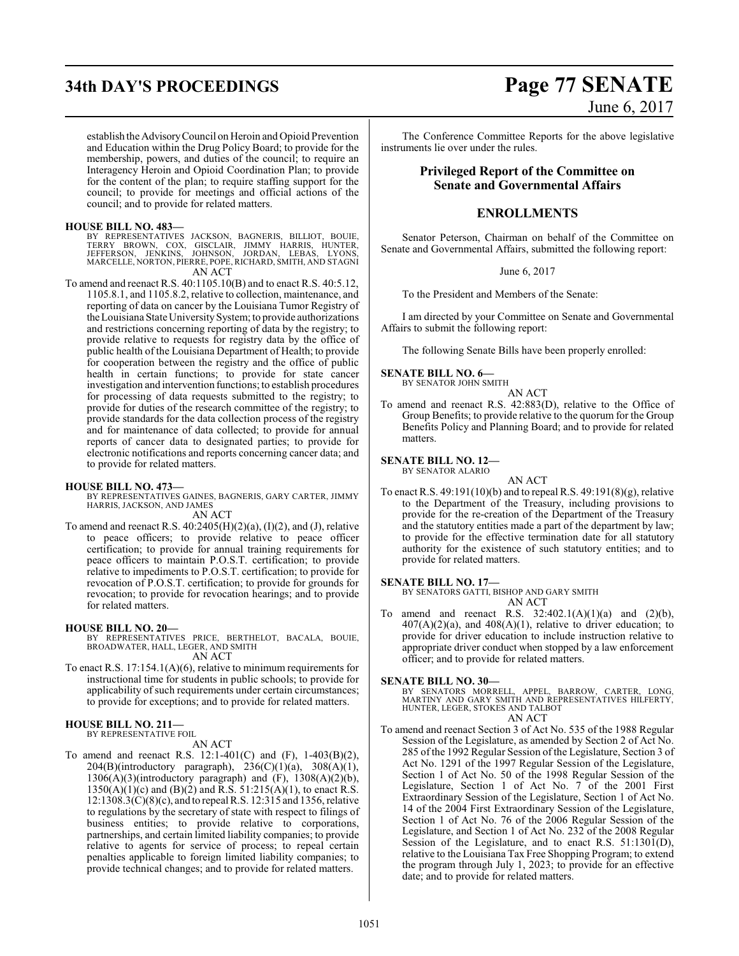establish the AdvisoryCouncil on Heroin and Opioid Prevention and Education within the Drug Policy Board; to provide for the membership, powers, and duties of the council; to require an Interagency Heroin and Opioid Coordination Plan; to provide for the content of the plan; to require staffing support for the council; to provide for meetings and official actions of the council; and to provide for related matters.

#### **HOUSE BILL NO. 483—**

BY REPRESENTATIVES JACKSON, BAGNERIS, BILLIOT, BOUIE, TERRY BROWN, COX, GISCLAIR, JIMMY HARRIS, HUNTER,<br>JEFFERSON, JENKINS, JOHNSON, JORDAN, LEBAS, LYONS,<br>MARCELLE,NORTON,PIERRE,POPE,RICHARD,SMITH,AND STAGNI<br>AN ACT

To amend and reenact R.S. 40:1105.10(B) and to enact R.S. 40:5.12, 1105.8.1, and 1105.8.2, relative to collection, maintenance, and reporting of data on cancer by the Louisiana Tumor Registry of the Louisiana State University System; to provide authorizations and restrictions concerning reporting of data by the registry; to provide relative to requests for registry data by the office of public health of the Louisiana Department of Health; to provide for cooperation between the registry and the office of public health in certain functions; to provide for state cancer investigation and intervention functions; to establish procedures for processing of data requests submitted to the registry; to provide for duties of the research committee of the registry; to provide standards for the data collection process of the registry and for maintenance of data collected; to provide for annual reports of cancer data to designated parties; to provide for electronic notifications and reports concerning cancer data; and to provide for related matters.

#### **HOUSE BILL NO. 473—**

BY REPRESENTATIVES GAINES, BAGNERIS, GARY CARTER, JIMMY HARRIS, JACKSON, AND JAMES

AN ACT

To amend and reenact R.S.  $40:2405(H)(2)(a)$ ,  $(I)(2)$ , and  $(J)$ , relative to peace officers; to provide relative to peace officer certification; to provide for annual training requirements for peace officers to maintain P.O.S.T. certification; to provide relative to impediments to P.O.S.T. certification; to provide for revocation of P.O.S.T. certification; to provide for grounds for revocation; to provide for revocation hearings; and to provide for related matters.

#### **HOUSE BILL NO. 20—**

BY REPRESENTATIVES PRICE, BERTHELOT, BACALA, BOUIE, BROADWATER, HALL, LEGER, AND SMITH

AN ACT

To enact R.S. 17:154.1(A)(6), relative to minimum requirements for instructional time for students in public schools; to provide for applicability of such requirements under certain circumstances; to provide for exceptions; and to provide for related matters.

#### **HOUSE BILL NO. 211—** BY REPRESENTATIVE FOIL

AN ACT

To amend and reenact R.S. 12:1-401(C) and (F), 1-403(B)(2),  $204(B)(introductory paragnab), 236(C)(1)(a), 308(A)(1),$ 1306(A)(3)(introductory paragraph) and (F), 1308(A)(2)(b),  $1350(A)(1)(c)$  and  $(B)(2)$  and R.S.  $51:215(A)(1)$ , to enact R.S. 12:1308.3(C)(8)(c), and to repeal R.S. 12:315 and 1356, relative to regulations by the secretary of state with respect to filings of business entities; to provide relative to corporations, partnerships, and certain limited liability companies; to provide relative to agents for service of process; to repeal certain penalties applicable to foreign limited liability companies; to provide technical changes; and to provide for related matters.

# **34th DAY'S PROCEEDINGS Page 77 SENATE** June 6, 2017

The Conference Committee Reports for the above legislative instruments lie over under the rules.

## **Privileged Report of the Committee on Senate and Governmental Affairs**

#### **ENROLLMENTS**

Senator Peterson, Chairman on behalf of the Committee on Senate and Governmental Affairs, submitted the following report:

June 6, 2017

To the President and Members of the Senate:

I am directed by your Committee on Senate and Governmental Affairs to submit the following report:

The following Senate Bills have been properly enrolled:

#### **SENATE BILL NO. 6—**

BY SENATOR JOHN SMITH AN ACT

To amend and reenact R.S. 42:883(D), relative to the Office of Group Benefits; to provide relative to the quorum for the Group Benefits Policy and Planning Board; and to provide for related matters.

**SENATE BILL NO. 12—** BY SENATOR ALARIO

AN ACT

To enact R.S. 49:191(10)(b) and to repeal R.S. 49:191(8)(g), relative to the Department of the Treasury, including provisions to provide for the re-creation of the Department of the Treasury and the statutory entities made a part of the department by law; to provide for the effective termination date for all statutory authority for the existence of such statutory entities; and to provide for related matters.

#### **SENATE BILL NO. 17—**

BY SENATORS GATTI, BISHOP AND GARY SMITH AN ACT

To amend and reenact R.S.  $32:402.1(A)(1)(a)$  and  $(2)(b)$ ,  $407(A)(2)(a)$ , and  $408(A)(1)$ , relative to driver education; to provide for driver education to include instruction relative to appropriate driver conduct when stopped by a law enforcement officer; and to provide for related matters.

#### **SENATE BILL NO. 30—**

BY SENATORS MORRELL, APPEL, BARROW, CARTER, LONG, MARTINY AND GARY SMITH AND REPRESENTATIVES HILFERTY, HUNTER, LEGER, STOKES AND TALBOT AN ACT

To amend and reenact Section 3 of Act No. 535 of the 1988 Regular Session of the Legislature, as amended by Section 2 of Act No. 285 of the 1992 Regular Session of the Legislature, Section 3 of Act No. 1291 of the 1997 Regular Session of the Legislature, Section 1 of Act No. 50 of the 1998 Regular Session of the Legislature, Section 1 of Act No. 7 of the 2001 First Extraordinary Session of the Legislature, Section 1 of Act No. 14 of the 2004 First Extraordinary Session of the Legislature, Section 1 of Act No. 76 of the 2006 Regular Session of the Legislature, and Section 1 of Act No. 232 of the 2008 Regular Session of the Legislature, and to enact R.S. 51:1301(D), relative to the Louisiana Tax Free Shopping Program; to extend the program through July 1, 2023; to provide for an effective date; and to provide for related matters.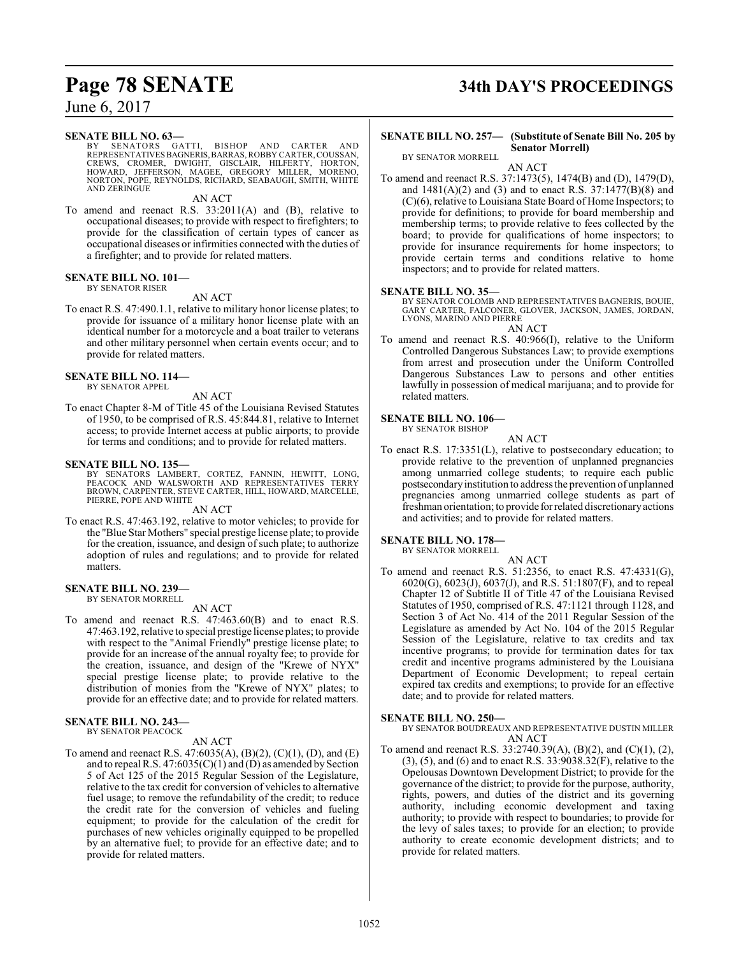#### **SENATE BILL NO. 63—**

BY SENATORS GATTI, BISHOP AND CARTER AND REPRESENTATIVESBAGNERIS,BARRAS,ROBBY CARTER,COUSSAN, CREWS, CROMER, DWIGHT, GISCLAIR, HILFERTY, HORTON, HOWARD, JEFFERSON, MAGEE, GREGORY MILLER, MORENO, NORTON, POPE, REYNOLDS, RICHARD, SEABAUGH, SMITH, WHITE AND ZERINGUE

#### AN ACT

To amend and reenact R.S. 33:2011(A) and (B), relative to occupational diseases; to provide with respect to firefighters; to provide for the classification of certain types of cancer as occupational diseases or infirmities connected with the duties of a firefighter; and to provide for related matters.

#### **SENATE BILL NO. 101—**

BY SENATOR RISER

AN ACT

To enact R.S. 47:490.1.1, relative to military honor license plates; to provide for issuance of a military honor license plate with an identical number for a motorcycle and a boat trailer to veterans and other military personnel when certain events occur; and to provide for related matters.

#### **SENATE BILL NO. 114—**

BY SENATOR APPEL

#### AN ACT

To enact Chapter 8-M of Title 45 of the Louisiana Revised Statutes of 1950, to be comprised of R.S. 45:844.81, relative to Internet access; to provide Internet access at public airports; to provide for terms and conditions; and to provide for related matters.

#### **SENATE BILL NO. 135—**

BY SENATORS LAMBERT, CORTEZ, FANNIN, HEWITT, LONG,<br>PEACOCK AND WALSWORTH AND REPRESENTATIVES TERRY<br>BROWN,CARPENTER,STEVECARTER,HILL,HOWARD,MARCELLE, PIERRE, POPE AND WHITE

#### AN ACT

To enact R.S. 47:463.192, relative to motor vehicles; to provide for the "Blue Star Mothers" special prestige license plate; to provide for the creation, issuance, and design of such plate; to authorize adoption of rules and regulations; and to provide for related matters.

#### **SENATE BILL NO. 239—**

BY SENATOR MORRELL

#### AN ACT

To amend and reenact R.S. 47:463.60(B) and to enact R.S. 47:463.192, relative to special prestige license plates; to provide with respect to the "Animal Friendly" prestige license plate; to provide for an increase of the annual royalty fee; to provide for the creation, issuance, and design of the "Krewe of NYX" special prestige license plate; to provide relative to the distribution of monies from the "Krewe of NYX" plates; to provide for an effective date; and to provide for related matters.

#### **SENATE BILL NO. 243—**

BY SENATOR PEACOCK AN ACT

To amend and reenact R.S. 47:6035(A), (B)(2), (C)(1), (D), and (E) and to repeal R.S.  $47:6035(C)(1)$  and (D) as amended by Section 5 of Act 125 of the 2015 Regular Session of the Legislature, relative to the tax credit for conversion of vehicles to alternative fuel usage; to remove the refundability of the credit; to reduce the credit rate for the conversion of vehicles and fueling equipment; to provide for the calculation of the credit for purchases of new vehicles originally equipped to be propelled by an alternative fuel; to provide for an effective date; and to provide for related matters.

# **Page 78 SENATE 34th DAY'S PROCEEDINGS**

#### **SENATE BILL NO. 257— (Substitute of Senate Bill No. 205 by Senator Morrell)**

BY SENATOR MORRELL AN ACT

To amend and reenact R.S. 37:1473(5), 1474(B) and (D), 1479(D), and 1481(A)(2) and (3) and to enact R.S. 37:1477(B)(8) and (C)(6), relative to Louisiana State Board of Home Inspectors; to provide for definitions; to provide for board membership and membership terms; to provide relative to fees collected by the board; to provide for qualifications of home inspectors; to provide for insurance requirements for home inspectors; to provide certain terms and conditions relative to home inspectors; and to provide for related matters.

## **SENATE BILL NO. 35—**

BY SENATOR COLOMB AND REPRESENTATIVES BAGNERIS, BOUIE, GARY CARTER, FALCONER, GLOVER, JACKSON, JAMES, JORDAN, LYONS, MARINO AND PIERRE

AN ACT

To amend and reenact R.S. 40:966(I), relative to the Uniform Controlled Dangerous Substances Law; to provide exemptions from arrest and prosecution under the Uniform Controlled Dangerous Substances Law to persons and other entities lawfully in possession of medical marijuana; and to provide for related matters.

#### **SENATE BILL NO. 106—**

BY SENATOR BISHOP AN ACT

To enact R.S. 17:3351(L), relative to postsecondary education; to provide relative to the prevention of unplanned pregnancies among unmarried college students; to require each public postsecondary institution to address the prevention of unplanned pregnancies among unmarried college students as part of freshman orientation; to provide forrelated discretionaryactions and activities; and to provide for related matters.

#### **SENATE BILL NO. 178—**

BY SENATOR MORRELL

AN ACT

To amend and reenact R.S. 51:2356, to enact R.S. 47:4331(G), 6020(G), 6023(J), 6037(J), and R.S. 51:1807(F), and to repeal Chapter 12 of Subtitle II of Title 47 of the Louisiana Revised Statutes of 1950, comprised of R.S. 47:1121 through 1128, and Section 3 of Act No. 414 of the 2011 Regular Session of the Legislature as amended by Act No. 104 of the 2015 Regular Session of the Legislature, relative to tax credits and tax incentive programs; to provide for termination dates for tax credit and incentive programs administered by the Louisiana Department of Economic Development; to repeal certain expired tax credits and exemptions; to provide for an effective date; and to provide for related matters.

#### **SENATE BILL NO. 250—**

BY SENATOR BOUDREAUX AND REPRESENTATIVE DUSTIN MILLER AN ACT

To amend and reenact R.S. 33:2740.39(A), (B)(2), and (C)(1), (2), (3), (5), and (6) and to enact R.S. 33:9038.32(F), relative to the Opelousas Downtown Development District; to provide for the governance of the district; to provide for the purpose, authority, rights, powers, and duties of the district and its governing authority, including economic development and taxing authority; to provide with respect to boundaries; to provide for the levy of sales taxes; to provide for an election; to provide authority to create economic development districts; and to provide for related matters.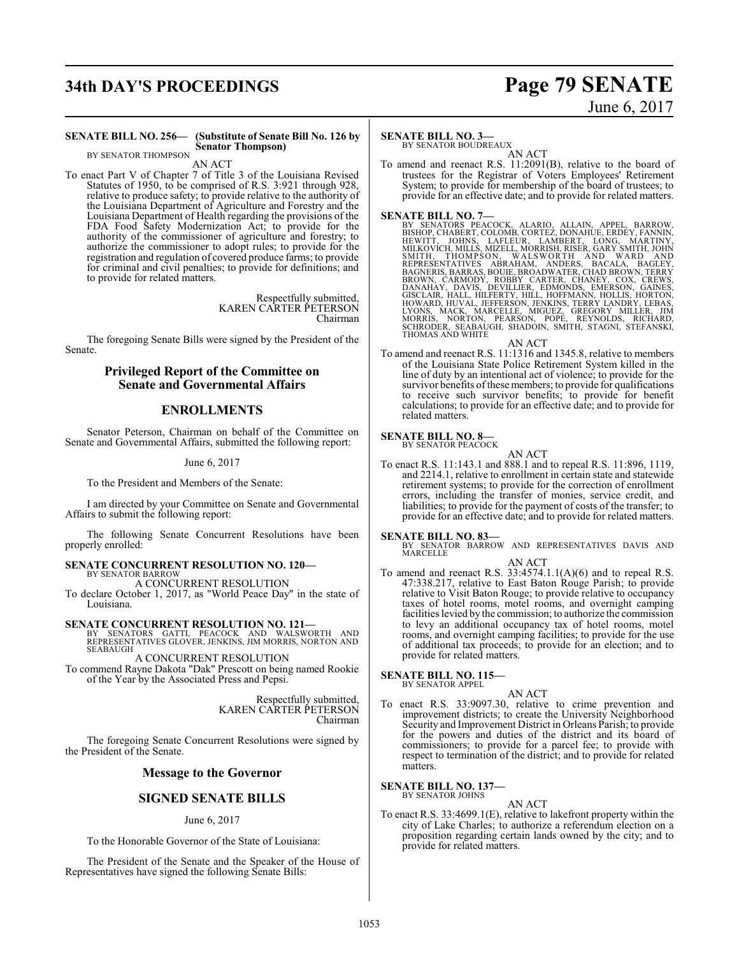# **34th DAY'S PROCEEDINGS Page 79 SENATE**

# June 6, 2017

#### **SENATE BILL NO. 256— (Substitute of Senate Bill No. 126 by Senator Thompson)** BY SENATOR THOMPSON

AN ACT

To enact Part V of Chapter 7 of Title 3 of the Louisiana Revised Statutes of 1950, to be comprised of R.S. 3:921 through 928, relative to produce safety; to provide relative to the authority of the Louisiana Department of Agriculture and Forestry and the Louisiana Department of Health regarding the provisions of the FDA Food Safety Modernization Act; to provide for the authority of the commissioner of agriculture and forestry; to authorize the commissioner to adopt rules; to provide for the registration and regulation of covered produce farms; to provide for criminal and civil penalties; to provide for definitions; and to provide for related matters.

> Respectfully submitted, KAREN CARTER PETERSON Chairman

The foregoing Senate Bills were signed by the President of the Senate.

## **Privileged Report of the Committee on Senate and Governmental Affairs**

## **ENROLLMENTS**

Senator Peterson, Chairman on behalf of the Committee on Senate and Governmental Affairs, submitted the following report:

June 6, 2017

To the President and Members of the Senate:

I am directed by your Committee on Senate and Governmental Affairs to submit the following report:

The following Senate Concurrent Resolutions have been properly enrolled:

#### **SENATE CONCURRENT RESOLUTION NO. 120—** BY SENATOR BARROW A CONCURRENT RESOLUTION

To declare October 1, 2017, as "World Peace Day" in the state of Louisiana.

**SENATE CONCURRENT RESOLUTION NO. 121—**

BY SENATORS GATTI, PEACOCK AND WALSWORTH AND REPRESENTATIVES GLOVER, JENKINS, JIM MORRIS, NORTON AND **SEABAUGH** A CONCURRENT RESOLUTION

To commend Rayne Dakota "Dak" Prescott on being named Rookie of the Year by the Associated Press and Pepsi.

> Respectfully submitted, KAREN CARTER PETERSON Chairman

The foregoing Senate Concurrent Resolutions were signed by the President of the Senate.

## **Message to the Governor**

## **SIGNED SENATE BILLS**

#### June 6, 2017

To the Honorable Governor of the State of Louisiana:

The President of the Senate and the Speaker of the House of Representatives have signed the following Senate Bills:

#### **SENATE BILL NO. 3—**

BY SENATOR BOUDREAUX AN ACT

To amend and reenact R.S. 11:2091(B), relative to the board of trustees for the Registrar of Voters Employees' Retirement System; to provide for membership of the board of trustees; to provide for an effective date; and to provide for related matters.

SENATE BILL NO. 7—<br>BY SENATORS PEACOCK, ALARIO, ALLAIN, APPEL, BARROW, BISHOP, CHABERT, COLOMB, CORTEZ, DONAHUE, ERDEY, FANNIN, HEWITT, JOHNS, LAFLEUR, LAMBERT, LONG, MARTINY, MILLICH, MOHN SANCEY, GARY SMITH, JOHN SMITH,

To amend and reenact R.S. 11:1316 and 1345.8, relative to members of the Louisiana State Police Retirement System killed in the line of duty by an intentional act of violence; to provide for the survivor benefits of these members; to provide for qualifications to receive such survivor benefits; to provide for benefit calculations; to provide for an effective date; and to provide for related matters.

#### **SENATE BILL NO. 8—** BY SENATOR PEACOCK

AN ACT

To enact R.S. 11:143.1 and 888.1 and to repeal R.S. 11:896, 1119, and 2214.1, relative to enrollment in certain state and statewide retirement systems; to provide for the correction of enrollment errors, including the transfer of monies, service credit, and liabilities; to provide for the payment of costs of the transfer; to provide for an effective date; and to provide for related matters.

**SENATE BILL NO. 83—**<br>BY SENATOR BARROW AND REPRESENTATIVES DAVIS AND MARCELLE AN ACT

To amend and reenact R.S.  $33:4574.1.1(A)(6)$  and to repeal R.S. 47:338.217, relative to East Baton Rouge Parish; to provide relative to Visit Baton Rouge; to provide relative to occupancy taxes of hotel rooms, motel rooms, and overnight camping facilities levied by the commission; to authorize the commission to levy an additional occupancy tax of hotel rooms, motel rooms, and overnight camping facilities; to provide for the use of additional tax proceeds; to provide for an election; and to provide for related matters.

#### **SENATE BILL NO. 115—** BY SENATOR APPEL

AN ACT

To enact R.S. 33:9097.30, relative to crime prevention and improvement districts; to create the University Neighborhood Security and Improvement District in Orleans Parish; to provide for the powers and duties of the district and its board of commissioners; to provide for a parcel fee; to provide with respect to termination of the district; and to provide for related matters.

#### **SENATE BILL NO. 137—** BY SENATOR JOHNS

AN ACT

To enact R.S. 33:4699.1(E), relative to lakefront property within the city of Lake Charles; to authorize a referendum election on a proposition regarding certain lands owned by the city; and to provide for related matters.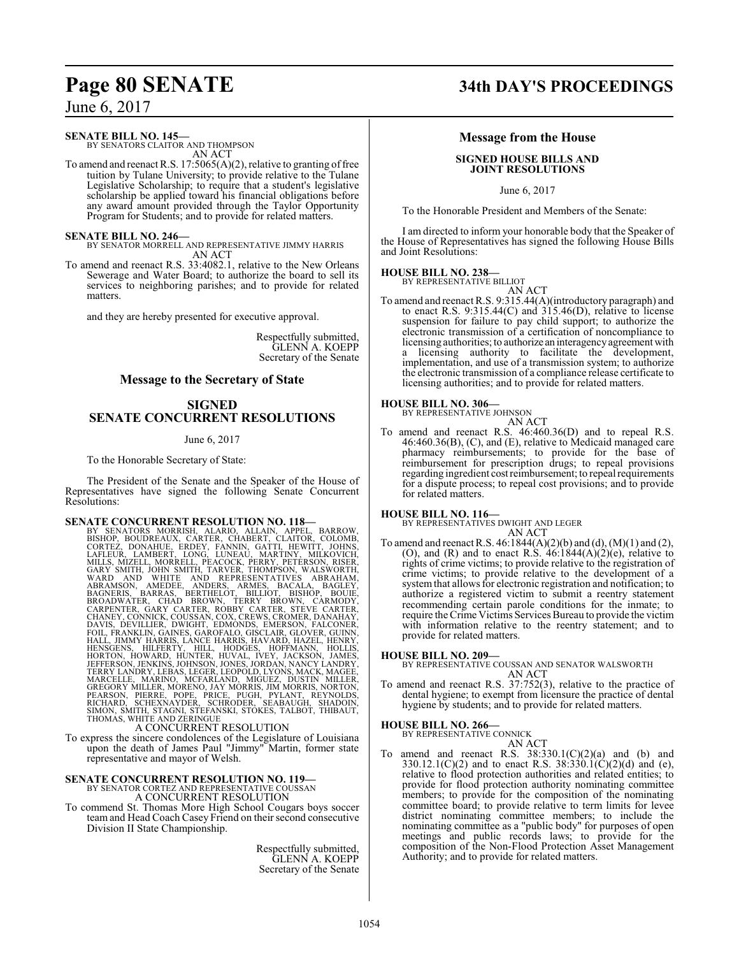#### **SENATE BILL NO. 145—**

BY SENATORS CLAITOR AND THOMPSON AN ACT

To amend and reenact R.S.  $17:5065(A)(2)$ , relative to granting of free tuition by Tulane University; to provide relative to the Tulane Legislative Scholarship; to require that a student's legislative scholarship be applied toward his financial obligations before any award amount provided through the Taylor Opportunity Program for Students; and to provide for related matters.

**SENATE BILL NO. 246—** BY SENATOR MORRELL AND REPRESENTATIVE JIMMY HARRIS AN ACT

To amend and reenact R.S. 33:4082.1, relative to the New Orleans Sewerage and Water Board; to authorize the board to sell its services to neighboring parishes; and to provide for related matters.

and they are hereby presented for executive approval.

Respectfully submitted, GLENN A. KOEPP Secretary of the Senate

## **Message to the Secretary of State**

## **SIGNED SENATE CONCURRENT RESOLUTIONS**

June 6, 2017

To the Honorable Secretary of State:

The President of the Senate and the Speaker of the House of Representatives have signed the following Senate Concurrent Resolutions:

**SENATE CONCURRENT RESOLUTION NO. 118—**<br>BY SENATORS MORRISH, ALARIO, ALLAIN, APPEL, BARROW, BISHOP, BOUDREAUX, CARTER, CHABERT, CLAITOR, COLOMB, CORTEZ, DONAHUE, ERDEY, FANNIN, GATTI, HEWITT, JOHNAL LAFLEUR, LAMBERT, LONG,

To express the sincere condolences of the Legislature of Louisiana upon the death of James Paul "Jimmy" Martin, former state representative and mayor of Welsh.

## **SENATE CONCURRENT RESOLUTION NO. 119—** BY SENATOR CORTEZ AND REPRESENTATIVE COUSSAN

A CONCURRENT RESOLUTION

To commend St. Thomas More High School Cougars boys soccer teamand Head Coach Casey Friend on their second consecutive Division II State Championship.

> Respectfully submitted, GLENN A. KOEPP Secretary of the Senate

# **Page 80 SENATE 34th DAY'S PROCEEDINGS**

#### **Message from the House**

#### **SIGNED HOUSE BILLS AND JOINT RESOLUTIONS**

June 6, 2017

To the Honorable President and Members of the Senate:

I am directed to inform your honorable body that the Speaker of the House of Representatives has signed the following House Bills and Joint Resolutions:

## **HOUSE BILL NO. 238—** BY REPRESENTATIVE BILLIOT

AN ACT To amend and reenact R.S. 9:315.44(A)(introductory paragraph) and to enact R.S.  $9:315.44(C)$  and  $315.46(D)$ , relative to license suspension for failure to pay child support; to authorize the electronic transmission of a certification of noncompliance to licensing authorities; to authorize an interagencyagreement with licensing authority to facilitate the development, implementation, and use of a transmission system; to authorize the electronic transmission of a compliance release certificate to licensing authorities; and to provide for related matters.

# **HOUSE BILL NO. 306—** BY REPRESENTATIVE JOHNSON

AN ACT To amend and reenact R.S. 46:460.36(D) and to repeal R.S. 46:460.36(B), (C), and (E), relative to Medicaid managed care pharmacy reimbursements; to provide for the base of reimbursement for prescription drugs; to repeal provisions regarding ingredient costreimbursement; to repeal requirements for a dispute process; to repeal cost provisions; and to provide for related matters.

**HOUSE BILL NO. 116—** BY REPRESENTATIVES DWIGHT AND LEGER AN ACT

To amend and reenact R.S. 46:1844(A)(2)(b) and (d), (M)(1) and (2), (O), and (R) and to enact R.S.  $46:1844(A)(2)(e)$ , relative to rights of crime victims; to provide relative to the registration of crime victims; to provide relative to the development of a system that allows for electronic registration and notification; to authorize a registered victim to submit a reentry statement recommending certain parole conditions for the inmate; to require the Crime Victims Services Bureau to provide the victim with information relative to the reentry statement; and to provide for related matters.

#### **HOUSE BILL NO. 209—**

BY REPRESENTATIVE COUSSAN AND SENATOR WALSWORTH AN ACT

To amend and reenact R.S. 37:752(3), relative to the practice of dental hygiene; to exempt from licensure the practice of dental hygiene by students; and to provide for related matters.

# **HOUSE BILL NO. 266—** BY REPRESENTATIVE CONNICK

AN ACT

To amend and reenact R.S.  $38:330.1(C)(2)(a)$  and (b) and  $330.12.1(C)(2)$  and to enact R.S.  $38.330.1(C)(2)(d)$  and (e), relative to flood protection authorities and related entities; to provide for flood protection authority nominating committee members; to provide for the composition of the nominating committee board; to provide relative to term limits for levee district nominating committee members; to include the nominating committee as a "public body" for purposes of open meetings and public records laws; to provide for the composition of the Non-Flood Protection Asset Management Authority; and to provide for related matters.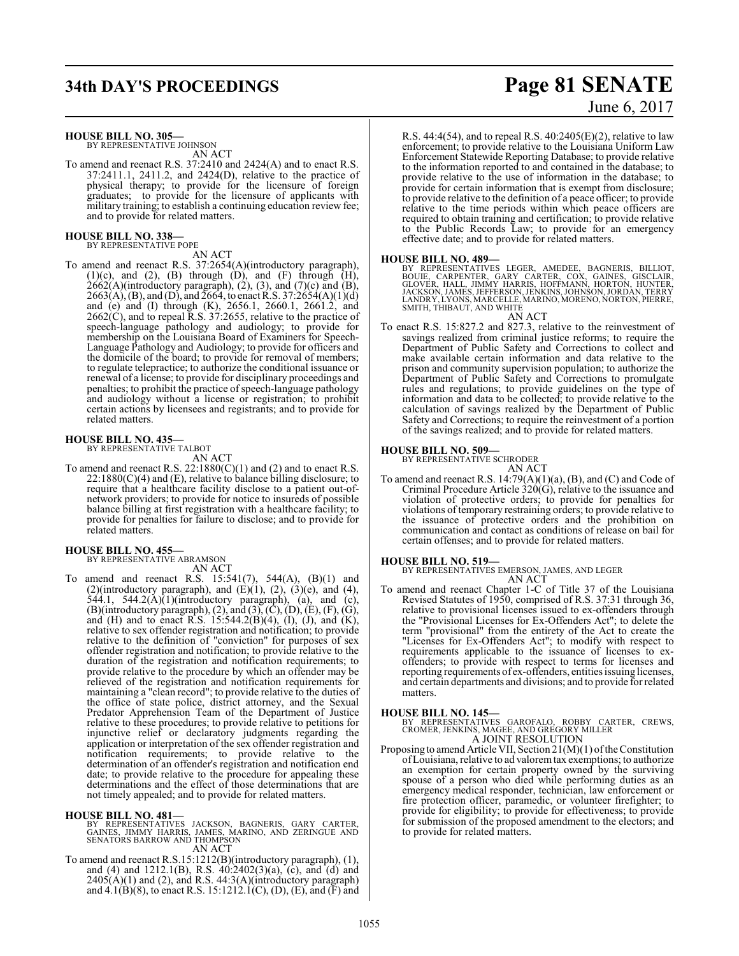# **34th DAY'S PROCEEDINGS Page 81 SENATE**

**HOUSE BILL NO. 305—**

BY REPRESENTATIVE JOHNSON AN ACT

To amend and reenact R.S. 37:2410 and 2424(A) and to enact R.S. 37:2411.1, 2411.2, and 2424(D), relative to the practice of physical therapy; to provide for the licensure of foreign graduates; to provide for the licensure of applicants with military training; to establish a continuing education review fee; and to provide for related matters.

# **HOUSE BILL NO. 338—** BY REPRESENTATIVE POPE

AN ACT

To amend and reenact R.S. 37:2654(A)(introductory paragraph),  $(1)(c)$ , and  $(2)$ ,  $(B)$  through  $(D)$ , and  $(F)$  through  $(H)$ ,  $2662(A)$ (introductory paragraph),  $(2)$ ,  $(3)$ , and  $(7)$ (c) and  $(B)$ ,  $2663(A), (B),$  and (D), and  $2664$ , to enact R.S. 37:2654(A)(1)(d) and (e) and (I) through (K), 2656.1, 2660.1, 2661.2, and  $2662(\dot{C})$ , and to repeal R.S. 37:2655, relative to the practice of speech-language pathology and audiology; to provide for membership on the Louisiana Board of Examiners for Speech-Language Pathology and Audiology; to provide for officers and the domicile of the board; to provide for removal of members; to regulate telepractice; to authorize the conditional issuance or renewal of a license; to provide for disciplinary proceedings and penalties; to prohibit the practice of speech-language pathology and audiology without a license or registration; to prohibit certain actions by licensees and registrants; and to provide for related matters.

#### **HOUSE BILL NO. 435—**

BY REPRESENTATIVE TALBOT

- AN ACT To amend and reenact R.S.  $22:1880(C)(1)$  and (2) and to enact R.S.  $22:1880(C)(4)$  and (E), relative to balance billing disclosure; to require that a healthcare facility disclose to a patient out-ofnetwork providers; to provide for notice to insureds of possible
- balance billing at first registration with a healthcare facility; to provide for penalties for failure to disclose; and to provide for related matters.

#### **HOUSE BILL NO. 455—**

BY REPRESENTATIVE ABRAMSON AN ACT

To amend and reenact R.S.  $15:541(7)$ ,  $544(A)$ ,  $(B)(1)$  and (2)(introductory paragraph), and  $(E)(1)$ ,  $(2)$ ,  $(3)(e)$ , and  $(4)$ , 544.1, 544.2(A) $(1)$ (introductory paragraph), (a), and (c),  $(B)$ (introductory paragraph), (2), and (3), (C), (D), (E), (F), (G), and (H) and to enact R.S.  $15:544.2(B)(4)$ , (I), (J), and (K), relative to sex offender registration and notification; to provide relative to the definition of "conviction" for purposes of sex offender registration and notification; to provide relative to the duration of the registration and notification requirements; to provide relative to the procedure by which an offender may be relieved of the registration and notification requirements for maintaining a "clean record"; to provide relative to the duties of the office of state police, district attorney, and the Sexual Predator Apprehension Team of the Department of Justice relative to these procedures; to provide relative to petitions for injunctive relief or declaratory judgments regarding the application or interpretation of the sex offender registration and notification requirements; to provide relative to the determination of an offender's registration and notification end date; to provide relative to the procedure for appealing these determinations and the effect of those determinations that are not timely appealed; and to provide for related matters.

#### **HOUSE BILL NO. 481—**

BY REPRESENTATIVES JACKSON, BAGNERIS, GARY CARTER,<br>GAINES, JIMMY HARRIS, JAMES, MARINO, AND ZERINGUE AND<br>SENATORS BARROW AND THOMPSON AN ACT

To amend and reenact R.S.15:1212(B)(introductory paragraph), (1), and (4) and 1212.1(B), R.S. 40:2402(3)(a), (c), and (d) and  $2405(A)(1)$  and (2), and R.S.  $44:3(A)(\text{introducing paragraph})$ and  $4.1(B)(8)$ , to enact R.S. 15:1212.1(C), (D), (E), and (F) and

# June 6, 2017

R.S.  $44:4(54)$ , and to repeal R.S.  $40:2405(E)(2)$ , relative to law enforcement; to provide relative to the Louisiana Uniform Law Enforcement Statewide Reporting Database; to provide relative to the information reported to and contained in the database; to provide relative to the use of information in the database; to provide for certain information that is exempt from disclosure; to provide relative to the definition of a peace officer; to provide relative to the time periods within which peace officers are required to obtain training and certification; to provide relative to the Public Records Law; to provide for an emergency effective date; and to provide for related matters.

#### **HOUSE BILL NO. 489—**

BY REPRESENTATIVES LEGER, AMEDEE, BAGNERIS, BILLIOT,<br>BOUIE, CARPENTER, GARY CARTER, COX, GAINES, GISCLAIR,<br>GLOVER, HALL, JIMMY HARRIS, HOFFMANN, HORTON, HUNTER,<br>JACKSON,JAMES,JEFFERSON,JENKINS,JOHNSON,JORDAN,TERRY<br>LANDRY,L

#### AN ACT

To enact R.S. 15:827.2 and 827.3, relative to the reinvestment of savings realized from criminal justice reforms; to require the Department of Public Safety and Corrections to collect and make available certain information and data relative to the prison and community supervision population; to authorize the Department of Public Safety and Corrections to promulgate rules and regulations; to provide guidelines on the type of information and data to be collected; to provide relative to the calculation of savings realized by the Department of Public Safety and Corrections; to require the reinvestment of a portion of the savings realized; and to provide for related matters.

# **HOUSE BILL NO. 509—** BY REPRESENTATIVE SCHRODER

AN ACT To amend and reenact R.S. 14:79(A)(1)(a), (B), and (C) and Code of Criminal Procedure Article 320(G), relative to the issuance and violation of protective orders; to provide for penalties for violations of temporary restraining orders; to provide relative to the issuance of protective orders and the prohibition on communication and contact as conditions of release on bail for certain offenses; and to provide for related matters.

#### **HOUSE BILL NO. 519—**

BY REPRESENTATIVES EMERSON, JAMES, AND LEGER AN ACT

To amend and reenact Chapter 1-C of Title 37 of the Louisiana Revised Statutes of 1950, comprised of R.S. 37:31 through 36, relative to provisional licenses issued to ex-offenders through the "Provisional Licenses for Ex-Offenders Act"; to delete the term "provisional" from the entirety of the Act to create the "Licenses for Ex-Offenders Act"; to modify with respect to requirements applicable to the issuance of licenses to exoffenders; to provide with respect to terms for licenses and reporting requirements of ex-offenders, entities issuing licenses, and certain departments and divisions; and to provide for related matters.

#### **HOUSE BILL NO. 145—**

BY REPRESENTATIVES GAROFALO, ROBBY CARTER, CREWS, CROMER, JENKINS, MAGEE, AND GREGORY MILLER A JOINT RESOLUTION

Proposing to amend Article VII, Section 21(M)(1) ofthe Constitution ofLouisiana, relative to ad valoremtax exemptions; to authorize an exemption for certain property owned by the surviving spouse of a person who died while performing duties as an emergency medical responder, technician, law enforcement or fire protection officer, paramedic, or volunteer firefighter; to provide for eligibility; to provide for effectiveness; to provide for submission of the proposed amendment to the electors; and to provide for related matters.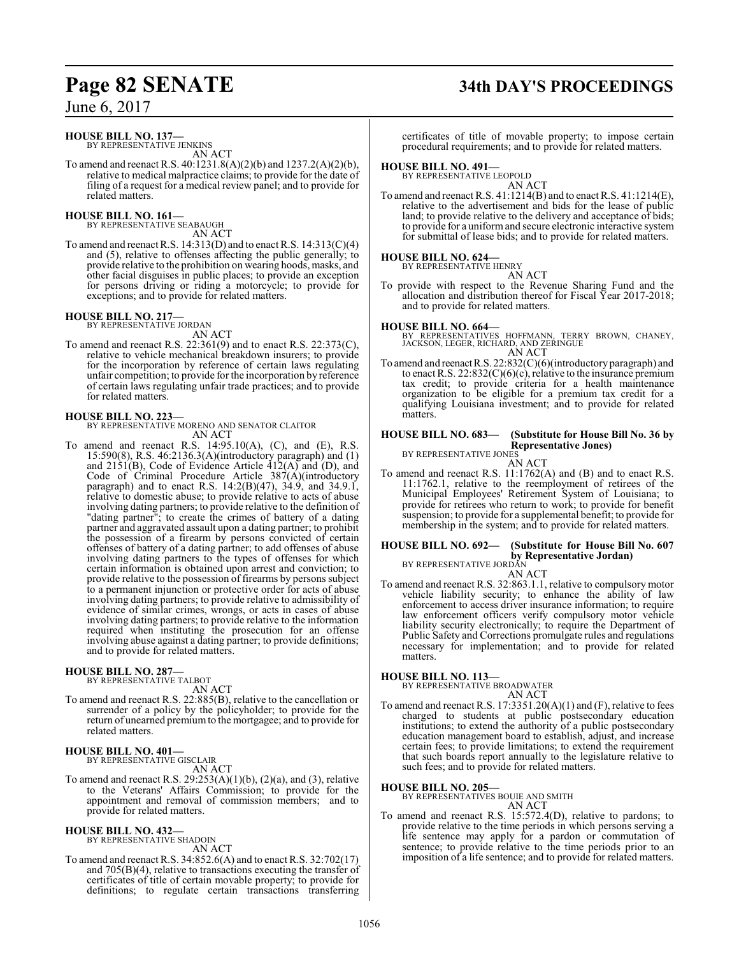#### **HOUSE BILL NO. 137—**

BY REPRESENTATIVE JENKINS AN ACT

To amend and reenact R.S. 40:1231.8(A)(2)(b) and 1237.2(A)(2)(b), relative to medical malpractice claims; to provide for the date of filing of a request for a medical review panel; and to provide for related matters.

#### **HOUSE BILL NO. 161—**

BY REPRESENTATIVE SEABAUGH AN ACT

To amend and reenact R.S. 14:313(D) and to enact R.S. 14:313(C)(4) and (5), relative to offenses affecting the public generally; to provide relative to the prohibition on wearing hoods, masks, and other facial disguises in public places; to provide an exception for persons driving or riding a motorcycle; to provide for exceptions; and to provide for related matters.

**HOUSE BILL NO. 217—** BY REPRESENTATIVE JORDAN AN ACT

To amend and reenact R.S. 22:361(9) and to enact R.S. 22:373(C), relative to vehicle mechanical breakdown insurers; to provide for the incorporation by reference of certain laws regulating unfair competition; to provide for the incorporation by reference of certain laws regulating unfair trade practices; and to provide for related matters.

**HOUSE BILL NO. 223—** BY REPRESENTATIVE MORENO AND SENATOR CLAITOR AN ACT

To amend and reenact R.S. 14:95.10(A), (C), and (E), R.S. 15:590(8), R.S. 46:2136.3(A)(introductory paragraph) and (1) and 2151(B), Code of Evidence Article 412(A) and (D), and Code of Criminal Procedure Article 387(A)(introductory paragraph) and to enact R.S. 14:2(B)(47), 34.9, and 34.9.1, relative to domestic abuse; to provide relative to acts of abuse involving dating partners; to provide relative to the definition of "dating partner"; to create the crimes of battery of a dating partner and aggravated assault upon a dating partner; to prohibit the possession of a firearm by persons convicted of certain offenses of battery of a dating partner; to add offenses of abuse involving dating partners to the types of offenses for which certain information is obtained upon arrest and conviction; to provide relative to the possession of firearms by persons subject to a permanent injunction or protective order for acts of abuse involving dating partners; to provide relative to admissibility of evidence of similar crimes, wrongs, or acts in cases of abuse involving dating partners; to provide relative to the information required when instituting the prosecution for an offense involving abuse against a dating partner; to provide definitions; and to provide for related matters.

#### **HOUSE BILL NO. 287—** BY REPRESENTATIVE TALBOT

AN ACT

To amend and reenact R.S. 22:885(B), relative to the cancellation or surrender of a policy by the policyholder; to provide for the return of unearned premiumto the mortgagee; and to provide for related matters.

#### **HOUSE BILL NO. 401—** BY REPRESENTATIVE GISCLAIR

AN ACT

To amend and reenact R.S.  $29:253(A)(1)(b)$ ,  $(2)(a)$ , and  $(3)$ , relative to the Veterans' Affairs Commission; to provide for the appointment and removal of commission members; and to provide for related matters.

#### **HOUSE BILL NO. 432—** BY REPRESENTATIVE SHADOIN

AN ACT

To amend and reenact R.S. 34:852.6(A) and to enact R.S. 32:702(17) and 705(B)(4), relative to transactions executing the transfer of certificates of title of certain movable property; to provide for definitions; to regulate certain transactions transferring

# **Page 82 SENATE 34th DAY'S PROCEEDINGS**

certificates of title of movable property; to impose certain procedural requirements; and to provide for related matters.

#### **HOUSE BILL NO. 491—**

BY REPRESENTATIVE LEOPOLD AN ACT

To amend and reenact R.S. 41:1214(B) and to enact R.S. 41:1214(E), relative to the advertisement and bids for the lease of public land; to provide relative to the delivery and acceptance of bids; to provide for a uniformand secure electronic interactive system for submittal of lease bids; and to provide for related matters.

#### **HOUSE BILL NO. 624—**

BY REPRESENTATIVE HENRY

AN ACT

To provide with respect to the Revenue Sharing Fund and the allocation and distribution thereof for Fiscal Year 2017-2018; and to provide for related matters.

#### **HOUSE BILL NO. 664—**

BY REPRESENTATIVES HOFFMANN, TERRY BROWN, CHANEY, JACKSON, LEGER, RICHARD, AND ZERINGUE AN ACT

To amend and reenactR.S. 22:832(C)(6)(introductory paragraph) and to enact R.S.  $22:832(C)(6)(c)$ , relative to the insurance premium tax credit; to provide criteria for a health maintenance organization to be eligible for a premium tax credit for a qualifying Louisiana investment; and to provide for related matters.

## **HOUSE BILL NO. 683— (Substitute for House Bill No. 36 by**

**Representative Jones)** BY REPRESENTATIVE JONES

AN ACT

To amend and reenact R.S. 11:1762(A) and (B) and to enact R.S. 11:1762.1, relative to the reemployment of retirees of the Municipal Employees' Retirement System of Louisiana; to provide for retirees who return to work; to provide for benefit suspension; to provide for a supplemental benefit; to provide for membership in the system; and to provide for related matters.

## **HOUSE BILL NO. 692— (Substitute for House Bill No. 607 by Representative Jordan)** BY REPRESENTATIVE JORDAN

AN ACT

To amend and reenact R.S. 32:863.1.1, relative to compulsory motor vehicle liability security; to enhance the ability of law enforcement to access driver insurance information; to require law enforcement officers verify compulsory motor vehicle liability security electronically; to require the Department of Public Safety and Corrections promulgate rules and regulations necessary for implementation; and to provide for related matters.

**HOUSE BILL NO. 113—** BY REPRESENTATIVE BROADWATER

AN ACT

To amend and reenact R.S.  $17:3351.20(A)(1)$  and  $(F)$ , relative to fees charged to students at public postsecondary education institutions; to extend the authority of a public postsecondary education management board to establish, adjust, and increase certain fees; to provide limitations; to extend the requirement that such boards report annually to the legislature relative to such fees; and to provide for related matters.

#### **HOUSE BILL NO. 205—**

BY REPRESENTATIVES BOUIE AND SMITH

AN ACT To amend and reenact R.S. 15:572.4(D), relative to pardons; to provide relative to the time periods in which persons serving a life sentence may apply for a pardon or commutation of sentence; to provide relative to the time periods prior to an imposition of a life sentence; and to provide for related matters.